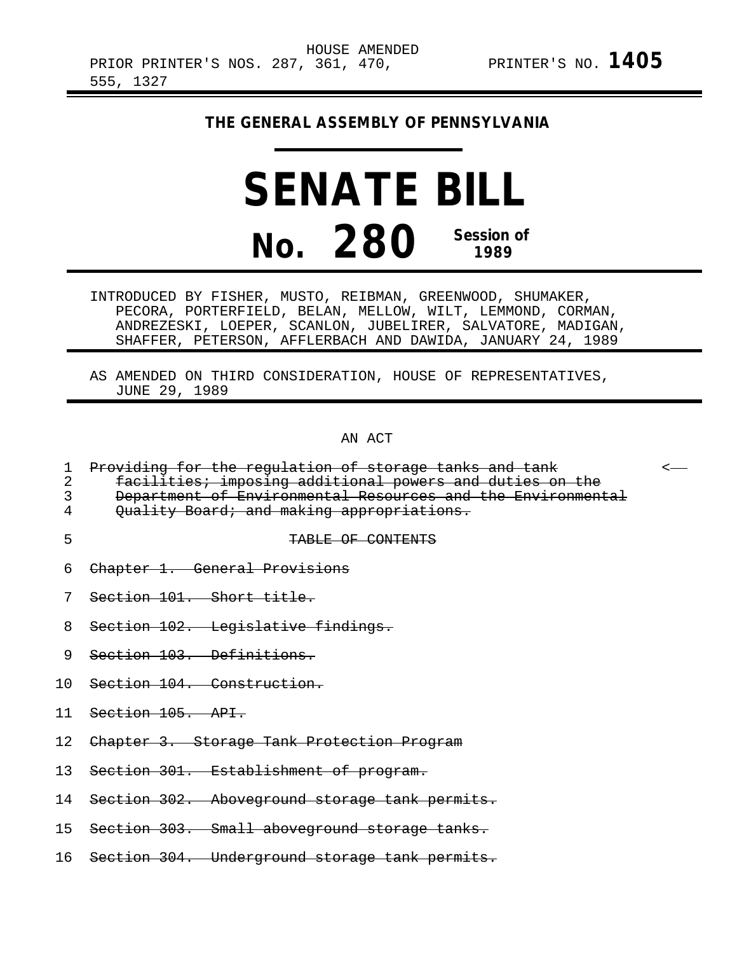## **THE GENERAL ASSEMBLY OF PENNSYLVANIA**

## **SENATE BILL No. 280 Session of 1989**

INTRODUCED BY FISHER, MUSTO, REIBMAN, GREENWOOD, SHUMAKER, PECORA, PORTERFIELD, BELAN, MELLOW, WILT, LEMMOND, CORMAN, ANDREZESKI, LOEPER, SCANLON, JUBELIRER, SALVATORE, MADIGAN, SHAFFER, PETERSON, AFFLERBACH AND DAWIDA, JANUARY 24, 1989

AS AMENDED ON THIRD CONSIDERATION, HOUSE OF REPRESENTATIVES, JUNE 29, 1989

AN ACT

|  |  | 1 Droviding for the requistion of sterege tanks and tank  |  |  |  |
|--|--|-----------------------------------------------------------|--|--|--|
|  |  | I Froviding for the regularion or scorage canns and canne |  |  |  |

2 facilities; imposing additional powers and duties on the

3 Department of Environmental Resources and the Environmental<br>4 Ouality Board; and making appropriations.

- Quality Board; and making appropriations.
- 

## 5 TABLE OF CONTENTS

- 6 Chapter 1. General Provisions
- 7 Section 101. Short title.
- 8 Section 102. Legislative findings.
- 9 Section 103. Definitions.
- 10 Section 104. Construction.
- 11 Section 105. API.
- 12 Chapter 3. Storage Tank Protection Program
- 13 Section 301. Establishment of program.
- 14 Section 302. Aboveground storage tank permits.
- 15 Section 303. Small aboveground storage tanks.
- 16 Section 304. Underground storage tank permits.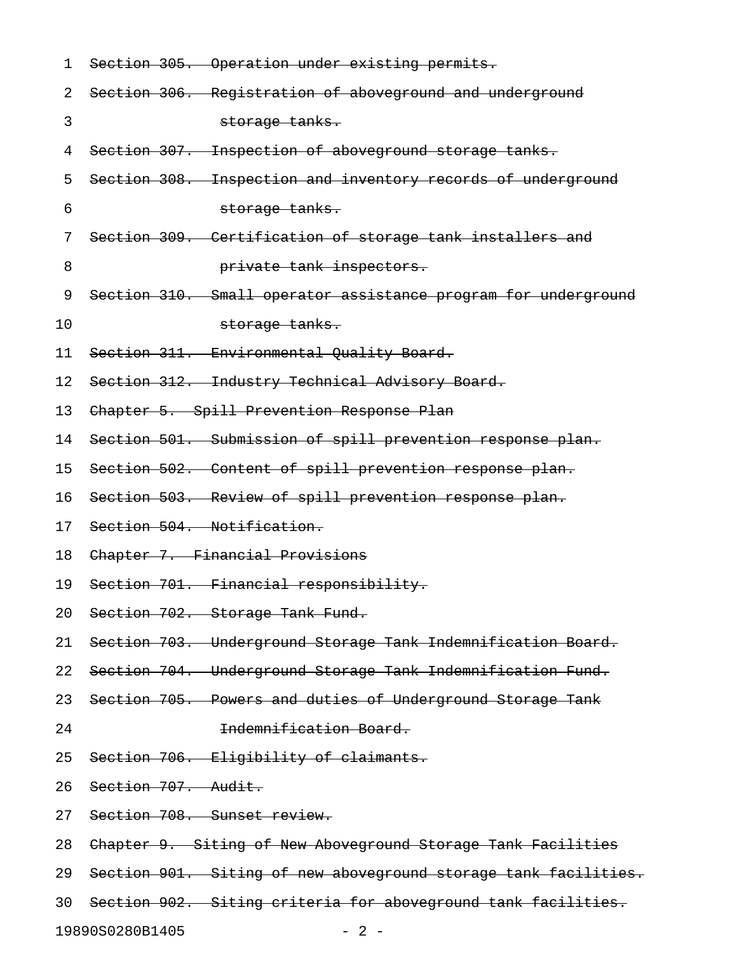| 1  | Section 305. Operation under existing permits.                  |
|----|-----------------------------------------------------------------|
| 2  | Section 306. Registration of aboveground and underground        |
| 3  | storage tanks.                                                  |
| 4  | Section 307. Inspection of aboveground storage tanks.           |
| 5  | Section 308. Inspection and inventory records of underground    |
| 6  | storage tanks.                                                  |
| 7  | Section 309. Certification of storage tank installers and       |
| 8  | private tank inspectors.                                        |
| 9  | Section 310. Small operator assistance program for underground  |
| 10 | storage tanks.                                                  |
| 11 | Section 311. Environmental Quality Board.                       |
| 12 | Section 312. Industry Technical Advisory Board.                 |
| 13 | Chapter 5. Spill Prevention Response Plan                       |
| 14 | Section 501. Submission of spill prevention response plan.      |
| 15 | Section 502. Content of spill prevention response plan.         |
| 16 | Section 503. Review of spill prevention response plan.          |
| 17 | Section 504. Notification.                                      |
| 18 | Chapter 7. Financial Provisions                                 |
| 19 | Section 701. Financial responsibility.                          |
| 20 | Section 702. Storage Tank Fund.                                 |
| 21 | Section 703. Underground Storage Tank Indemnification Board.    |
| 22 | Section 704. Underground Storage Tank Indemnification Fund.     |
| 23 | Section 705. Powers and duties of Underground Storage Tank      |
| 24 | Indemnification Board.                                          |
| 25 | Section 706. Eligibility of claimants.                          |
| 26 | Section 707. Audit.                                             |
| 27 | Section 708. Sunset review.                                     |
| 28 | Chapter 9. Siting of New Aboveground Storage Tank Facilities    |
| 29 | Section 901. Siting of new aboveground storage tank facilities. |
| 30 | Section 902. Siting criteria for aboveground tank facilities.   |
|    | 19890S0280B1405<br>- 2 -                                        |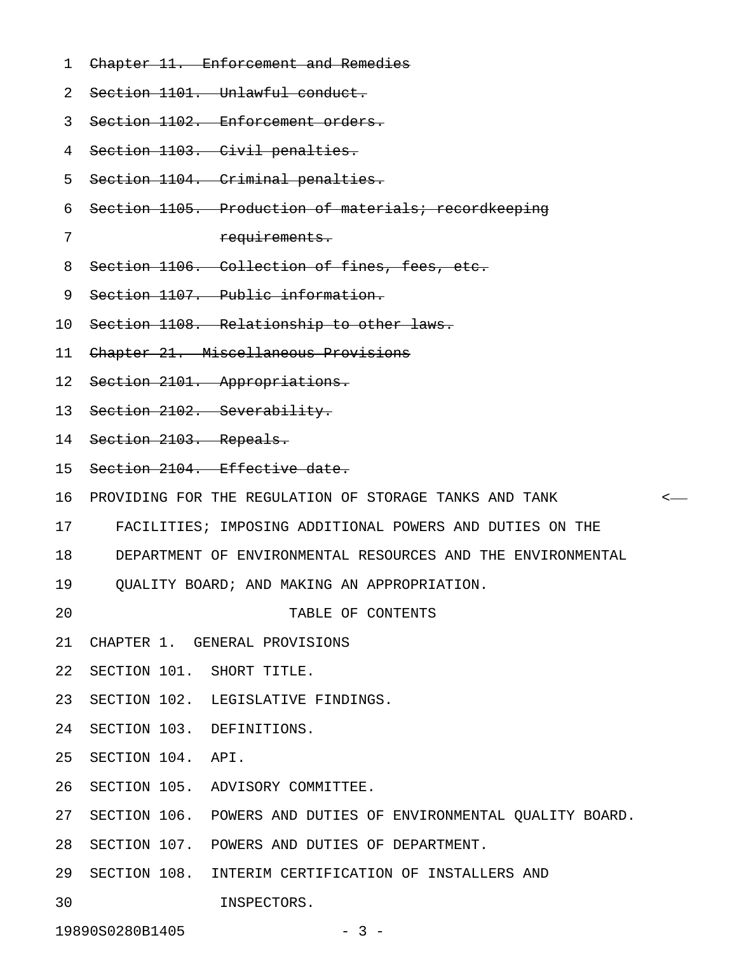- 1 Chapter 11. Enforcement and Remedies
- 2 Section 1101. Unlawful conduct.

3 Section 1102. Enforcement orders.

- 4 Section 1103. Civil penalties.
- 5 Section 1104. Criminal penalties.
- 6 Section 1105. Production of materials; recordkeeping
- 

7 requirements.

- 8 Section 1106. Collection of fines, fees, etc.
- 9 Section 1107. Public information.
- 10 Section 1108. Relationship to other laws.
- 11 Chapter 21. Miscellaneous Provisions
- 12 Section 2101. Appropriations.
- 13 Section 2102. Severability.
- 14 Section 2103. Repeals.
- 15 Section 2104. Effective date.
- 16 PROVIDING FOR THE REGULATION OF STORAGE TANKS AND TANK <
- 17 FACILITIES; IMPOSING ADDITIONAL POWERS AND DUTIES ON THE
- 18 DEPARTMENT OF ENVIRONMENTAL RESOURCES AND THE ENVIRONMENTAL
- 19 QUALITY BOARD; AND MAKING AN APPROPRIATION.
- 20 TABLE OF CONTENTS
- 21 CHAPTER 1. GENERAL PROVISIONS
- 22 SECTION 101. SHORT TITLE.
- 23 SECTION 102. LEGISLATIVE FINDINGS.
- 24 SECTION 103. DEFINITIONS.
- 25 SECTION 104. API.
- 26 SECTION 105. ADVISORY COMMITTEE.
- 27 SECTION 106. POWERS AND DUTIES OF ENVIRONMENTAL QUALITY BOARD.
- 28 SECTION 107. POWERS AND DUTIES OF DEPARTMENT.
- 29 SECTION 108. INTERIM CERTIFICATION OF INSTALLERS AND
- 30 INSPECTORS.

19890S0280B1405 - 3 -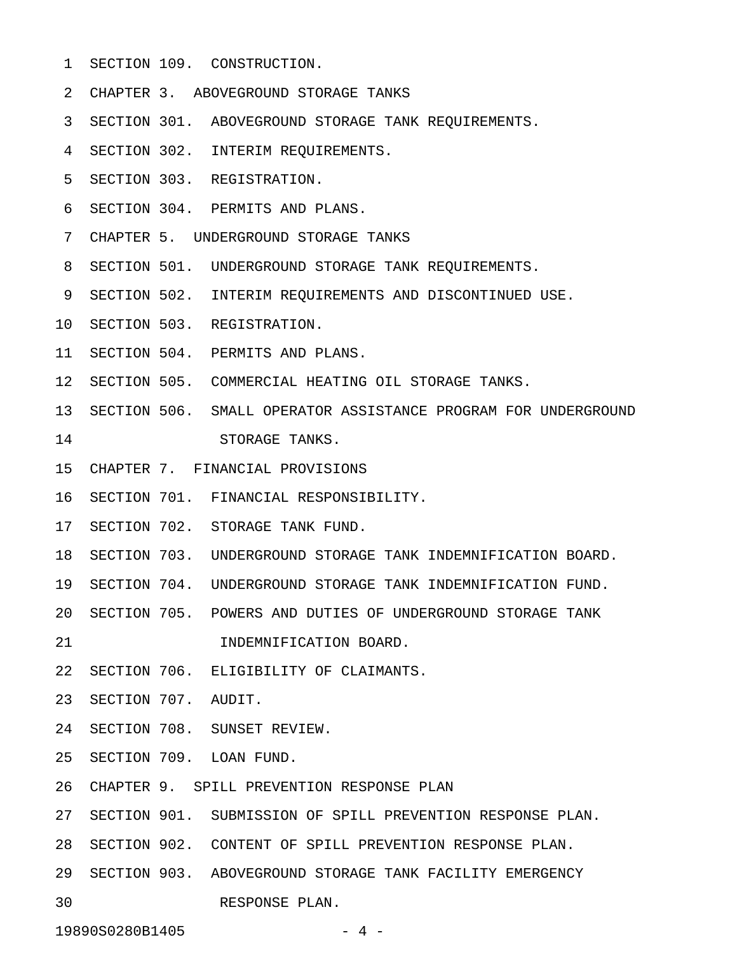- 1 SECTION 109. CONSTRUCTION.
- 2 CHAPTER 3. ABOVEGROUND STORAGE TANKS
- 3 SECTION 301. ABOVEGROUND STORAGE TANK REQUIREMENTS.
- 4 SECTION 302. INTERIM REQUIREMENTS.
- 5 SECTION 303. REGISTRATION.
- 6 SECTION 304. PERMITS AND PLANS.
- 7 CHAPTER 5. UNDERGROUND STORAGE TANKS
- 8 SECTION 501. UNDERGROUND STORAGE TANK REQUIREMENTS.
- 9 SECTION 502. INTERIM REQUIREMENTS AND DISCONTINUED USE.
- 10 SECTION 503. REGISTRATION.
- 11 SECTION 504. PERMITS AND PLANS.
- 12 SECTION 505. COMMERCIAL HEATING OIL STORAGE TANKS.
- 13 SECTION 506. SMALL OPERATOR ASSISTANCE PROGRAM FOR UNDERGROUND 14 STORAGE TANKS.
- 15 CHAPTER 7. FINANCIAL PROVISIONS
- 16 SECTION 701. FINANCIAL RESPONSIBILITY.
- 17 SECTION 702. STORAGE TANK FUND.
- 18 SECTION 703. UNDERGROUND STORAGE TANK INDEMNIFICATION BOARD.
- 19 SECTION 704. UNDERGROUND STORAGE TANK INDEMNIFICATION FUND.
- 20 SECTION 705. POWERS AND DUTIES OF UNDERGROUND STORAGE TANK
- 21 INDEMNIFICATION BOARD.
- 22 SECTION 706. ELIGIBILITY OF CLAIMANTS.
- 23 SECTION 707. AUDIT.
- 24 SECTION 708. SUNSET REVIEW.
- 25 SECTION 709. LOAN FUND.
- 26 CHAPTER 9. SPILL PREVENTION RESPONSE PLAN
- 27 SECTION 901. SUBMISSION OF SPILL PREVENTION RESPONSE PLAN.
- 28 SECTION 902. CONTENT OF SPILL PREVENTION RESPONSE PLAN.
- 29 SECTION 903. ABOVEGROUND STORAGE TANK FACILITY EMERGENCY
- 30 RESPONSE PLAN.

19890S0280B1405 - 4 -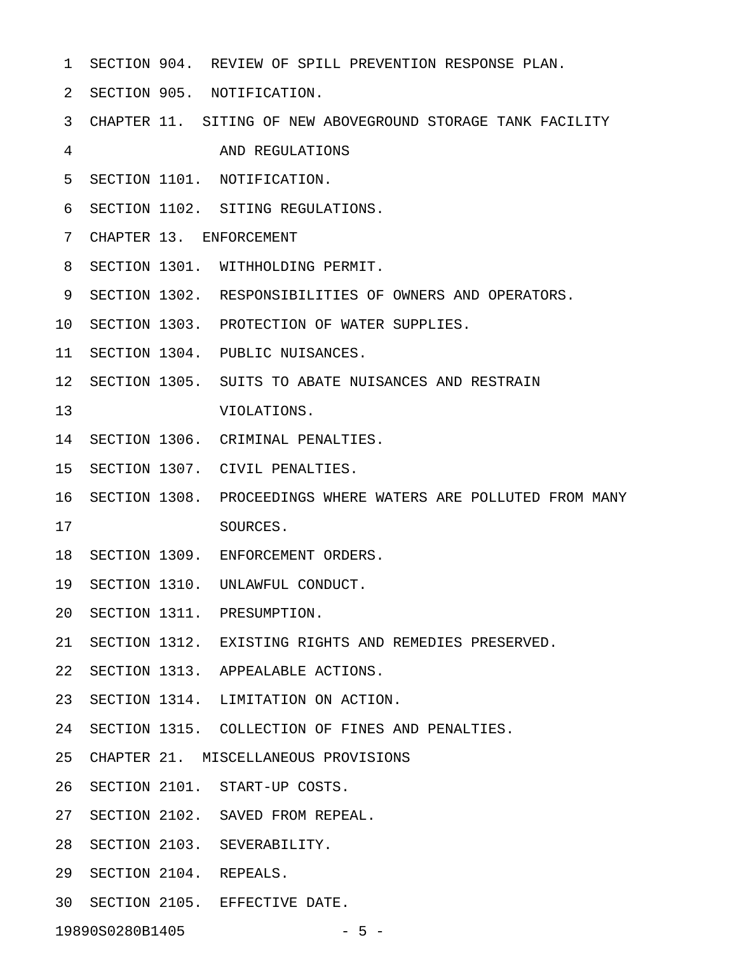- 1 SECTION 904. REVIEW OF SPILL PREVENTION RESPONSE PLAN.
- 2 SECTION 905. NOTIFICATION.
- 3 CHAPTER 11. SITING OF NEW ABOVEGROUND STORAGE TANK FACILITY
- 4 AND REGULATIONS
- 5 SECTION 1101. NOTIFICATION.
- 6 SECTION 1102. SITING REGULATIONS.
- 7 CHAPTER 13. ENFORCEMENT
- 8 SECTION 1301. WITHHOLDING PERMIT.
- 9 SECTION 1302. RESPONSIBILITIES OF OWNERS AND OPERATORS.
- 10 SECTION 1303. PROTECTION OF WATER SUPPLIES.
- 11 SECTION 1304. PUBLIC NUISANCES.
- 12 SECTION 1305. SUITS TO ABATE NUISANCES AND RESTRAIN
- 13 VIOLATIONS.
- 14 SECTION 1306. CRIMINAL PENALTIES.
- 15 SECTION 1307. CIVIL PENALTIES.
- 16 SECTION 1308. PROCEEDINGS WHERE WATERS ARE POLLUTED FROM MANY 17 SOURCES.
- 18 SECTION 1309. ENFORCEMENT ORDERS.
- 19 SECTION 1310. UNLAWFUL CONDUCT.
- 20 SECTION 1311. PRESUMPTION.
- 21 SECTION 1312. EXISTING RIGHTS AND REMEDIES PRESERVED.
- 22 SECTION 1313. APPEALABLE ACTIONS.
- 23 SECTION 1314. LIMITATION ON ACTION.
- 24 SECTION 1315. COLLECTION OF FINES AND PENALTIES.
- 25 CHAPTER 21. MISCELLANEOUS PROVISIONS
- 26 SECTION 2101. START-UP COSTS.
- 27 SECTION 2102. SAVED FROM REPEAL.
- 28 SECTION 2103. SEVERABILITY.
- 29 SECTION 2104. REPEALS.
- 30 SECTION 2105. EFFECTIVE DATE.

19890S0280B1405 - 5 -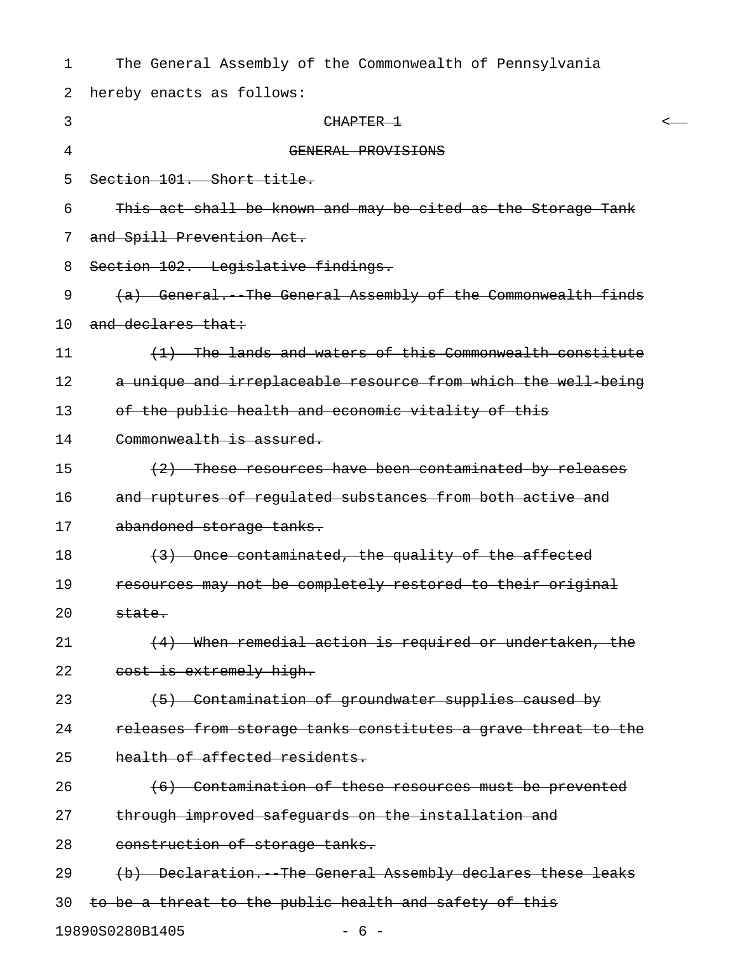| 1  | The General Assembly of the Commonwealth of Pennsylvania      |
|----|---------------------------------------------------------------|
| 2  | hereby enacts as follows:                                     |
| 3  | CHAPTER 1<br><-                                               |
| 4  | GENERAL PROVISIONS                                            |
| 5  | Section 101. Short title.                                     |
| 6  | This act shall be known and may be cited as the Storage Tank  |
| 7  | and Spill Prevention Act.                                     |
| 8  | Section 102. Legislative findings.                            |
| 9  | (a) General. The General Assembly of the Commonwealth finds   |
| 10 | and declares that:                                            |
| 11 | (1) The lands and waters of this Commonwealth constitute      |
| 12 | a unique and irreplaceable resource from which the well being |
| 13 | of the public health and economic vitality of this            |
| 14 | Commonwealth is assured.                                      |
| 15 | (2) These resources have been contaminated by releases        |
| 16 | and ruptures of regulated substances from both active and     |
| 17 | abandoned storage tanks.                                      |
| 18 | (3) Once contaminated, the quality of the affected            |
| 19 | resources may not be completely restored to their original    |
| 20 | state.                                                        |
| 21 | (4) When remedial action is required or undertaken, the       |
| 22 | cost is extremely high.                                       |
| 23 | (5) Contamination of groundwater supplies caused by           |
| 24 | releases from storage tanks constitutes a grave threat to the |
| 25 | health of affected residents.                                 |
| 26 | (6) Contamination of these resources must be prevented        |
| 27 | through improved safeguards on the installation and           |
| 28 | construction of storage tanks.                                |
| 29 | (b) Declaration. The General Assembly declares these leaks    |
| 30 | to be a threat to the public health and safety of this        |
|    | 19890S0280B1405<br>$-6-$                                      |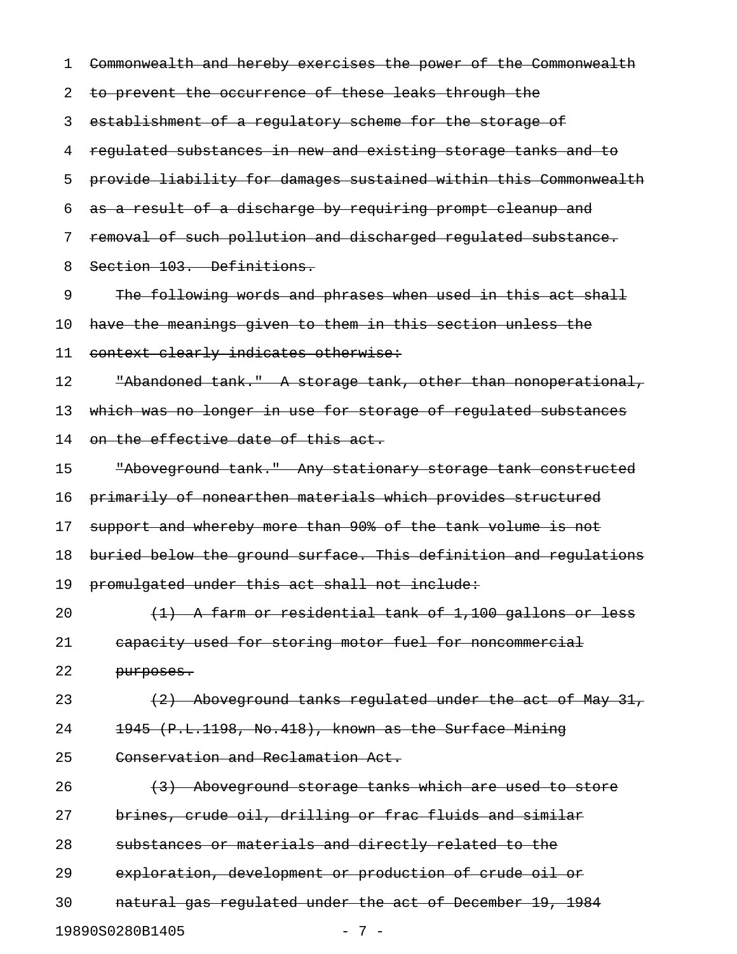1 Commonwealth and hereby exercises the power of the Commonwealth 2 to prevent the occurrence of these leaks through the 3 establishment of a regulatory scheme for the storage of 4 regulated substances in new and existing storage tanks and to 5 provide liability for damages sustained within this Commonwealth 6 as a result of a discharge by requiring prompt cleanup and 7 removal of such pollution and discharged regulated substance. 8 Section 103. Definitions. 9 The following words and phrases when used in this act shall 10 have the meanings given to them in this section unless the 11 context clearly indicates otherwise: 12 The Thandoned tank." A storage tank, other than nonoperational, 13 which was no longer in use for storage of regulated substances 14 on the effective date of this act. 15 "Aboveground tank." Any stationary storage tank constructed 16 primarily of nonearthen materials which provides structured 17 support and whereby more than 90% of the tank volume is not 18 buried below the ground surface. This definition and regulations 19 promulgated under this act shall not include: 20  $(1)$  A farm or residential tank of 1,100 gallons or less 21 capacity used for storing motor fuel for noncommercial 22 purposes. 23 (2) Aboveground tanks regulated under the act of May 31, 24 1945 (P.L.1198, No.418), known as the Surface Mining 25 Conservation and Reclamation Act. 26 (3) Aboveground storage tanks which are used to store 27 brines, crude oil, drilling or frac fluids and similar 28 substances or materials and directly related to the 29 exploration, development or production of crude oil or 30 natural gas regulated under the act of December 19, 1984 19890S0280B1405 - 7 -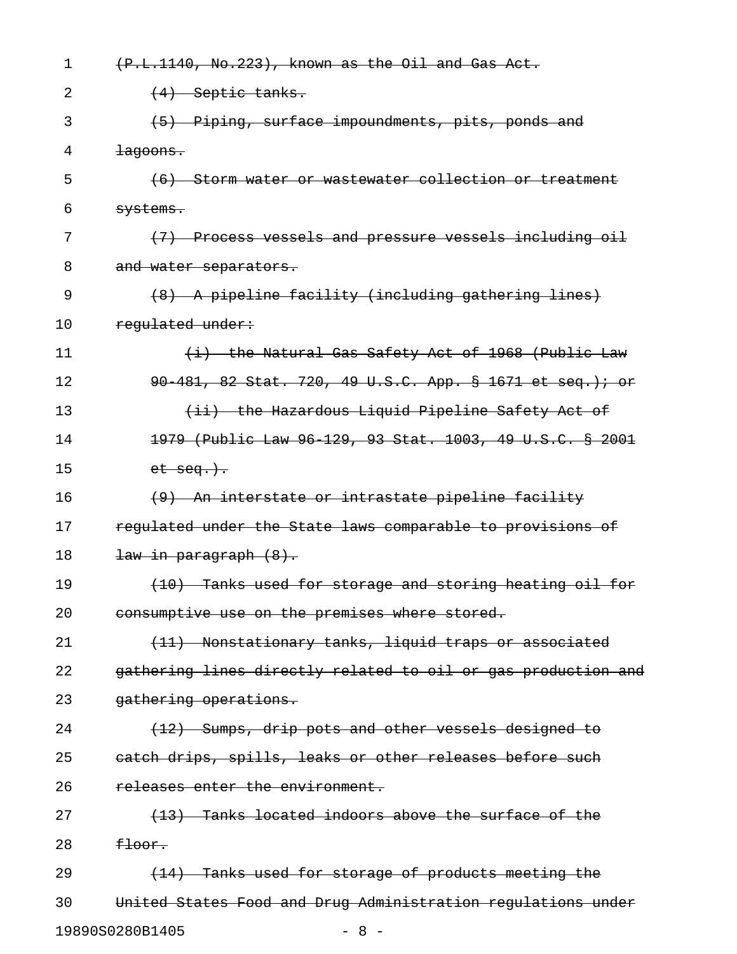| 1  | (P.L.1140, No.223), known as the Oil and Gas Act.             |
|----|---------------------------------------------------------------|
| 2  | $\left(4\right)$ Septic tanks.                                |
| 3  | (5) Piping, surface impoundments, pits, ponds and             |
| 4  | <del>lagoons.</del>                                           |
| 5  | (6) Storm water or wastewater collection or treatment         |
| 6  | <del>systems.</del>                                           |
| 7  | (7) Process vessels and pressure vessels including oil        |
| 8  | and water separators.                                         |
| 9  | (8) A pipeline facility (including gathering lines)           |
| 10 | regulated under:                                              |
| 11 | (i) the Natural Gas Safety Act of 1968 (Public Law            |
| 12 | 90 481, 82 Stat. 720, 49 U.S.C. App. § 1671 et seq.); or      |
| 13 | (ii) the Hazardous Liquid Pipeline Safety Act of              |
| 14 | 1979 (Public Law 96 129, 93 Stat. 1003, 49 U.S.C. § 2001      |
| 15 | $et$ $seq.$ ).                                                |
| 16 | (9) An interstate or intrastate pipeline facility             |
| 17 | regulated under the State laws comparable to provisions of    |
| 18 | <del>law in paragraph (8).</del>                              |
| 19 | (10) Tanks used for storage and storing heating oil for       |
| 20 | consumptive use on the premises where stored.                 |
| 21 | (11) Nonstationary tanks, liquid traps or associated          |
| 22 | gathering lines directly related to oil or gas production and |
| 23 | gathering operations.                                         |
| 24 | $(12)$ Sumps, drip pots and other vessels designed to         |
| 25 | eatch drips, spills, leaks or other releases before such      |
| 26 | releases enter the environment.                               |
| 27 | (13) Tanks located indoors above the surface of the           |
| 28 | <del>floor.</del>                                             |
| 29 | (14) Tanks used for storage of products meeting the           |
| 30 | United States Food and Drug Administration regulations under  |
|    | 19890S0280B1405<br>$-8-$                                      |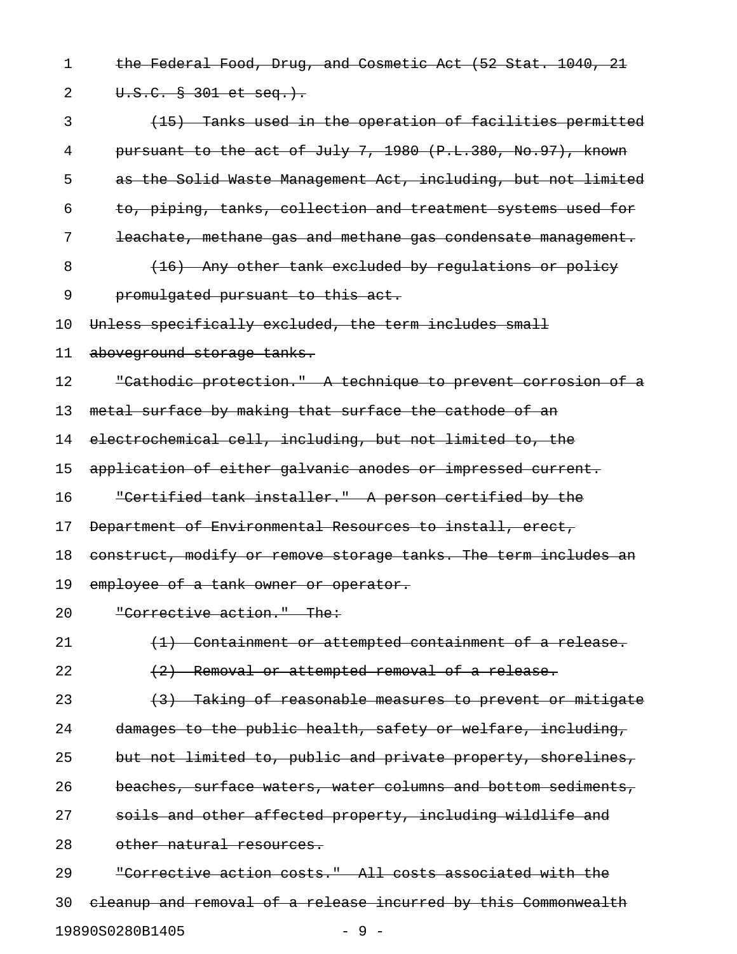1 the Federal Food, Drug, and Cosmetic Act (52 Stat. 1040, 21 2 U.S.C. § 301 et seq.). 3 (15) Tanks used in the operation of facilities permitted 4 pursuant to the act of July 7, 1980 (P.L.380, No.97), known 5 as the Solid Waste Management Act, including, but not limited 6 to, piping, tanks, collection and treatment systems used for 7 leachate, methane gas and methane gas condensate management. 8 (16) Any other tank excluded by requiations or policy 9 promulgated pursuant to this act. 10 Unless specifically excluded, the term includes small 11 aboveground storage tanks. 12 "Cathodic protection." A technique to prevent corrosion of a 13 metal surface by making that surface the cathode of an 14 electrochemical cell, including, but not limited to, the 15 application of either galvanic anodes or impressed current. 16 "Certified tank installer." A person certified by the 17 Department of Environmental Resources to install, erect, 18 construct, modify or remove storage tanks. The term includes an 19 employee of a tank owner or operator. 20 "Corrective action." The: 21 (1) Containment or attempted containment of a release.  $22$   $(2)$  Removal or attempted removal of a release. 23 (3) Taking of reasonable measures to prevent or mitigate 24 damages to the public health, safety or welfare, including, 25 but not limited to, public and private property, shorelines, 26 beaches, surface waters, water columns and bottom sediments, 27 soils and other affected property, including wildlife and 28 other natural resources. 29 "Corrective action costs." All costs associated with the

30 cleanup and removal of a release incurred by this Commonwealth 19890S0280B1405 - 9 -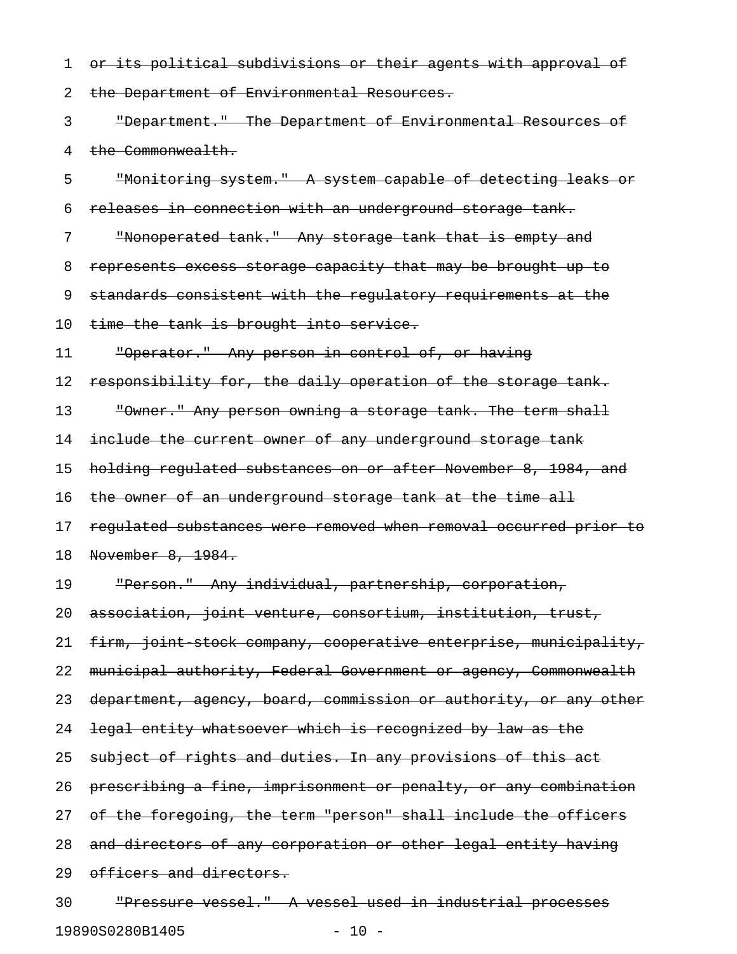1 or its political subdivisions or their agents with approval of 2 the Department of Environmental Resources. 3 "Department." The Department of Environmental Resources of 4 the Commonwealth. 5 "Monitoring system." A system capable of detecting leaks or 6 releases in connection with an underground storage tank. 7 "Nonoperated tank." Any storage tank that is empty and 8 represents excess storage capacity that may be brought up to 9 standards consistent with the regulatory requirements at the 10 time the tank is brought into service. 11 "Operator." Any person in control of, or having 12 responsibility for, the daily operation of the storage tank. 13 "Owner." Any person owning a storage tank. The term shall 14 include the current owner of any underground storage tank 15 holding regulated substances on or after November 8, 1984, and 16 the owner of an underground storage tank at the time all 17 regulated substances were removed when removal occurred prior to 18 November 8, 1984. 19 "Person." Any individual, partnership, corporation, 20 association, joint venture, consortium, institution, trust, 21 firm, joint stock company, cooperative enterprise, municipality, 22 municipal authority, Federal Government or agency, Commonwealth 23 department, agency, board, commission or authority, or any other 24 legal entity whatsoever which is recognized by law as the 25 subject of rights and duties. In any provisions of this act 26 prescribing a fine, imprisonment or penalty, or any combination 27 of the foregoing, the term "person" shall include the officers 28 and directors of any corporation or other legal entity having 29 officers and directors. 30 "Pressure vessel." A vessel used in industrial processes

19890S0280B1405 - 10 -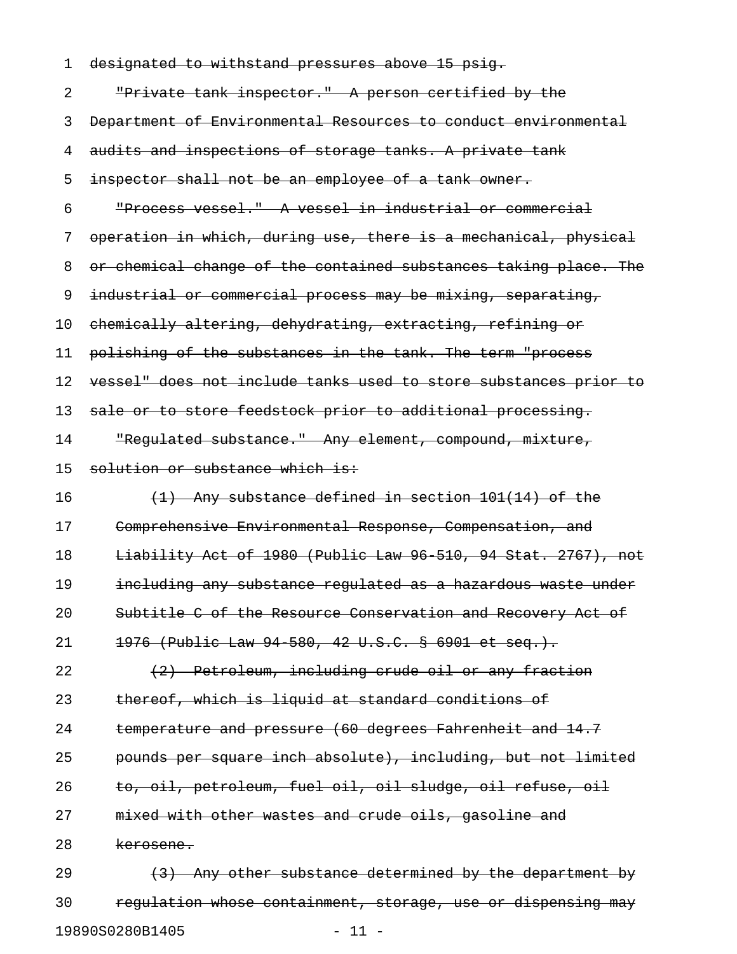| 1  | designated to withstand pressures above 15 psig.                 |
|----|------------------------------------------------------------------|
| 2  | "Private tank inspector." A person certified by the              |
| 3  | Department of Environmental Resources to conduct environmental   |
| 4  | audits and inspections of storage tanks. A private tank          |
| 5  | inspector shall not be an employee of a tank owner.              |
| 6  | "Process vessel." A vessel in industrial or commercial           |
| 7  | operation in which, during use, there is a mechanical, physical  |
| 8  | or chemical change of the contained substances taking place. The |
| 9  | industrial or commercial process may be mixing, separating,      |
| 10 | chemically altering, dehydrating, extracting, refining or        |
| 11 | polishing of the substances in the tank. The term "process       |
| 12 | vessel" does not include tanks used to store substances prior to |
| 13 | sale or to store feedstock prior to additional processing.       |
| 14 | "Requlated substance." Any element, compound, mixture,           |
| 15 | solution or substance which is:                                  |
| 16 | $(1)$ Any substance defined in section 101(14) of the            |
| 17 | Comprehensive Environmental Response, Compensation, and          |
| 18 | Liability Act of 1980 (Public Law 96 510, 94 Stat. 2767), not    |
| 19 | including any substance regulated as a hazardous waste under     |
| 20 | Subtitle C of the Resource Conservation and Recovery Act of      |
| 21 | 1976 (Public Law 94 580, 42 U.S.C. § 6901 et seq.).              |
| 22 | (2) Petroleum, including crude oil or any fraction               |
| 23 | thereof, which is liquid at standard conditions of               |
| 24 | temperature and pressure (60 degrees Fahrenheit and 14.7         |
| 25 | pounds per square inch absolute), including, but not limited     |
| 26 | to, oil, petroleum, fuel oil, oil sludge, oil refuse, oil        |
| 27 | mixed with other wastes and crude oils, gasoline and             |
| 28 | kerosene.                                                        |
| 29 | (3) Any other substance determined by the department by          |
| 30 | regulation whose containment, storage, use or dispensing may     |

19890S0280B1405 - 11 -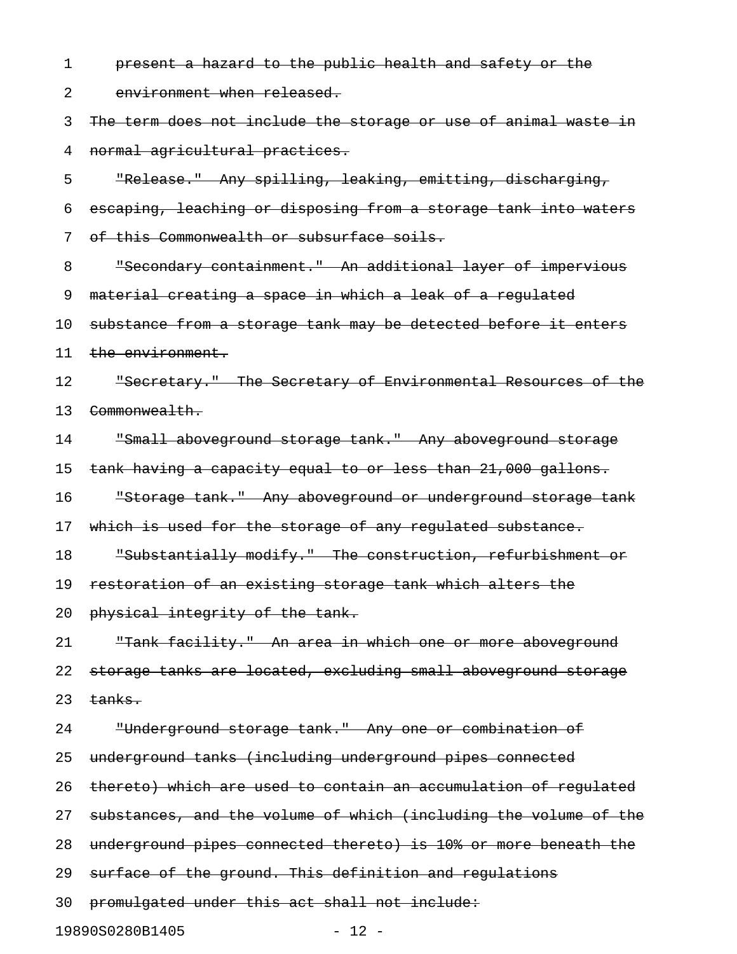1 **present a hazard to the public health and safety or the** 2 environment when released. 3 The term does not include the storage or use of animal waste in 4 normal agricultural practices. 5 "Release." Any spilling, leaking, emitting, discharging, 6 escaping, leaching or disposing from a storage tank into waters 7 of this Commonwealth or subsurface soils. 8 "Secondary containment." An additional layer of impervious 9 material creating a space in which a leak of a regulated 10 substance from a storage tank may be detected before it enters 11 the environment. 12 Secretary." The Secretary of Environmental Resources of the 13 Commonwealth. 14 "Small aboveground storage tank." Any aboveground storage 15 tank having a capacity equal to or less than 21,000 gallons. 16 "Storage tank." Any aboveground or underground storage tank 17 which is used for the storage of any regulated substance. 18 "Substantially modify." The construction, refurbishment or 19 restoration of an existing storage tank which alters the 20 physical integrity of the tank. 21 "Tank facility." An area in which one or more aboveground 22 storage tanks are located, excluding small aboveground storage  $23$  tanks. 24 "Underground storage tank." Any one or combination of 25 underground tanks (including underground pipes connected 26 thereto) which are used to contain an accumulation of regulated 27 substances, and the volume of which (including the volume of the 28 underground pipes connected thereto) is 10% or more beneath the 29 surface of the ground. This definition and regulations 30 promulgated under this act shall not include:

19890S0280B1405 - 12 -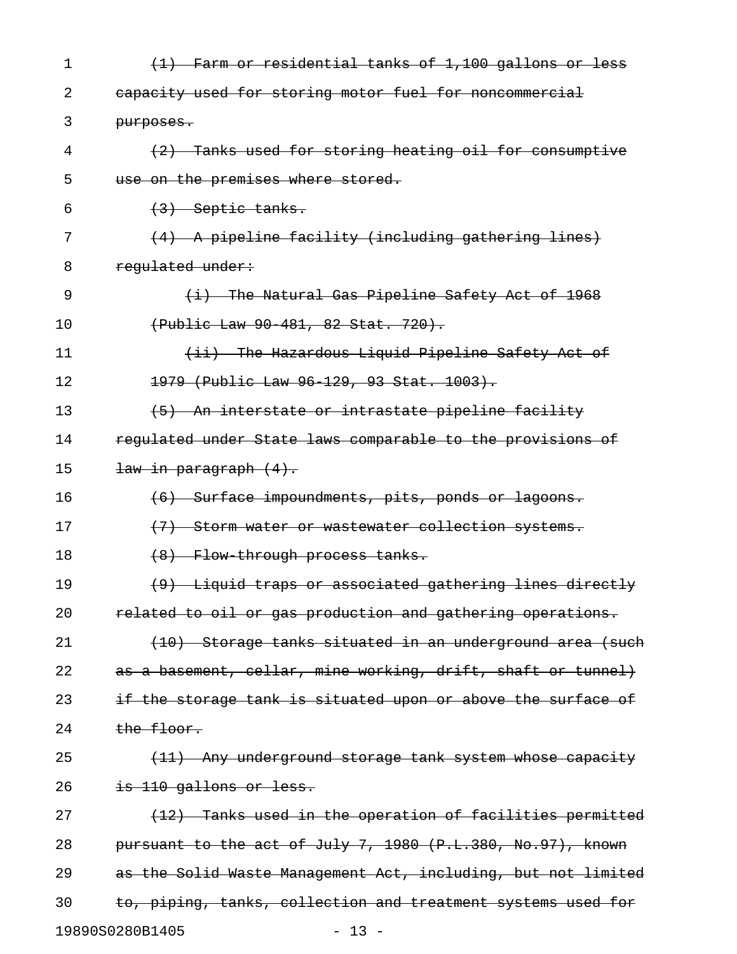| 1  | (1) Farm or residential tanks of 1,100 gallons or less        |
|----|---------------------------------------------------------------|
| 2  | eapacity used for storing motor fuel for noncommercial        |
| 3  | purposes.                                                     |
| 4  | (2) Tanks used for storing heating oil for consumptive        |
| 5  | use on the premises where stored.                             |
| 6  | $(3)$ Septic tanks.                                           |
| 7  | (4) A pipeline facility (including gathering lines)           |
| 8  | regulated under:                                              |
| 9  | $(i)$ The Natural Gas Pipeline Safety Act of 1968             |
| 10 | (Public Law 90 481, 82 Stat. 720).                            |
| 11 | (ii) The Hazardous Liquid Pipeline Safety Act of              |
| 12 | 1979 (Public Law 96-129, 93 Stat. 1003).                      |
| 13 | (5) An interstate or intrastate pipeline facility             |
| 14 | regulated under State laws comparable to the provisions of    |
| 15 | <del>law in paragraph (4).</del>                              |
| 16 | (6) Surface impoundments, pits, ponds or lagoons.             |
| 17 | (7) Storm water or wastewater collection systems.             |
| 18 | (8) Flow through process tanks.                               |
| 19 | (9) Liquid traps or associated gathering lines directly       |
| 20 | related to oil or gas production and gathering operations.    |
| 21 | (10) Storage tanks situated in an underground area (such      |
| 22 | as a basement, cellar, mine working, drift, shaft or tunnel)  |
| 23 | if the storage tank is situated upon or above the surface of  |
| 24 | the floor.                                                    |
| 25 | (11) Any underground storage tank system whose capacity       |
| 26 | is 110 gallons or less.                                       |
| 27 | (12) Tanks used in the operation of facilities permitted      |
| 28 | pursuant to the act of July 7, 1980 (P.L.380, No.97), known   |
| 29 | as the Solid Waste Management Act, including, but not limited |
| 30 | to, piping, tanks, collection and treatment systems used for  |
|    | 19890S0280B1405<br>$-13 -$                                    |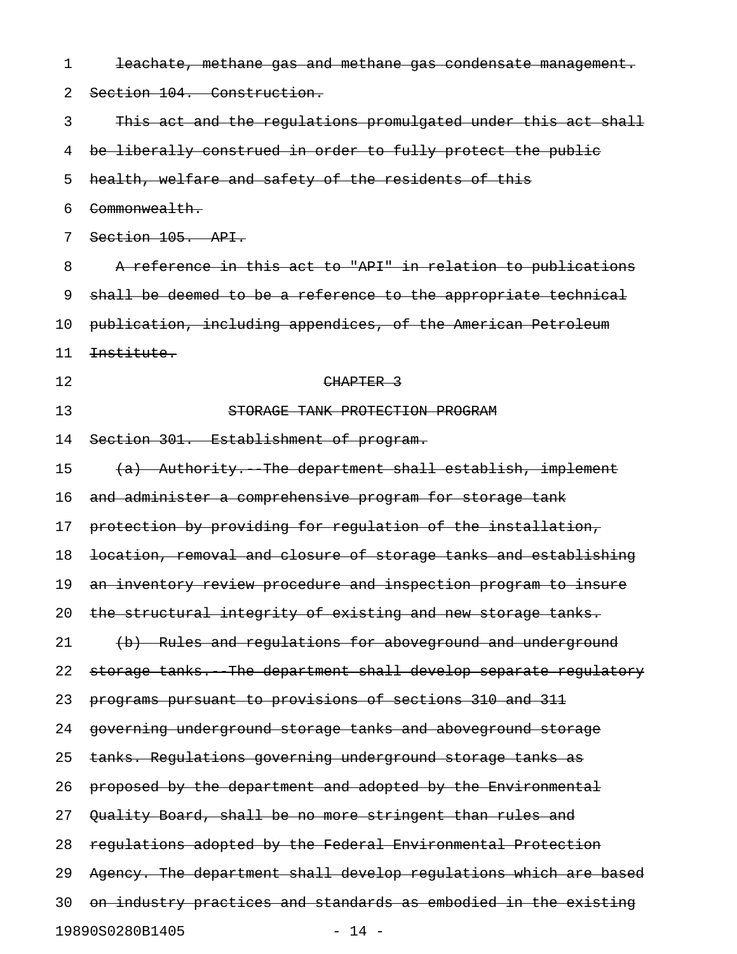| 1  | leachate, methane gas and methane gas condensate management.     |
|----|------------------------------------------------------------------|
| 2  | Section 104. Construction.                                       |
| 3  | This act and the regulations promulgated under this act shall    |
| 4  | be liberally construed in order to fully protect the public      |
| 5  | health, welfare and safety of the residents of this              |
| 6  | Commonwealth.                                                    |
| 7  | Section 105. API.                                                |
| 8  | A reference in this act to "API" in relation to publications     |
| 9  | shall be deemed to be a reference to the appropriate technical   |
| 10 | publication, including appendices, of the American Petroleum     |
| 11 | Institute.                                                       |
| 12 | CHAPTER <sub>3</sub>                                             |
| 13 | STORAGE TANK PROTECTION PROGRAM                                  |
| 14 | Section 301. Establishment of program.                           |
| 15 | (a) Authority. The department shall establish, implement         |
| 16 | and administer a comprehensive program for storage tank          |
| 17 | protection by providing for regulation of the installation,      |
| 18 | location, removal and closure of storage tanks and establishing  |
| 19 | an inventory review procedure and inspection program to insure   |
| 20 | the structural integrity of existing and new storage tanks.      |
| 21 | (b) Rules and regulations for aboveground and underground        |
| 22 | storage tanks. The department shall develop separate regulatory  |
| 23 | programs pursuant to provisions of sections 310 and 311          |
| 24 | governing underground storage tanks and aboveground storage      |
| 25 | tanks. Regulations governing underground storage tanks as        |
| 26 | proposed by the department and adopted by the Environmental      |
| 27 | Quality Board, shall be no more stringent than rules and         |
| 28 | regulations adopted by the Federal Environmental Protection      |
| 29 | Agency. The department shall develop regulations which are based |
| 30 | on industry practices and standards as embodied in the existing  |
|    | 19890S0280B1405<br>$-14 -$                                       |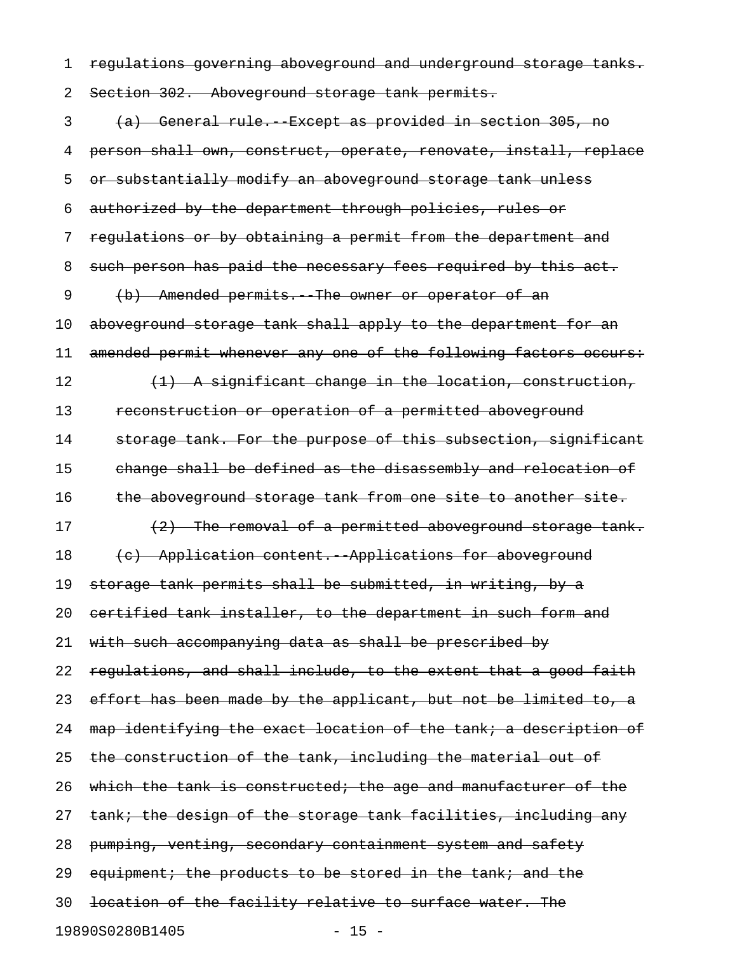1 regulations governing aboveground and underground storage tanks.

2 Section 302. Aboveground storage tank permits.

3 (a) General rule. Except as provided in section 305, no 4 person shall own, construct, operate, renovate, install, replace 5 or substantially modify an aboveground storage tank unless 6 authorized by the department through policies, rules or 7 regulations or by obtaining a permit from the department and 8 such person has paid the necessary fees required by this act. 9 (b) Amended permits. The owner or operator of an 10 aboveground storage tank shall apply to the department for an 11 amended permit whenever any one of the following factors occurs: 12  $(1)$  A significant change in the location, construction, 13 reconstruction or operation of a permitted aboveground 14 storage tank. For the purpose of this subsection, significant 15 change shall be defined as the disassembly and relocation of 16 the aboveground storage tank from one site to another site. 17 (2) The removal of a permitted aboveground storage tank. 18 (c) Application content. Applications for aboveground 19 storage tank permits shall be submitted, in writing, by a 20 certified tank installer, to the department in such form and 21 with such accompanying data as shall be prescribed by 22 regulations, and shall include, to the extent that a good faith 23 effort has been made by the applicant, but not be limited to, a 24 map identifying the exact location of the tank; a description of 25 the construction of the tank, including the material out of 26 which the tank is constructed; the age and manufacturer of the 27 tank; the design of the storage tank facilities, including any 28 pumping, venting, secondary containment system and safety 29 equipment; the products to be stored in the tank; and the 30 location of the facility relative to surface water. The 19890S0280B1405 - 15 -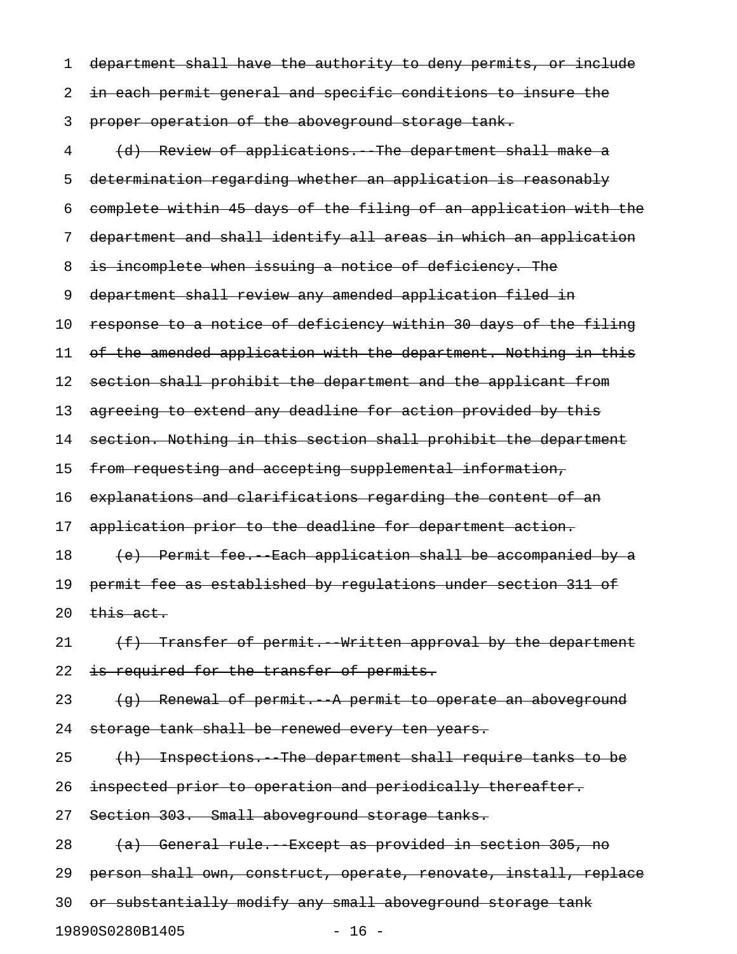1 department shall have the authority to deny permits, or include 2 in each permit general and specific conditions to insure the 3 proper operation of the aboveground storage tank. 4 (d) Review of applications. The department shall make a 5 determination regarding whether an application is reasonably 6 complete within 45 days of the filing of an application with the 7 department and shall identify all areas in which an application 8 is incomplete when issuing a notice of deficiency. The 9 department shall review any amended application filed in 10 response to a notice of deficiency within 30 days of the filing 11 of the amended application with the department. Nothing in this 12 section shall prohibit the department and the applicant from 13 agreeing to extend any deadline for action provided by this 14 section. Nothing in this section shall prohibit the department 15 from requesting and accepting supplemental information, 16 explanations and clarifications regarding the content of an 17 application prior to the deadline for department action. 18 (e) Permit fee. Each application shall be accompanied by a 19 permit fee as established by regulations under section 311 of 20  $$\overline{this}$  act.$ 21  $(f)$  Transfer of permit. Written approval by the department 22 is required for the transfer of permits. 23  $(g)$  Renewal of permit. A permit to operate an aboveground 24 storage tank shall be renewed every ten years. 25 (h) Inspections. The department shall require tanks to be 26 inspected prior to operation and periodically thereafter. 27 Section 303. Small aboveground storage tanks. 28 (a) General rule. Except as provided in section 305, no 29 person shall own, construct, operate, renovate, install, replace 30 or substantially modify any small aboveground storage tank

19890S0280B1405 - 16 -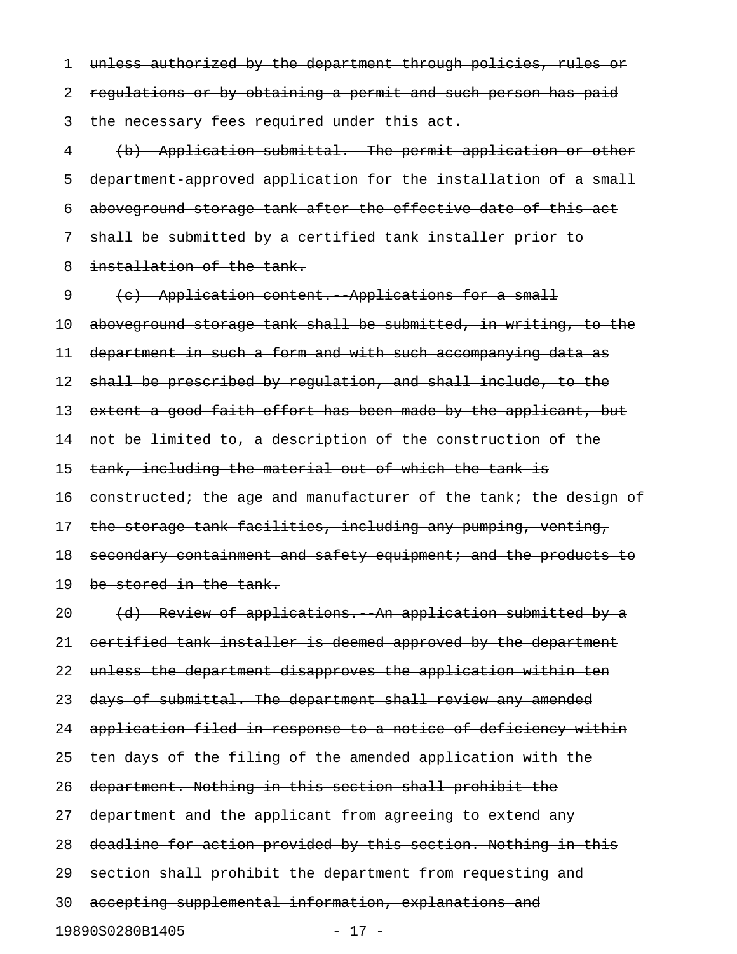1 unless authorized by the department through policies, rules or 2 regulations or by obtaining a permit and such person has paid 3 the necessary fees required under this act. 4 (b) Application submittal. The permit application or other 5 department-approved application for the installation of a small

6 aboveground storage tank after the effective date of this act

7 shall be submitted by a certified tank installer prior to

8 installation of the tank.

9 (c) Application content. Applications for a small

10 aboveground storage tank shall be submitted, in writing, to the 11 department in such a form and with such accompanying data as

12 shall be prescribed by regulation, and shall include, to the

13 extent a good faith effort has been made by the applicant, but

14 not be limited to, a description of the construction of the

15 tank, including the material out of which the tank is

16 constructed; the age and manufacturer of the tank; the design of

17 the storage tank facilities, including any pumping, venting,

18 secondary containment and safety equipment; and the products to

19 be stored in the tank.

20 (d) Review of applications. An application submitted by a 21 certified tank installer is deemed approved by the department 22 unless the department disapproves the application within ten 23 days of submittal. The department shall review any amended 24 application filed in response to a notice of deficiency within 25 ten days of the filing of the amended application with the 26 department. Nothing in this section shall prohibit the 27 department and the applicant from agreeing to extend any 28 deadline for action provided by this section. Nothing in this 29 section shall prohibit the department from requesting and 30 accepting supplemental information, explanations and 19890S0280B1405 - 17 -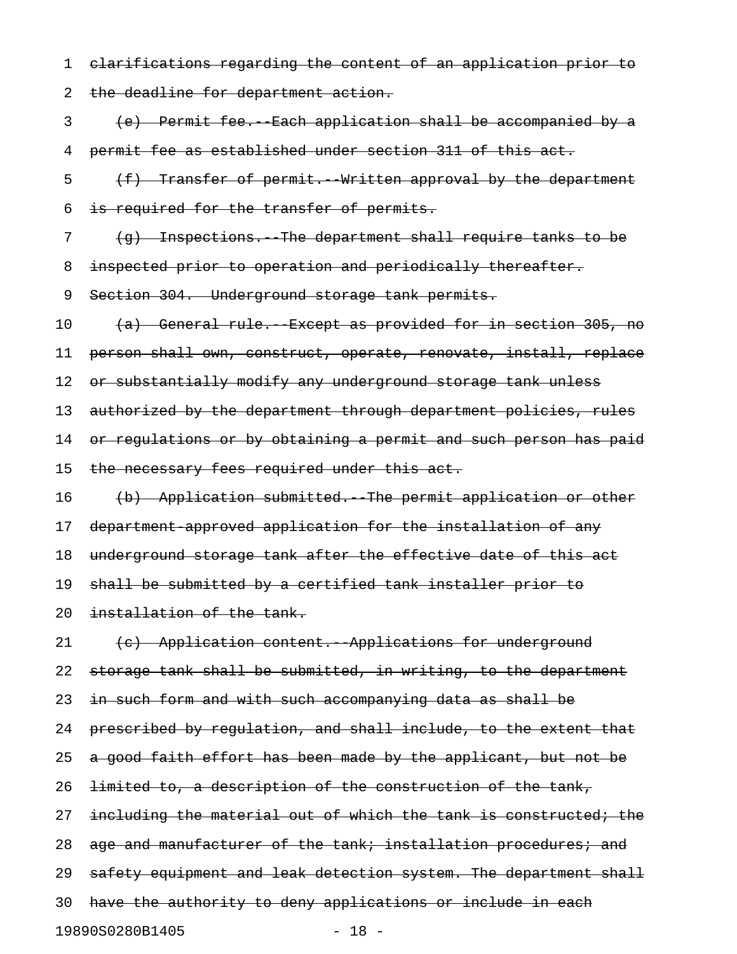1 clarifications regarding the content of an application prior to 2 the deadline for department action. 3 (e) Permit fee.--Each application shall be accompanied by a

4 permit fee as established under section 311 of this act.

5 (f) Transfer of permit. Written approval by the department 6 is required for the transfer of permits.

7 (g) Inspections. The department shall require tanks to be

8 inspected prior to operation and periodically thereafter.

9 Section 304. Underground storage tank permits.

10 (a) General rule. Except as provided for in section 305, no

11 person shall own, construct, operate, renovate, install, replace

12 or substantially modify any underground storage tank unless

13 authorized by the department through department policies, rules

14 or regulations or by obtaining a permit and such person has paid

15 the necessary fees required under this act.

16 (b) Application submitted. The permit application or other

17 department-approved application for the installation of any

18 underground storage tank after the effective date of this act

19 shall be submitted by a certified tank installer prior to

20 installation of the tank.

21 (c) Application content. Applications for underground 22 storage tank shall be submitted, in writing, to the department 23 in such form and with such accompanying data as shall be 24 prescribed by regulation, and shall include, to the extent that 25 a good faith effort has been made by the applicant, but not be 26 <del>limited to, a description of the construction of the tank,</del> 27 including the material out of which the tank is constructed; the 28 age and manufacturer of the tank; installation procedures; and 29 safety equipment and leak detection system. The department shall 30 have the authority to deny applications or include in each 19890S0280B1405 - 18 -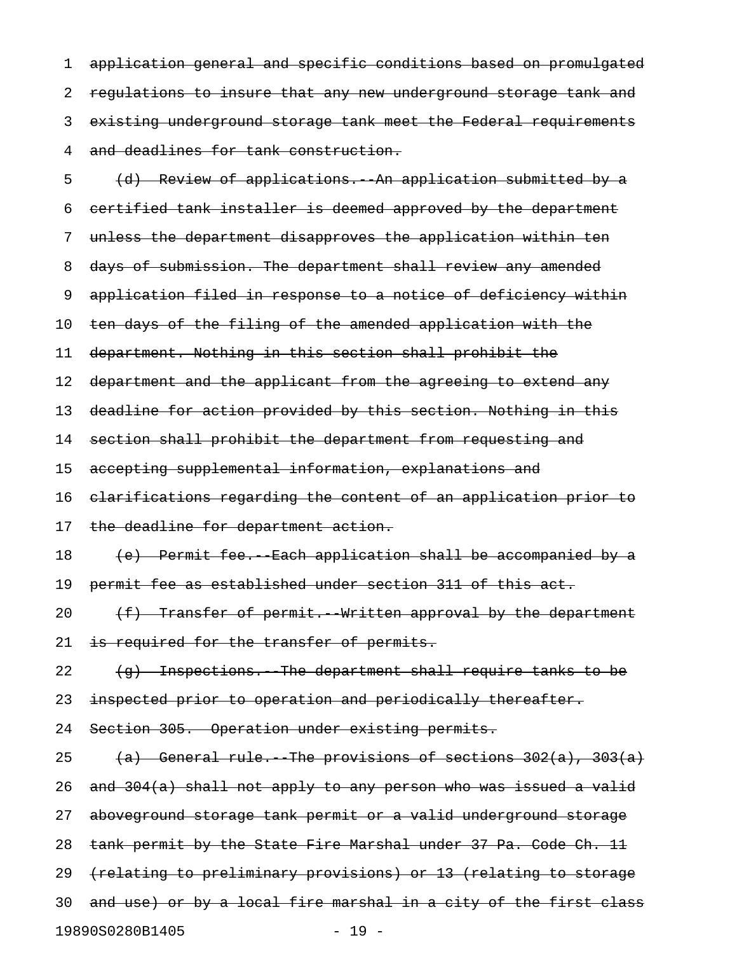1 application general and specific conditions based on promulgated 2 regulations to insure that any new underground storage tank and 3 existing underground storage tank meet the Federal requirements 4 and deadlines for tank construction.

5 (d) Review of applications. An application submitted by a 6 certified tank installer is deemed approved by the department 7 unless the department disapproves the application within ten 8 days of submission. The department shall review any amended 9 application filed in response to a notice of deficiency within 10 ten days of the filing of the amended application with the 11 department. Nothing in this section shall prohibit the 12 department and the applicant from the agreeing to extend any 13 deadline for action provided by this section. Nothing in this 14 section shall prohibit the department from requesting and 15 accepting supplemental information, explanations and 16 clarifications regarding the content of an application prior to 17 the deadline for department action. 18 (e) Permit fee. Each application shall be accompanied by a 19 permit fee as established under section 311 of this act. 20  $(f)$  Transfer of permit. Written approval by the department 21 is required for the transfer of permits. 22  $(g)$  Inspections. The department shall require tanks to be 23 inspected prior to operation and periodically thereafter. 24 Section 305. Operation under existing permits. 25 (a) General rule. The provisions of sections  $302(a)$ ,  $303(a)$ 26 and  $304(a)$  shall not apply to any person who was issued a valid 27 aboveground storage tank permit or a valid underground storage 28 tank permit by the State Fire Marshal under 37 Pa. Code Ch. 11 29 (relating to preliminary provisions) or 13 (relating to storage 30 and use) or by a local fire marshal in a city of the first class 19890S0280B1405 - 19 -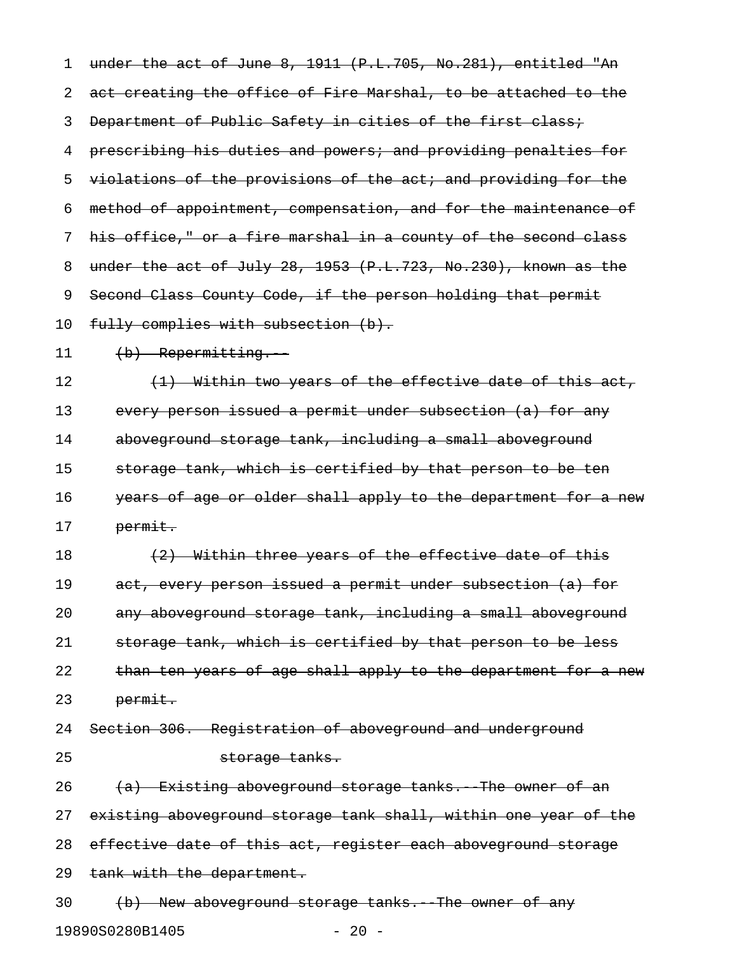1 under the act of June 8, 1911 (P.L.705, No.281), entitled "An 2 act creating the office of Fire Marshal, to be attached to the 3 Department of Public Safety in cities of the first class; 4 prescribing his duties and powers; and providing penalties for 5 violations of the provisions of the act; and providing for the 6 method of appointment, compensation, and for the maintenance of 7 his office," or a fire marshal in a county of the second class 8 under the act of July 28, 1953 (P.L.723, No.230), known as the 9 Second Class County Code, if the person holding that permit 10 fully complies with subsection (b). 11 (b) Repermitting. 12  $(1)$  Within two years of the effective date of this act, 13 every person issued a permit under subsection (a) for any 14 aboveground storage tank, including a small aboveground 15 storage tank, which is certified by that person to be ten 16 years of age or older shall apply to the department for a new 17 permit. 18  $(2)$  Within three years of the effective date of this 19 act, every person issued a permit under subsection (a) for 20 any aboveground storage tank, including a small aboveground 21 storage tank, which is certified by that person to be less 22 than ten years of age shall apply to the department for a new 23 permit. 24 Section 306. Registration of aboveground and underground 25 storage tanks. 26  $(a)$  Existing aboveground storage tanks. The owner of an 27 existing aboveground storage tank shall, within one year of the 28 effective date of this act, register each aboveground storage 29 tank with the department. 30 (b) New aboveground storage tanks. The owner of any

19890S0280B1405 - 20 -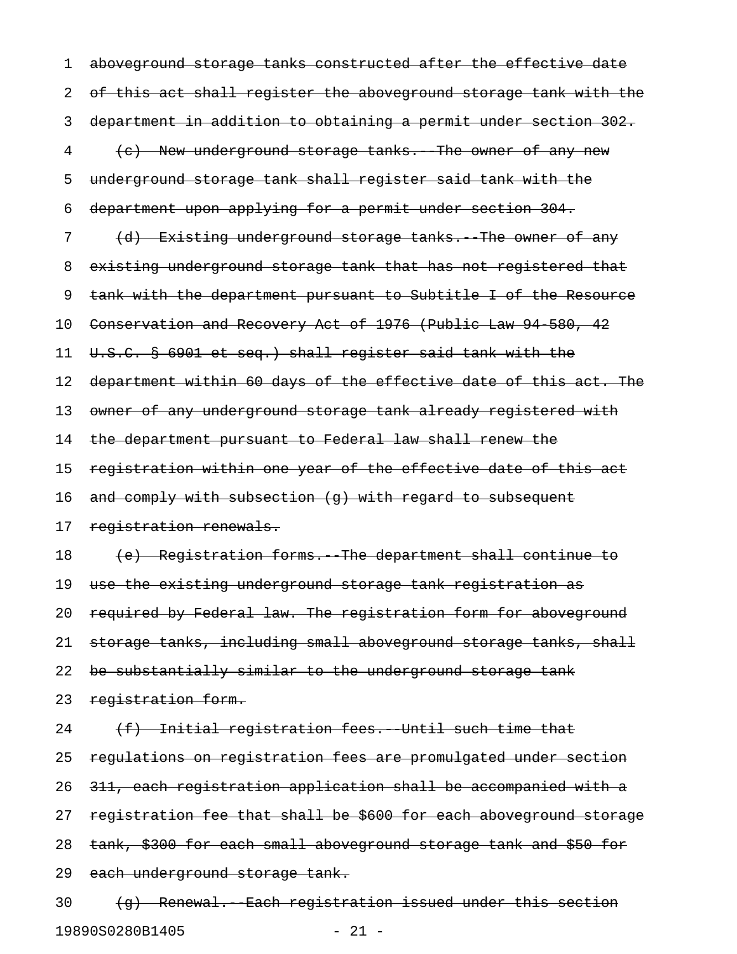1 aboveground storage tanks constructed after the effective date 2 of this act shall register the aboveground storage tank with the 3 department in addition to obtaining a permit under section 302. 4 (e) New underground storage tanks. The owner of any new 5 underground storage tank shall register said tank with the 6 department upon applying for a permit under section 304. 7 (d) Existing underground storage tanks. The owner of any 8 existing underground storage tank that has not registered that 9 tank with the department pursuant to Subtitle I of the Resource 10 Conservation and Recovery Act of 1976 (Public Law 94 580, 42 11 U.S.C. § 6901 et seq.) shall register said tank with the 12 department within 60 days of the effective date of this act. The 13 owner of any underground storage tank already registered with 14 the department pursuant to Federal law shall renew the 15 registration within one year of the effective date of this act 16 and comply with subsection (q) with regard to subsequent 17 registration renewals. 18 (e) Registration forms. The department shall continue to 19 use the existing underground storage tank registration as 20 required by Federal law. The registration form for aboveground 21 storage tanks, including small aboveground storage tanks, shall 22 be substantially similar to the underground storage tank 23 registration form.  $24$  (f) Initial registration fees. Until such time that 25 regulations on registration fees are promulgated under section 26 311, each registration application shall be accompanied with a 27 registration fee that shall be \$600 for each aboveground storage 28 tank, \$300 for each small aboveground storage tank and \$50 for 29 each underground storage tank.  $30$  (q) Renewal. Each registration issued under this section

19890S0280B1405 - 21 -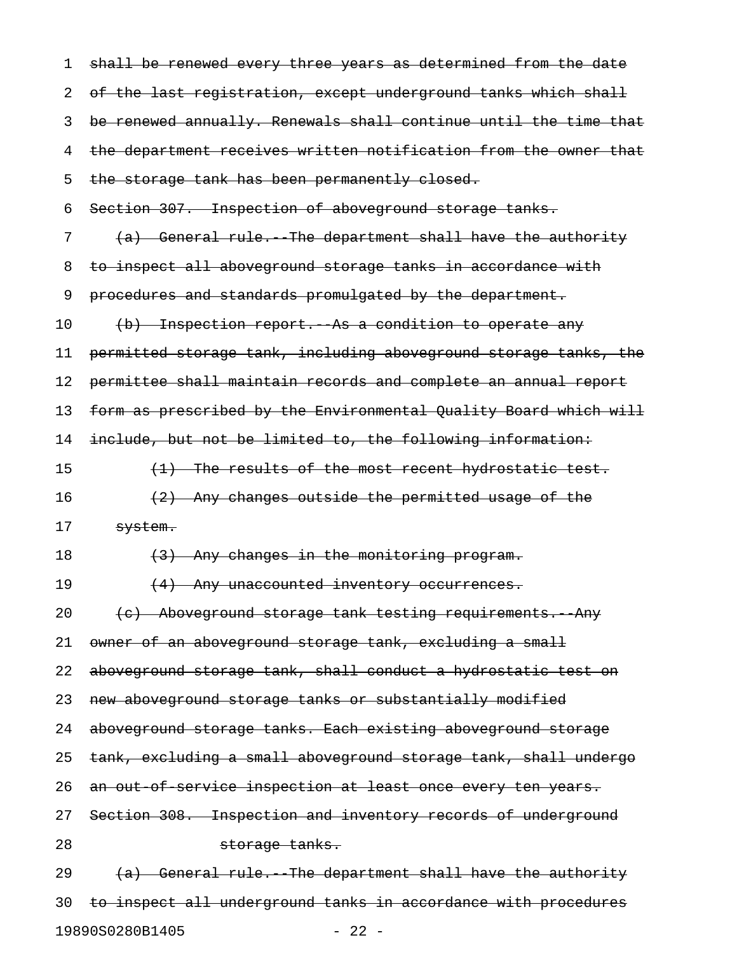| 1  | shall be renewed every three years as determined from the date   |
|----|------------------------------------------------------------------|
| 2  | of the last registration, except underground tanks which shall   |
| 3  | be renewed annually. Renewals shall continue until the time that |
| 4  | the department receives written notification from the owner that |
| 5  | the storage tank has been permanently closed.                    |
| 6  | Section 307. Inspection of aboveground storage tanks.            |
| 7  | (a) General rule. The department shall have the authority        |
| 8  | to inspect all aboveground storage tanks in accordance with      |
| 9  | procedures and standards promulgated by the department.          |
| 10 | (b) Inspection report. As a condition to operate any             |
| 11 | permitted storage tank, including aboveground storage tanks, the |
| 12 | permittee shall maintain records and complete an annual report   |
| 13 | form as prescribed by the Environmental Quality Board which will |
| 14 | include, but not be limited to, the following information:       |
| 15 | (1) The results of the most recent hydrostatic test.             |
| 16 | (2) Any changes outside the permitted usage of the               |
| 17 | system.                                                          |
| 18 | (3) Any changes in the monitoring program.                       |
| 19 | (4) Any unaccounted inventory occurrences.                       |
| 20 | (e) Aboveground storage tank testing requirements. Any           |
| 21 | owner of an aboveground storage tank, excluding a small          |
| 22 | aboveground storage tank, shall conduct a hydrostatic test on    |
| 23 | new aboveground storage tanks or substantially modified          |
| 24 | aboveground storage tanks. Each existing aboveground storage     |
| 25 | tank, excluding a small aboveground storage tank, shall undergo  |
| 26 | an out of service inspection at least once every ten years.      |
| 27 | Section 308. Inspection and inventory records of underground     |
| 28 | storage tanks.                                                   |
| 29 | (a) General rule. The department shall have the authority        |
| 30 | to inspect all underground tanks in accordance with procedures   |
|    |                                                                  |

19890S0280B1405 - 22 -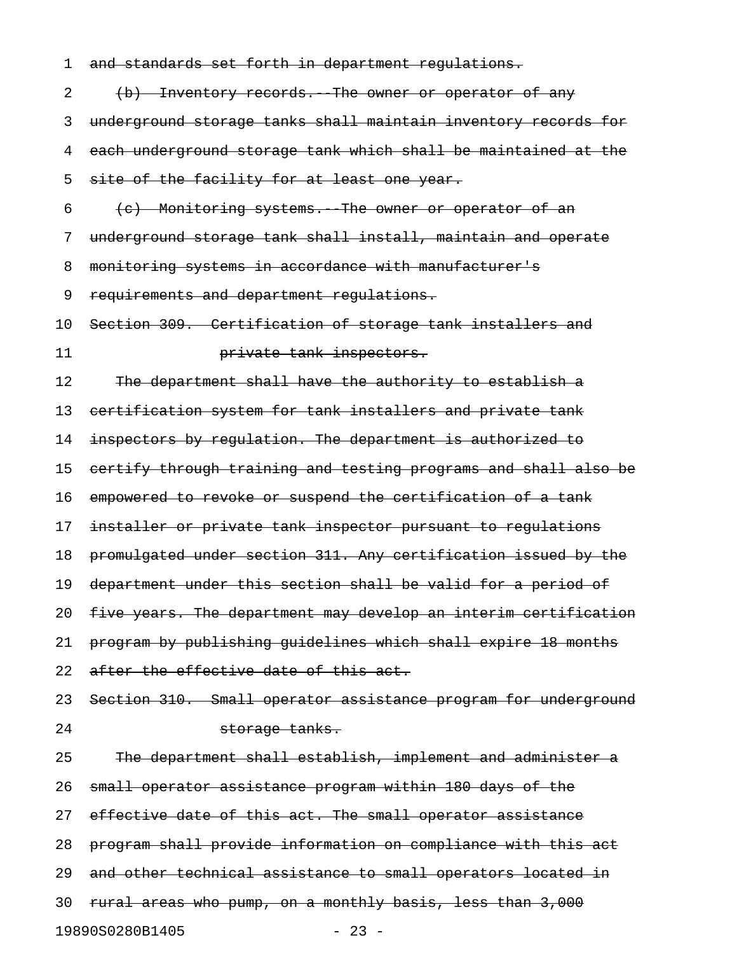| 1  | and standards set forth in department regulations.              |
|----|-----------------------------------------------------------------|
| 2  | (b) Inventory records. The owner or operator of any             |
| 3  | underground storage tanks shall maintain inventory records for  |
| 4  | each underground storage tank which shall be maintained at the  |
| 5  | site of the facility for at least one year.                     |
| 6  | (c) Monitoring systems. The owner or operator of an             |
| 7  | underground storage tank shall install, maintain and operate    |
| 8  | monitoring systems in accordance with manufacturer's            |
| 9  | requirements and department regulations.                        |
| 10 | Section 309. Certification of storage tank installers and       |
| 11 | private tank inspectors.                                        |
| 12 | The department shall have the authority to establish a          |
| 13 | eertification system for tank installers and private tank       |
| 14 | inspectors by regulation. The department is authorized to       |
| 15 | certify through training and testing programs and shall also be |
| 16 | empowered to revoke or suspend the certification of a tank      |
| 17 | installer or private tank inspector pursuant to regulations     |
| 18 | promulgated under section 311. Any certification issued by the  |
| 19 | department under this section shall be valid for a period of    |
| 20 | five years. The department may develop an interim certification |
| 21 | program by publishing quidelines which shall expire 18 months   |
| 22 | after the effective date of this act.                           |
| 23 | Section 310. Small operator assistance program for underground  |
| 24 | storage tanks.                                                  |
| 25 | The department shall establish, implement and administer a      |
| 26 | small operator assistance program within 180 days of the        |
| 27 | effective date of this act. The small operator assistance       |
| 28 | program shall provide information on compliance with this act   |
| 29 | and other technical assistance to small operators located in    |
| 30 | rural areas who pump, on a monthly basis, less than 3,000       |
|    | 19890S0280B1405<br>$-23 -$                                      |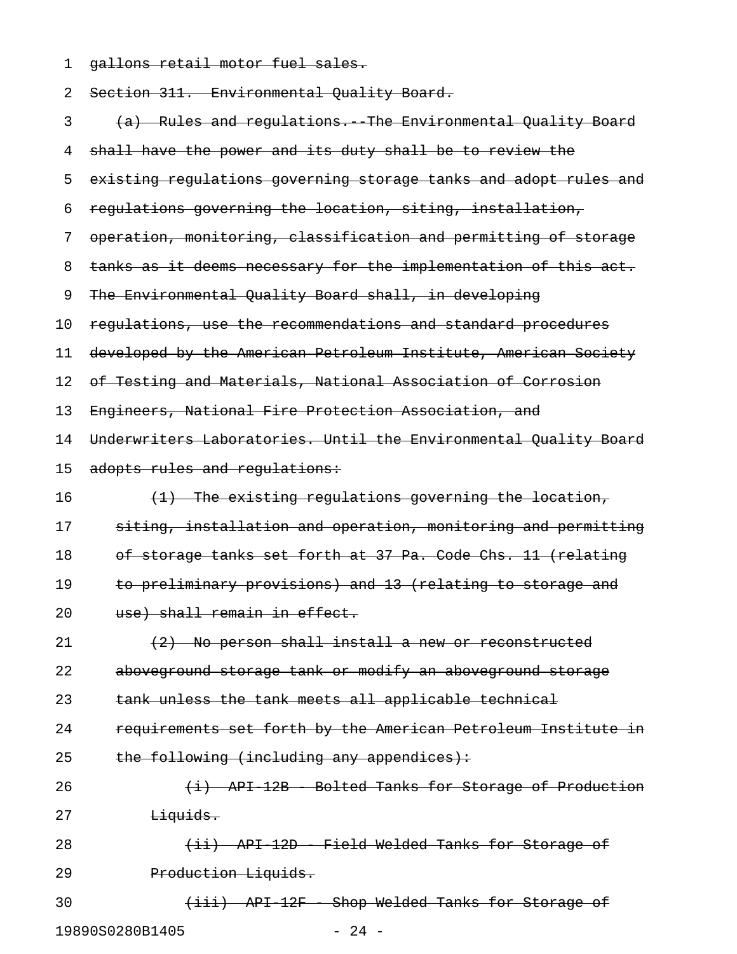1 gallons retail motor fuel sales.

| 2  | Section 311. Environmental Quality Board.                        |
|----|------------------------------------------------------------------|
| 3  | (a) Rules and regulations. The Environmental Quality Board       |
| 4  | shall have the power and its duty shall be to review the         |
| 5  | existing regulations governing storage tanks and adopt rules and |
| 6  | regulations governing the location, siting, installation,        |
| 7  | operation, monitoring, classification and permitting of storage  |
| 8  | tanks as it deems necessary for the implementation of this act.  |
| 9  | The Environmental Quality Board shall, in developing             |
| 10 | regulations, use the recommendations and standard procedures     |
| 11 | developed by the American Petroleum Institute, American Society  |
| 12 | of Testing and Materials, National Association of Corrosion      |
| 13 | Engineers, National Fire Protection Association, and             |
| 14 | Underwriters Laboratories. Until the Environmental Quality Board |
| 15 | adopts rules and regulations:                                    |
| 16 | (1) The existing regulations governing the location,             |
| 17 | siting, installation and operation, monitoring and permitting    |
| 18 | of storage tanks set forth at 37 Pa. Code Chs. 11 (relating      |
| 19 | to preliminary provisions) and 13 (relating to storage and       |
| 20 | use) shall remain in effect.                                     |
| 21 | (2) No person shall install a new or reconstructed               |
| 22 | aboveground storage tank or modify an aboveground storage        |
| 23 | tank unless the tank meets all applicable technical              |
| 24 | requirements set forth by the American Petroleum Institute in    |
| 25 | the following (including any appendices):                        |
| 26 | (i) API 12B Bolted Tanks for Storage of Production               |
| 27 | Liquids.                                                         |
| 28 | (ii) API 12D - Field Welded Tanks for Storage of                 |
| 29 | Production Liquids.                                              |
| 30 | (iii) API 12F Shop Welded Tanks for Storage of                   |
|    | $-24 -$<br>19890S0280B1405                                       |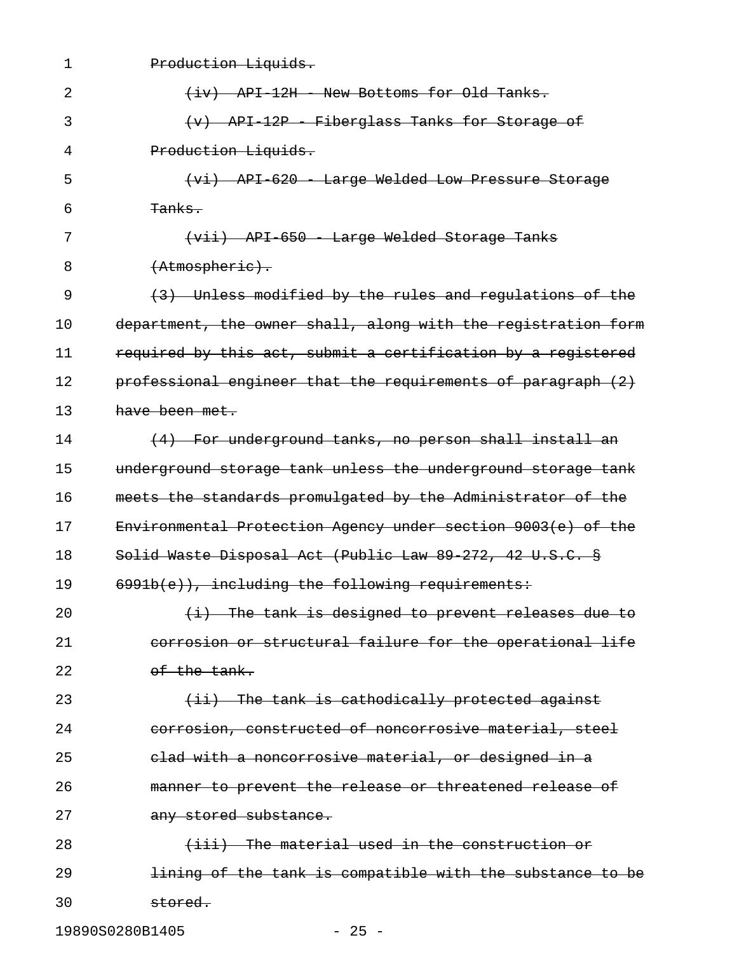| $\mathbf 1$ | Production Liquids.                                           |
|-------------|---------------------------------------------------------------|
| 2           | (iv) API 12H - New Bottoms for Old Tanks.                     |
| 3           | $(v)$ API 12P - Fiberglass Tanks for Storage of               |
| 4           | Production Liquids.                                           |
| 5           | (vi) API 620 Large Welded Low Pressure Storage                |
| 6           | <del>Tanks.</del>                                             |
| 7           | (vii) API 650 Large Welded Storage Tanks                      |
| 8           | (Atmospheric).                                                |
| 9           | (3) Unless modified by the rules and regulations of the       |
| 10          | department, the owner shall, along with the registration form |
| 11          | required by this act, submit a certification by a registered  |
| 12          | professional engineer that the requirements of paragraph (2)  |
| 13          | have been met.                                                |
| 14          | (4) For underground tanks, no person shall install an         |
| 15          | underground storage tank unless the underground storage tank  |
| 16          | meets the standards promulgated by the Administrator of the   |
| 17          | Environmental Protection Agency under section 9003(e) of the  |
| 18          | Solid Waste Disposal Act (Public Law 89 272, 42 U.S.C. §      |
| 19          | 6991b(e)), including the following requirements:              |
| 20          | $(i)$ The tank is designed to prevent releases due to         |
| 21          | corrosion or structural failure for the operational life      |
| 22          | of the tank.                                                  |
| 23          | (ii) The tank is cathodically protected against               |
| 24          | corrosion, constructed of noncorrosive material, steel        |
| 25          | elad with a noncorrosive material, or designed in a           |
| 26          | manner to prevent the release or threatened release of        |
| 27          | any stored substance.                                         |
| 28          | (iii) The material used in the construction or                |
| 29          | lining of the tank is compatible with the substance to be     |
| 30          | stored.                                                       |

19890S0280B1405 - 25 -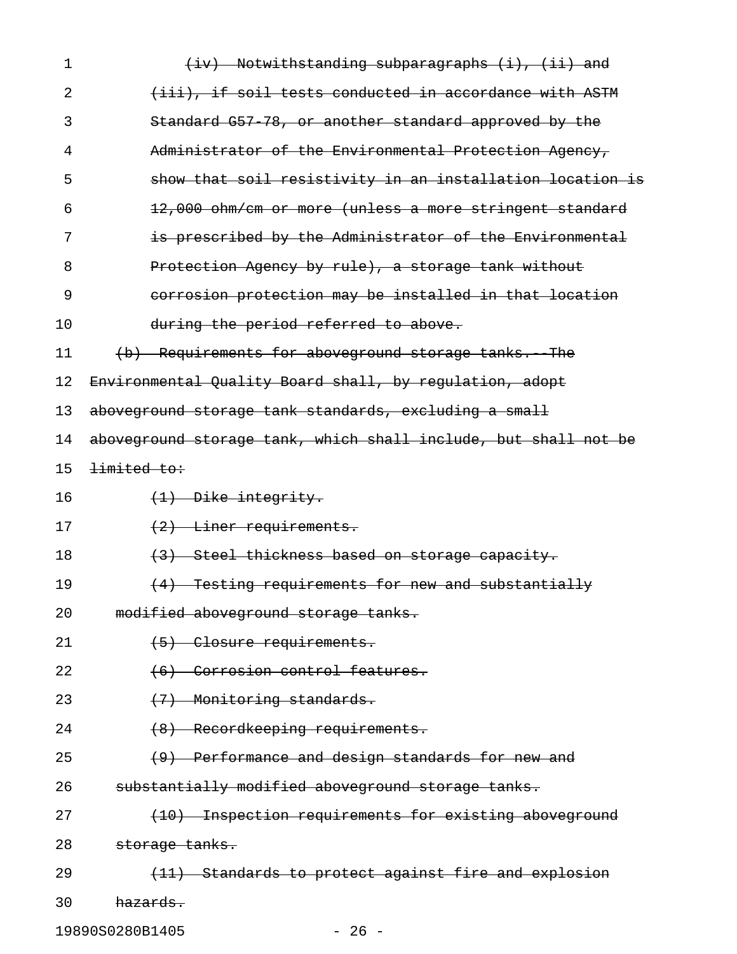| 2  |                                                                 |
|----|-----------------------------------------------------------------|
|    | (iii), if soil tests conducted in accordance with ASTM          |
| 3  | Standard G57 78, or another standard approved by the            |
| 4  | Administrator of the Environmental Protection Agency,           |
| 5  | show that soil resistivity in an installation location is       |
| 6  | 12,000 ohm/cm or more (unless a more stringent standard         |
| 7  | is prescribed by the Administrator of the Environmental         |
| 8  | Protection Agency by rule), a storage tank without              |
| 9  | corrosion protection may be installed in that location          |
| 10 | during the period referred to above.                            |
| 11 | (b) Requirements for aboveground storage tanks. The             |
| 12 | Environmental Quality Board shall, by regulation, adopt         |
| 13 | aboveground storage tank standards, excluding a small           |
| 14 | aboveground storage tank, which shall include, but shall not be |
| 15 | limited to:                                                     |
| 16 | $(1)$ Dike integrity.                                           |
| 17 | (2) Liner requirements.                                         |
| 18 | (3) Steel thickness based on storage capacity.                  |
| 19 | (4) Testing requirements for new and substantially              |
| 20 | modified aboveground storage tanks.                             |
| 21 | (5) Closure requirements.                                       |
| 22 | (6) Corrosion control features.                                 |
| 23 | (7) Monitoring standards.                                       |
| 24 | (8) Recordkeeping requirements.                                 |
| 25 | (9) Performance and design standards for new and                |
| 26 | substantially modified aboveground storage tanks.               |
| 27 | (10) Inspection requirements for existing aboveground           |
| 28 | storage tanks.                                                  |
| 29 | (11) Standards to protect against fire and explosion            |
| 30 | hazards.                                                        |

19890S0280B1405 - 26 -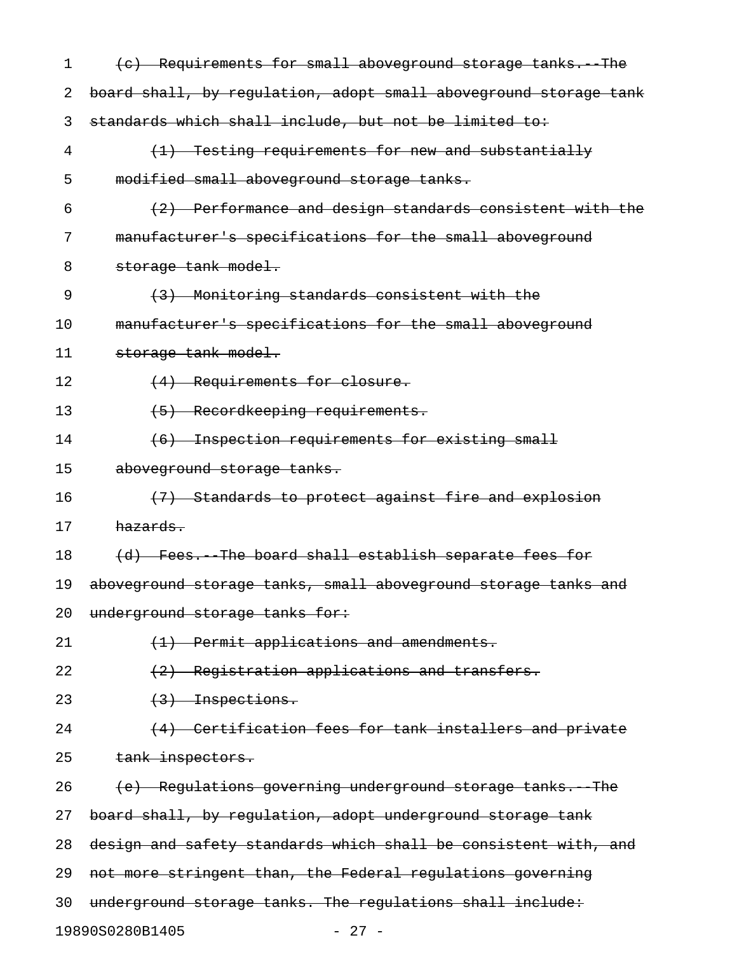| 1  | (c) Requirements for small aboveground storage tanks. The        |
|----|------------------------------------------------------------------|
| 2  | board shall, by regulation, adopt small aboveground storage tank |
| 3  | standards which shall include, but not be limited to:            |
| 4  | (1) Testing requirements for new and substantially               |
| 5  | modified small aboveground storage tanks.                        |
| 6  | (2) Performance and design standards consistent with the         |
| 7  | manufacturer's specifications for the small aboveground          |
| 8  | storage tank model.                                              |
| 9  | (3) Monitoring standards consistent with the                     |
| 10 | manufacturer's specifications for the small aboveground          |
| 11 | storage tank model.                                              |
| 12 | (4) Requirements for closure.                                    |
| 13 | Recordkeeping requirements.<br>$\left( -5 \right)$               |
| 14 | (6) Inspection requirements for existing small                   |
| 15 | aboveground storage tanks.                                       |
| 16 | (7) Standards to protect against fire and explosion              |
| 17 | hazards.                                                         |
| 18 | (d) Fees. The board shall establish separate fees for            |
| 19 | aboveground storage tanks, small aboveground storage tanks and   |
| 20 | underground storage tanks for:                                   |
| 21 | (1) Permit applications and amendments.                          |
| 22 | (2) Registration applications and transfers.                     |
| 23 | $(3)$ Inspections.                                               |
| 24 | (4) Certification fees for tank installers and private           |
| 25 | tank inspectors.                                                 |
| 26 | (e) Regulations governing underground storage tanks. The         |
| 27 | board shall, by regulation, adopt underground storage tank       |
| 28 | design and safety standards which shall be consistent with, and  |
| 29 | not more stringent than, the Federal regulations governing       |
| 30 | underground storage tanks. The regulations shall include:        |
|    | 19890S0280B1405<br>$-27 -$                                       |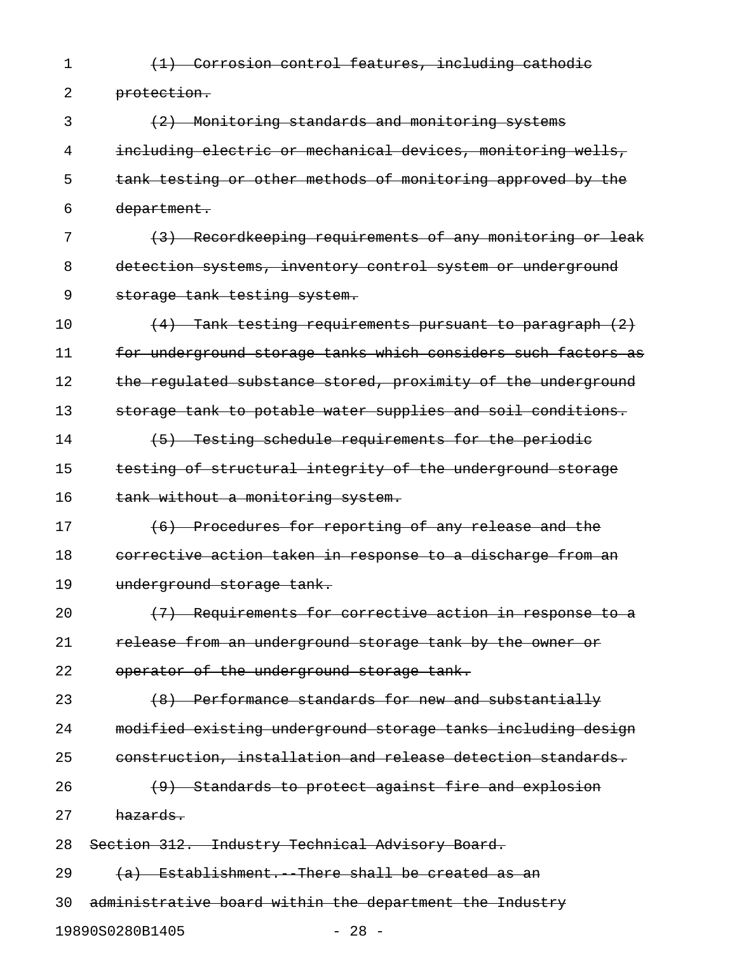1 (1) Corrosion control features, including cathodic

2 protection.

3 (2) Monitoring standards and monitoring systems 4 including electric or mechanical devices, monitoring wells, 5 tank testing or other methods of monitoring approved by the 6 department.

7 (3) Recordkeeping requirements of any monitoring or leak 8 detection systems, inventory control system or underground 9 storage tank testing system.

10  $(4)$  Tank testing requirements pursuant to paragraph  $(2)$ 11 for underground storage tanks which considers such factors as 12 the regulated substance stored, proximity of the underground 13 storage tank to potable water supplies and soil conditions. 14 (5) Testing schedule requirements for the periodic

15 testing of structural integrity of the underground storage 16 tank without a monitoring system.

17 (6) Procedures for reporting of any release and the 18 corrective action taken in response to a discharge from an 19 underground storage tank.

20  $(7)$  Requirements for corrective action in response to a 21 release from an underground storage tank by the owner or 22 operator of the underground storage tank.

23 (8) Performance standards for new and substantially 24 modified existing underground storage tanks including design 25 construction, installation and release detection standards.  $26$  (9) Standards to protect against fire and explosion

27 hazards.

28 Section 312. Industry Technical Advisory Board.

29  $(a)$  Establishment. There shall be created as an

30 administrative board within the department the Industry

19890S0280B1405 - 28 -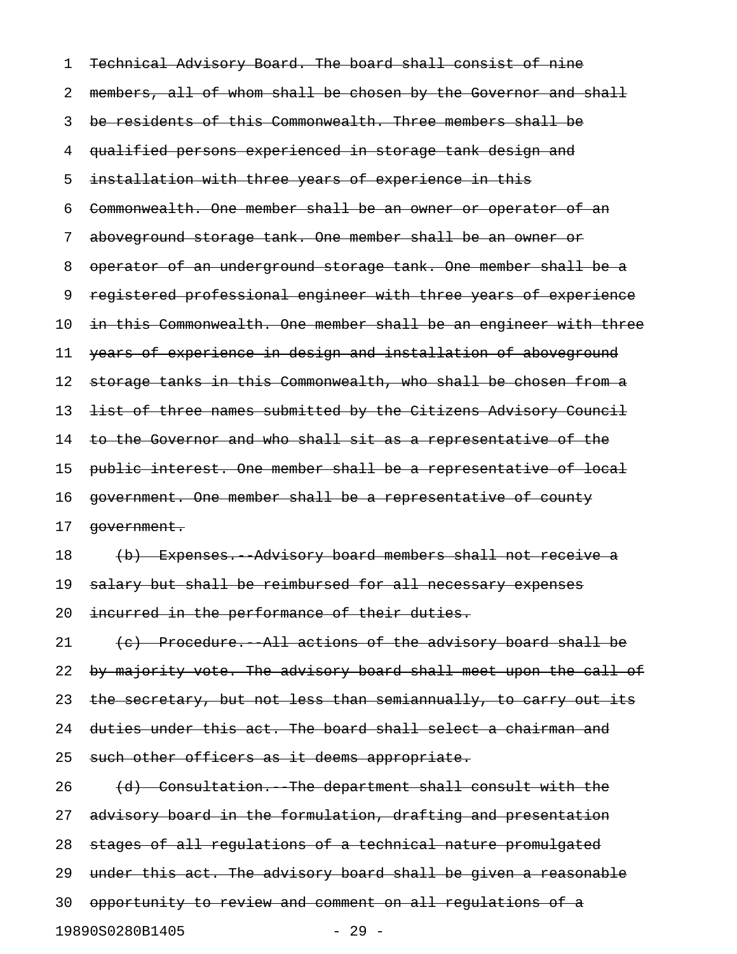| 1  | Technical Advisory Board. The board shall consist of nine        |
|----|------------------------------------------------------------------|
| 2  | members, all of whom shall be chosen by the Governor and shall   |
| 3  | be residents of this Commonwealth. Three members shall be        |
| 4  | qualified persons experienced in storage tank design and         |
| 5  | installation with three years of experience in this              |
| 6  | Commonwealth. One member shall be an owner or operator of an     |
| 7  | aboveground storage tank. One member shall be an owner or        |
| 8  | operator of an underground storage tank. One member shall be a   |
| 9  | registered professional engineer with three years of experience  |
| 10 | in this Commonwealth. One member shall be an engineer with three |
| 11 | years of experience in design and installation of aboveground    |
| 12 | storage tanks in this Commonwealth, who shall be chosen from a   |
| 13 | list of three names submitted by the Citizens Advisory Council   |
| 14 | to the Governor and who shall sit as a representative of the     |
| 15 | public interest. One member shall be a representative of local   |
| 16 | government. One member shall be a representative of county       |
| 17 | government.                                                      |
| 18 | (b) Expenses. Advisory board members shall not receive a         |
| 19 | salary but shall be reimbursed for all necessary expenses        |
| 20 | incurred in the performance of their duties.                     |
| 21 | (c) Procedure. All actions of the advisory board shall be        |
| 22 | by majority vote. The advisory board shall meet upon the call of |
| 23 | the secretary, but not less than semiannually, to carry out its  |
| 24 | duties under this act. The board shall select a chairman and     |
| 25 | such other officers as it deems appropriate.                     |
| 26 | (d) Consultation. The department shall consult with the          |
| 27 | advisory board in the formulation, drafting and presentation     |
| 28 | stages of all regulations of a technical nature promulgated      |
| 29 | under this act. The advisory board shall be given a reasonable   |
| 30 | opportunity to review and comment on all regulations of a        |
|    | 19890S0280B1405<br>$-29 -$                                       |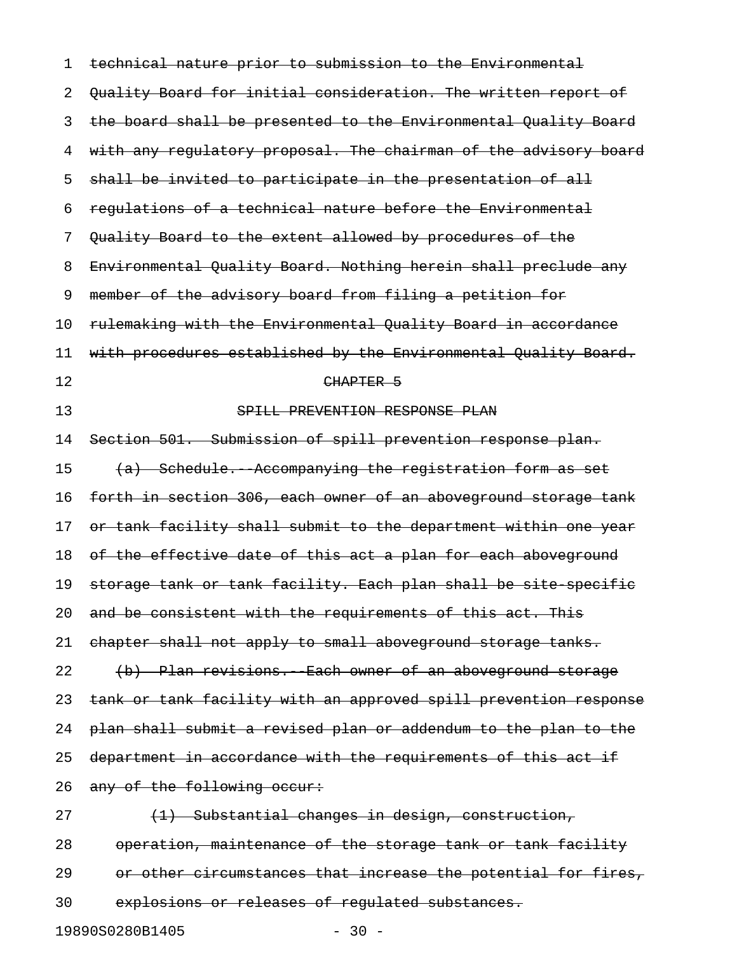| 1  | technical nature prior to submission to the Environmental        |
|----|------------------------------------------------------------------|
| 2  | Quality Board for initial consideration. The written report of   |
| 3  | the board shall be presented to the Environmental Quality Board  |
| 4  | with any regulatory proposal. The chairman of the advisory board |
| 5  | shall be invited to participate in the presentation of all       |
| 6  | requlations of a technical nature before the Environmental       |
| 7  | Quality Board to the extent allowed by procedures of the         |
| 8  | Environmental Quality Board. Nothing herein shall preclude any   |
| 9  | member of the advisory board from filing a petition for          |
| 10 | rulemaking with the Environmental Quality Board in accordance    |
| 11 | with procedures established by the Environmental Quality Board.  |
| 12 | CHAPTER 5                                                        |
| 13 | SPILL PREVENTION RESPONSE PLAN                                   |
| 14 | Section 501. Submission of spill prevention response plan.       |
| 15 | (a) Schedule. Accompanying the registration form as set          |
| 16 | forth in section 306, each owner of an aboveground storage tank  |
| 17 | or tank facility shall submit to the department within one year  |
| 18 | of the effective date of this act a plan for each aboveground    |
| 19 | storage tank or tank facility. Each plan shall be site specific  |
| 20 | and be consistent with the requirements of this act. This        |
| 21 | chapter shall not apply to small aboveground storage tanks.      |
| 22 | (b) Plan revisions. Each owner of an aboveground storage         |
| 23 | tank or tank facility with an approved spill prevention response |
| 24 | plan shall submit a revised plan or addendum to the plan to the  |
| 25 | department in accordance with the requirements of this act if    |
| 26 | any of the following occur:                                      |
| 27 | (1) Substantial changes in design, construction,                 |
| 28 | operation, maintenance of the storage tank or tank facility      |
| 29 | or other circumstances that increase the potential for fires,    |
| 30 | explosions or releases of regulated substances.                  |

19890S0280B1405 - 30 -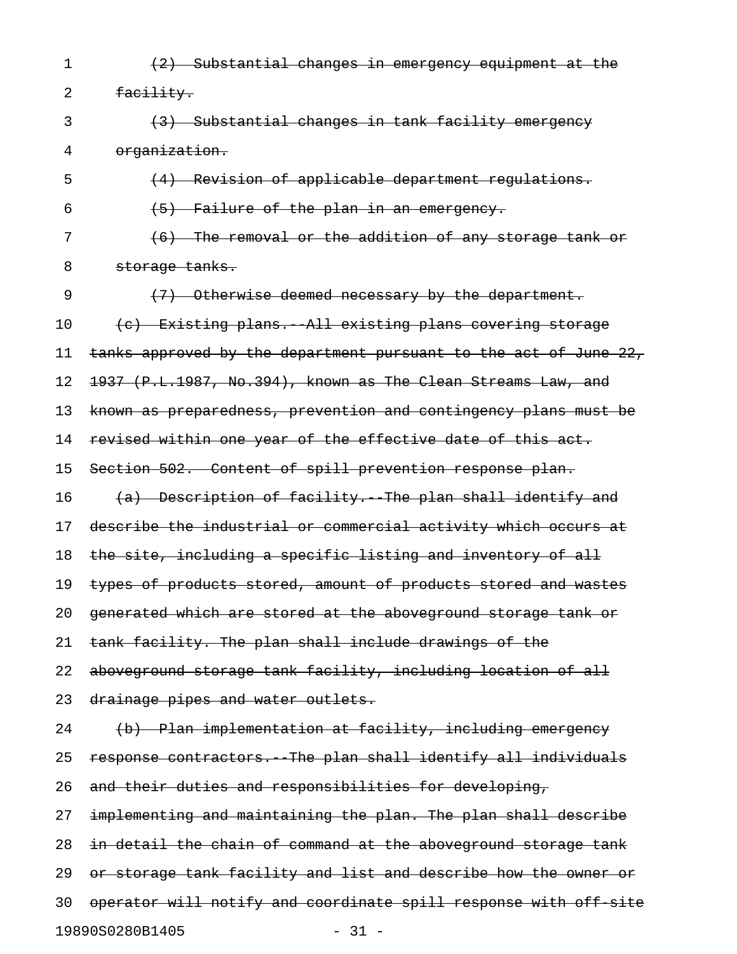1 (2) Substantial changes in emergency equipment at the 2 facility. 3 (3) Substantial changes in tank facility emergency 4 organization. 5 (4) Revision of applicable department regulations.  $(5)$  Failure of the plan in an emergency. 7 (6) The removal or the addition of any storage tank or 8 storage tanks. 9 (7) Otherwise deemed necessary by the department. 10 (c) Existing plans. All existing plans covering storage 11 tanks approved by the department pursuant to the act of June 22, 12 1937 (P.L.1987, No.394), known as The Clean Streams Law, and 13 known as preparedness, prevention and contingency plans must be 14 revised within one year of the effective date of this act. 15 Section 502. Content of spill prevention response plan. 16  $(a)$  Description of facility. The plan shall identify and 17 describe the industrial or commercial activity which occurs at 18 the site, including a specific listing and inventory of all 19 types of products stored, amount of products stored and wastes 20 generated which are stored at the aboveground storage tank or 21 tank facility. The plan shall include drawings of the 22 aboveground storage tank facility, including location of all 23 drainage pipes and water outlets. 24 (b) Plan implementation at facility, including emergency 25 response contractors. The plan shall identify all individuals 26 and their duties and responsibilities for developing, 27 implementing and maintaining the plan. The plan shall describe 28 in detail the chain of command at the aboveground storage tank 29 or storage tank facility and list and describe how the owner or 30 operator will notify and coordinate spill response with off-site

19890S0280B1405 - 31 -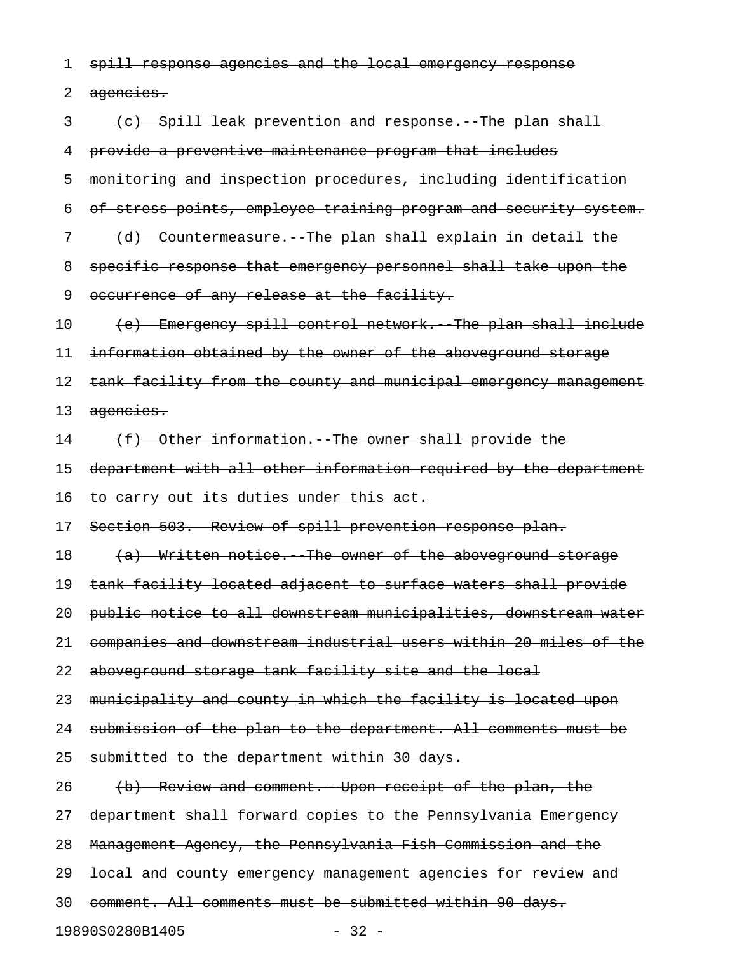1 spill response agencies and the local emergency response

2 agencies.

3 (c) Spill leak prevention and response. The plan shall 4 provide a preventive maintenance program that includes 5 monitoring and inspection procedures, including identification 6 of stress points, employee training program and security system. 7 (d) Countermeasure. The plan shall explain in detail the 8 specific response that emergency personnel shall take upon the 9 occurrence of any release at the facility. 10 (e) Emergency spill control network. The plan shall include 11 information obtained by the owner of the aboveground storage 12 tank facility from the county and municipal emergency management 13 agencies.  $14$  (f) Other information. The owner shall provide the 15 department with all other information required by the department 16 to carry out its duties under this act. 17 Section 503. Review of spill prevention response plan. 18 (a) Written notice. The owner of the aboveground storage 19 tank facility located adjacent to surface waters shall provide 20 public notice to all downstream municipalities, downstream water 21 companies and downstream industrial users within 20 miles of the 22 aboveground storage tank facility site and the local 23 municipality and county in which the facility is located upon 24 submission of the plan to the department. All comments must be 25 submitted to the department within 30 days. 26 (b) Review and comment. Upon receipt of the plan, the 27 department shall forward copies to the Pennsylvania Emergency 28 Management Agency, the Pennsylvania Fish Commission and the 29 <del>local and county emergency management agencies for review and</del> 30 comment. All comments must be submitted within 90 days. 19890S0280B1405 - 32 -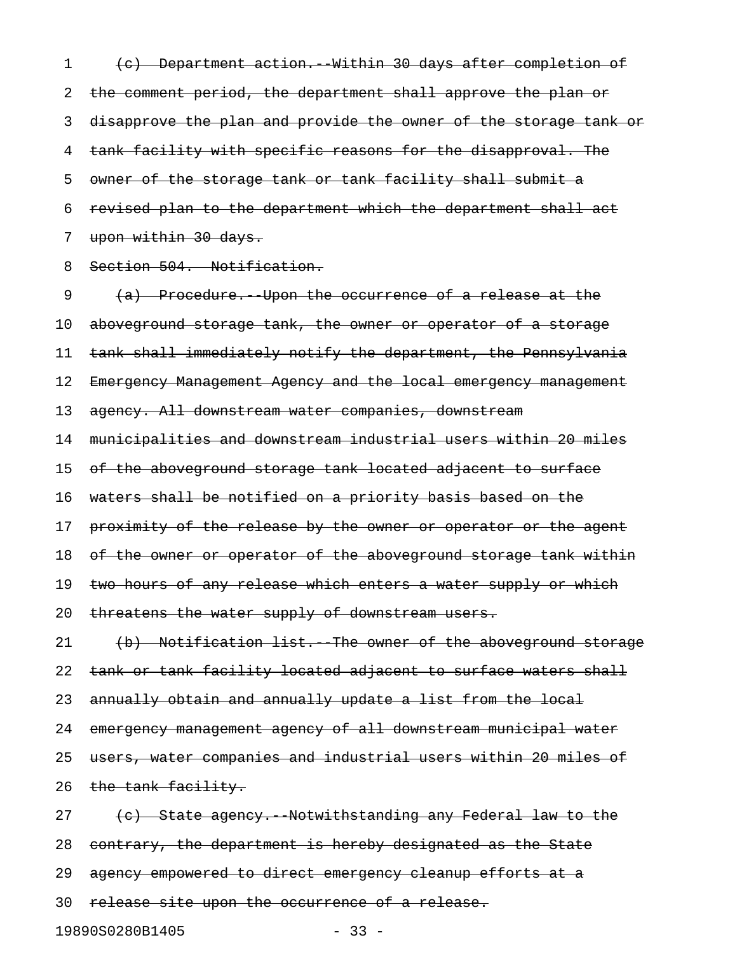1 (c) Department action. Within 30 days after completion of 2 the comment period, the department shall approve the plan or 3 disapprove the plan and provide the owner of the storage tank or 4 tank facility with specific reasons for the disapproval. The 5 owner of the storage tank or tank facility shall submit a 6 revised plan to the department which the department shall act 7 upon within 30 days.

8 Section 504. Notification.

9 (a) Procedure. Upon the occurrence of a release at the 10 aboveground storage tank, the owner or operator of a storage 11 tank shall immediately notify the department, the Pennsylvania 12 Emergency Management Agency and the local emergency management 13 agency. All downstream water companies, downstream 14 municipalities and downstream industrial users within 20 miles 15 of the aboveground storage tank located adjacent to surface 16 waters shall be notified on a priority basis based on the 17 proximity of the release by the owner or operator or the agent 18 of the owner or operator of the aboveground storage tank within 19 two hours of any release which enters a water supply or which 20 threatens the water supply of downstream users. 21 (b) Notification list. The owner of the aboveground storage 22 tank or tank facility located adjacent to surface waters shall 23 annually obtain and annually update a list from the local 24 emergency management agency of all downstream municipal water 25 users, water companies and industrial users within 20 miles of 26 the tank facility. 27 (c) State agency. Notwithstanding any Federal law to the 28 contrary, the department is hereby designated as the State 29 agency empowered to direct emergency cleanup efforts at a

30 release site upon the occurrence of a release.

19890S0280B1405 - 33 -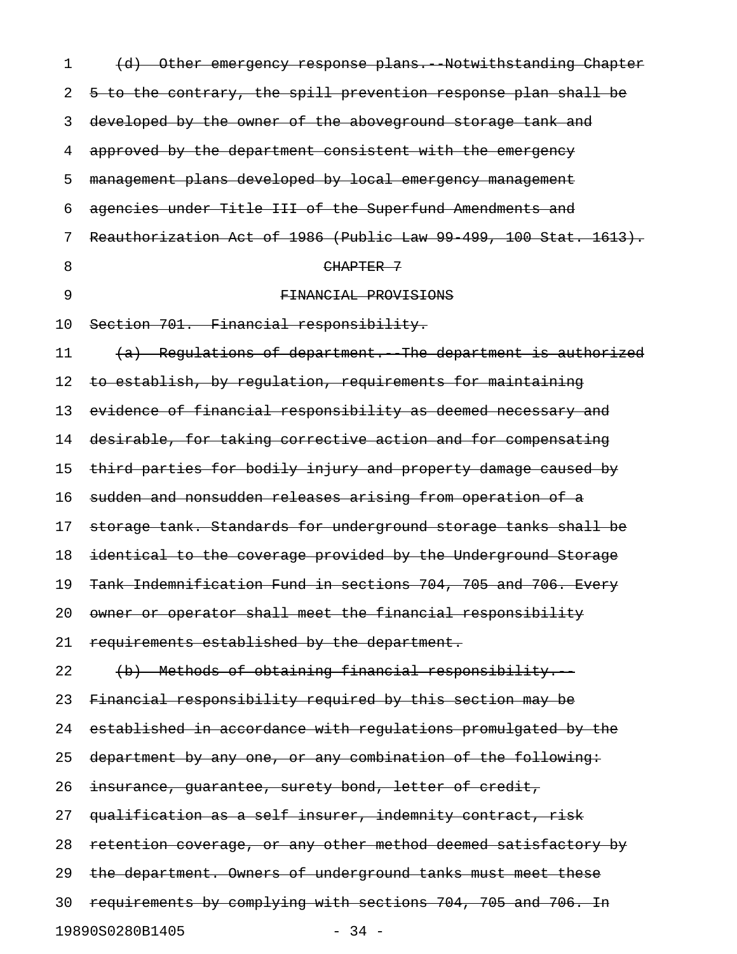| 1  | (d) Other emergency response plans. Notwithstanding Chapter      |
|----|------------------------------------------------------------------|
| 2  | 5 to the contrary, the spill prevention response plan shall be   |
| 3  | developed by the owner of the aboveground storage tank and       |
| 4  | approved by the department consistent with the emergency         |
| 5  | management plans developed by local emergency management         |
| 6  | agencies under Title III of the Superfund Amendments and         |
| 7  | Reauthorization Act of 1986 (Public Law 99 499, 100 Stat. 1613). |
| 8  | CHAPTER 7                                                        |
| 9  | FINANCIAL PROVISIONS                                             |
| 10 | Section 701. Financial responsibility.                           |
| 11 | (a) Regulations of department. The department is authorized      |
| 12 | to establish, by regulation, requirements for maintaining        |
| 13 | evidence of financial responsibility as deemed necessary and     |
| 14 | desirable, for taking corrective action and for compensating     |
| 15 | third parties for bodily injury and property damage caused by    |
| 16 | sudden and nonsudden releases arising from operation of a        |
| 17 | storage tank. Standards for underground storage tanks shall be   |
| 18 | identical to the coverage provided by the Underground Storage    |
| 19 | Tank Indemnification Fund in sections 704, 705 and 706. Every    |
| 20 | owner or operator shall meet the financial responsibility        |
| 21 | requirements established by the department.                      |
| 22 | (b) Methods of obtaining financial responsibility.               |
| 23 | Financial responsibility required by this section may be         |
| 24 | established in accordance with regulations promulgated by the    |
| 25 | department by any one, or any combination of the following:      |
| 26 | insurance, guarantee, surety bond, letter of credit,             |
| 27 | qualification as a self insurer, indemnity contract, risk        |
| 28 | retention coverage, or any other method deemed satisfactory by   |
| 29 | the department. Owners of underground tanks must meet these      |
| 30 | requirements by complying with sections 704, 705 and 706. In     |
|    | 19890S0280B1405<br>$-34 -$                                       |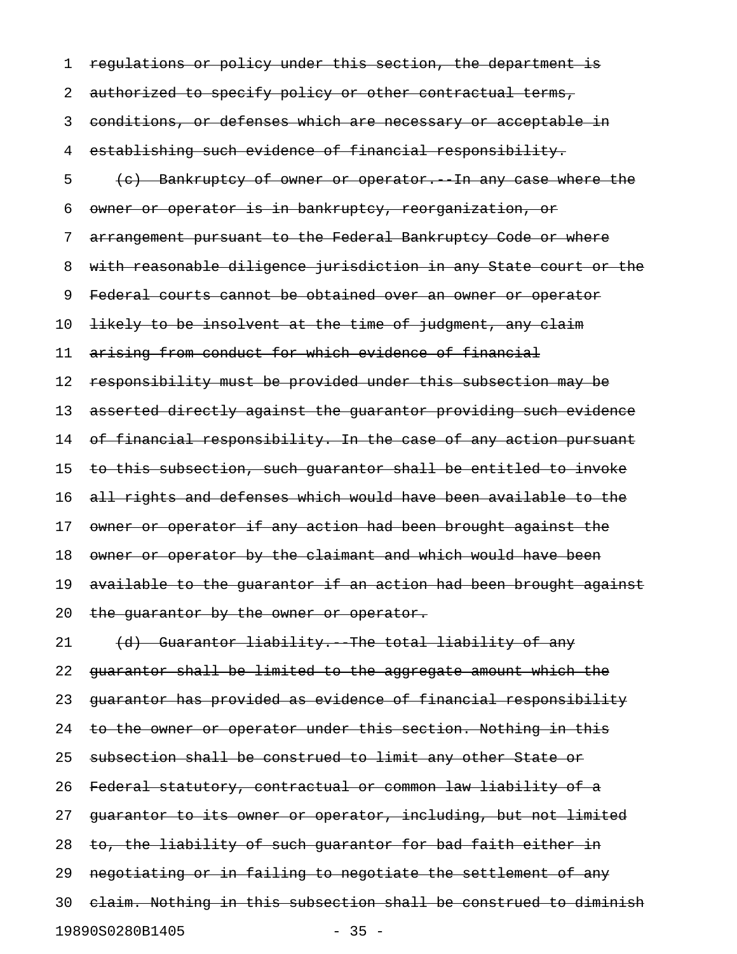1 regulations or policy under this section, the department is 2 authorized to specify policy or other contractual terms, 3 conditions, or defenses which are necessary or acceptable in 4 establishing such evidence of financial responsibility. 5 (c) Bankruptcy of owner or operator. In any case where the 6 owner or operator is in bankruptcy, reorganization, or 7 arrangement pursuant to the Federal Bankruptcy Code or where 8 with reasonable diligence jurisdiction in any State court or the 9 Federal courts cannot be obtained over an owner or operator 10 likely to be insolvent at the time of judgment, any claim 11 arising from conduct for which evidence of financial 12 responsibility must be provided under this subsection may be 13 asserted directly against the guarantor providing such evidence 14 of financial responsibility. In the case of any action pursuant 15 to this subsection, such guarantor shall be entitled to invoke 16 all rights and defenses which would have been available to the 17 owner or operator if any action had been brought against the 18 owner or operator by the claimant and which would have been 19 available to the quarantor if an action had been brought against 20 the guarantor by the owner or operator. 21 (d) Guarantor liability. The total liability of any 22 guarantor shall be limited to the aggregate amount which the 23 guarantor has provided as evidence of financial responsibility 24 to the owner or operator under this section. Nothing in this 25 subsection shall be construed to limit any other State or 26 Federal statutory, contractual or common law liability of a 27 quarantor to its owner or operator, including, but not limited 28 to, the liability of such guarantor for bad faith either in 29 negotiating or in failing to negotiate the settlement of any 30 claim. Nothing in this subsection shall be construed to diminish

19890S0280B1405 - 35 -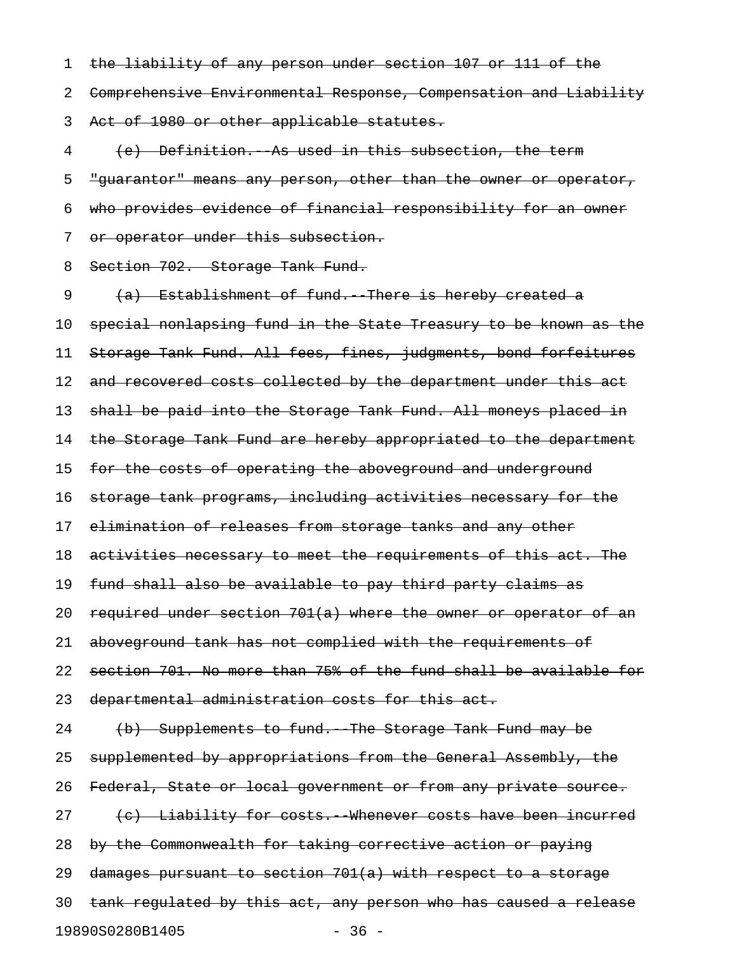1 the liability of any person under section 107 or 111 of the 2 Comprehensive Environmental Response, Compensation and Liability 3 Act of 1980 or other applicable statutes.

4 (e) Definition. As used in this subsection, the term 5 "guarantor" means any person, other than the owner or operator, 6 who provides evidence of financial responsibility for an owner 7 or operator under this subsection.

8 Section 702. Storage Tank Fund.

9 (a) Establishment of fund. There is hereby created a 10 special nonlapsing fund in the State Treasury to be known as the 11 Storage Tank Fund. All fees, fines, judgments, bond forfeitures 12 and recovered costs collected by the department under this act 13 shall be paid into the Storage Tank Fund. All moneys placed in 14 the Storage Tank Fund are hereby appropriated to the department 15 for the costs of operating the aboveground and underground 16 storage tank programs, including activities necessary for the 17 elimination of releases from storage tanks and any other 18 activities necessary to meet the requirements of this act. The 19 fund shall also be available to pay third party claims as 20 required under section  $701(a)$  where the owner or operator of an 21 aboveground tank has not complied with the requirements of 22 section 701. No more than 75% of the fund shall be available for 23 departmental administration costs for this act. 24 (b) Supplements to fund. The Storage Tank Fund may be 25 supplemented by appropriations from the General Assembly, the 26 Federal, State or local government or from any private source. 27 (c) Liability for costs. Whenever costs have been incurred 28 by the Commonwealth for taking corrective action or paying 29 damages pursuant to section 701(a) with respect to a storage 30 tank regulated by this act, any person who has caused a release 19890S0280B1405 - 36 -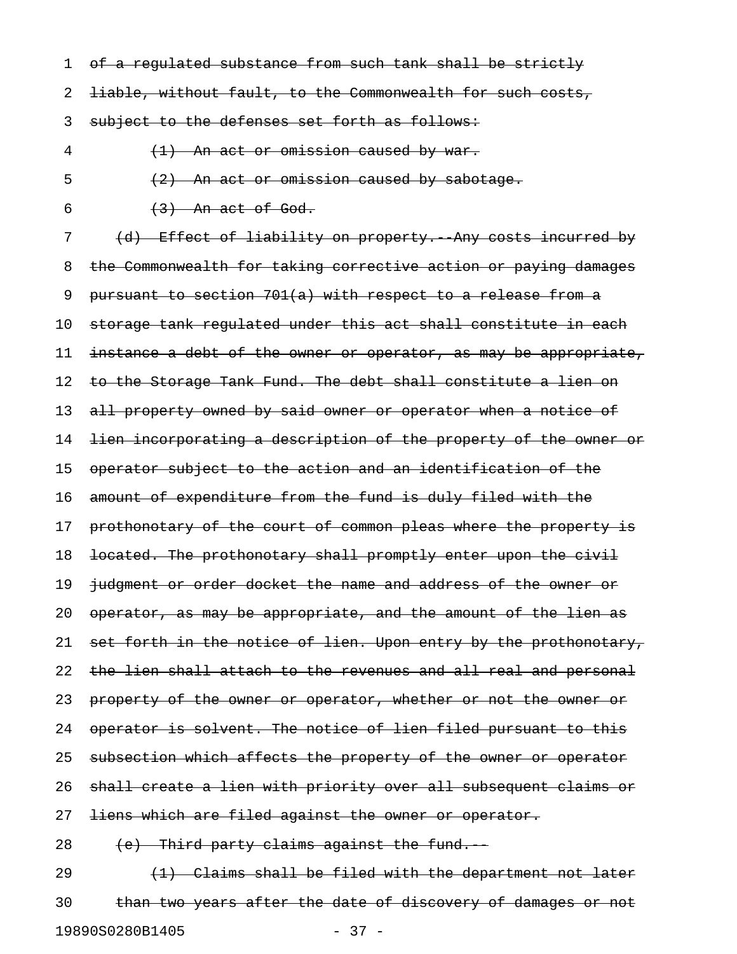1 of a regulated substance from such tank shall be strictly

2 <del>liable, without fault, to the Commonwealth for such costs,</del>

3 subject to the defenses set forth as follows:

4 (1) An act or omission caused by war.

 $\frac{1}{2}$  An act or omission caused by sabotage.

6  $(3)$  An act of God.

7 (d) Effect of liability on property. Any costs incurred by 8 the Commonwealth for taking corrective action or paying damages 9 pursuant to section 701(a) with respect to a release from a 10 storage tank regulated under this act shall constitute in each 11 instance a debt of the owner or operator, as may be appropriate, 12 to the Storage Tank Fund. The debt shall constitute a lien on 13 all property owned by said owner or operator when a notice of 14 <del>lien incorporating a description of the property of the owner or</del> 15 operator subject to the action and an identification of the 16 amount of expenditure from the fund is duly filed with the 17 prothonotary of the court of common pleas where the property is 18 located. The prothonotary shall promptly enter upon the civil 19 judgment or order docket the name and address of the owner or 20 operator, as may be appropriate, and the amount of the lien as 21 set forth in the notice of lien. Upon entry by the prothonotary, 22 the lien shall attach to the revenues and all real and personal 23 property of the owner or operator, whether or not the owner or 24 operator is solvent. The notice of lien filed pursuant to this 25 subsection which affects the property of the owner or operator 26 shall create a lien with priority over all subsequent claims or 27 <del>liens which are filed against the owner or operator.</del>  $28$  (e) Third party claims against the fund. 29  $(1)$  Claims shall be filed with the department not later

30 than two years after the date of discovery of damages or not 19890S0280B1405 - 37 -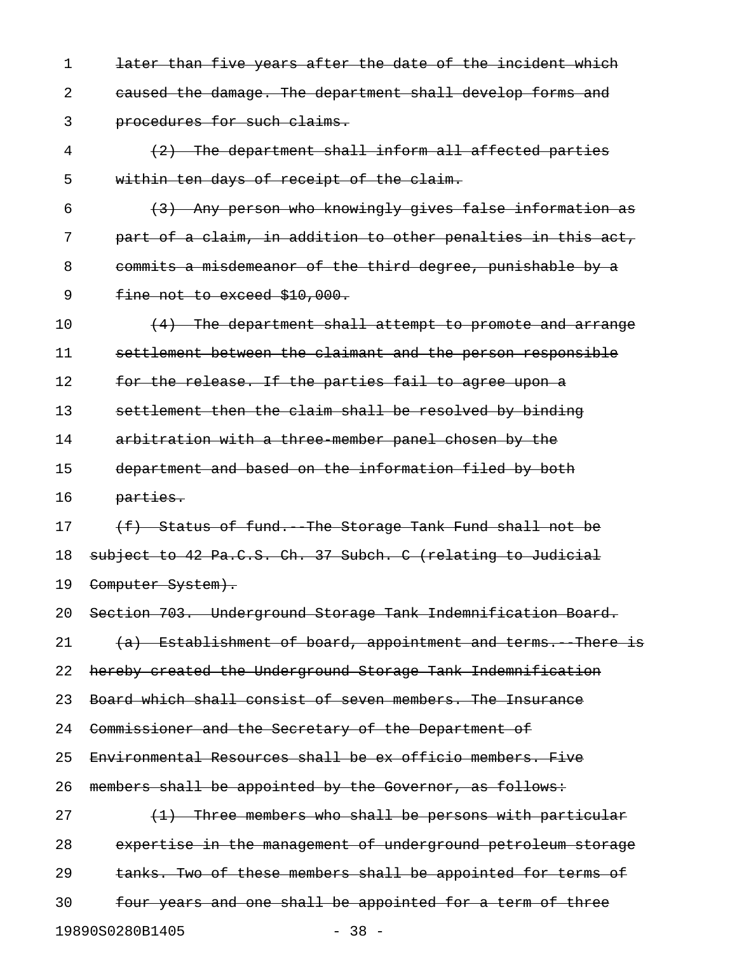1 later than five years after the date of the incident which 2 caused the damage. The department shall develop forms and 3 procedures for such claims. 4 (2) The department shall inform all affected parties 5 within ten days of receipt of the claim.  $(3)$  Any person who knowingly gives false information as 7 part of a claim, in addition to other penalties in this act, 8 commits a misdemeanor of the third degree, punishable by a 9 fine not to exceed \$10,000. 10  $(4)$  The department shall attempt to promote and arrange 11 settlement between the claimant and the person responsible 12 for the release. If the parties fail to agree upon a 13 settlement then the claim shall be resolved by binding 14 arbitration with a three member panel chosen by the 15 department and based on the information filed by both 16 parties. 17 (f) Status of fund. The Storage Tank Fund shall not be 18 subject to 42 Pa.C.S. Ch. 37 Subch. C (relating to Judicial 19 Computer System). 20 Section 703. Underground Storage Tank Indemnification Board.  $21$   $(a)$  Establishment of board, appointment and terms. There is 22 hereby created the Underground Storage Tank Indemnification 23 Board which shall consist of seven members. The Insurance 24 Commissioner and the Secretary of the Department of 25 Environmental Resources shall be ex officio members. Five 26 members shall be appointed by the Governor, as follows: 27  $(1)$  Three members who shall be persons with particular 28 expertise in the management of underground petroleum storage 29 tanks. Two of these members shall be appointed for terms of 30 four years and one shall be appointed for a term of three

19890S0280B1405 - 38 -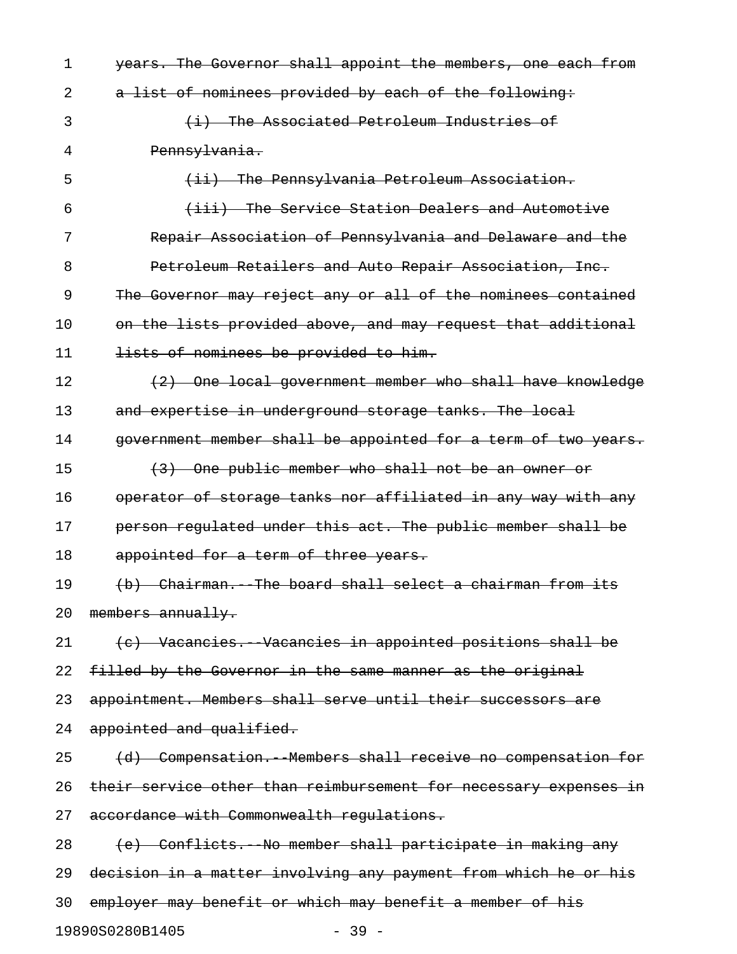1 years. The Governor shall appoint the members, one each from 2 a list of nominees provided by each of the following: 3 (i) The Associated Petroleum Industries of 4 Pennsylvania. 5 (ii) The Pennsylvania Petroleum Association. 6 (iii) The Service Station Dealers and Automotive 7 Repair Association of Pennsylvania and Delaware and the 8 Petroleum Retailers and Auto Repair Association, Inc. 9 The Governor may reject any or all of the nominees contained 10 on the lists provided above, and may request that additional 11 lists of nominees be provided to him. 12 (2) One local government member who shall have knowledge 13 and expertise in underground storage tanks. The local 14 government member shall be appointed for a term of two years. 15 (3) One public member who shall not be an owner or 16 operator of storage tanks nor affiliated in any way with any 17 person regulated under this act. The public member shall be 18 appointed for a term of three years. 19 (b) Chairman. The board shall select a chairman from its 20 members annually. 21 (c) Vacancies. Vacancies in appointed positions shall be 22 filled by the Governor in the same manner as the original 23 appointment. Members shall serve until their successors are 24 appointed and qualified. 25 (d) Compensation. Members shall receive no compensation for 26 their service other than reimbursement for necessary expenses in 27 accordance with Commonwealth requlations. 28 (e) Conflicts. No member shall participate in making any 29 decision in a matter involving any payment from which he or his 30 employer may benefit or which may benefit a member of his

19890S0280B1405 - 39 -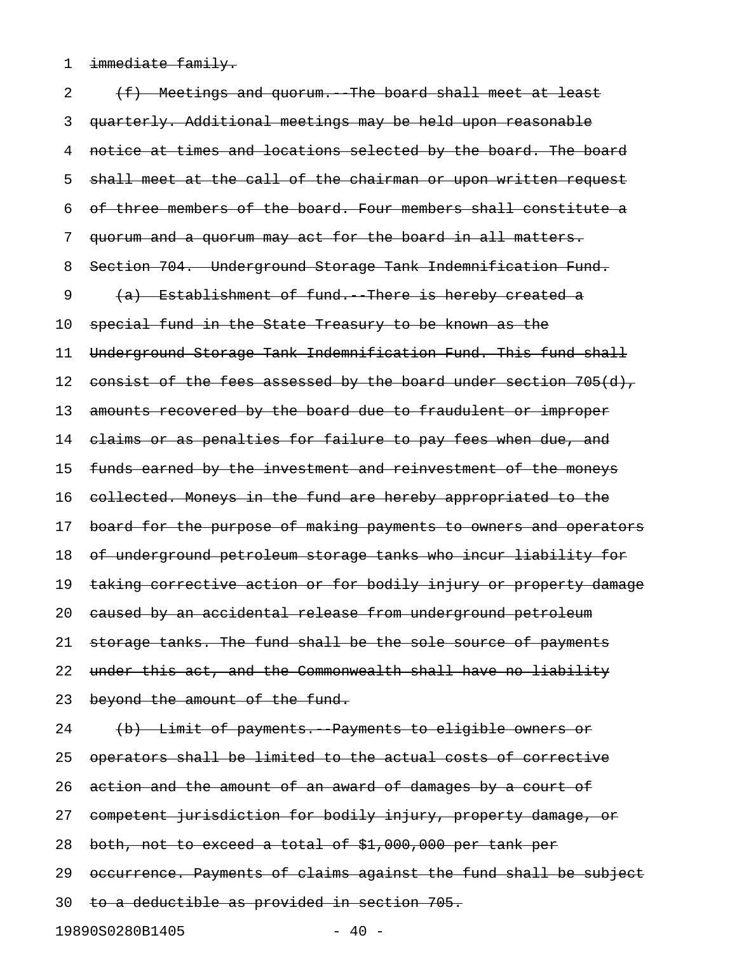1 immediate family.

2 (f) Meetings and quorum. The board shall meet at least 3 quarterly. Additional meetings may be held upon reasonable 4 notice at times and locations selected by the board. The board 5 shall meet at the call of the chairman or upon written request 6 of three members of the board. Four members shall constitute a 7 quorum and a quorum may act for the board in all matters. 8 Section 704. Underground Storage Tank Indemnification Fund. 9 (a) Establishment of fund. There is hereby created a 10 special fund in the State Treasury to be known as the 11 Underground Storage Tank Indemnification Fund. This fund shall 12 consist of the fees assessed by the board under section 705(d), 13 amounts recovered by the board due to fraudulent or improper 14 claims or as penalties for failure to pay fees when due, and 15 funds earned by the investment and reinvestment of the moneys 16 collected. Moneys in the fund are hereby appropriated to the 17 board for the purpose of making payments to owners and operators 18 of underground petroleum storage tanks who incur liability for 19 taking corrective action or for bodily injury or property damage 20 caused by an accidental release from underground petroleum 21 storage tanks. The fund shall be the sole source of payments 22 under this act, and the Commonwealth shall have no liability 23 beyond the amount of the fund. 24 (b) Limit of payments. Payments to eligible owners or 25 operators shall be limited to the actual costs of corrective 26 action and the amount of an award of damages by a court of 27 competent jurisdiction for bodily injury, property damage, or 28 both, not to exceed a total of \$1,000,000 per tank per 29 occurrence. Payments of claims against the fund shall be subject 30 to a deductible as provided in section 705. 19890S0280B1405 - 40 -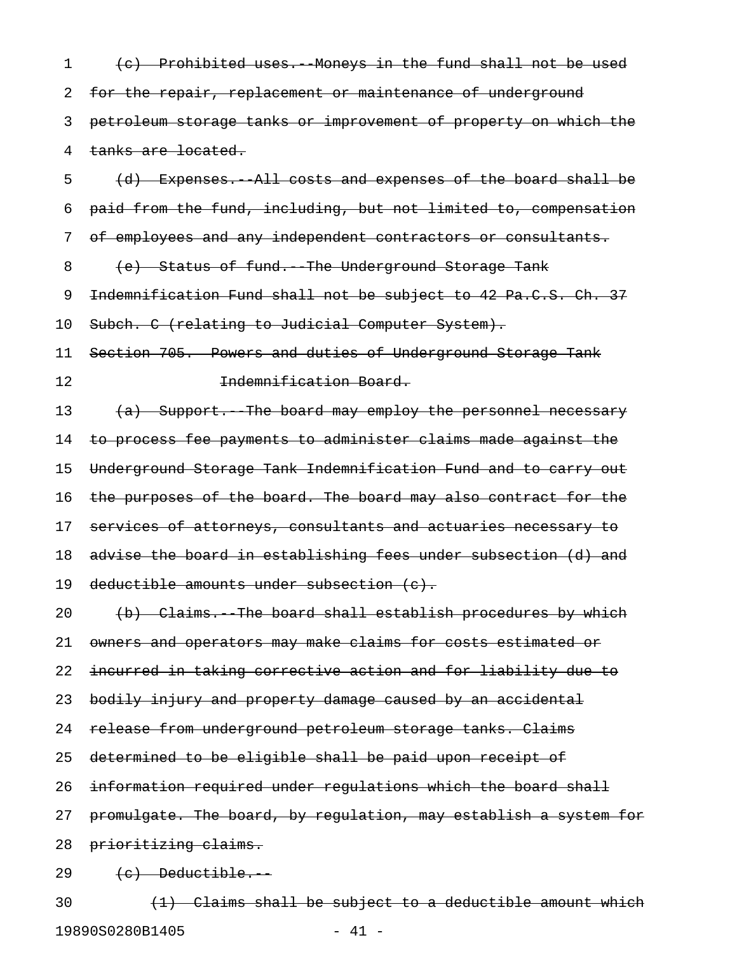1 (c) Prohibited uses. Moneys in the fund shall not be used 2 for the repair, replacement or maintenance of underground 3 petroleum storage tanks or improvement of property on which the 4 tanks are located.

5 (d) Expenses.--All costs and expenses of the board shall be 6 paid from the fund, including, but not limited to, compensation 7 of employees and any independent contractors or consultants.

8 (e) Status of fund. The Underground Storage Tank

9 Indemnification Fund shall not be subject to 42 Pa.C.S. Ch. 37

10 Subch. C (relating to Judicial Computer System).

11 Section 705. Powers and duties of Underground Storage Tank 12 **Indemnification Board.** 

13 (a) Support. The board may employ the personnel necessary 14 to process fee payments to administer claims made against the 15 Underground Storage Tank Indemnification Fund and to carry out 16 the purposes of the board. The board may also contract for the 17 services of attorneys, consultants and actuaries necessary to 18 advise the board in establishing fees under subsection (d) and 19 deductible amounts under subsection (c).

20 (b) Claims. The board shall establish procedures by which 21 owners and operators may make claims for costs estimated or

22 incurred in taking corrective action and for liability due to

23 bodily injury and property damage caused by an accidental

24 release from underground petroleum storage tanks. Claims

25 determined to be eligible shall be paid upon receipt of

26 information required under regulations which the board shall

27 promulgate. The board, by requlation, may establish a system for

28 prioritizing claims.

 $29 \t(e)$  Deductible.

 $30$   $(1)$  Claims shall be subject to a deductible amount which 19890S0280B1405 - 41 -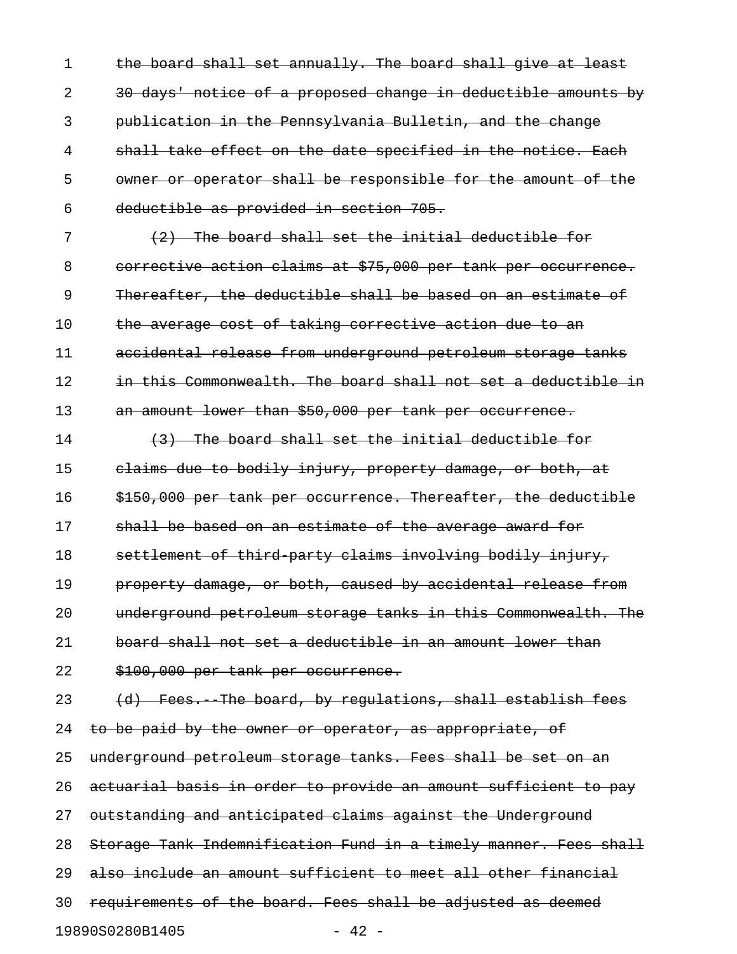1 the board shall set annually. The board shall give at least 2 30 days' notice of a proposed change in deductible amounts by 3 publication in the Pennsylvania Bulletin, and the change 4 shall take effect on the date specified in the notice. Each 5 owner or operator shall be responsible for the amount of the 6 deductible as provided in section 705.

7 (2) The board shall set the initial deductible for 8 corrective action claims at \$75,000 per tank per occurrence. 9 Thereafter, the deductible shall be based on an estimate of 10 the average cost of taking corrective action due to an 11 accidental release from underground petroleum storage tanks 12 in this Commonwealth. The board shall not set a deductible in 13 an amount lower than \$50,000 per tank per occurrence.

14 (3) The board shall set the initial deductible for 15 claims due to bodily injury, property damage, or both, at 16 \$150,000 per tank per occurrence. Thereafter, the deductible 17 shall be based on an estimate of the average award for 18 settlement of third-party claims involving bodily injury, 19 **property damage, or both, caused by accidental release from** 20 underground petroleum storage tanks in this Commonwealth. The 21 board shall not set a deductible in an amount lower than 22 \$100,000 per tank per occurrence.

23 (d) Fees. The board, by regulations, shall establish fees 24 to be paid by the owner or operator, as appropriate, of 25 underground petroleum storage tanks. Fees shall be set on an 26 actuarial basis in order to provide an amount sufficient to pay 27 outstanding and anticipated claims against the Underground 28 Storage Tank Indemnification Fund in a timely manner. Fees shall 29 also include an amount sufficient to meet all other financial 30 requirements of the board. Fees shall be adjusted as deemed 19890S0280B1405 - 42 -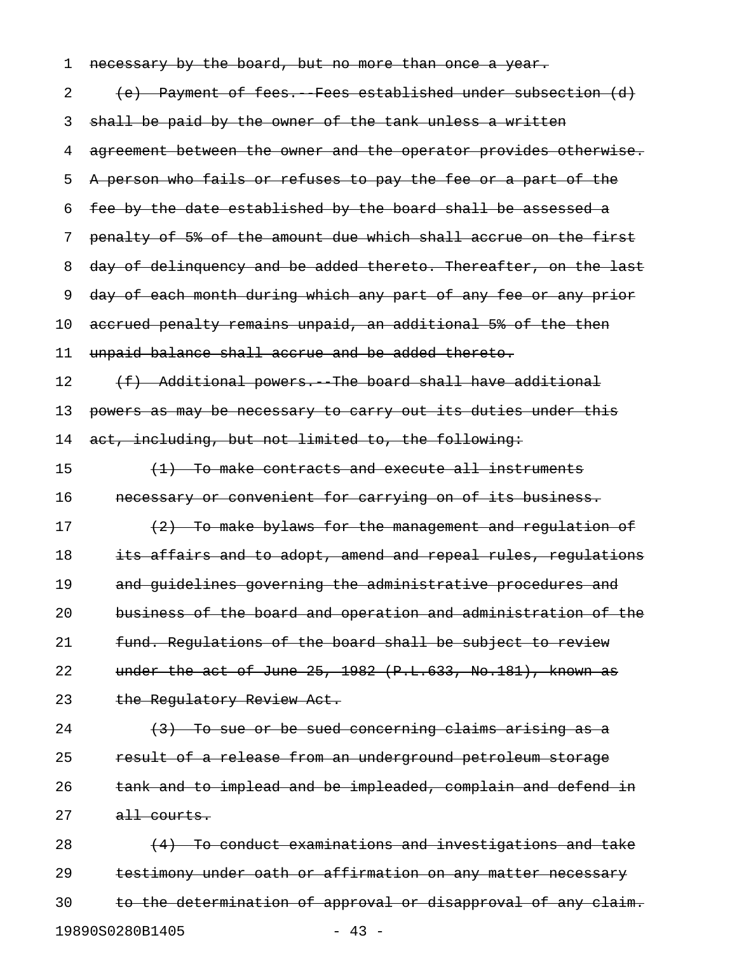| 1  | necessary by the board, but no more than once a year.            |
|----|------------------------------------------------------------------|
| 2  | (e) Payment of fees. Fees established under subsection (d)       |
| 3  | shall be paid by the owner of the tank unless a written          |
| 4  | agreement between the owner and the operator provides otherwise. |
| 5  | A person who fails or refuses to pay the fee or a part of the    |
| 6  | fee by the date established by the board shall be assessed a     |
| 7  | penalty of 5% of the amount due which shall accrue on the first  |
| 8  | day of delinquency and be added thereto. Thereafter, on the last |
| 9  | day of each month during which any part of any fee or any prior  |
| 10 | accrued penalty remains unpaid, an additional 5% of the then     |
| 11 | unpaid balance shall accrue and be added thereto.                |
| 12 | (f) Additional powers. The board shall have additional           |
| 13 | powers as may be necessary to carry out its duties under this    |
| 14 | act, including, but not limited to, the following:               |
| 15 | $(1)$ To make contracts and execute all instruments              |
|    |                                                                  |
| 16 | necessary or convenient for carrying on of its business.         |
| 17 | (2) To make bylaws for the management and regulation of          |
| 18 | its affairs and to adopt, amend and repeal rules, regulations    |
| 19 | and guidelines governing the administrative procedures and       |
| 20 | business of the board and operation and administration of the    |
| 21 | fund. Regulations of the board shall be subject to review        |
| 22 | under the act of June $25, 1982$ (P.L.633, No.181), known as     |
| 23 | the Regulatory Review Act.                                       |
| 24 | $(3)$ To sue or be sued concerning claims arising as a           |
| 25 | result of a release from an underground petroleum storage        |
| 26 | tank and to implead and be impleaded, complain and defend in     |
| 27 | all courts.                                                      |
| 28 | (4) To conduct examinations and investigations and take          |
| 29 | testimony under oath or affirmation on any matter necessary      |

19890S0280B1405 - 43 -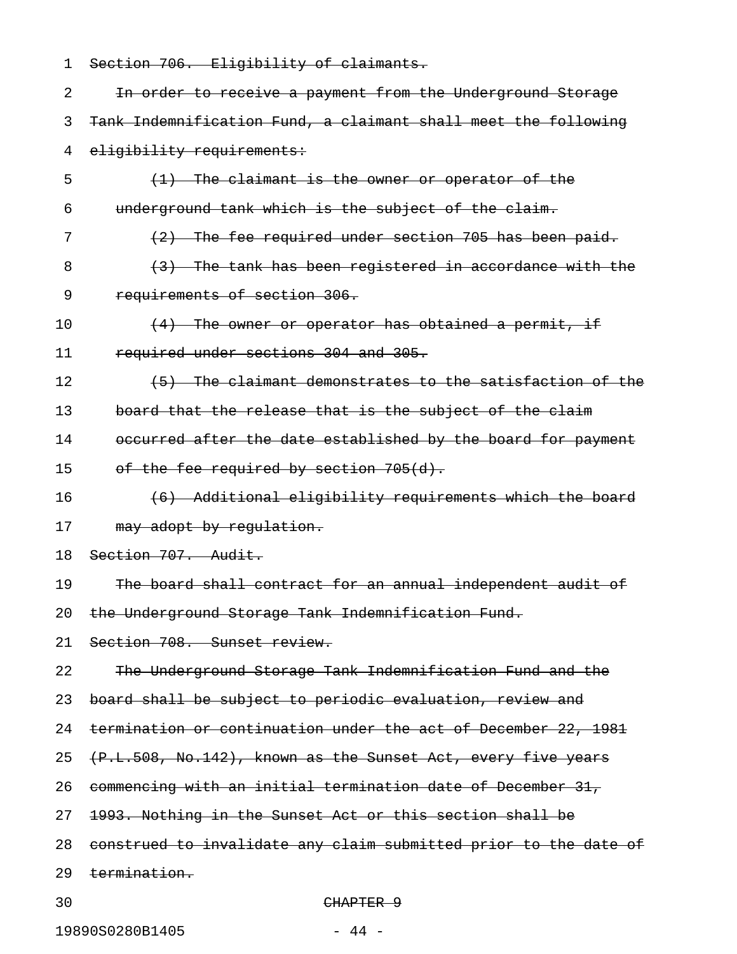| 1  | Section 706. Eligibility of claimants.                           |
|----|------------------------------------------------------------------|
| 2  | In order to receive a payment from the Underground Storage       |
| 3  | Tank Indemnification Fund, a claimant shall meet the following   |
| 4  | eligibility requirements:                                        |
| 5  | (1) The claimant is the owner or operator of the                 |
| 6  | underground tank which is the subject of the claim.              |
| 7  | (2) The fee required under section 705 has been paid.            |
| 8  | (3) The tank has been registered in accordance with the          |
| 9  | requirements of section 306.                                     |
| 10 | $(4)$ The owner or operator has obtained a permit, if            |
| 11 | required under sections 304 and 305.                             |
| 12 | (5) The claimant demonstrates to the satisfaction of the         |
| 13 | board that the release that is the subject of the claim          |
| 14 | occurred after the date established by the board for payment     |
| 15 | of the fee required by section 705(d).                           |
| 16 | (6) Additional eligibility requirements which the board          |
| 17 | may adopt by regulation.                                         |
| 18 | Section 707. Audit.                                              |
| 19 | The board shall contract for an annual independent audit of      |
| 20 | the Underground Storage Tank Indemnification Fund.               |
| 21 | Section 708. Sunset review.                                      |
| 22 | The Underground Storage Tank Indemnification Fund and the        |
| 23 | board shall be subject to periodic evaluation, review and        |
| 24 | termination or continuation under the act of December 22, 1981   |
| 25 | (P.L.508, No.142), known as the Sunset Act, every five years     |
| 26 | commencing with an initial termination date of December 31,      |
| 27 | 1993. Nothing in the Sunset Act or this section shall be         |
| 28 | construed to invalidate any claim submitted prior to the date of |
| 29 | <del>termination.</del>                                          |
| 30 | CHAPTER 9                                                        |

19890S0280B1405 - 44 -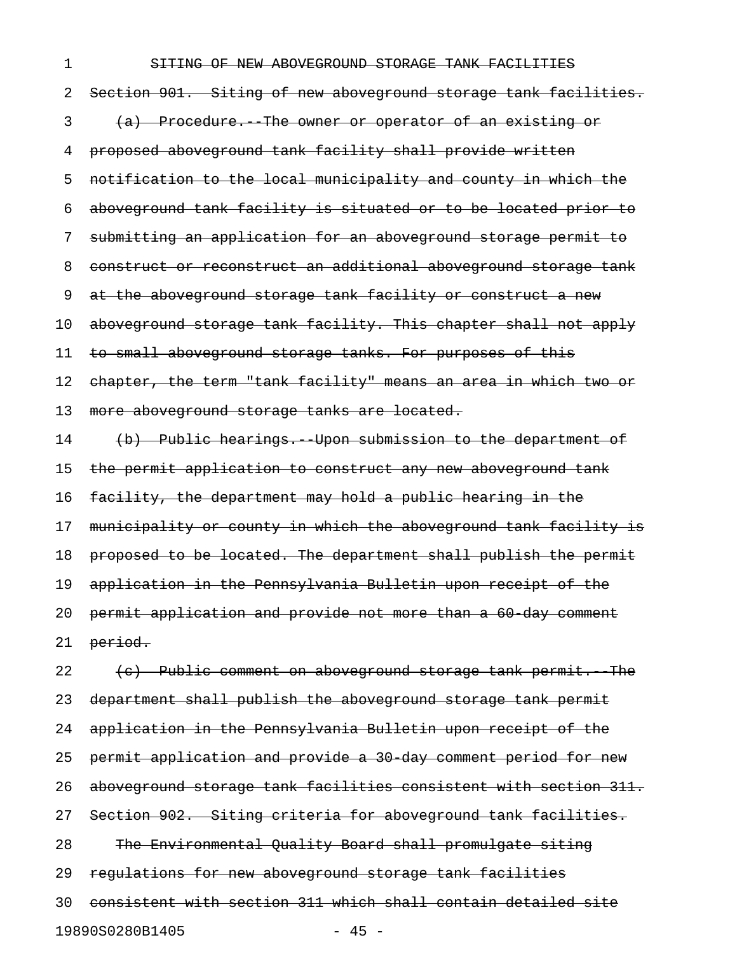## 1 SHTING OF NEW ABOVEGROUND STORAGE TANK FACILITIES

2 Section 901. Siting of new aboveground storage tank facilities. 3 (a) Procedure. The owner or operator of an existing or 4 proposed aboveground tank facility shall provide written 5 notification to the local municipality and county in which the 6 aboveground tank facility is situated or to be located prior to 7 submitting an application for an aboveground storage permit to 8 construct or reconstruct an additional aboveground storage tank 9 at the aboveground storage tank facility or construct a new 10 aboveground storage tank facility. This chapter shall not apply 11 to small aboveground storage tanks. For purposes of this 12 chapter, the term "tank facility" means an area in which two or 13 more aboveground storage tanks are located. 14 (b) Public hearings. Upon submission to the department of 15 the permit application to construct any new aboveground tank 16 facility, the department may hold a public hearing in the 17 municipality or county in which the aboveground tank facility is 18 proposed to be located. The department shall publish the permit 19 application in the Pennsylvania Bulletin upon receipt of the 20 permit application and provide not more than a 60-day comment

21 period.

 $22$  (c) Public comment on aboveground storage tank permit. The 23 department shall publish the aboveground storage tank permit 24 application in the Pennsylvania Bulletin upon receipt of the 25 permit application and provide a 30 day comment period for new 26 aboveground storage tank facilities consistent with section 311. 27 Section 902. Siting criteria for aboveground tank facilities. 28 The Environmental Quality Board shall promulgate siting 29 regulations for new aboveground storage tank facilities 30 consistent with section 311 which shall contain detailed site 19890S0280B1405 - 45 -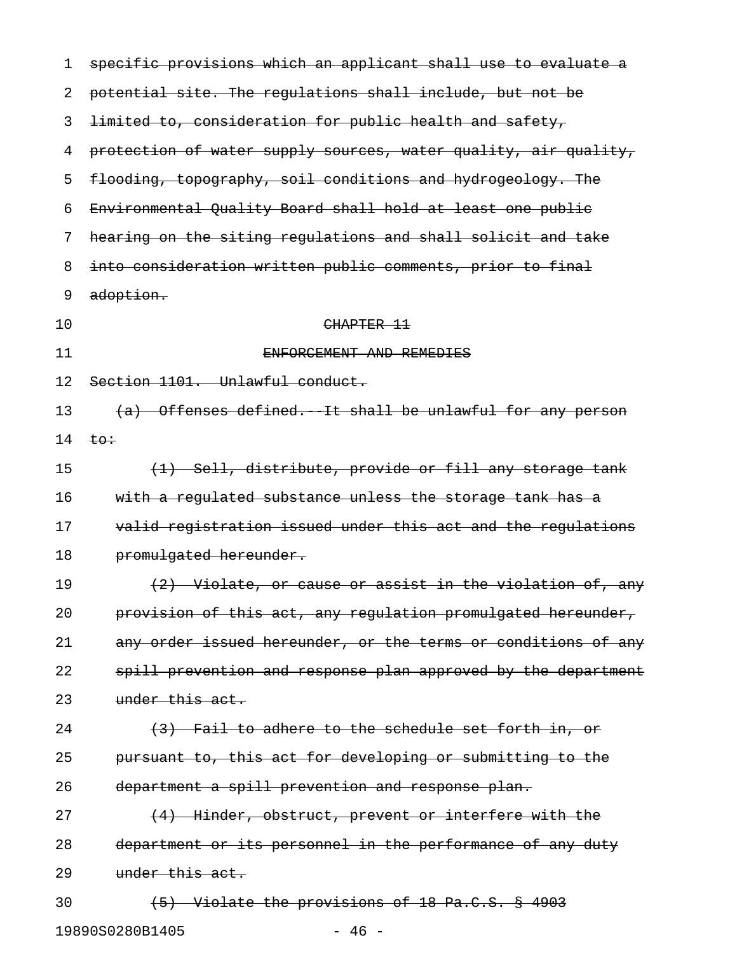| 1  | specific provisions which an applicant shall use to evaluate a  |
|----|-----------------------------------------------------------------|
| 2  | potential site. The regulations shall include, but not be       |
| 3  | limited to, consideration for public health and safety,         |
| 4  | protection of water supply sources, water quality, air quality, |
| 5  | flooding, topography, soil conditions and hydrogeology. The     |
| 6  | Environmental Quality Board shall hold at least one public      |
| 7  | hearing on the siting regulations and shall solicit and take    |
| 8  | into consideration written public comments, prior to final      |
| 9  | adoption.                                                       |
| 10 | CHAPTER 11                                                      |
| 11 | ENFORCEMENT AND REMEDIES                                        |
| 12 | Section 1101. Unlawful conduct.                                 |
| 13 | (a) Offenses defined. It shall be unlawful for any person       |
| 14 | $t\circ t$                                                      |
| 15 | (1) Sell, distribute, provide or fill any storage tank          |
| 16 | with a regulated substance unless the storage tank has a        |
| 17 | valid registration issued under this act and the regulations    |
| 18 | promulgated hereunder.                                          |
| 19 | (2) Violate, or cause or assist in the violation of, any        |
| 20 | provision of this act, any regulation promulgated hereunder,    |
| 21 | any order issued hereunder, or the terms or conditions of any   |
| 22 | spill prevention and response plan approved by the department   |
| 23 | under this act.                                                 |
| 24 | (3) Fail to adhere to the schedule set forth in, or             |
| 25 | pursuant to, this act for developing or submitting to the       |
| 26 | department a spill prevention and response plan.                |
| 27 | (4) Hinder, obstruct, prevent or interfere with the             |
| 28 | department or its personnel in the performance of any duty      |
| 29 | under this act.                                                 |
| 30 | (5) Violate the provisions of 18 Pa.C.S. § 4903                 |
|    | 19890S0280B1405<br>$-46 -$                                      |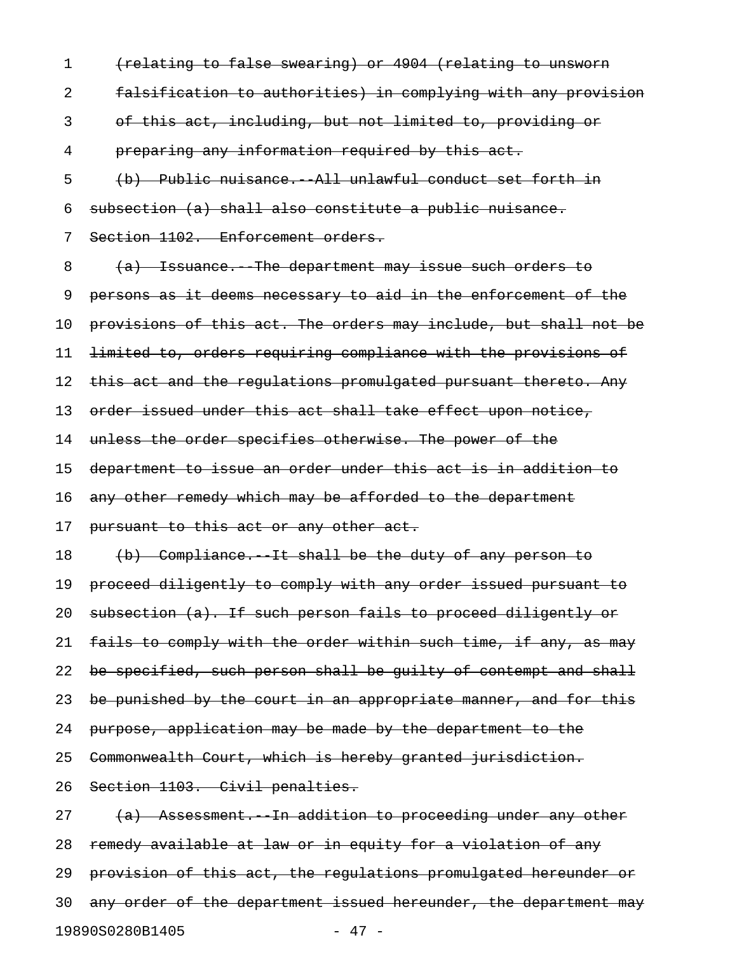1 (relating to false swearing) or 4904 (relating to unsworn 2 falsification to authorities) in complying with any provision 3 of this act, including, but not limited to, providing or 4 preparing any information required by this act. 5 (b) Public nuisance.--All unlawful conduct set forth in 6 subsection (a) shall also constitute a public nuisance. 7 Section 1102. Enforcement orders. 8 (a) Issuance. The department may issue such orders to 9 persons as it deems necessary to aid in the enforcement of the 10 provisions of this act. The orders may include, but shall not be 11 limited to, orders requiring compliance with the provisions of 12 this act and the regulations promulgated pursuant thereto. Any 13 order issued under this act shall take effect upon notice, 14 unless the order specifies otherwise. The power of the 15 department to issue an order under this act is in addition to 16 any other remedy which may be afforded to the department 17 pursuant to this act or any other act. 18 (b) Compliance. It shall be the duty of any person to 19 proceed diligently to comply with any order issued pursuant to 20 subsection (a). If such person fails to proceed diligently or 21 fails to comply with the order within such time, if any, as may 22 be specified, such person shall be guilty of contempt and shall 23 be punished by the court in an appropriate manner, and for this 24 purpose, application may be made by the department to the 25 Commonwealth Court, which is hereby granted jurisdiction. 26 Section 1103. Civil penalties.  $27$  (a) Assessment. In addition to proceeding under any other 28 remedy available at law or in equity for a violation of any 29 provision of this act, the regulations promulgated hereunder or 30 any order of the department issued hereunder, the department may

19890S0280B1405 - 47 -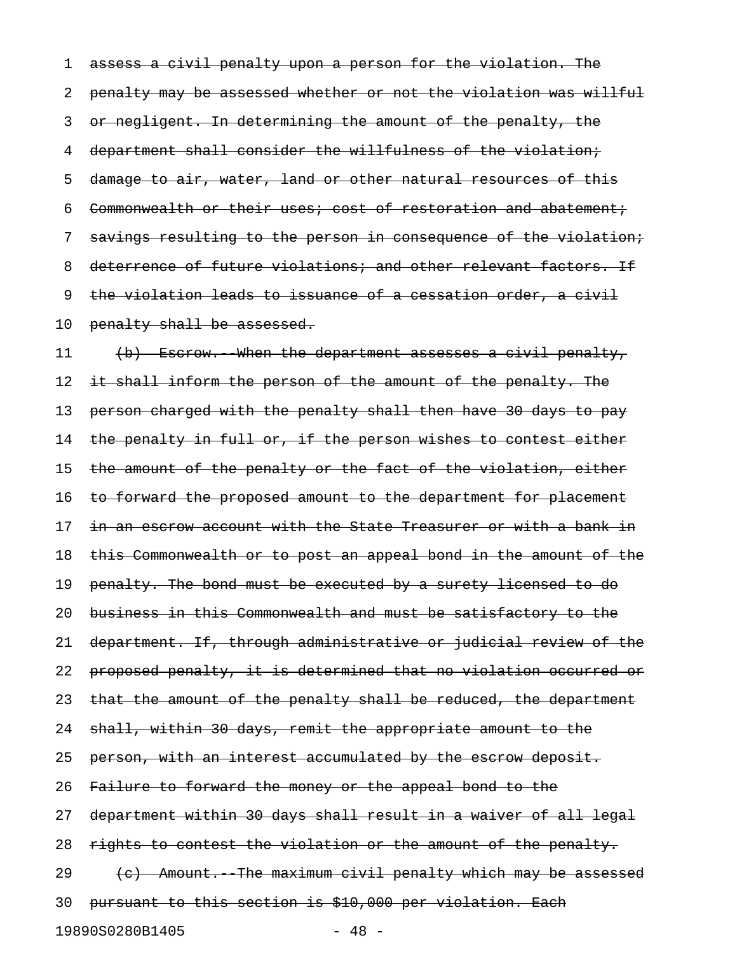1 assess a civil penalty upon a person for the violation. The 2 penalty may be assessed whether or not the violation was willful 3 or negligent. In determining the amount of the penalty, the 4 department shall consider the willfulness of the violation; 5 damage to air, water, land or other natural resources of this 6 Commonwealth or their uses; cost of restoration and abatement; 7 savings resulting to the person in consequence of the violation; 8 deterrence of future violations; and other relevant factors. If 9 the violation leads to issuance of a cessation order, a civil 10 penalty shall be assessed.

11 (b) Escrow. When the department assesses a civil penalty, 12 it shall inform the person of the amount of the penalty. The 13 person charged with the penalty shall then have 30 days to pay 14 the penalty in full or, if the person wishes to contest either 15 the amount of the penalty or the fact of the violation, either 16 to forward the proposed amount to the department for placement 17 in an escrow account with the State Treasurer or with a bank in 18 this Commonwealth or to post an appeal bond in the amount of the 19 penalty. The bond must be executed by a surety licensed to do 20 business in this Commonwealth and must be satisfactory to the 21 department. If, through administrative or judicial review of the 22 proposed penalty, it is determined that no violation occurred or 23 that the amount of the penalty shall be reduced, the department 24 shall, within 30 days, remit the appropriate amount to the 25 person, with an interest accumulated by the escrow deposit. 26 Failure to forward the money or the appeal bond to the 27 department within 30 days shall result in a waiver of all legal 28 rights to contest the violation or the amount of the penalty.  $29$  (c) Amount. The maximum civil penalty which may be assessed 30 pursuant to this section is \$10,000 per violation. Each 19890S0280B1405 - 48 -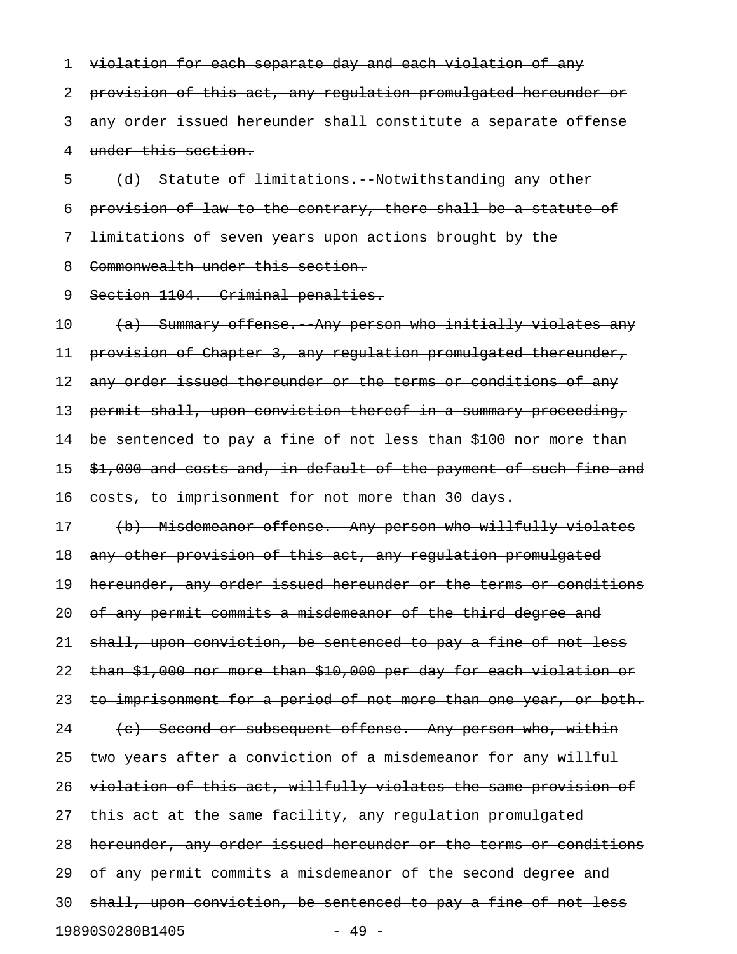1 violation for each separate day and each violation of any 2 provision of this act, any regulation promulgated hereunder or 3 any order issued hereunder shall constitute a separate offense 4 under this section.

5 (d) Statute of limitations. Notwithstanding any other 6 provision of law to the contrary, there shall be a statute of 7 limitations of seven years upon actions brought by the 8 Commonwealth under this section.

9 Section 1104. Criminal penalties.

10 (a) Summary offense. Any person who initially violates any 11 provision of Chapter 3, any regulation promulgated thereunder, 12 any order issued thereunder or the terms or conditions of any 13 permit shall, upon conviction thereof in a summary proceeding, 14 be sentenced to pay a fine of not less than \$100 nor more than 15 \$1,000 and costs and, in default of the payment of such fine and 16 costs, to imprisonment for not more than 30 days. 17 (b) Misdemeanor offense. Any person who willfully violates 18 any other provision of this act, any regulation promulgated 19 hereunder, any order issued hereunder or the terms or conditions 20 of any permit commits a misdemeanor of the third degree and 21 shall, upon conviction, be sentenced to pay a fine of not less 22 than \$1,000 nor more than \$10,000 per day for each violation or 23 to imprisonment for a period of not more than one year, or both.  $24$  (c) Second or subsequent offense. Any person who, within 25 two years after a conviction of a misdemeanor for any willful 26 violation of this act, willfully violates the same provision of 27 this act at the same facility, any regulation promulgated 28 hereunder, any order issued hereunder or the terms or conditions 29 of any permit commits a misdemeanor of the second degree and 30 shall, upon conviction, be sentenced to pay a fine of not less 19890S0280B1405 - 49 -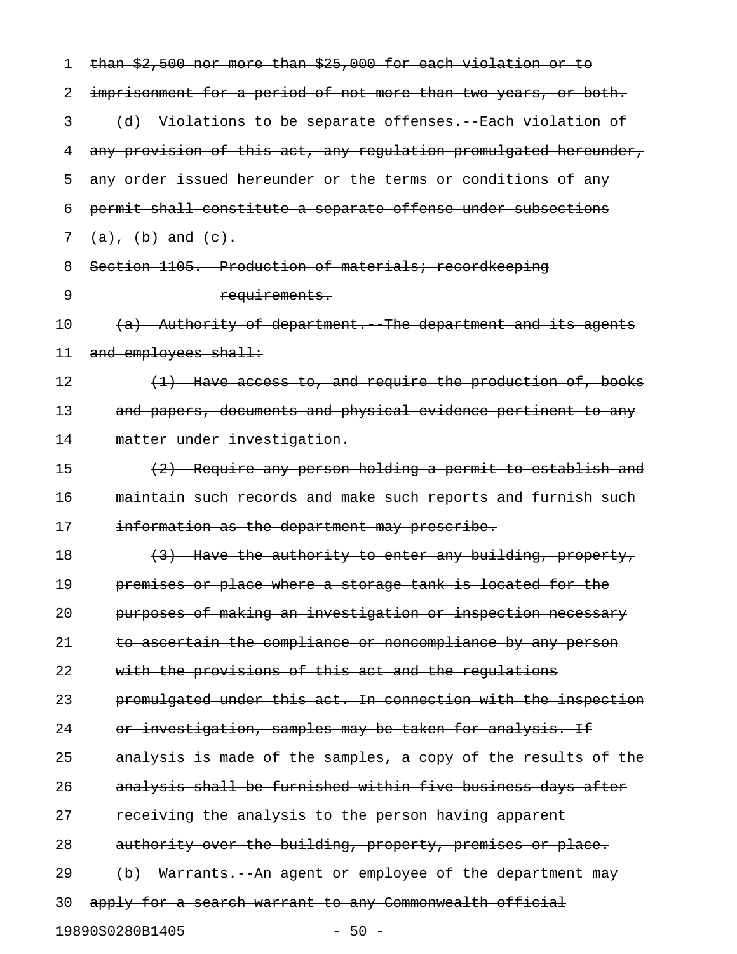| 1  | than \$2,500 nor more than \$25,000 for each violation or to     |
|----|------------------------------------------------------------------|
| 2  | imprisonment for a period of not more than two years, or both.   |
| 3  | (d) Violations to be separate offenses. Each violation of        |
| 4  | any provision of this act, any regulation promulgated hereunder, |
| 5  | any order issued hereunder or the terms or conditions of any     |
| 6  | permit shall constitute a separate offense under subsections     |
| 7  | $(a), (b)$ and $(e).$                                            |
| 8  | Section 1105. Production of materials; recordkeeping             |
| 9  | requirements.                                                    |
| 10 | (a) Authority of department. The department and its agents       |
| 11 | and employees shall:                                             |
| 12 | (1) Have access to, and require the production of, books         |
| 13 | and papers, documents and physical evidence pertinent to any     |
| 14 | matter under investigation.                                      |
| 15 | (2) Require any person holding a permit to establish and         |
| 16 | maintain such records and make such reports and furnish such     |
| 17 | information as the department may prescribe.                     |
| 18 | (3) Have the authority to enter any building, property,          |
| 19 | premises or place where a storage tank is located for the        |
| 20 | purposes of making an investigation or inspection necessary      |
| 21 | to ascertain the compliance or noncompliance by any person       |
| 22 | with the provisions of this act and the regulations              |
| 23 | promulgated under this act. In connection with the inspection    |
| 24 | or investigation, samples may be taken for analysis. If          |
| 25 | analysis is made of the samples, a copy of the results of the    |
| 26 | analysis shall be furnished within five business days after      |
| 27 | receiving the analysis to the person having apparent             |
| 28 | authority over the building, property, premises or place.        |
| 29 | (b) Warrants. An agent or employee of the department may         |
| 30 | apply for a search warrant to any Commonwealth official          |
|    | 19890S0280B1405<br>$-50 -$                                       |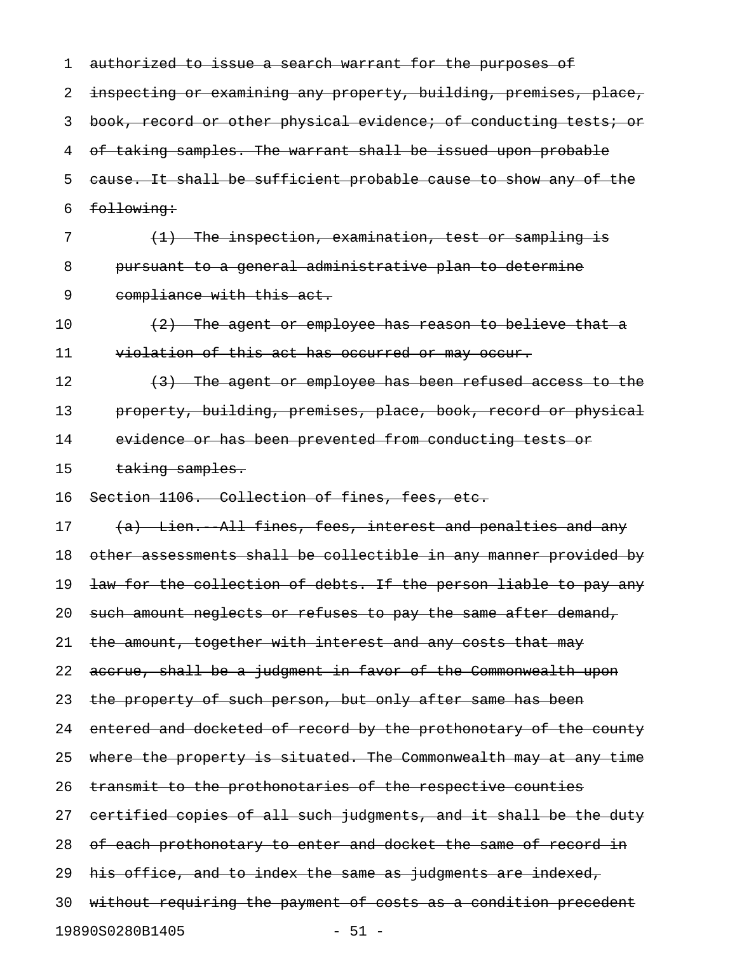| 1  | authorized to issue a search warrant for the purposes of         |
|----|------------------------------------------------------------------|
| 2  | inspecting or examining any property, building, premises, place, |
| 3  | book, record or other physical evidence; of conducting tests; or |
| 4  | of taking samples. The warrant shall be issued upon probable     |
| 5  | cause. It shall be sufficient probable cause to show any of the  |
| 6  | following:                                                       |
| 7  | <del>(1) The inspection, examination, test or sampling is</del>  |
| 8  | pursuant to a general administrative plan to determine           |
| 9  | compliance with this act.                                        |
| 10 | $(2)$ The agent or employee has reason to believe that a         |
| 11 | violation of this act has occurred or may occur.                 |
| 12 | (3) The agent or employee has been refused access to the         |
| 13 | property, building, premises, place, book, record or physical    |
| 14 | evidence or has been prevented from conducting tests or          |
| 15 | taking samples.                                                  |
| 16 | Section 1106. Collection of fines, fees, etc.                    |
| 17 | (a) Lien. All fines, fees, interest and penalties and any        |
| 18 | other assessments shall be collectible in any manner provided by |
| 19 | law for the collection of debts. If the person liable to pay any |
| 20 | such amount neglects or refuses to pay the same after demand,    |
| 21 | the amount, together with interest and any costs that may        |
| 22 | accrue, shall be a judgment in favor of the Commonwealth upon    |
| 23 | the property of such person, but only after same has been        |
| 24 | entered and docketed of record by the prothonotary of the county |
| 25 | where the property is situated. The Commonwealth may at any time |
| 26 | transmit to the prothonotaries of the respective counties        |
| 27 | certified copies of all such judgments, and it shall be the duty |
| 28 | of each prothonotary to enter and docket the same of record in   |
| 29 | his office, and to index the same as judgments are indexed,      |
| 30 | without requiring the payment of costs as a condition precedent  |
|    | 19890S0280B1405<br>$-51 -$                                       |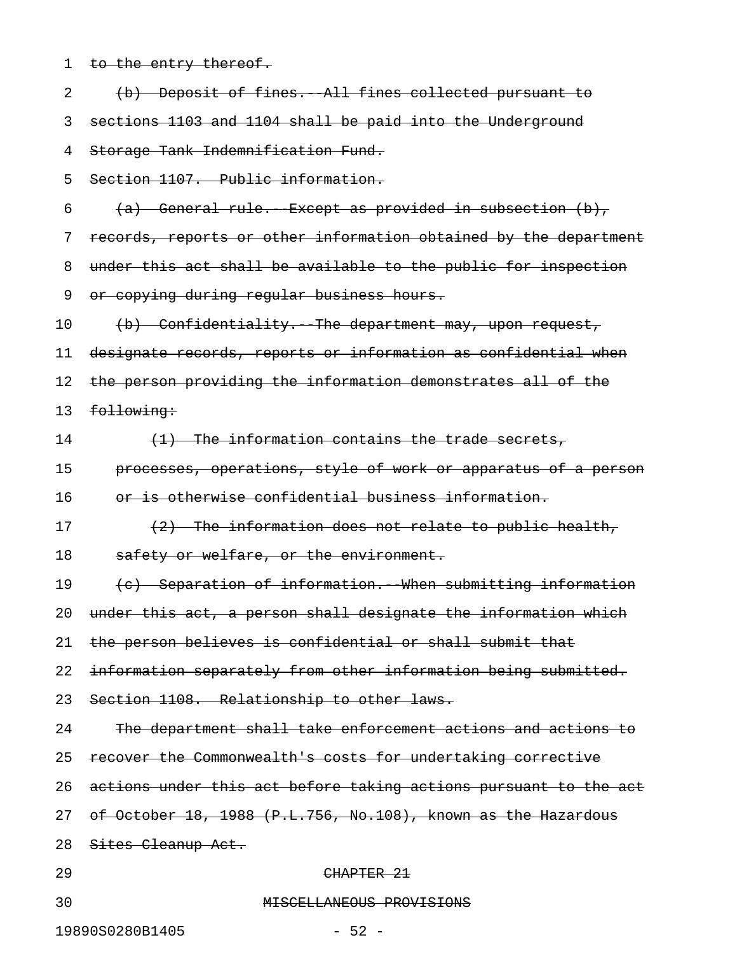| 1  | to the entry thereof.                                            |
|----|------------------------------------------------------------------|
| 2  | (b) Deposit of fines. All fines collected pursuant to            |
| 3  | sections 1103 and 1104 shall be paid into the Underground        |
| 4  | Storage Tank Indemnification Fund.                               |
| 5  | Section 1107. Public information.                                |
| 6  | $(a)$ General rule. Except as provided in subsection $(b)$ ,     |
| 7  | records, reports or other information obtained by the department |
| 8  | under this act shall be available to the public for inspection   |
| 9  | or copying during regular business hours.                        |
| 10 | (b) Confidentiality. The department may, upon request,           |
| 11 | designate records, reports or information as confidential when   |
| 12 | the person providing the information demonstrates all of the     |
| 13 | following:                                                       |
| 14 | (1) The information contains the trade secrets,                  |
| 15 | processes, operations, style of work or apparatus of a person    |
| 16 | or is otherwise confidential business information.               |
| 17 | $(2)$ The information does not relate to public health,          |
| 18 | safety or welfare, or the environment.                           |
| 19 | (c) Separation of information. When submitting information       |
| 20 | under this act, a person shall designate the information which   |
| 21 | the person believes is confidential or shall submit that         |
| 22 | information separately from other information being submitted.   |
| 23 | Section 1108. Relationship to other laws.                        |
| 24 | The department shall take enforcement actions and actions to     |
| 25 | recover the Commonwealth's costs for undertaking corrective      |
| 26 | actions under this act before taking actions pursuant to the act |
| 27 | of October 18, 1988 (P.L.756, No.108), known as the Hazardous    |
| 28 | Sites Cleanup Act.                                               |
| 29 | CHAPTER 21                                                       |
| 30 | MISCELLANEOUS PROVISIONS                                         |
|    |                                                                  |

19890S0280B1405 - 52 -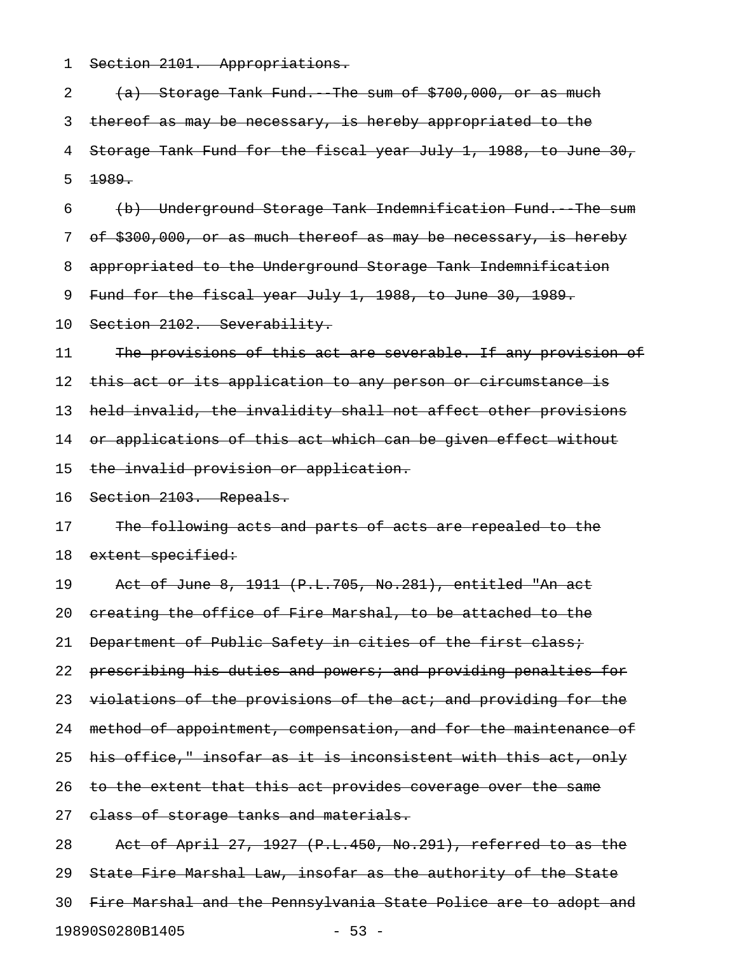1 Section 2101. Appropriations.

2  $(a)$  Storage Tank Fund. The sum of  $$700,000,$  or as much 3 thereof as may be necessary, is hereby appropriated to the 4 Storage Tank Fund for the fiscal year July 1, 1988, to June 30, 5 1989. 6 (b) Underground Storage Tank Indemnification Fund.--The sum 7 of \$300,000, or as much thereof as may be necessary, is hereby 8 appropriated to the Underground Storage Tank Indemnification 9 Fund for the fiscal year July 1, 1988, to June 30, 1989. 10 Section 2102. Severability. 11 The provisions of this act are severable. If any provision of 12 this act or its application to any person or circumstance is 13 held invalid, the invalidity shall not affect other provisions 14 or applications of this act which can be given effect without 15 the invalid provision or application. 16 Section 2103. Repeals. 17 The following acts and parts of acts are repealed to the 18 extent specified: 19 Act of June 8, 1911 (P.L.705, No.281), entitled "An act 20 creating the office of Fire Marshal, to be attached to the 21 Department of Public Safety in cities of the first class; 22 prescribing his duties and powers; and providing penalties for 23 violations of the provisions of the act; and providing for the 24 method of appointment, compensation, and for the maintenance of 25 his office," insofar as it is inconsistent with this act, only 26 to the extent that this act provides coverage over the same 27 elass of storage tanks and materials. 28 Act of April 27, 1927 (P.L.450, No.291), referred to as the 29 State Fire Marshal Law, insofar as the authority of the State 30 Fire Marshal and the Pennsylvania State Police are to adopt and 19890S0280B1405 - 53 -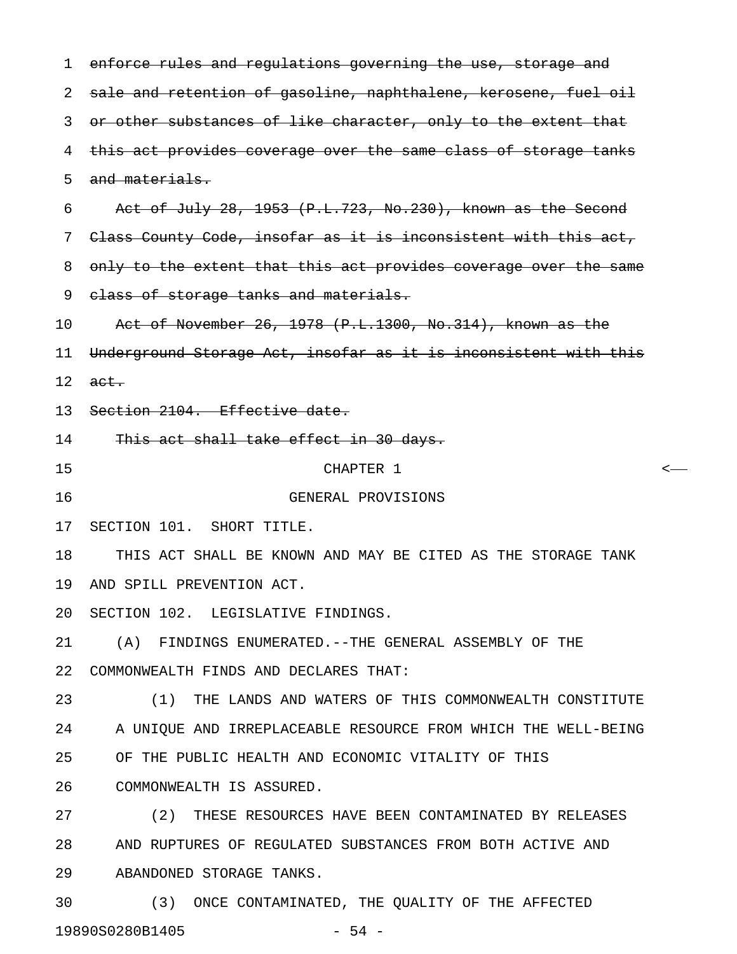1 enforce rules and regulations governing the use, storage and 2 sale and retention of gasoline, naphthalene, kerosene, fuel oil 3 or other substances of like character, only to the extent that 4 this act provides coverage over the same class of storage tanks 5 and materials. 6 Act of July 28, 1953  $(P.L.723, No.230)$ , known as the Second 7 Class County Code, insofar as it is inconsistent with this act, 8 only to the extent that this act provides coverage over the same 9 class of storage tanks and materials. 10 Act of November 26, 1978 (P.L.1300, No.314), known as the 11 Underground Storage Act, insofar as it is inconsistent with this  $12$  act. 13 Section 2104. Effective date. 14 This act shall take effect in 30 days. 15 CHAPTER 1 < 16 GENERAL PROVISIONS 17 SECTION 101. SHORT TITLE. 18 THIS ACT SHALL BE KNOWN AND MAY BE CITED AS THE STORAGE TANK 19 AND SPILL PREVENTION ACT. 20 SECTION 102. LEGISLATIVE FINDINGS. 21 (A) FINDINGS ENUMERATED.--THE GENERAL ASSEMBLY OF THE 22 COMMONWEALTH FINDS AND DECLARES THAT: 23 (1) THE LANDS AND WATERS OF THIS COMMONWEALTH CONSTITUTE 24 A UNIQUE AND IRREPLACEABLE RESOURCE FROM WHICH THE WELL-BEING 25 OF THE PUBLIC HEALTH AND ECONOMIC VITALITY OF THIS 26 COMMONWEALTH IS ASSURED. 27 (2) THESE RESOURCES HAVE BEEN CONTAMINATED BY RELEASES 28 AND RUPTURES OF REGULATED SUBSTANCES FROM BOTH ACTIVE AND 29 ABANDONED STORAGE TANKS. 30 (3) ONCE CONTAMINATED, THE QUALITY OF THE AFFECTED

19890S0280B1405 - 54 -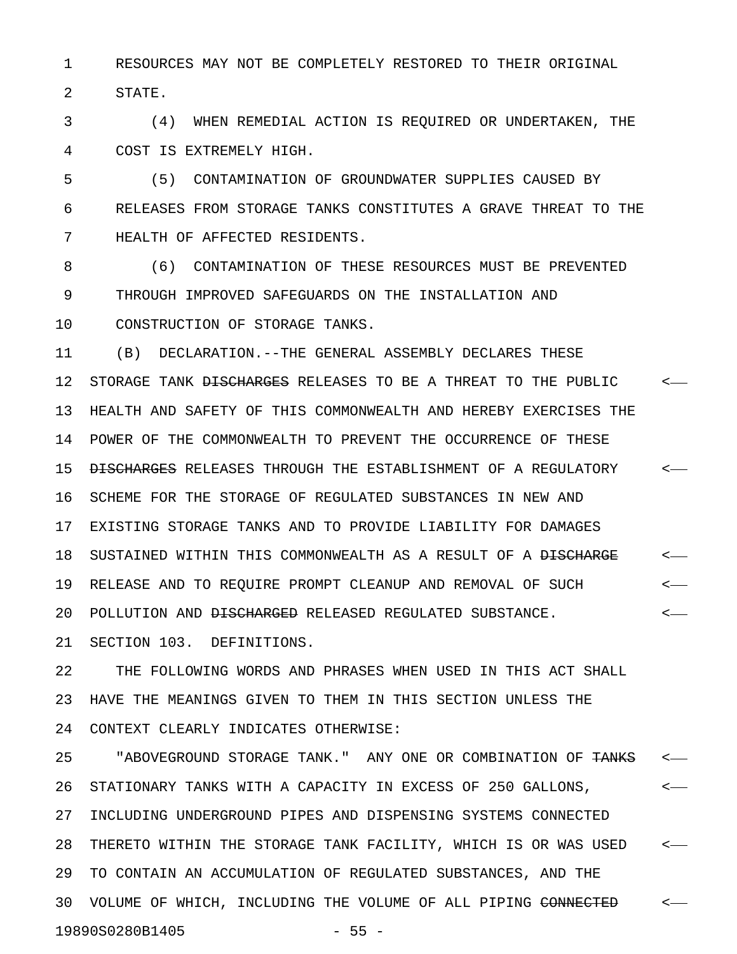1 RESOURCES MAY NOT BE COMPLETELY RESTORED TO THEIR ORIGINAL 2 STATE.

3 (4) WHEN REMEDIAL ACTION IS REQUIRED OR UNDERTAKEN, THE 4 COST IS EXTREMELY HIGH.

5 (5) CONTAMINATION OF GROUNDWATER SUPPLIES CAUSED BY 6 RELEASES FROM STORAGE TANKS CONSTITUTES A GRAVE THREAT TO THE 7 HEALTH OF AFFECTED RESIDENTS.

8 (6) CONTAMINATION OF THESE RESOURCES MUST BE PREVENTED 9 THROUGH IMPROVED SAFEGUARDS ON THE INSTALLATION AND 10 CONSTRUCTION OF STORAGE TANKS.

11 (B) DECLARATION.--THE GENERAL ASSEMBLY DECLARES THESE 12 STORAGE TANK <del>DISCHARGES</del> RELEASES TO BE A THREAT TO THE PUBLIC  $\sim$ -13 HEALTH AND SAFETY OF THIS COMMONWEALTH AND HEREBY EXERCISES THE 14 POWER OF THE COMMONWEALTH TO PREVENT THE OCCURRENCE OF THESE 15 DISCHARGES RELEASES THROUGH THE ESTABLISHMENT OF A REGULATORY  $\sim$ 16 SCHEME FOR THE STORAGE OF REGULATED SUBSTANCES IN NEW AND 17 EXISTING STORAGE TANKS AND TO PROVIDE LIABILITY FOR DAMAGES 18 SUSTAINED WITHIN THIS COMMONWEALTH AS A RESULT OF A <del>DISCHARGE</del> <-19 RELEASE AND TO REQUIRE PROMPT CLEANUP AND REMOVAL OF SUCH < 20 POLLUTION AND <del>DISCHARGED</del> RELEASED REGULATED SUBSTANCE.  $\leftarrow$ 

21 SECTION 103. DEFINITIONS.

22 THE FOLLOWING WORDS AND PHRASES WHEN USED IN THIS ACT SHALL 23 HAVE THE MEANINGS GIVEN TO THEM IN THIS SECTION UNLESS THE 24 CONTEXT CLEARLY INDICATES OTHERWISE:

25 "ABOVEGROUND STORAGE TANK." ANY ONE OR COMBINATION OF TANKS <-26 STATIONARY TANKS WITH A CAPACITY IN EXCESS OF 250 GALLONS, < 27 INCLUDING UNDERGROUND PIPES AND DISPENSING SYSTEMS CONNECTED 28 THERETO WITHIN THE STORAGE TANK FACILITY, WHICH IS OR WAS USED < 29 TO CONTAIN AN ACCUMULATION OF REGULATED SUBSTANCES, AND THE 30 VOLUME OF WHICH, INCLUDING THE VOLUME OF ALL PIPING CONNECTED  $\leftarrow$ 19890S0280B1405 - 55 -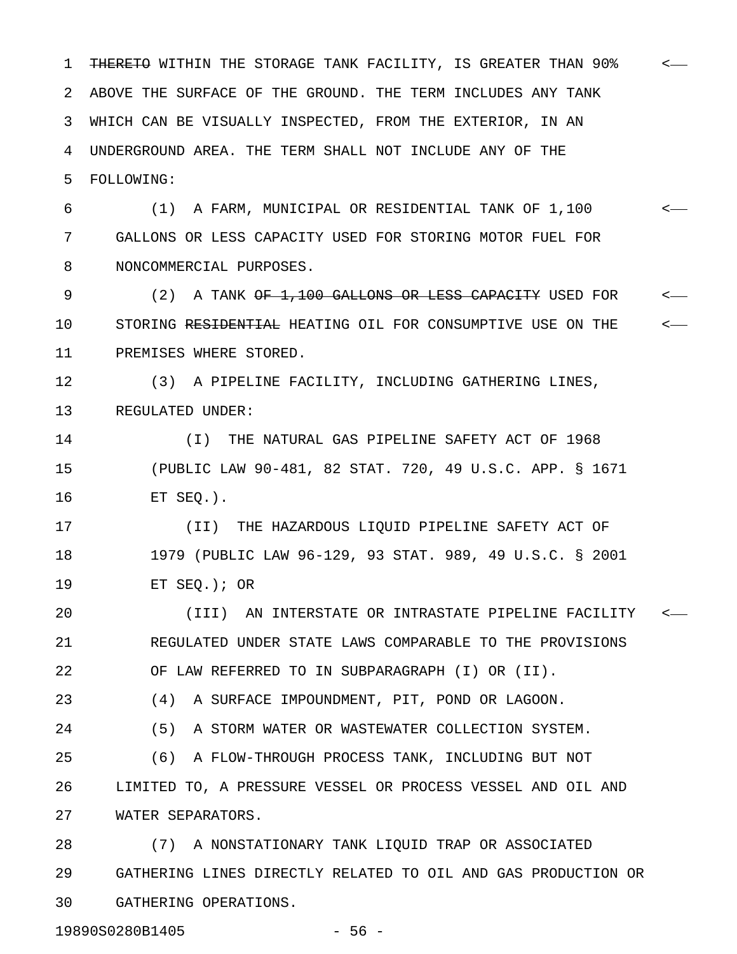1 THERETO WITHIN THE STORAGE TANK FACILITY, IS GREATER THAN 90% <-2 ABOVE THE SURFACE OF THE GROUND. THE TERM INCLUDES ANY TANK 3 WHICH CAN BE VISUALLY INSPECTED, FROM THE EXTERIOR, IN AN 4 UNDERGROUND AREA. THE TERM SHALL NOT INCLUDE ANY OF THE 5 FOLLOWING:

6 (1) A FARM, MUNICIPAL OR RESIDENTIAL TANK OF 1,100 < 7 GALLONS OR LESS CAPACITY USED FOR STORING MOTOR FUEL FOR 8 NONCOMMERCIAL PURPOSES.

9 (2) A TANK OF 1,100 GALLONS OR LESS CAPACITY USED FOR  $\sim$ 10 STORING RESIDENTIAL HEATING OIL FOR CONSUMPTIVE USE ON THE  $\sim$ 11 PREMISES WHERE STORED.

12 (3) A PIPELINE FACILITY, INCLUDING GATHERING LINES, 13 REGULATED UNDER:

14 (I) THE NATURAL GAS PIPELINE SAFETY ACT OF 1968 15 (PUBLIC LAW 90-481, 82 STAT. 720, 49 U.S.C. APP. § 1671 16 ET SEQ.).

17 (II) THE HAZARDOUS LIQUID PIPELINE SAFETY ACT OF 18 1979 (PUBLIC LAW 96-129, 93 STAT. 989, 49 U.S.C. § 2001 19 ET SEQ.); OR

20 (III) AN INTERSTATE OR INTRASTATE PIPELINE FACILITY < 21 REGULATED UNDER STATE LAWS COMPARABLE TO THE PROVISIONS 22 OF LAW REFERRED TO IN SUBPARAGRAPH (I) OR (II).

23 (4) A SURFACE IMPOUNDMENT, PIT, POND OR LAGOON.

24 (5) A STORM WATER OR WASTEWATER COLLECTION SYSTEM.

25 (6) A FLOW-THROUGH PROCESS TANK, INCLUDING BUT NOT 26 LIMITED TO, A PRESSURE VESSEL OR PROCESS VESSEL AND OIL AND 27 WATER SEPARATORS.

28 (7) A NONSTATIONARY TANK LIQUID TRAP OR ASSOCIATED 29 GATHERING LINES DIRECTLY RELATED TO OIL AND GAS PRODUCTION OR 30 GATHERING OPERATIONS.

19890S0280B1405 - 56 -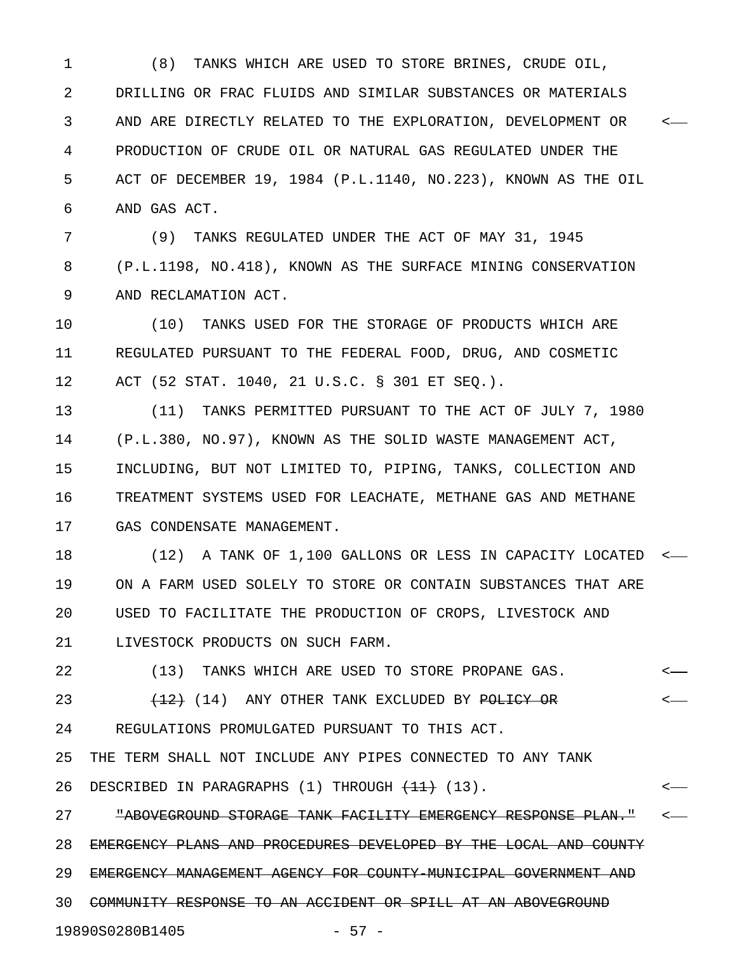1 (8) TANKS WHICH ARE USED TO STORE BRINES, CRUDE OIL, 2 DRILLING OR FRAC FLUIDS AND SIMILAR SUBSTANCES OR MATERIALS 3 AND ARE DIRECTLY RELATED TO THE EXPLORATION, DEVELOPMENT OR < 4 PRODUCTION OF CRUDE OIL OR NATURAL GAS REGULATED UNDER THE 5 ACT OF DECEMBER 19, 1984 (P.L.1140, NO.223), KNOWN AS THE OIL 6 AND GAS ACT.

7 (9) TANKS REGULATED UNDER THE ACT OF MAY 31, 1945 8 (P.L.1198, NO.418), KNOWN AS THE SURFACE MINING CONSERVATION 9 AND RECLAMATION ACT.

10 (10) TANKS USED FOR THE STORAGE OF PRODUCTS WHICH ARE 11 REGULATED PURSUANT TO THE FEDERAL FOOD, DRUG, AND COSMETIC 12 ACT (52 STAT. 1040, 21 U.S.C. § 301 ET SEQ.).

13 (11) TANKS PERMITTED PURSUANT TO THE ACT OF JULY 7, 1980 14 (P.L.380, NO.97), KNOWN AS THE SOLID WASTE MANAGEMENT ACT, 15 INCLUDING, BUT NOT LIMITED TO, PIPING, TANKS, COLLECTION AND 16 TREATMENT SYSTEMS USED FOR LEACHATE, METHANE GAS AND METHANE 17 GAS CONDENSATE MANAGEMENT.

18 (12) A TANK OF 1,100 GALLONS OR LESS IN CAPACITY LOCATED < 19 ON A FARM USED SOLELY TO STORE OR CONTAIN SUBSTANCES THAT ARE 20 USED TO FACILITATE THE PRODUCTION OF CROPS, LIVESTOCK AND 21 LIVESTOCK PRODUCTS ON SUCH FARM.

22 (13) TANKS WHICH ARE USED TO STORE PROPANE GAS. < 23  $(14)$  ANY OTHER TANK EXCLUDED BY <del>POLICY OR</del> <-24 REGULATIONS PROMULGATED PURSUANT TO THIS ACT. 25 THE TERM SHALL NOT INCLUDE ANY PIPES CONNECTED TO ANY TANK 26 DESCRIBED IN PARAGRAPHS (1) THROUGH <del>(11)</del> (13). <-27 **"ABOVEGROUND STORAGE TANK FACILITY EMERGENCY RESPONSE PLAN."** <-

28 EMERGENCY PLANS AND PROCEDURES DEVELOPED BY THE LOCAL AND COUNTY 29 EMERGENCY MANAGEMENT AGENCY FOR COUNTY-MUNICIPAL GOVERNMENT AND 30 COMMUNITY RESPONSE TO AN ACCIDENT OR SPILL AT AN ABOVEGROUND 19890S0280B1405 - 57 -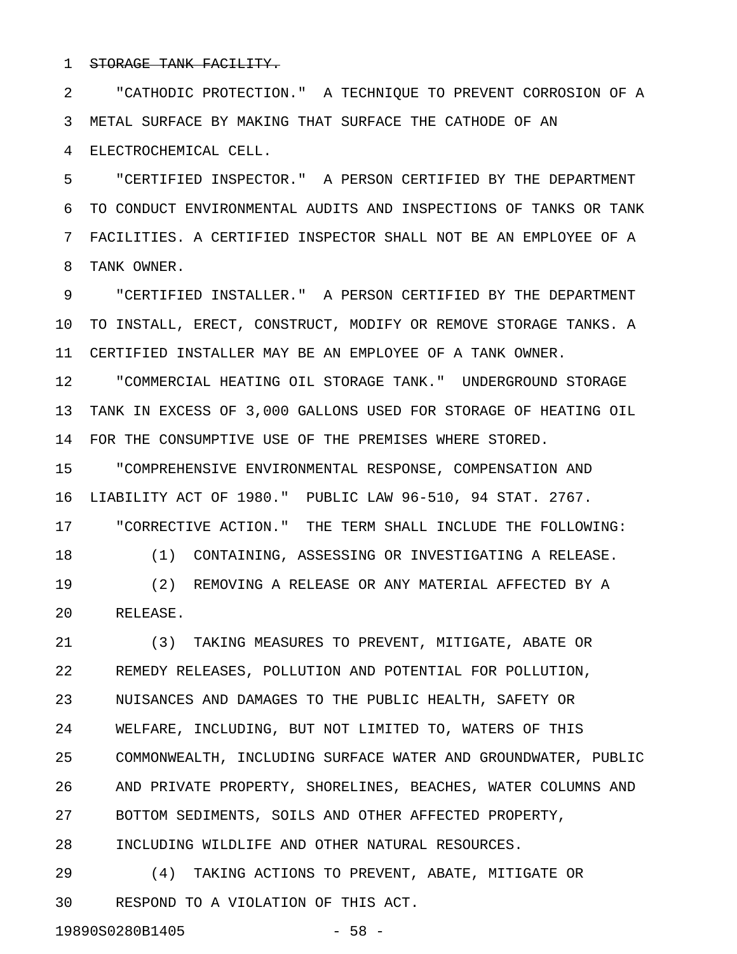## 1 STORAGE TANK FACILITY.

2 "CATHODIC PROTECTION." A TECHNIQUE TO PREVENT CORROSION OF A 3 METAL SURFACE BY MAKING THAT SURFACE THE CATHODE OF AN 4 ELECTROCHEMICAL CELL.

5 "CERTIFIED INSPECTOR." A PERSON CERTIFIED BY THE DEPARTMENT 6 TO CONDUCT ENVIRONMENTAL AUDITS AND INSPECTIONS OF TANKS OR TANK 7 FACILITIES. A CERTIFIED INSPECTOR SHALL NOT BE AN EMPLOYEE OF A 8 TANK OWNER.

9 "CERTIFIED INSTALLER." A PERSON CERTIFIED BY THE DEPARTMENT 10 TO INSTALL, ERECT, CONSTRUCT, MODIFY OR REMOVE STORAGE TANKS. A 11 CERTIFIED INSTALLER MAY BE AN EMPLOYEE OF A TANK OWNER.

12 "COMMERCIAL HEATING OIL STORAGE TANK." UNDERGROUND STORAGE 13 TANK IN EXCESS OF 3,000 GALLONS USED FOR STORAGE OF HEATING OIL 14 FOR THE CONSUMPTIVE USE OF THE PREMISES WHERE STORED.

15 "COMPREHENSIVE ENVIRONMENTAL RESPONSE, COMPENSATION AND 16 LIABILITY ACT OF 1980." PUBLIC LAW 96-510, 94 STAT. 2767.

17 "CORRECTIVE ACTION." THE TERM SHALL INCLUDE THE FOLLOWING: 18 (1) CONTAINING, ASSESSING OR INVESTIGATING A RELEASE. 19 (2) REMOVING A RELEASE OR ANY MATERIAL AFFECTED BY A

20 RELEASE.

21 (3) TAKING MEASURES TO PREVENT, MITIGATE, ABATE OR 22 REMEDY RELEASES, POLLUTION AND POTENTIAL FOR POLLUTION, 23 NUISANCES AND DAMAGES TO THE PUBLIC HEALTH, SAFETY OR 24 WELFARE, INCLUDING, BUT NOT LIMITED TO, WATERS OF THIS 25 COMMONWEALTH, INCLUDING SURFACE WATER AND GROUNDWATER, PUBLIC 26 AND PRIVATE PROPERTY, SHORELINES, BEACHES, WATER COLUMNS AND 27 BOTTOM SEDIMENTS, SOILS AND OTHER AFFECTED PROPERTY, 28 INCLUDING WILDLIFE AND OTHER NATURAL RESOURCES.

29 (4) TAKING ACTIONS TO PREVENT, ABATE, MITIGATE OR 30 RESPOND TO A VIOLATION OF THIS ACT.

19890S0280B1405 - 58 -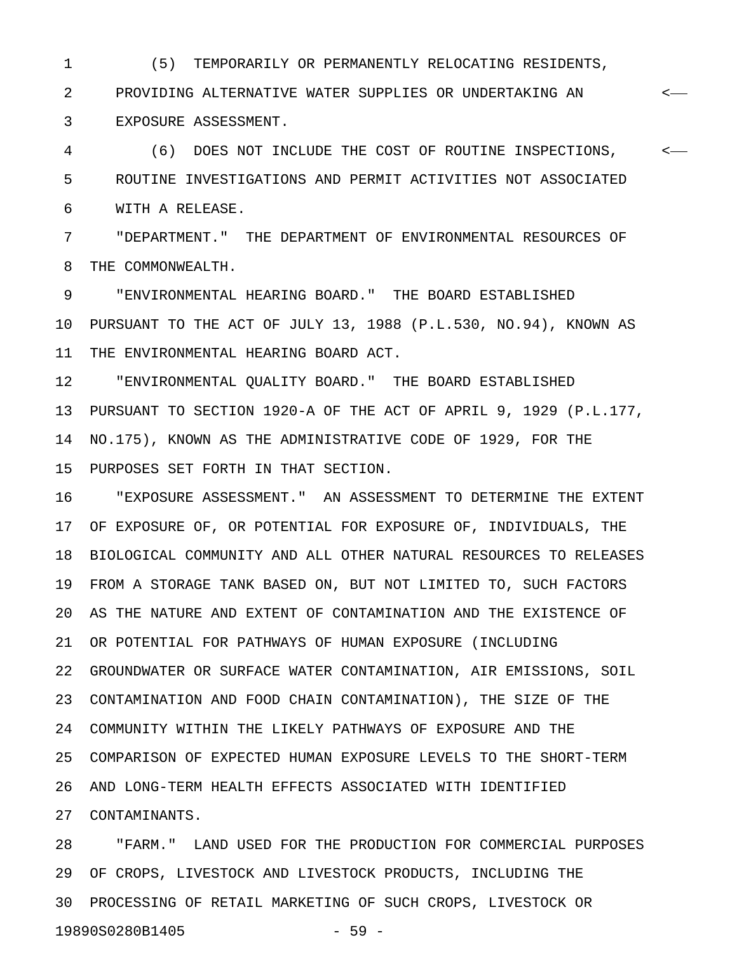1 (5) TEMPORARILY OR PERMANENTLY RELOCATING RESIDENTS,

2 PROVIDING ALTERNATIVE WATER SUPPLIES OR UNDERTAKING AN < 3 EXPOSURE ASSESSMENT.

4 (6) DOES NOT INCLUDE THE COST OF ROUTINE INSPECTIONS, < 5 ROUTINE INVESTIGATIONS AND PERMIT ACTIVITIES NOT ASSOCIATED 6 WITH A RELEASE.

7 "DEPARTMENT." THE DEPARTMENT OF ENVIRONMENTAL RESOURCES OF 8 THE COMMONWEALTH.

9 "ENVIRONMENTAL HEARING BOARD." THE BOARD ESTABLISHED 10 PURSUANT TO THE ACT OF JULY 13, 1988 (P.L.530, NO.94), KNOWN AS 11 THE ENVIRONMENTAL HEARING BOARD ACT.

12 "ENVIRONMENTAL QUALITY BOARD." THE BOARD ESTABLISHED 13 PURSUANT TO SECTION 1920-A OF THE ACT OF APRIL 9, 1929 (P.L.177, 14 NO.175), KNOWN AS THE ADMINISTRATIVE CODE OF 1929, FOR THE 15 PURPOSES SET FORTH IN THAT SECTION.

16 "EXPOSURE ASSESSMENT." AN ASSESSMENT TO DETERMINE THE EXTENT 17 OF EXPOSURE OF, OR POTENTIAL FOR EXPOSURE OF, INDIVIDUALS, THE 18 BIOLOGICAL COMMUNITY AND ALL OTHER NATURAL RESOURCES TO RELEASES 19 FROM A STORAGE TANK BASED ON, BUT NOT LIMITED TO, SUCH FACTORS 20 AS THE NATURE AND EXTENT OF CONTAMINATION AND THE EXISTENCE OF 21 OR POTENTIAL FOR PATHWAYS OF HUMAN EXPOSURE (INCLUDING 22 GROUNDWATER OR SURFACE WATER CONTAMINATION, AIR EMISSIONS, SOIL 23 CONTAMINATION AND FOOD CHAIN CONTAMINATION), THE SIZE OF THE 24 COMMUNITY WITHIN THE LIKELY PATHWAYS OF EXPOSURE AND THE 25 COMPARISON OF EXPECTED HUMAN EXPOSURE LEVELS TO THE SHORT-TERM 26 AND LONG-TERM HEALTH EFFECTS ASSOCIATED WITH IDENTIFIED 27 CONTAMINANTS.

28 "FARM." LAND USED FOR THE PRODUCTION FOR COMMERCIAL PURPOSES 29 OF CROPS, LIVESTOCK AND LIVESTOCK PRODUCTS, INCLUDING THE 30 PROCESSING OF RETAIL MARKETING OF SUCH CROPS, LIVESTOCK OR 19890S0280B1405 - 59 -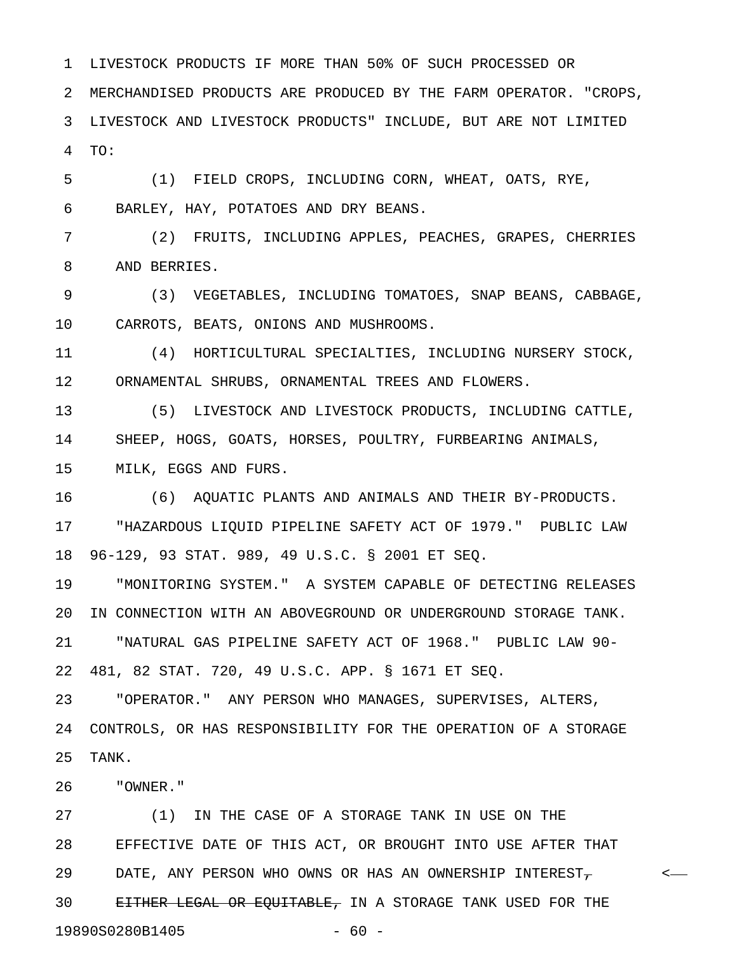2 MERCHANDISED PRODUCTS ARE PRODUCED BY THE FARM OPERATOR. "CROPS, 3 LIVESTOCK AND LIVESTOCK PRODUCTS" INCLUDE, BUT ARE NOT LIMITED 4 TO:

5 (1) FIELD CROPS, INCLUDING CORN, WHEAT, OATS, RYE, 6 BARLEY, HAY, POTATOES AND DRY BEANS.

1 LIVESTOCK PRODUCTS IF MORE THAN 50% OF SUCH PROCESSED OR

7 (2) FRUITS, INCLUDING APPLES, PEACHES, GRAPES, CHERRIES 8 AND BERRIES.

9 (3) VEGETABLES, INCLUDING TOMATOES, SNAP BEANS, CABBAGE, 10 CARROTS, BEATS, ONIONS AND MUSHROOMS.

11 (4) HORTICULTURAL SPECIALTIES, INCLUDING NURSERY STOCK, 12 ORNAMENTAL SHRUBS, ORNAMENTAL TREES AND FLOWERS.

13 (5) LIVESTOCK AND LIVESTOCK PRODUCTS, INCLUDING CATTLE, 14 SHEEP, HOGS, GOATS, HORSES, POULTRY, FURBEARING ANIMALS, 15 MILK, EGGS AND FURS.

16 (6) AQUATIC PLANTS AND ANIMALS AND THEIR BY-PRODUCTS. 17 "HAZARDOUS LIQUID PIPELINE SAFETY ACT OF 1979." PUBLIC LAW 18 96-129, 93 STAT. 989, 49 U.S.C. § 2001 ET SEQ.

19 "MONITORING SYSTEM." A SYSTEM CAPABLE OF DETECTING RELEASES 20 IN CONNECTION WITH AN ABOVEGROUND OR UNDERGROUND STORAGE TANK. 21 "NATURAL GAS PIPELINE SAFETY ACT OF 1968." PUBLIC LAW 90- 22 481, 82 STAT. 720, 49 U.S.C. APP. § 1671 ET SEQ.

23 "OPERATOR." ANY PERSON WHO MANAGES, SUPERVISES, ALTERS, 24 CONTROLS, OR HAS RESPONSIBILITY FOR THE OPERATION OF A STORAGE 25 TANK.

26 "OWNER."

27 (1) IN THE CASE OF A STORAGE TANK IN USE ON THE 28 EFFECTIVE DATE OF THIS ACT, OR BROUGHT INTO USE AFTER THAT 29 DATE, ANY PERSON WHO OWNS OR HAS AN OWNERSHIP INTEREST-30 EITHER LEGAL OR EQUITABLE, IN A STORAGE TANK USED FOR THE 19890S0280B1405 - 60 -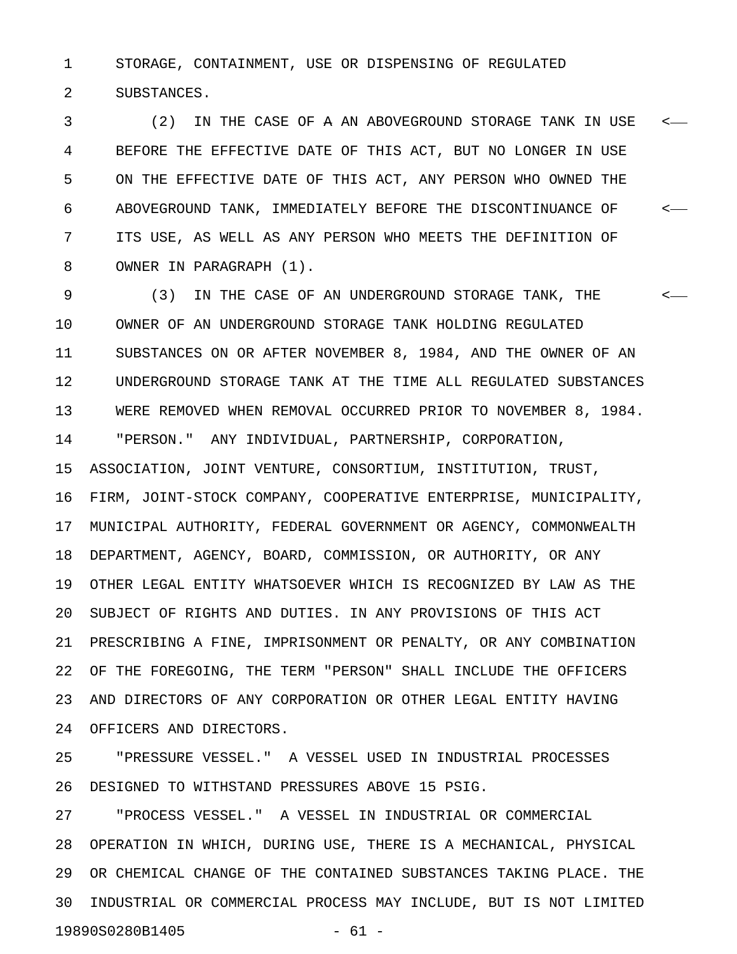1 STORAGE, CONTAINMENT, USE OR DISPENSING OF REGULATED 2 SUBSTANCES.

3 (2) IN THE CASE OF A AN ABOVEGROUND STORAGE TANK IN USE < 4 BEFORE THE EFFECTIVE DATE OF THIS ACT, BUT NO LONGER IN USE 5 ON THE EFFECTIVE DATE OF THIS ACT, ANY PERSON WHO OWNED THE 6 ABOVEGROUND TANK, IMMEDIATELY BEFORE THE DISCONTINUANCE OF < 7 ITS USE, AS WELL AS ANY PERSON WHO MEETS THE DEFINITION OF 8 OWNER IN PARAGRAPH (1).

9 (3) IN THE CASE OF AN UNDERGROUND STORAGE TANK, THE < 10 OWNER OF AN UNDERGROUND STORAGE TANK HOLDING REGULATED 11 SUBSTANCES ON OR AFTER NOVEMBER 8, 1984, AND THE OWNER OF AN 12 UNDERGROUND STORAGE TANK AT THE TIME ALL REGULATED SUBSTANCES 13 WERE REMOVED WHEN REMOVAL OCCURRED PRIOR TO NOVEMBER 8, 1984. 14 "PERSON." ANY INDIVIDUAL, PARTNERSHIP, CORPORATION, 15 ASSOCIATION, JOINT VENTURE, CONSORTIUM, INSTITUTION, TRUST, 16 FIRM, JOINT-STOCK COMPANY, COOPERATIVE ENTERPRISE, MUNICIPALITY, 17 MUNICIPAL AUTHORITY, FEDERAL GOVERNMENT OR AGENCY, COMMONWEALTH 18 DEPARTMENT, AGENCY, BOARD, COMMISSION, OR AUTHORITY, OR ANY 19 OTHER LEGAL ENTITY WHATSOEVER WHICH IS RECOGNIZED BY LAW AS THE 20 SUBJECT OF RIGHTS AND DUTIES. IN ANY PROVISIONS OF THIS ACT 21 PRESCRIBING A FINE, IMPRISONMENT OR PENALTY, OR ANY COMBINATION 22 OF THE FOREGOING, THE TERM "PERSON" SHALL INCLUDE THE OFFICERS 23 AND DIRECTORS OF ANY CORPORATION OR OTHER LEGAL ENTITY HAVING 24 OFFICERS AND DIRECTORS.

25 "PRESSURE VESSEL." A VESSEL USED IN INDUSTRIAL PROCESSES 26 DESIGNED TO WITHSTAND PRESSURES ABOVE 15 PSIG.

27 "PROCESS VESSEL." A VESSEL IN INDUSTRIAL OR COMMERCIAL 28 OPERATION IN WHICH, DURING USE, THERE IS A MECHANICAL, PHYSICAL 29 OR CHEMICAL CHANGE OF THE CONTAINED SUBSTANCES TAKING PLACE. THE 30 INDUSTRIAL OR COMMERCIAL PROCESS MAY INCLUDE, BUT IS NOT LIMITED 19890S0280B1405 - 61 -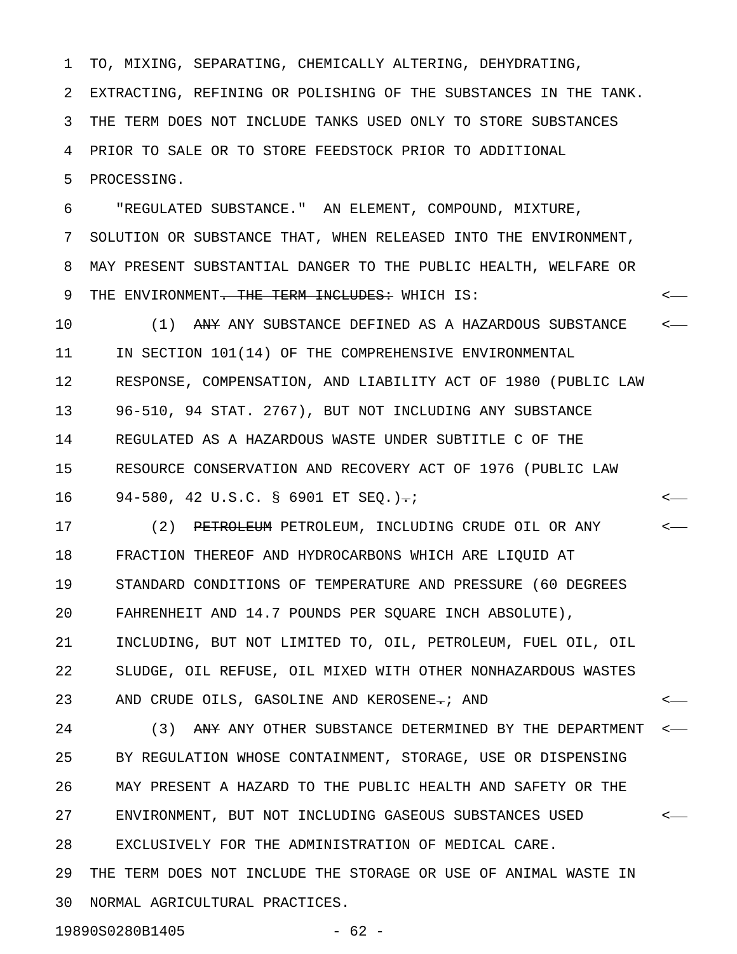1 TO, MIXING, SEPARATING, CHEMICALLY ALTERING, DEHYDRATING,

2 EXTRACTING, REFINING OR POLISHING OF THE SUBSTANCES IN THE TANK.

3 THE TERM DOES NOT INCLUDE TANKS USED ONLY TO STORE SUBSTANCES

4 PRIOR TO SALE OR TO STORE FEEDSTOCK PRIOR TO ADDITIONAL

5 PROCESSING.

6 "REGULATED SUBSTANCE." AN ELEMENT, COMPOUND, MIXTURE,

7 SOLUTION OR SUBSTANCE THAT, WHEN RELEASED INTO THE ENVIRONMENT, 8 MAY PRESENT SUBSTANTIAL DANGER TO THE PUBLIC HEALTH, WELFARE OR 9 THE ENVIRONMENT<del>. THE TERM INCLUDES:</del> WHICH IS:  $\leq$ 

10 (1) ANY ANY SUBSTANCE DEFINED AS A HAZARDOUS SUBSTANCE  $\sim$ 11 IN SECTION 101(14) OF THE COMPREHENSIVE ENVIRONMENTAL 12 RESPONSE, COMPENSATION, AND LIABILITY ACT OF 1980 (PUBLIC LAW 13 96-510, 94 STAT. 2767), BUT NOT INCLUDING ANY SUBSTANCE 14 REGULATED AS A HAZARDOUS WASTE UNDER SUBTITLE C OF THE 15 RESOURCE CONSERVATION AND RECOVERY ACT OF 1976 (PUBLIC LAW 16 94–580, 42 U.S.C. § 6901 ET SEQ.) -;

17 (2) <del>PETROLEUM</del> PETROLEUM, INCLUDING CRUDE OIL OR ANY  $\longleftarrow$ 18 FRACTION THEREOF AND HYDROCARBONS WHICH ARE LIQUID AT 19 STANDARD CONDITIONS OF TEMPERATURE AND PRESSURE (60 DEGREES 20 FAHRENHEIT AND 14.7 POUNDS PER SQUARE INCH ABSOLUTE), 21 INCLUDING, BUT NOT LIMITED TO, OIL, PETROLEUM, FUEL OIL, OIL 22 SLUDGE, OIL REFUSE, OIL MIXED WITH OTHER NONHAZARDOUS WASTES 23 AND CRUDE OILS, GASOLINE AND KEROSENE-; AND

24 (3) ANY ANY OTHER SUBSTANCE DETERMINED BY THE DEPARTMENT <-25 BY REGULATION WHOSE CONTAINMENT, STORAGE, USE OR DISPENSING 26 MAY PRESENT A HAZARD TO THE PUBLIC HEALTH AND SAFETY OR THE 27 ENVIRONMENT, BUT NOT INCLUDING GASEOUS SUBSTANCES USED < 28 EXCLUSIVELY FOR THE ADMINISTRATION OF MEDICAL CARE. 29 THE TERM DOES NOT INCLUDE THE STORAGE OR USE OF ANIMAL WASTE IN 30 NORMAL AGRICULTURAL PRACTICES.

19890S0280B1405 - 62 -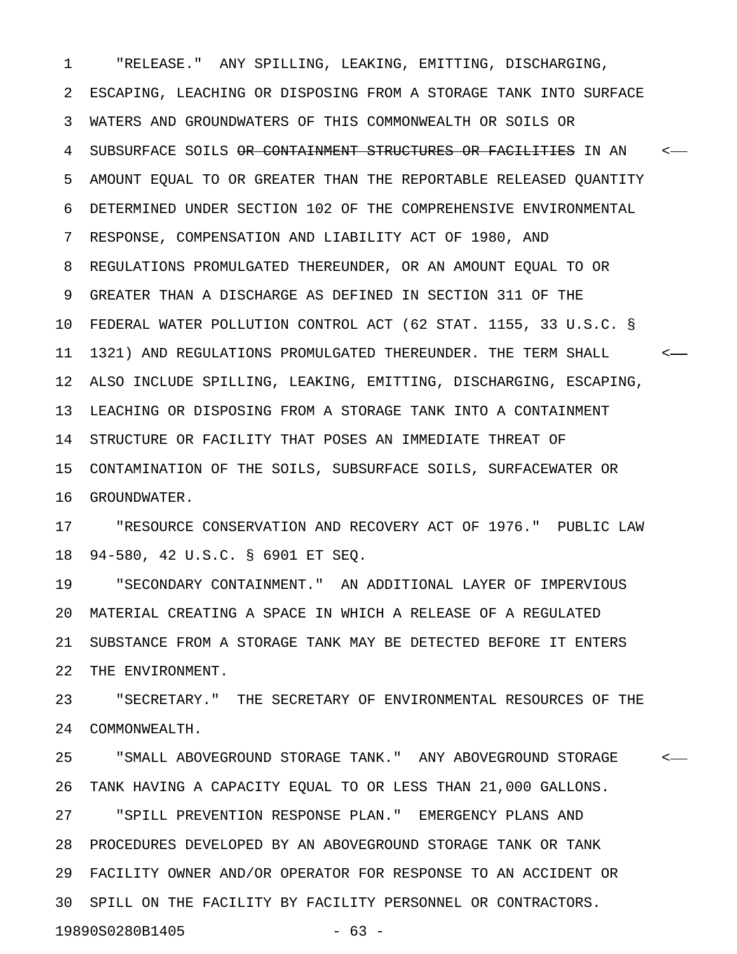1 "RELEASE." ANY SPILLING, LEAKING, EMITTING, DISCHARGING, 2 ESCAPING, LEACHING OR DISPOSING FROM A STORAGE TANK INTO SURFACE 3 WATERS AND GROUNDWATERS OF THIS COMMONWEALTH OR SOILS OR 4 SUBSURFACE SOILS OR CONTAINMENT STRUCTURES OR FACILITIES IN AN <-5 AMOUNT EQUAL TO OR GREATER THAN THE REPORTABLE RELEASED QUANTITY 6 DETERMINED UNDER SECTION 102 OF THE COMPREHENSIVE ENVIRONMENTAL 7 RESPONSE, COMPENSATION AND LIABILITY ACT OF 1980, AND 8 REGULATIONS PROMULGATED THEREUNDER, OR AN AMOUNT EQUAL TO OR 9 GREATER THAN A DISCHARGE AS DEFINED IN SECTION 311 OF THE 10 FEDERAL WATER POLLUTION CONTROL ACT (62 STAT. 1155, 33 U.S.C. § 11 1321) AND REGULATIONS PROMULGATED THEREUNDER. THE TERM SHALL < 12 ALSO INCLUDE SPILLING, LEAKING, EMITTING, DISCHARGING, ESCAPING, 13 LEACHING OR DISPOSING FROM A STORAGE TANK INTO A CONTAINMENT 14 STRUCTURE OR FACILITY THAT POSES AN IMMEDIATE THREAT OF 15 CONTAMINATION OF THE SOILS, SUBSURFACE SOILS, SURFACEWATER OR 16 GROUNDWATER.

17 "RESOURCE CONSERVATION AND RECOVERY ACT OF 1976." PUBLIC LAW 18 94-580, 42 U.S.C. § 6901 ET SEQ.

19 "SECONDARY CONTAINMENT." AN ADDITIONAL LAYER OF IMPERVIOUS 20 MATERIAL CREATING A SPACE IN WHICH A RELEASE OF A REGULATED 21 SUBSTANCE FROM A STORAGE TANK MAY BE DETECTED BEFORE IT ENTERS 22 THE ENVIRONMENT.

23 "SECRETARY." THE SECRETARY OF ENVIRONMENTAL RESOURCES OF THE 24 COMMONWEALTH.

25 "SMALL ABOVEGROUND STORAGE TANK." ANY ABOVEGROUND STORAGE < 26 TANK HAVING A CAPACITY EQUAL TO OR LESS THAN 21,000 GALLONS. 27 "SPILL PREVENTION RESPONSE PLAN." EMERGENCY PLANS AND 28 PROCEDURES DEVELOPED BY AN ABOVEGROUND STORAGE TANK OR TANK 29 FACILITY OWNER AND/OR OPERATOR FOR RESPONSE TO AN ACCIDENT OR 30 SPILL ON THE FACILITY BY FACILITY PERSONNEL OR CONTRACTORS. 19890S0280B1405 - 63 -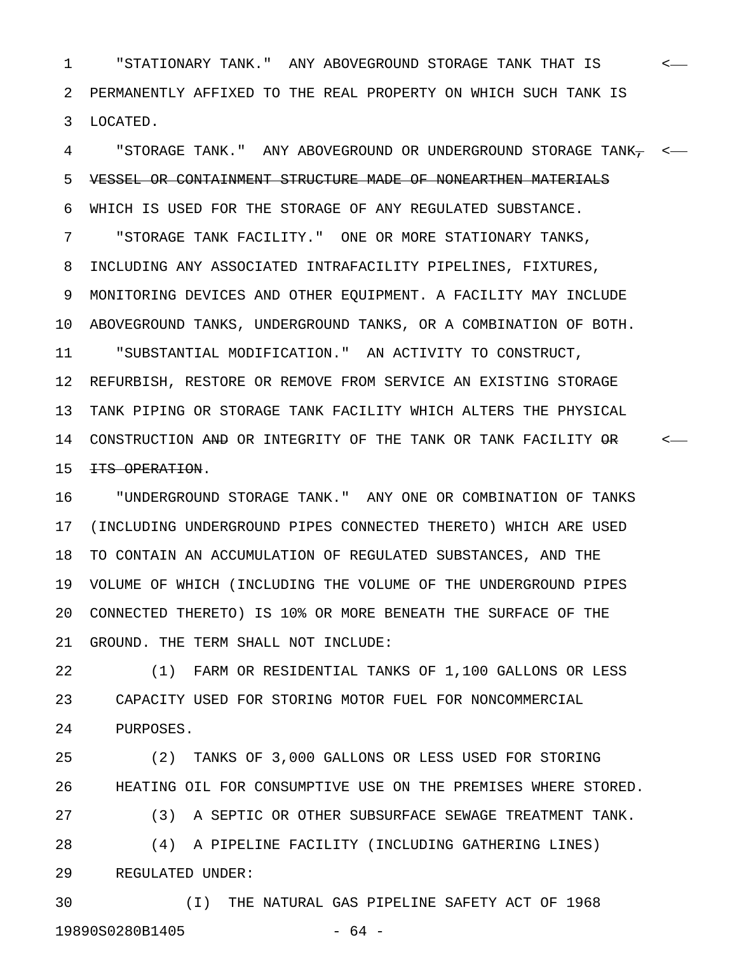1 "STATIONARY TANK." ANY ABOVEGROUND STORAGE TANK THAT IS < 2 PERMANENTLY AFFIXED TO THE REAL PROPERTY ON WHICH SUCH TANK IS 3 LOCATED.

4 "STORAGE TANK." ANY ABOVEGROUND OR UNDERGROUND STORAGE TANK, < 5 VESSEL OR CONTAINMENT STRUCTURE MADE OF NONEARTHEN MATERIALS 6 WHICH IS USED FOR THE STORAGE OF ANY REGULATED SUBSTANCE. 7 "STORAGE TANK FACILITY." ONE OR MORE STATIONARY TANKS, 8 INCLUDING ANY ASSOCIATED INTRAFACILITY PIPELINES, FIXTURES, 9 MONITORING DEVICES AND OTHER EQUIPMENT. A FACILITY MAY INCLUDE 10 ABOVEGROUND TANKS, UNDERGROUND TANKS, OR A COMBINATION OF BOTH. 11 "SUBSTANTIAL MODIFICATION." AN ACTIVITY TO CONSTRUCT, 12 REFURBISH, RESTORE OR REMOVE FROM SERVICE AN EXISTING STORAGE 13 TANK PIPING OR STORAGE TANK FACILITY WHICH ALTERS THE PHYSICAL 14 CONSTRUCTION AND OR INTEGRITY OF THE TANK OR TANK FACILITY OR  $\sim$ 15 <del>ITS OPERATION</del>.

16 "UNDERGROUND STORAGE TANK." ANY ONE OR COMBINATION OF TANKS 17 (INCLUDING UNDERGROUND PIPES CONNECTED THERETO) WHICH ARE USED 18 TO CONTAIN AN ACCUMULATION OF REGULATED SUBSTANCES, AND THE 19 VOLUME OF WHICH (INCLUDING THE VOLUME OF THE UNDERGROUND PIPES 20 CONNECTED THERETO) IS 10% OR MORE BENEATH THE SURFACE OF THE 21 GROUND. THE TERM SHALL NOT INCLUDE:

22 (1) FARM OR RESIDENTIAL TANKS OF 1,100 GALLONS OR LESS 23 CAPACITY USED FOR STORING MOTOR FUEL FOR NONCOMMERCIAL 24 PURPOSES.

25 (2) TANKS OF 3,000 GALLONS OR LESS USED FOR STORING 26 HEATING OIL FOR CONSUMPTIVE USE ON THE PREMISES WHERE STORED. 27 (3) A SEPTIC OR OTHER SUBSURFACE SEWAGE TREATMENT TANK. 28 (4) A PIPELINE FACILITY (INCLUDING GATHERING LINES) 29 REGULATED UNDER:

30 (I) THE NATURAL GAS PIPELINE SAFETY ACT OF 1968 19890S0280B1405 - 64 -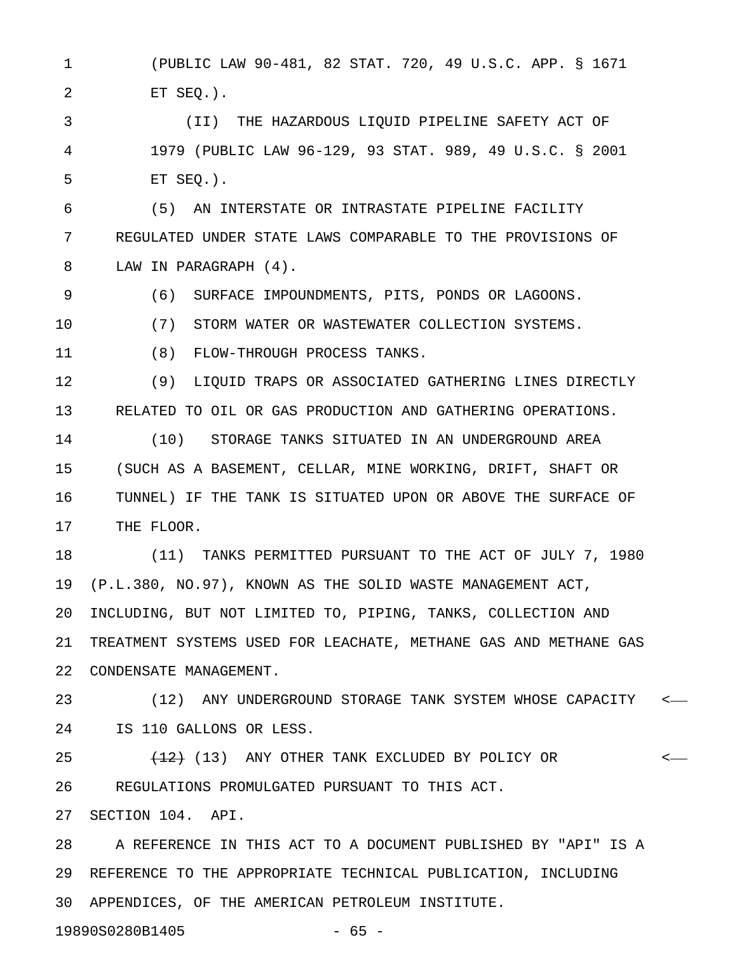1 (PUBLIC LAW 90-481, 82 STAT. 720, 49 U.S.C. APP. § 1671 2 ET SEQ.).

3 (II) THE HAZARDOUS LIQUID PIPELINE SAFETY ACT OF 4 1979 (PUBLIC LAW 96-129, 93 STAT. 989, 49 U.S.C. § 2001 5 ET SEQ.).

6 (5) AN INTERSTATE OR INTRASTATE PIPELINE FACILITY 7 REGULATED UNDER STATE LAWS COMPARABLE TO THE PROVISIONS OF 8 LAW IN PARAGRAPH (4).

9 (6) SURFACE IMPOUNDMENTS, PITS, PONDS OR LAGOONS.

10 (7) STORM WATER OR WASTEWATER COLLECTION SYSTEMS.

11 (8) FLOW-THROUGH PROCESS TANKS.

12 (9) LIQUID TRAPS OR ASSOCIATED GATHERING LINES DIRECTLY 13 RELATED TO OIL OR GAS PRODUCTION AND GATHERING OPERATIONS.

14 (10) STORAGE TANKS SITUATED IN AN UNDERGROUND AREA 15 (SUCH AS A BASEMENT, CELLAR, MINE WORKING, DRIFT, SHAFT OR 16 TUNNEL) IF THE TANK IS SITUATED UPON OR ABOVE THE SURFACE OF 17 THE FLOOR.

18 (11) TANKS PERMITTED PURSUANT TO THE ACT OF JULY 7, 1980 19 (P.L.380, NO.97), KNOWN AS THE SOLID WASTE MANAGEMENT ACT, 20 INCLUDING, BUT NOT LIMITED TO, PIPING, TANKS, COLLECTION AND 21 TREATMENT SYSTEMS USED FOR LEACHATE, METHANE GAS AND METHANE GAS 22 CONDENSATE MANAGEMENT.

23 (12) ANY UNDERGROUND STORAGE TANK SYSTEM WHOSE CAPACITY < 24 IS 110 GALLONS OR LESS.

25  $(13)$  ANY OTHER TANK EXCLUDED BY POLICY OR  $\leftarrow$ 26 REGULATIONS PROMULGATED PURSUANT TO THIS ACT.

27 SECTION 104. API.

28 A REFERENCE IN THIS ACT TO A DOCUMENT PUBLISHED BY "API" IS A 29 REFERENCE TO THE APPROPRIATE TECHNICAL PUBLICATION, INCLUDING 30 APPENDICES, OF THE AMERICAN PETROLEUM INSTITUTE.

19890S0280B1405 - 65 -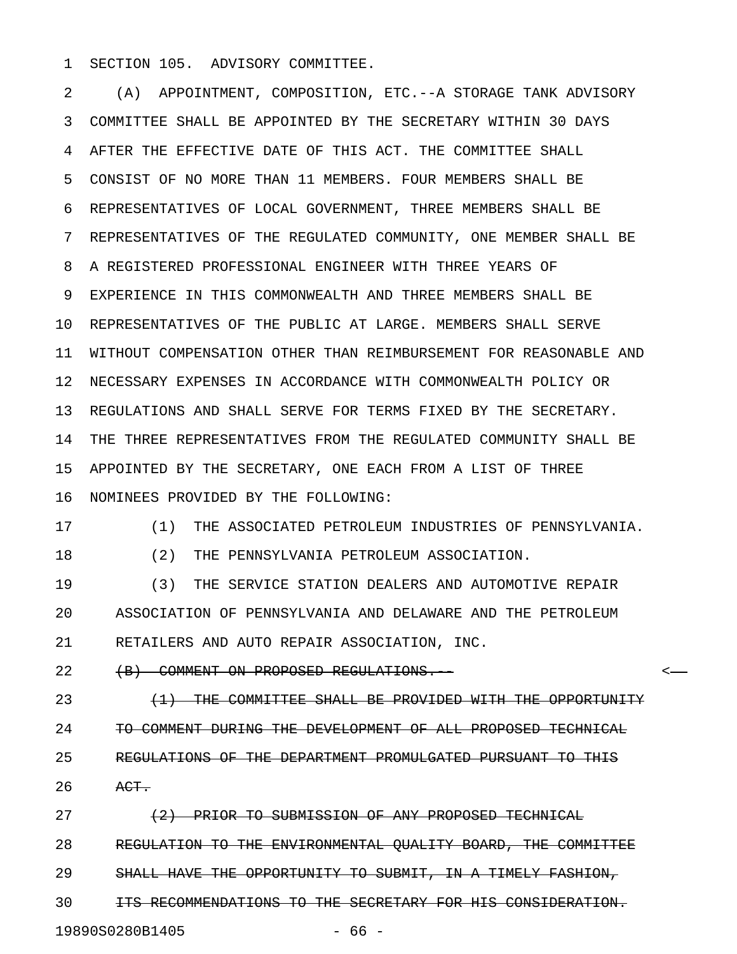1 SECTION 105. ADVISORY COMMITTEE.

2 (A) APPOINTMENT, COMPOSITION, ETC.--A STORAGE TANK ADVISORY 3 COMMITTEE SHALL BE APPOINTED BY THE SECRETARY WITHIN 30 DAYS 4 AFTER THE EFFECTIVE DATE OF THIS ACT. THE COMMITTEE SHALL 5 CONSIST OF NO MORE THAN 11 MEMBERS. FOUR MEMBERS SHALL BE 6 REPRESENTATIVES OF LOCAL GOVERNMENT, THREE MEMBERS SHALL BE 7 REPRESENTATIVES OF THE REGULATED COMMUNITY, ONE MEMBER SHALL BE 8 A REGISTERED PROFESSIONAL ENGINEER WITH THREE YEARS OF 9 EXPERIENCE IN THIS COMMONWEALTH AND THREE MEMBERS SHALL BE 10 REPRESENTATIVES OF THE PUBLIC AT LARGE. MEMBERS SHALL SERVE 11 WITHOUT COMPENSATION OTHER THAN REIMBURSEMENT FOR REASONABLE AND 12 NECESSARY EXPENSES IN ACCORDANCE WITH COMMONWEALTH POLICY OR 13 REGULATIONS AND SHALL SERVE FOR TERMS FIXED BY THE SECRETARY. 14 THE THREE REPRESENTATIVES FROM THE REGULATED COMMUNITY SHALL BE 15 APPOINTED BY THE SECRETARY, ONE EACH FROM A LIST OF THREE 16 NOMINEES PROVIDED BY THE FOLLOWING:

17 (1) THE ASSOCIATED PETROLEUM INDUSTRIES OF PENNSYLVANIA.

18 (2) THE PENNSYLVANIA PETROLEUM ASSOCIATION.

19 (3) THE SERVICE STATION DEALERS AND AUTOMOTIVE REPAIR 20 ASSOCIATION OF PENNSYLVANIA AND DELAWARE AND THE PETROLEUM 21 RETAILERS AND AUTO REPAIR ASSOCIATION, INC.

22 (B) COMMENT ON PROPOSED REGULATIONS.

23 **(1) THE COMMITTEE SHALL BE PROVIDED WITH THE OPPORTUNITY** 24 TO COMMENT DURING THE DEVELOPMENT OF ALL PROPOSED TECHNICAL 25 REGULATIONS OF THE DEPARTMENT PROMULGATED PURSUANT TO THIS 26 ACT.

27 (2) PRIOR TO SUBMISSION OF ANY PROPOSED TECHNICAL 28 REGULATION TO THE ENVIRONMENTAL QUALITY BOARD, THE COMMITTEE 29 SHALL HAVE THE OPPORTUNITY TO SUBMIT, IN A TIMELY FASHION, 30 **ITS RECOMMENDATIONS TO THE SECRETARY FOR HIS CONSIDERATION.** 

19890S0280B1405 - 66 -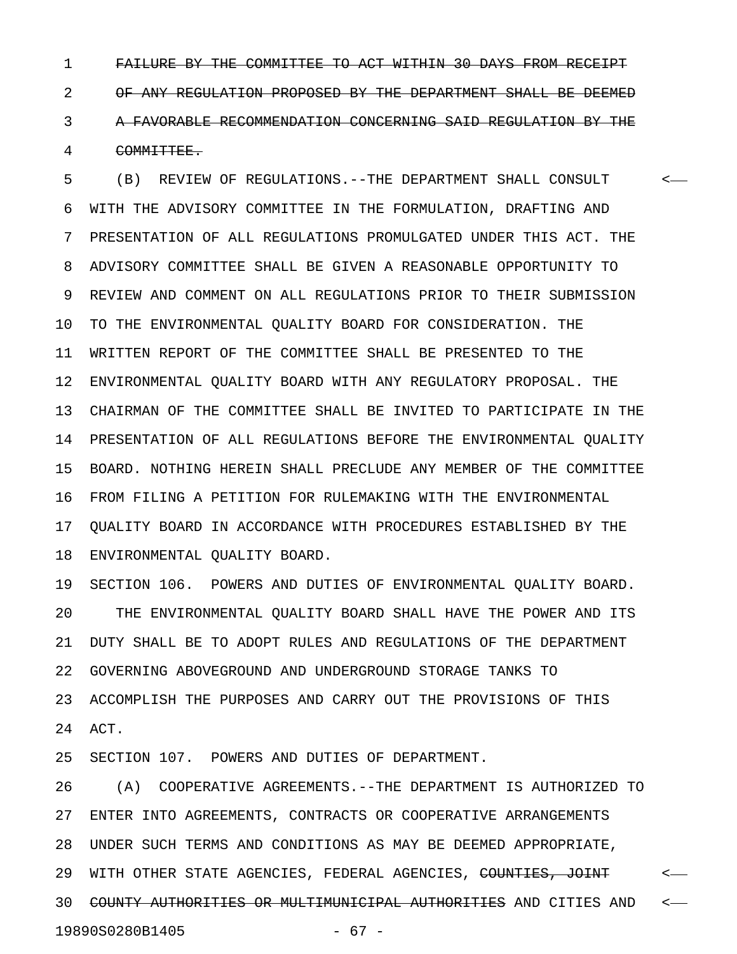1 FAILURE BY THE COMMITTEE TO ACT WITHIN 30 DAYS FROM RECEIPT 2 OF ANY REGULATION PROPOSED BY THE DEPARTMENT SHALL BE DEEMED 3 A FAVORABLE RECOMMENDATION CONCERNING SAID REGULATION BY THE 4 COMMITTEE.

5 (B) REVIEW OF REGULATIONS.--THE DEPARTMENT SHALL CONSULT < 6 WITH THE ADVISORY COMMITTEE IN THE FORMULATION, DRAFTING AND 7 PRESENTATION OF ALL REGULATIONS PROMULGATED UNDER THIS ACT. THE 8 ADVISORY COMMITTEE SHALL BE GIVEN A REASONABLE OPPORTUNITY TO 9 REVIEW AND COMMENT ON ALL REGULATIONS PRIOR TO THEIR SUBMISSION 10 TO THE ENVIRONMENTAL QUALITY BOARD FOR CONSIDERATION. THE 11 WRITTEN REPORT OF THE COMMITTEE SHALL BE PRESENTED TO THE 12 ENVIRONMENTAL QUALITY BOARD WITH ANY REGULATORY PROPOSAL. THE 13 CHAIRMAN OF THE COMMITTEE SHALL BE INVITED TO PARTICIPATE IN THE 14 PRESENTATION OF ALL REGULATIONS BEFORE THE ENVIRONMENTAL QUALITY 15 BOARD. NOTHING HEREIN SHALL PRECLUDE ANY MEMBER OF THE COMMITTEE 16 FROM FILING A PETITION FOR RULEMAKING WITH THE ENVIRONMENTAL 17 QUALITY BOARD IN ACCORDANCE WITH PROCEDURES ESTABLISHED BY THE 18 ENVIRONMENTAL QUALITY BOARD.

19 SECTION 106. POWERS AND DUTIES OF ENVIRONMENTAL QUALITY BOARD. 20 THE ENVIRONMENTAL QUALITY BOARD SHALL HAVE THE POWER AND ITS 21 DUTY SHALL BE TO ADOPT RULES AND REGULATIONS OF THE DEPARTMENT 22 GOVERNING ABOVEGROUND AND UNDERGROUND STORAGE TANKS TO 23 ACCOMPLISH THE PURPOSES AND CARRY OUT THE PROVISIONS OF THIS 24 ACT.

25 SECTION 107. POWERS AND DUTIES OF DEPARTMENT.

26 (A) COOPERATIVE AGREEMENTS.--THE DEPARTMENT IS AUTHORIZED TO 27 ENTER INTO AGREEMENTS, CONTRACTS OR COOPERATIVE ARRANGEMENTS 28 UNDER SUCH TERMS AND CONDITIONS AS MAY BE DEEMED APPROPRIATE, 29 WITH OTHER STATE AGENCIES, FEDERAL AGENCIES, <del>COUNTIES, JOINT</del> <-30 COUNTY AUTHORITIES OR MULTIMUNICIPAL AUTHORITIES AND CITIES AND < 19890S0280B1405 - 67 -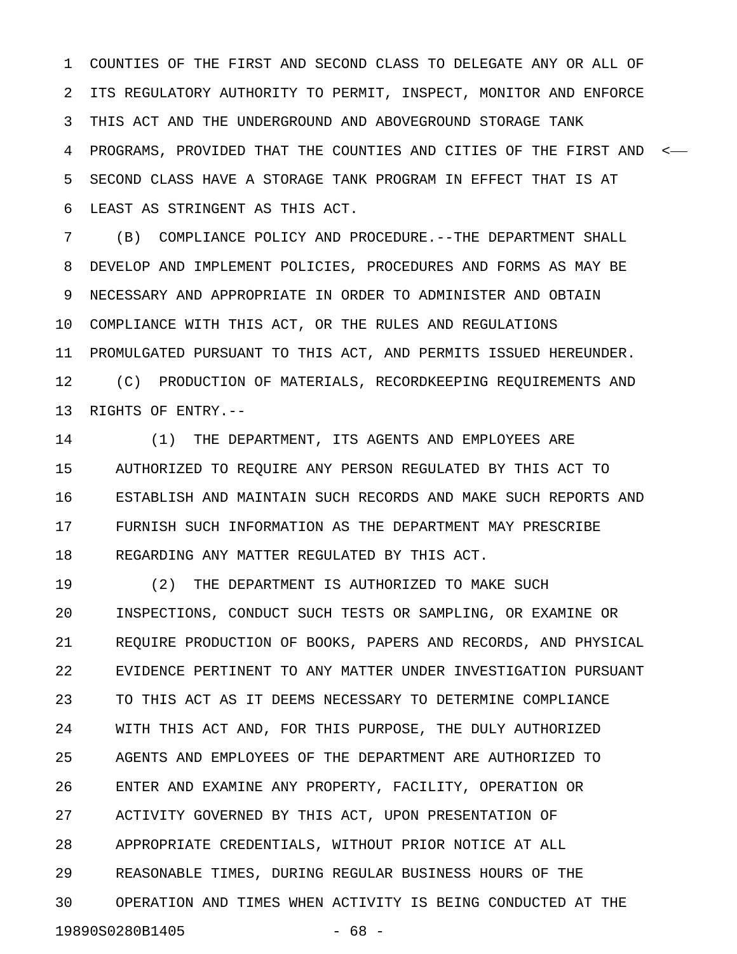1 COUNTIES OF THE FIRST AND SECOND CLASS TO DELEGATE ANY OR ALL OF 2 ITS REGULATORY AUTHORITY TO PERMIT, INSPECT, MONITOR AND ENFORCE 3 THIS ACT AND THE UNDERGROUND AND ABOVEGROUND STORAGE TANK 4 PROGRAMS, PROVIDED THAT THE COUNTIES AND CITIES OF THE FIRST AND < 5 SECOND CLASS HAVE A STORAGE TANK PROGRAM IN EFFECT THAT IS AT 6 LEAST AS STRINGENT AS THIS ACT.

7 (B) COMPLIANCE POLICY AND PROCEDURE.--THE DEPARTMENT SHALL 8 DEVELOP AND IMPLEMENT POLICIES, PROCEDURES AND FORMS AS MAY BE 9 NECESSARY AND APPROPRIATE IN ORDER TO ADMINISTER AND OBTAIN 10 COMPLIANCE WITH THIS ACT, OR THE RULES AND REGULATIONS 11 PROMULGATED PURSUANT TO THIS ACT, AND PERMITS ISSUED HEREUNDER. 12 (C) PRODUCTION OF MATERIALS, RECORDKEEPING REQUIREMENTS AND 13 RIGHTS OF ENTRY.--

14 (1) THE DEPARTMENT, ITS AGENTS AND EMPLOYEES ARE 15 AUTHORIZED TO REQUIRE ANY PERSON REGULATED BY THIS ACT TO 16 ESTABLISH AND MAINTAIN SUCH RECORDS AND MAKE SUCH REPORTS AND 17 FURNISH SUCH INFORMATION AS THE DEPARTMENT MAY PRESCRIBE 18 REGARDING ANY MATTER REGULATED BY THIS ACT.

19 (2) THE DEPARTMENT IS AUTHORIZED TO MAKE SUCH 20 INSPECTIONS, CONDUCT SUCH TESTS OR SAMPLING, OR EXAMINE OR 21 REQUIRE PRODUCTION OF BOOKS, PAPERS AND RECORDS, AND PHYSICAL 22 EVIDENCE PERTINENT TO ANY MATTER UNDER INVESTIGATION PURSUANT 23 TO THIS ACT AS IT DEEMS NECESSARY TO DETERMINE COMPLIANCE 24 WITH THIS ACT AND, FOR THIS PURPOSE, THE DULY AUTHORIZED 25 AGENTS AND EMPLOYEES OF THE DEPARTMENT ARE AUTHORIZED TO 26 ENTER AND EXAMINE ANY PROPERTY, FACILITY, OPERATION OR 27 ACTIVITY GOVERNED BY THIS ACT, UPON PRESENTATION OF 28 APPROPRIATE CREDENTIALS, WITHOUT PRIOR NOTICE AT ALL 29 REASONABLE TIMES, DURING REGULAR BUSINESS HOURS OF THE 30 OPERATION AND TIMES WHEN ACTIVITY IS BEING CONDUCTED AT THE 19890S0280B1405 - 68 -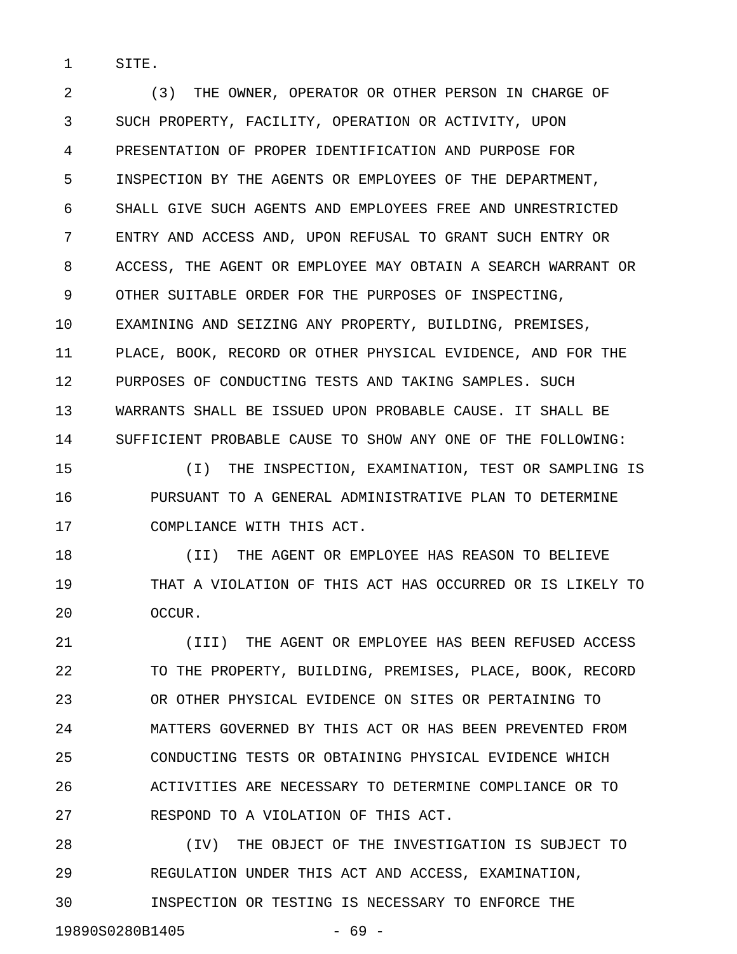1 SITE.

2 (3) THE OWNER, OPERATOR OR OTHER PERSON IN CHARGE OF 3 SUCH PROPERTY, FACILITY, OPERATION OR ACTIVITY, UPON 4 PRESENTATION OF PROPER IDENTIFICATION AND PURPOSE FOR 5 INSPECTION BY THE AGENTS OR EMPLOYEES OF THE DEPARTMENT, 6 SHALL GIVE SUCH AGENTS AND EMPLOYEES FREE AND UNRESTRICTED 7 ENTRY AND ACCESS AND, UPON REFUSAL TO GRANT SUCH ENTRY OR 8 ACCESS, THE AGENT OR EMPLOYEE MAY OBTAIN A SEARCH WARRANT OR 9 OTHER SUITABLE ORDER FOR THE PURPOSES OF INSPECTING, 10 EXAMINING AND SEIZING ANY PROPERTY, BUILDING, PREMISES, 11 PLACE, BOOK, RECORD OR OTHER PHYSICAL EVIDENCE, AND FOR THE 12 PURPOSES OF CONDUCTING TESTS AND TAKING SAMPLES. SUCH 13 WARRANTS SHALL BE ISSUED UPON PROBABLE CAUSE. IT SHALL BE 14 SUFFICIENT PROBABLE CAUSE TO SHOW ANY ONE OF THE FOLLOWING:

15 (I) THE INSPECTION, EXAMINATION, TEST OR SAMPLING IS 16 PURSUANT TO A GENERAL ADMINISTRATIVE PLAN TO DETERMINE 17 COMPLIANCE WITH THIS ACT.

18 **18 18 (II)** THE AGENT OR EMPLOYEE HAS REASON TO BELIEVE 19 THAT A VIOLATION OF THIS ACT HAS OCCURRED OR IS LIKELY TO 20 OCCUR.

21 (III) THE AGENT OR EMPLOYEE HAS BEEN REFUSED ACCESS 22 TO THE PROPERTY, BUILDING, PREMISES, PLACE, BOOK, RECORD 23 OR OTHER PHYSICAL EVIDENCE ON SITES OR PERTAINING TO 24 MATTERS GOVERNED BY THIS ACT OR HAS BEEN PREVENTED FROM 25 CONDUCTING TESTS OR OBTAINING PHYSICAL EVIDENCE WHICH 26 ACTIVITIES ARE NECESSARY TO DETERMINE COMPLIANCE OR TO 27 RESPOND TO A VIOLATION OF THIS ACT.

28 (IV) THE OBJECT OF THE INVESTIGATION IS SUBJECT TO 29 REGULATION UNDER THIS ACT AND ACCESS, EXAMINATION, 30 INSPECTION OR TESTING IS NECESSARY TO ENFORCE THE

19890S0280B1405 - 69 -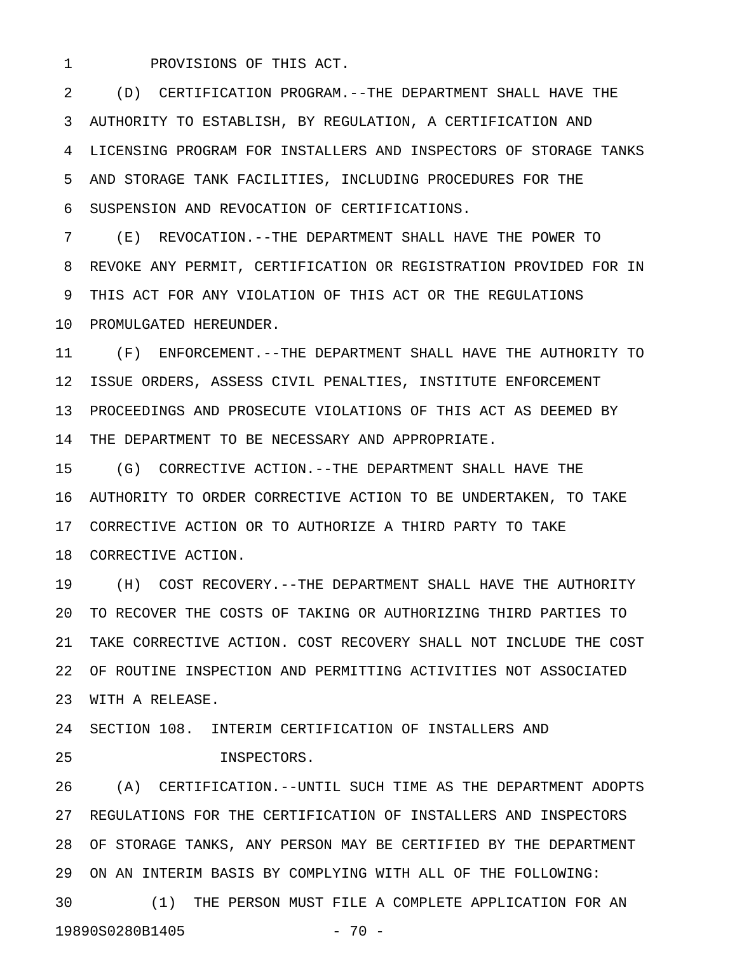1 PROVISIONS OF THIS ACT.

2 (D) CERTIFICATION PROGRAM.--THE DEPARTMENT SHALL HAVE THE 3 AUTHORITY TO ESTABLISH, BY REGULATION, A CERTIFICATION AND 4 LICENSING PROGRAM FOR INSTALLERS AND INSPECTORS OF STORAGE TANKS 5 AND STORAGE TANK FACILITIES, INCLUDING PROCEDURES FOR THE 6 SUSPENSION AND REVOCATION OF CERTIFICATIONS.

7 (E) REVOCATION.--THE DEPARTMENT SHALL HAVE THE POWER TO 8 REVOKE ANY PERMIT, CERTIFICATION OR REGISTRATION PROVIDED FOR IN 9 THIS ACT FOR ANY VIOLATION OF THIS ACT OR THE REGULATIONS 10 PROMULGATED HEREUNDER.

11 (F) ENFORCEMENT.--THE DEPARTMENT SHALL HAVE THE AUTHORITY TO 12 ISSUE ORDERS, ASSESS CIVIL PENALTIES, INSTITUTE ENFORCEMENT 13 PROCEEDINGS AND PROSECUTE VIOLATIONS OF THIS ACT AS DEEMED BY 14 THE DEPARTMENT TO BE NECESSARY AND APPROPRIATE.

15 (G) CORRECTIVE ACTION.--THE DEPARTMENT SHALL HAVE THE 16 AUTHORITY TO ORDER CORRECTIVE ACTION TO BE UNDERTAKEN, TO TAKE 17 CORRECTIVE ACTION OR TO AUTHORIZE A THIRD PARTY TO TAKE 18 CORRECTIVE ACTION.

19 (H) COST RECOVERY.--THE DEPARTMENT SHALL HAVE THE AUTHORITY 20 TO RECOVER THE COSTS OF TAKING OR AUTHORIZING THIRD PARTIES TO 21 TAKE CORRECTIVE ACTION. COST RECOVERY SHALL NOT INCLUDE THE COST 22 OF ROUTINE INSPECTION AND PERMITTING ACTIVITIES NOT ASSOCIATED 23 WITH A RELEASE.

24 SECTION 108. INTERIM CERTIFICATION OF INSTALLERS AND

25 INSPECTORS.

26 (A) CERTIFICATION.--UNTIL SUCH TIME AS THE DEPARTMENT ADOPTS 27 REGULATIONS FOR THE CERTIFICATION OF INSTALLERS AND INSPECTORS 28 OF STORAGE TANKS, ANY PERSON MAY BE CERTIFIED BY THE DEPARTMENT 29 ON AN INTERIM BASIS BY COMPLYING WITH ALL OF THE FOLLOWING: 30 (1) THE PERSON MUST FILE A COMPLETE APPLICATION FOR AN

19890S0280B1405 - 70 -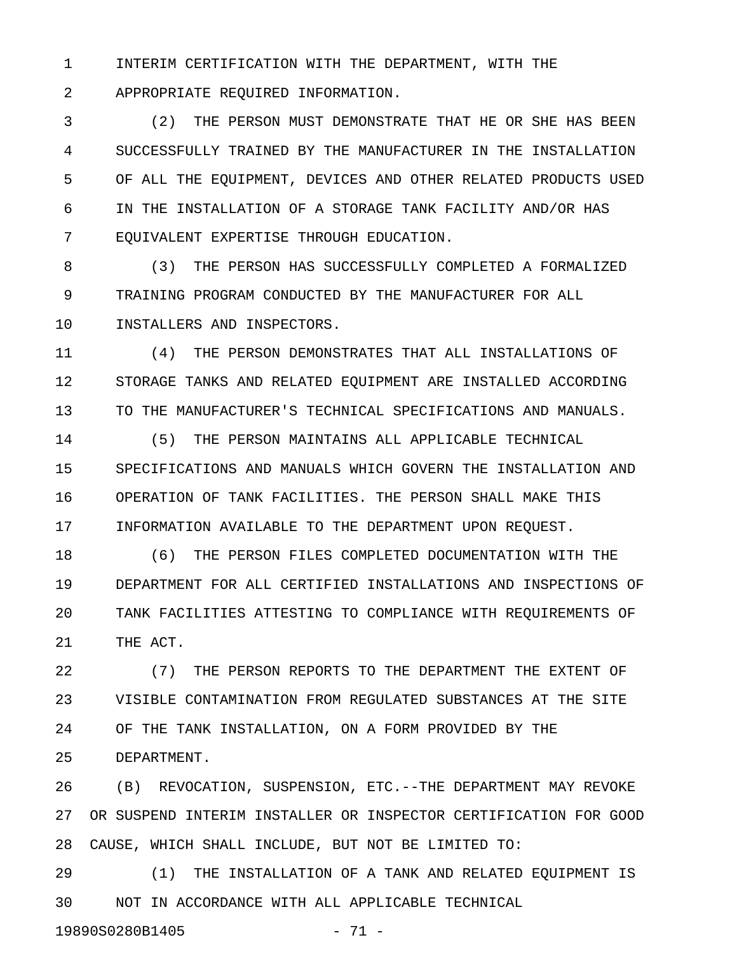1 INTERIM CERTIFICATION WITH THE DEPARTMENT, WITH THE

2 APPROPRIATE REQUIRED INFORMATION.

3 (2) THE PERSON MUST DEMONSTRATE THAT HE OR SHE HAS BEEN 4 SUCCESSFULLY TRAINED BY THE MANUFACTURER IN THE INSTALLATION 5 OF ALL THE EQUIPMENT, DEVICES AND OTHER RELATED PRODUCTS USED 6 IN THE INSTALLATION OF A STORAGE TANK FACILITY AND/OR HAS 7 EQUIVALENT EXPERTISE THROUGH EDUCATION.

8 (3) THE PERSON HAS SUCCESSFULLY COMPLETED A FORMALIZED 9 TRAINING PROGRAM CONDUCTED BY THE MANUFACTURER FOR ALL 10 INSTALLERS AND INSPECTORS.

11 (4) THE PERSON DEMONSTRATES THAT ALL INSTALLATIONS OF 12 STORAGE TANKS AND RELATED EQUIPMENT ARE INSTALLED ACCORDING 13 TO THE MANUFACTURER'S TECHNICAL SPECIFICATIONS AND MANUALS.

14 (5) THE PERSON MAINTAINS ALL APPLICABLE TECHNICAL 15 SPECIFICATIONS AND MANUALS WHICH GOVERN THE INSTALLATION AND 16 OPERATION OF TANK FACILITIES. THE PERSON SHALL MAKE THIS 17 INFORMATION AVAILABLE TO THE DEPARTMENT UPON REQUEST.

18 (6) THE PERSON FILES COMPLETED DOCUMENTATION WITH THE 19 DEPARTMENT FOR ALL CERTIFIED INSTALLATIONS AND INSPECTIONS OF 20 TANK FACILITIES ATTESTING TO COMPLIANCE WITH REQUIREMENTS OF 21 THE ACT.

22 (7) THE PERSON REPORTS TO THE DEPARTMENT THE EXTENT OF 23 VISIBLE CONTAMINATION FROM REGULATED SUBSTANCES AT THE SITE 24 OF THE TANK INSTALLATION, ON A FORM PROVIDED BY THE 25 DEPARTMENT.

26 (B) REVOCATION, SUSPENSION, ETC.--THE DEPARTMENT MAY REVOKE 27 OR SUSPEND INTERIM INSTALLER OR INSPECTOR CERTIFICATION FOR GOOD 28 CAUSE, WHICH SHALL INCLUDE, BUT NOT BE LIMITED TO:

29 (1) THE INSTALLATION OF A TANK AND RELATED EQUIPMENT IS 30 NOT IN ACCORDANCE WITH ALL APPLICABLE TECHNICAL

19890S0280B1405 - 71 -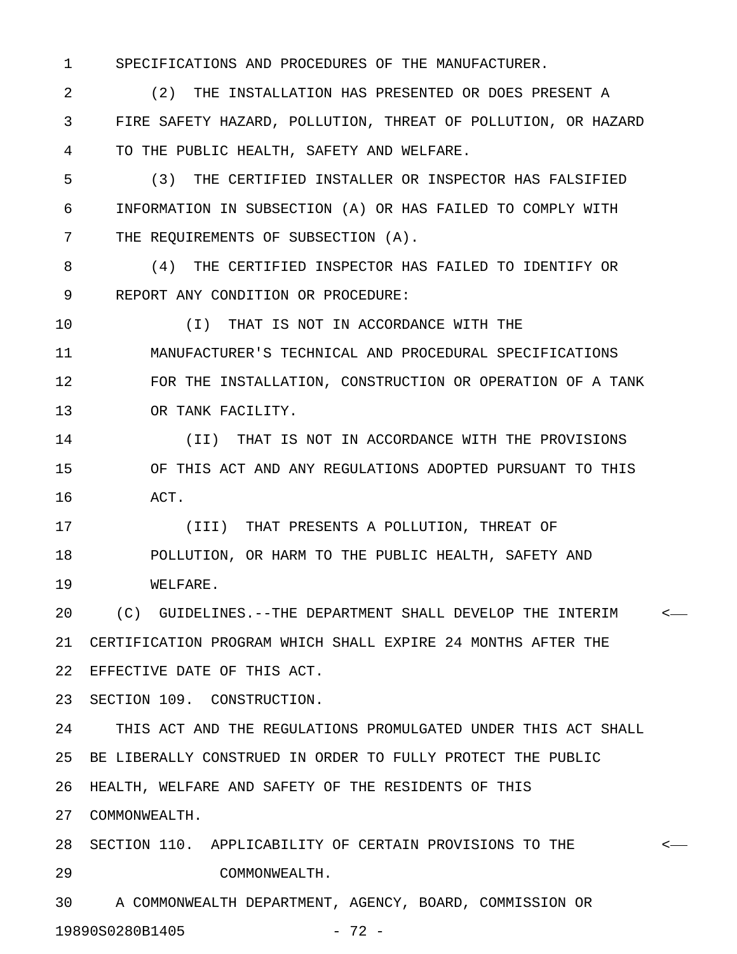1 SPECIFICATIONS AND PROCEDURES OF THE MANUFACTURER.

2 (2) THE INSTALLATION HAS PRESENTED OR DOES PRESENT A 3 FIRE SAFETY HAZARD, POLLUTION, THREAT OF POLLUTION, OR HAZARD 4 TO THE PUBLIC HEALTH, SAFETY AND WELFARE.

5 (3) THE CERTIFIED INSTALLER OR INSPECTOR HAS FALSIFIED 6 INFORMATION IN SUBSECTION (A) OR HAS FAILED TO COMPLY WITH 7 THE REQUIREMENTS OF SUBSECTION (A).

8 (4) THE CERTIFIED INSPECTOR HAS FAILED TO IDENTIFY OR 9 REPORT ANY CONDITION OR PROCEDURE:

10 (I) THAT IS NOT IN ACCORDANCE WITH THE

11 MANUFACTURER'S TECHNICAL AND PROCEDURAL SPECIFICATIONS 12 FOR THE INSTALLATION, CONSTRUCTION OR OPERATION OF A TANK 13 OR TANK FACILITY.

14 (II) THAT IS NOT IN ACCORDANCE WITH THE PROVISIONS 15 OF THIS ACT AND ANY REGULATIONS ADOPTED PURSUANT TO THIS 16 ACT.

17 (III) THAT PRESENTS A POLLUTION, THREAT OF 18 POLLUTION, OR HARM TO THE PUBLIC HEALTH, SAFETY AND 19 WELFARE.

20 (C) GUIDELINES.--THE DEPARTMENT SHALL DEVELOP THE INTERIM < 21 CERTIFICATION PROGRAM WHICH SHALL EXPIRE 24 MONTHS AFTER THE 22 EFFECTIVE DATE OF THIS ACT.

23 SECTION 109. CONSTRUCTION.

24 THIS ACT AND THE REGULATIONS PROMULGATED UNDER THIS ACT SHALL 25 BE LIBERALLY CONSTRUED IN ORDER TO FULLY PROTECT THE PUBLIC 26 HEALTH, WELFARE AND SAFETY OF THE RESIDENTS OF THIS

27 COMMONWEALTH.

28 SECTION 110. APPLICABILITY OF CERTAIN PROVISIONS TO THE < 29 COMMONWEALTH.

30 A COMMONWEALTH DEPARTMENT, AGENCY, BOARD, COMMISSION OR 19890S0280B1405 - 72 -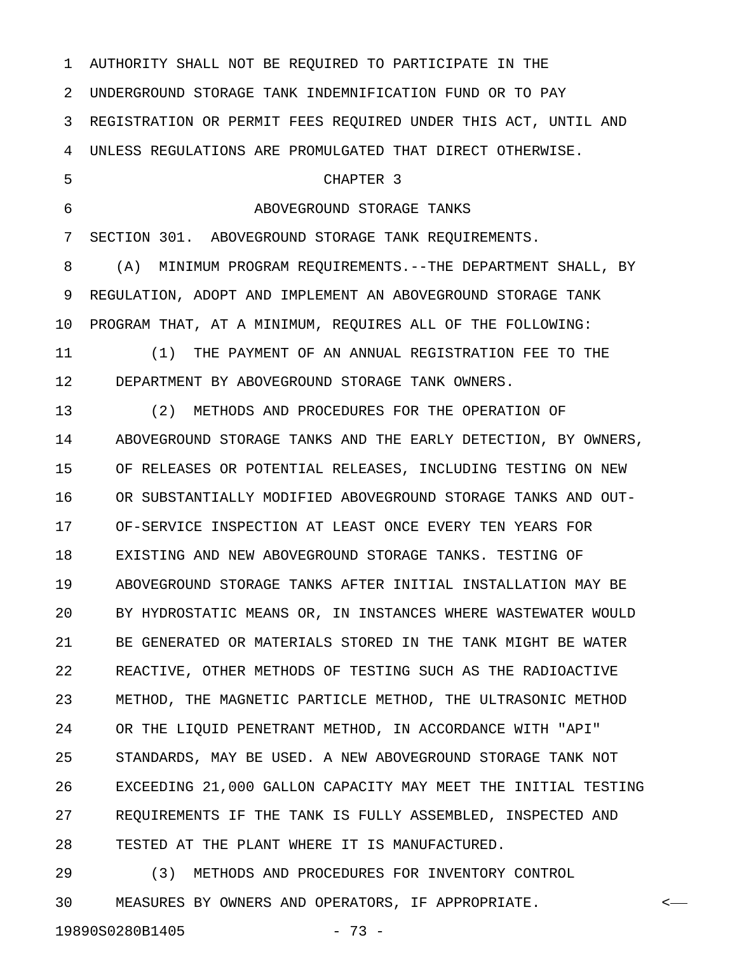1 AUTHORITY SHALL NOT BE REQUIRED TO PARTICIPATE IN THE 2 UNDERGROUND STORAGE TANK INDEMNIFICATION FUND OR TO PAY 3 REGISTRATION OR PERMIT FEES REQUIRED UNDER THIS ACT, UNTIL AND 4 UNLESS REGULATIONS ARE PROMULGATED THAT DIRECT OTHERWISE. 5 CHAPTER 3 6 ABOVEGROUND STORAGE TANKS 7 SECTION 301. ABOVEGROUND STORAGE TANK REQUIREMENTS. 8 (A) MINIMUM PROGRAM REQUIREMENTS.--THE DEPARTMENT SHALL, BY 9 REGULATION, ADOPT AND IMPLEMENT AN ABOVEGROUND STORAGE TANK 10 PROGRAM THAT, AT A MINIMUM, REQUIRES ALL OF THE FOLLOWING: 11 (1) THE PAYMENT OF AN ANNUAL REGISTRATION FEE TO THE 12 DEPARTMENT BY ABOVEGROUND STORAGE TANK OWNERS. 13 (2) METHODS AND PROCEDURES FOR THE OPERATION OF 14 ABOVEGROUND STORAGE TANKS AND THE EARLY DETECTION, BY OWNERS, 15 OF RELEASES OR POTENTIAL RELEASES, INCLUDING TESTING ON NEW 16 OR SUBSTANTIALLY MODIFIED ABOVEGROUND STORAGE TANKS AND OUT-17 OF-SERVICE INSPECTION AT LEAST ONCE EVERY TEN YEARS FOR 18 EXISTING AND NEW ABOVEGROUND STORAGE TANKS. TESTING OF 19 ABOVEGROUND STORAGE TANKS AFTER INITIAL INSTALLATION MAY BE 20 BY HYDROSTATIC MEANS OR, IN INSTANCES WHERE WASTEWATER WOULD 21 BE GENERATED OR MATERIALS STORED IN THE TANK MIGHT BE WATER 22 REACTIVE, OTHER METHODS OF TESTING SUCH AS THE RADIOACTIVE 23 METHOD, THE MAGNETIC PARTICLE METHOD, THE ULTRASONIC METHOD 24 OR THE LIQUID PENETRANT METHOD, IN ACCORDANCE WITH "API" 25 STANDARDS, MAY BE USED. A NEW ABOVEGROUND STORAGE TANK NOT 26 EXCEEDING 21,000 GALLON CAPACITY MAY MEET THE INITIAL TESTING 27 REQUIREMENTS IF THE TANK IS FULLY ASSEMBLED, INSPECTED AND 28 TESTED AT THE PLANT WHERE IT IS MANUFACTURED. 29 (3) METHODS AND PROCEDURES FOR INVENTORY CONTROL

30 MEASURES BY OWNERS AND OPERATORS, IF APPROPRIATE. <

19890S0280B1405 - 73 -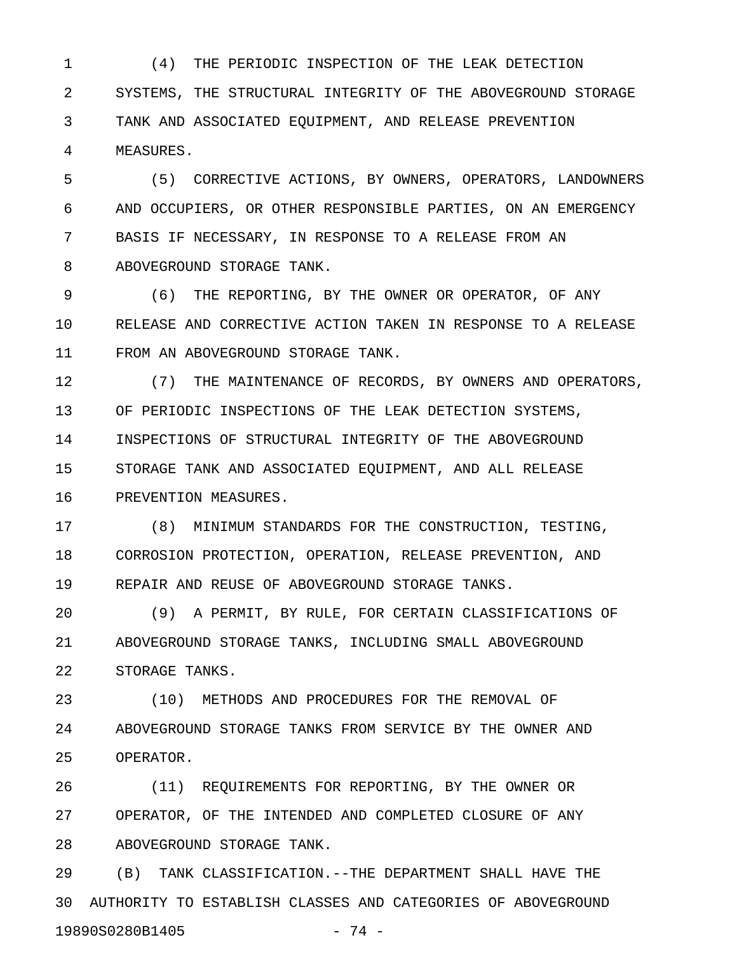1 (4) THE PERIODIC INSPECTION OF THE LEAK DETECTION 2 SYSTEMS, THE STRUCTURAL INTEGRITY OF THE ABOVEGROUND STORAGE 3 TANK AND ASSOCIATED EQUIPMENT, AND RELEASE PREVENTION 4 MEASURES.

5 (5) CORRECTIVE ACTIONS, BY OWNERS, OPERATORS, LANDOWNERS 6 AND OCCUPIERS, OR OTHER RESPONSIBLE PARTIES, ON AN EMERGENCY 7 BASIS IF NECESSARY, IN RESPONSE TO A RELEASE FROM AN 8 ABOVEGROUND STORAGE TANK.

9 (6) THE REPORTING, BY THE OWNER OR OPERATOR, OF ANY 10 RELEASE AND CORRECTIVE ACTION TAKEN IN RESPONSE TO A RELEASE 11 FROM AN ABOVEGROUND STORAGE TANK.

12 (7) THE MAINTENANCE OF RECORDS, BY OWNERS AND OPERATORS, 13 OF PERIODIC INSPECTIONS OF THE LEAK DETECTION SYSTEMS, 14 INSPECTIONS OF STRUCTURAL INTEGRITY OF THE ABOVEGROUND 15 STORAGE TANK AND ASSOCIATED EQUIPMENT, AND ALL RELEASE 16 PREVENTION MEASURES.

17 (8) MINIMUM STANDARDS FOR THE CONSTRUCTION, TESTING, 18 CORROSION PROTECTION, OPERATION, RELEASE PREVENTION, AND 19 REPAIR AND REUSE OF ABOVEGROUND STORAGE TANKS.

20 (9) A PERMIT, BY RULE, FOR CERTAIN CLASSIFICATIONS OF 21 ABOVEGROUND STORAGE TANKS, INCLUDING SMALL ABOVEGROUND 22 STORAGE TANKS.

23 (10) METHODS AND PROCEDURES FOR THE REMOVAL OF 24 ABOVEGROUND STORAGE TANKS FROM SERVICE BY THE OWNER AND 25 OPERATOR.

26 (11) REQUIREMENTS FOR REPORTING, BY THE OWNER OR 27 OPERATOR, OF THE INTENDED AND COMPLETED CLOSURE OF ANY 28 ABOVEGROUND STORAGE TANK.

29 (B) TANK CLASSIFICATION.--THE DEPARTMENT SHALL HAVE THE 30 AUTHORITY TO ESTABLISH CLASSES AND CATEGORIES OF ABOVEGROUND 19890S0280B1405 - 74 -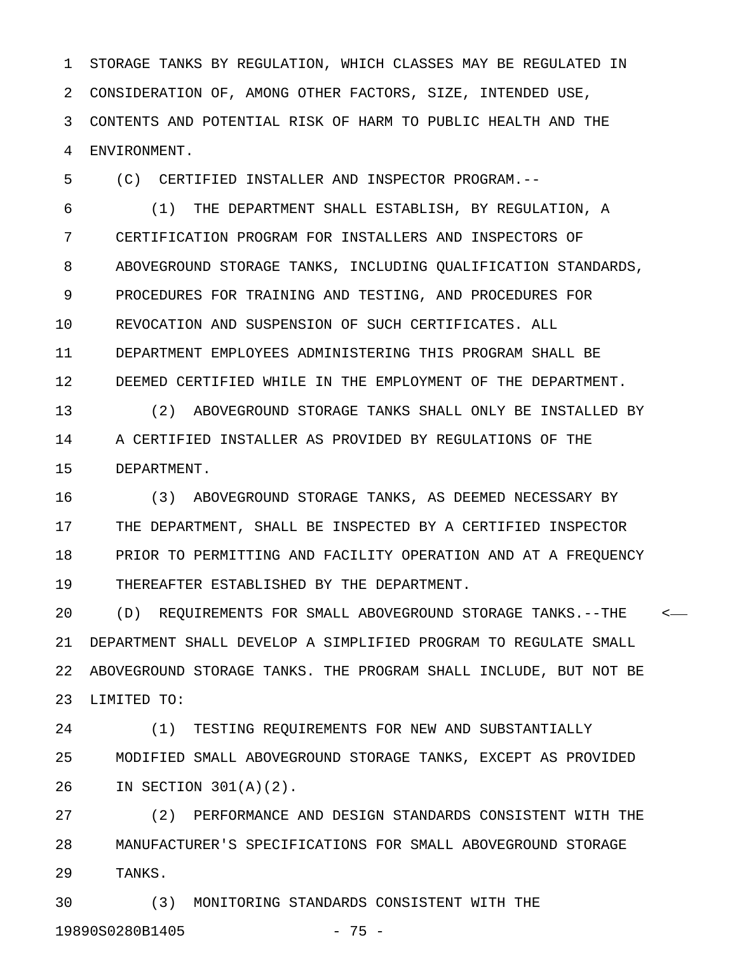1 STORAGE TANKS BY REGULATION, WHICH CLASSES MAY BE REGULATED IN 2 CONSIDERATION OF, AMONG OTHER FACTORS, SIZE, INTENDED USE, 3 CONTENTS AND POTENTIAL RISK OF HARM TO PUBLIC HEALTH AND THE 4 ENVIRONMENT.

5 (C) CERTIFIED INSTALLER AND INSPECTOR PROGRAM.--

6 (1) THE DEPARTMENT SHALL ESTABLISH, BY REGULATION, A 7 CERTIFICATION PROGRAM FOR INSTALLERS AND INSPECTORS OF 8 ABOVEGROUND STORAGE TANKS, INCLUDING QUALIFICATION STANDARDS, 9 PROCEDURES FOR TRAINING AND TESTING, AND PROCEDURES FOR 10 REVOCATION AND SUSPENSION OF SUCH CERTIFICATES. ALL 11 DEPARTMENT EMPLOYEES ADMINISTERING THIS PROGRAM SHALL BE 12 DEEMED CERTIFIED WHILE IN THE EMPLOYMENT OF THE DEPARTMENT.

13 (2) ABOVEGROUND STORAGE TANKS SHALL ONLY BE INSTALLED BY 14 A CERTIFIED INSTALLER AS PROVIDED BY REGULATIONS OF THE 15 DEPARTMENT.

16 (3) ABOVEGROUND STORAGE TANKS, AS DEEMED NECESSARY BY 17 THE DEPARTMENT, SHALL BE INSPECTED BY A CERTIFIED INSPECTOR 18 PRIOR TO PERMITTING AND FACILITY OPERATION AND AT A FREQUENCY 19 THEREAFTER ESTABLISHED BY THE DEPARTMENT.

20 (D) REQUIREMENTS FOR SMALL ABOVEGROUND STORAGE TANKS.--THE < 21 DEPARTMENT SHALL DEVELOP A SIMPLIFIED PROGRAM TO REGULATE SMALL 22 ABOVEGROUND STORAGE TANKS. THE PROGRAM SHALL INCLUDE, BUT NOT BE 23 LIMITED TO:

24 (1) TESTING REQUIREMENTS FOR NEW AND SUBSTANTIALLY 25 MODIFIED SMALL ABOVEGROUND STORAGE TANKS, EXCEPT AS PROVIDED 26 IN SECTION 301(A)(2).

27 (2) PERFORMANCE AND DESIGN STANDARDS CONSISTENT WITH THE 28 MANUFACTURER'S SPECIFICATIONS FOR SMALL ABOVEGROUND STORAGE 29 TANKS.

30 (3) MONITORING STANDARDS CONSISTENT WITH THE 19890S0280B1405 - 75 -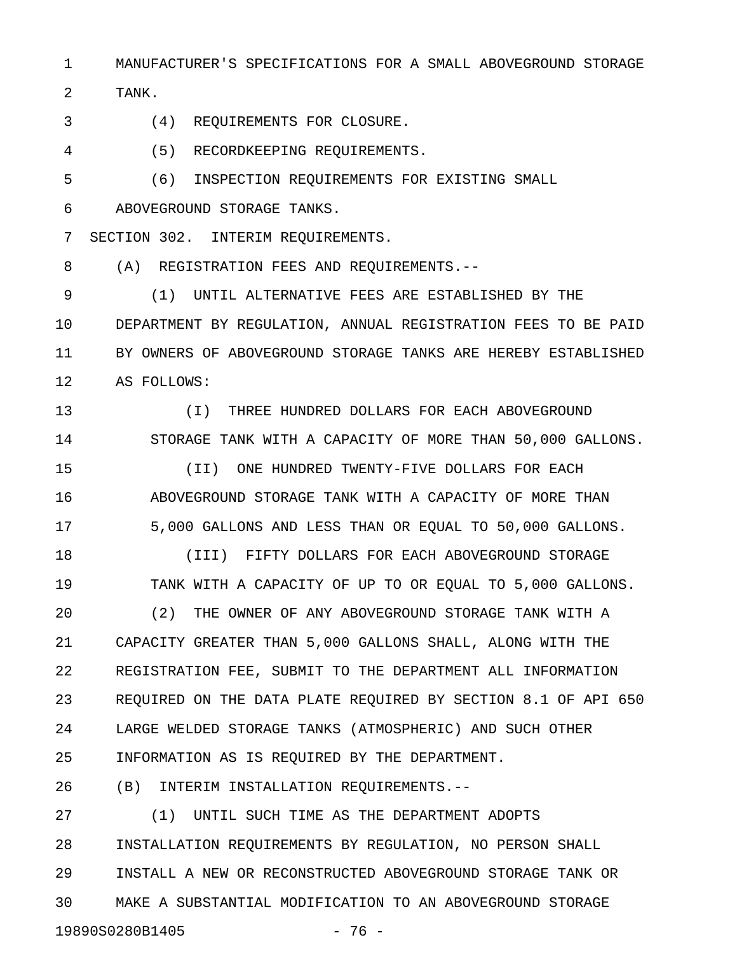1 MANUFACTURER'S SPECIFICATIONS FOR A SMALL ABOVEGROUND STORAGE

2 TANK.

- 3 (4) REQUIREMENTS FOR CLOSURE.
- 4 (5) RECORDKEEPING REQUIREMENTS.
- 5 (6) INSPECTION REQUIREMENTS FOR EXISTING SMALL 6 ABOVEGROUND STORAGE TANKS.
- 7 SECTION 302. INTERIM REQUIREMENTS.

8 (A) REGISTRATION FEES AND REQUIREMENTS.--

9 (1) UNTIL ALTERNATIVE FEES ARE ESTABLISHED BY THE 10 DEPARTMENT BY REGULATION, ANNUAL REGISTRATION FEES TO BE PAID 11 BY OWNERS OF ABOVEGROUND STORAGE TANKS ARE HEREBY ESTABLISHED 12 AS FOLLOWS:

- 13 (I) THREE HUNDRED DOLLARS FOR EACH ABOVEGROUND 14 STORAGE TANK WITH A CAPACITY OF MORE THAN 50,000 GALLONS.
- 15 (II) ONE HUNDRED TWENTY-FIVE DOLLARS FOR EACH 16 ABOVEGROUND STORAGE TANK WITH A CAPACITY OF MORE THAN 17 5,000 GALLONS AND LESS THAN OR EQUAL TO 50,000 GALLONS.

18 (III) FIFTY DOLLARS FOR EACH ABOVEGROUND STORAGE 19 TANK WITH A CAPACITY OF UP TO OR EQUAL TO 5,000 GALLONS. 20 (2) THE OWNER OF ANY ABOVEGROUND STORAGE TANK WITH A 21 CAPACITY GREATER THAN 5,000 GALLONS SHALL, ALONG WITH THE 22 REGISTRATION FEE, SUBMIT TO THE DEPARTMENT ALL INFORMATION 23 REQUIRED ON THE DATA PLATE REQUIRED BY SECTION 8.1 OF API 650 24 LARGE WELDED STORAGE TANKS (ATMOSPHERIC) AND SUCH OTHER 25 INFORMATION AS IS REQUIRED BY THE DEPARTMENT.

26 (B) INTERIM INSTALLATION REQUIREMENTS.--

27 (1) UNTIL SUCH TIME AS THE DEPARTMENT ADOPTS 28 INSTALLATION REQUIREMENTS BY REGULATION, NO PERSON SHALL 29 INSTALL A NEW OR RECONSTRUCTED ABOVEGROUND STORAGE TANK OR 30 MAKE A SUBSTANTIAL MODIFICATION TO AN ABOVEGROUND STORAGE 19890S0280B1405 - 76 -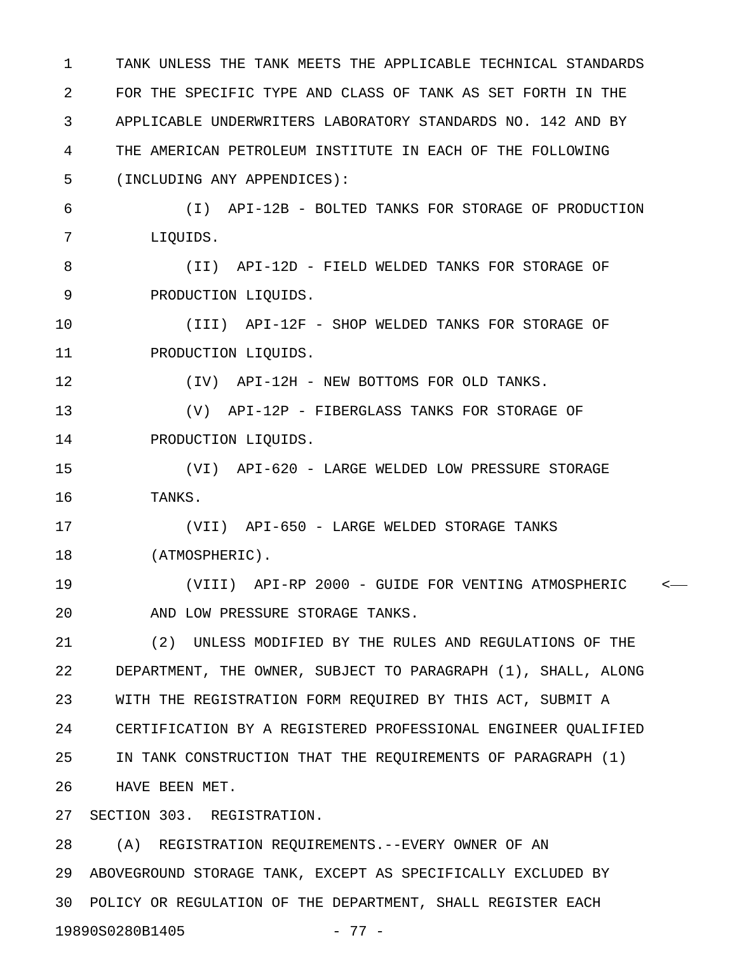1 TANK UNLESS THE TANK MEETS THE APPLICABLE TECHNICAL STANDARDS 2 FOR THE SPECIFIC TYPE AND CLASS OF TANK AS SET FORTH IN THE 3 APPLICABLE UNDERWRITERS LABORATORY STANDARDS NO. 142 AND BY 4 THE AMERICAN PETROLEUM INSTITUTE IN EACH OF THE FOLLOWING 5 (INCLUDING ANY APPENDICES): 6 (I) API-12B - BOLTED TANKS FOR STORAGE OF PRODUCTION 7 LIQUIDS. 8 (II) API-12D - FIELD WELDED TANKS FOR STORAGE OF 9 PRODUCTION LIQUIDS. 10 (III) API-12F - SHOP WELDED TANKS FOR STORAGE OF 11 PRODUCTION LIQUIDS. 12 (IV) API-12H - NEW BOTTOMS FOR OLD TANKS. 13 (V) API-12P - FIBERGLASS TANKS FOR STORAGE OF 14 PRODUCTION LIQUIDS. 15 (VI) API-620 - LARGE WELDED LOW PRESSURE STORAGE 16 TANKS. 17 (VII) API-650 - LARGE WELDED STORAGE TANKS 18 (ATMOSPHERIC). 19 (VIII) API-RP 2000 - GUIDE FOR VENTING ATMOSPHERIC < 20 AND LOW PRESSURE STORAGE TANKS. 21 (2) UNLESS MODIFIED BY THE RULES AND REGULATIONS OF THE 22 DEPARTMENT, THE OWNER, SUBJECT TO PARAGRAPH (1), SHALL, ALONG 23 WITH THE REGISTRATION FORM REQUIRED BY THIS ACT, SUBMIT A 24 CERTIFICATION BY A REGISTERED PROFESSIONAL ENGINEER QUALIFIED 25 IN TANK CONSTRUCTION THAT THE REQUIREMENTS OF PARAGRAPH (1) 26 HAVE BEEN MET. 27 SECTION 303. REGISTRATION. 28 (A) REGISTRATION REQUIREMENTS.--EVERY OWNER OF AN

29 ABOVEGROUND STORAGE TANK, EXCEPT AS SPECIFICALLY EXCLUDED BY 30 POLICY OR REGULATION OF THE DEPARTMENT, SHALL REGISTER EACH 19890S0280B1405 - 77 -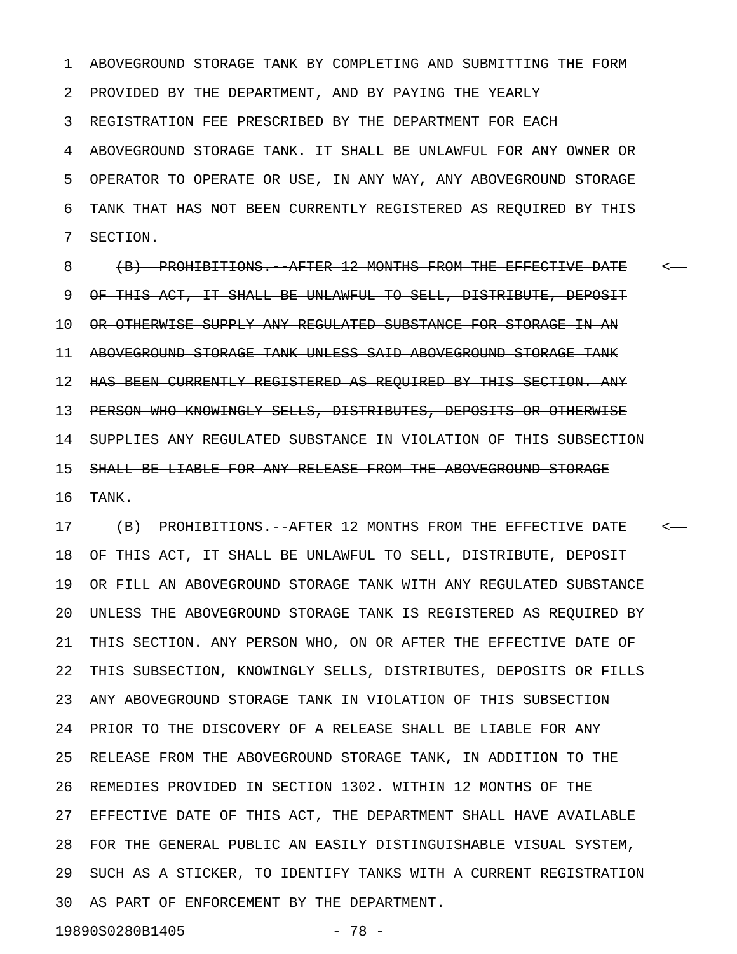1 ABOVEGROUND STORAGE TANK BY COMPLETING AND SUBMITTING THE FORM 2 PROVIDED BY THE DEPARTMENT, AND BY PAYING THE YEARLY 3 REGISTRATION FEE PRESCRIBED BY THE DEPARTMENT FOR EACH 4 ABOVEGROUND STORAGE TANK. IT SHALL BE UNLAWFUL FOR ANY OWNER OR 5 OPERATOR TO OPERATE OR USE, IN ANY WAY, ANY ABOVEGROUND STORAGE 6 TANK THAT HAS NOT BEEN CURRENTLY REGISTERED AS REQUIRED BY THIS 7 SECTION.

8 (B) PROHIBITIONS. AFTER 12 MONTHS FROM THE EFFECTIVE DATE <-9 OF THIS ACT, IT SHALL BE UNLAWFUL TO SELL, DISTRIBUTE, DEPOSIT 10 OR OTHERWISE SUPPLY ANY REGULATED SUBSTANCE FOR STORAGE IN AN 11 ABOVEGROUND STORAGE TANK UNLESS SAID ABOVEGROUND STORAGE TANK 12 HAS BEEN CURRENTLY REGISTERED AS REQUIRED BY THIS SECTION. ANY 13 PERSON WHO KNOWINGLY SELLS, DISTRIBUTES, DEPOSITS OR OTHERWISE 14 SUPPLIES ANY REGULATED SUBSTANCE IN VIOLATION OF THIS SUBSECTION 15 SHALL BE LIABLE FOR ANY RELEASE FROM THE ABOVEGROUND STORAGE 16 TANK.

17 (B) PROHIBITIONS.--AFTER 12 MONTHS FROM THE EFFECTIVE DATE < 18 OF THIS ACT, IT SHALL BE UNLAWFUL TO SELL, DISTRIBUTE, DEPOSIT 19 OR FILL AN ABOVEGROUND STORAGE TANK WITH ANY REGULATED SUBSTANCE 20 UNLESS THE ABOVEGROUND STORAGE TANK IS REGISTERED AS REQUIRED BY 21 THIS SECTION. ANY PERSON WHO, ON OR AFTER THE EFFECTIVE DATE OF 22 THIS SUBSECTION, KNOWINGLY SELLS, DISTRIBUTES, DEPOSITS OR FILLS 23 ANY ABOVEGROUND STORAGE TANK IN VIOLATION OF THIS SUBSECTION 24 PRIOR TO THE DISCOVERY OF A RELEASE SHALL BE LIABLE FOR ANY 25 RELEASE FROM THE ABOVEGROUND STORAGE TANK, IN ADDITION TO THE 26 REMEDIES PROVIDED IN SECTION 1302. WITHIN 12 MONTHS OF THE 27 EFFECTIVE DATE OF THIS ACT, THE DEPARTMENT SHALL HAVE AVAILABLE 28 FOR THE GENERAL PUBLIC AN EASILY DISTINGUISHABLE VISUAL SYSTEM, 29 SUCH AS A STICKER, TO IDENTIFY TANKS WITH A CURRENT REGISTRATION 30 AS PART OF ENFORCEMENT BY THE DEPARTMENT.

19890S0280B1405 - 78 -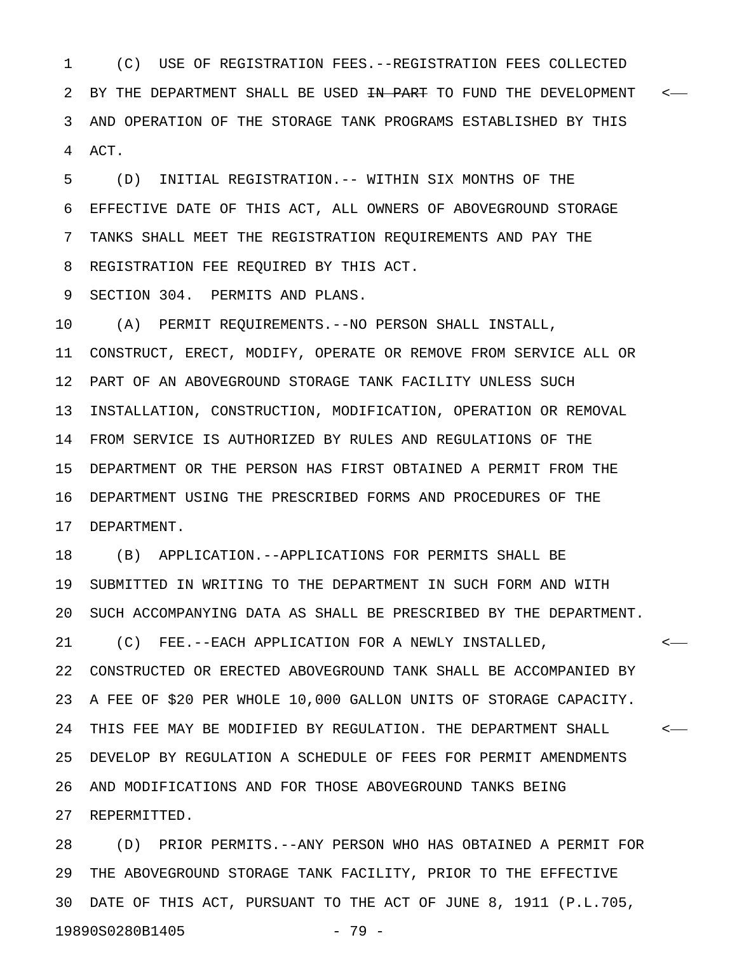1 (C) USE OF REGISTRATION FEES.--REGISTRATION FEES COLLECTED 2 BY THE DEPARTMENT SHALL BE USED <del>IN PART</del> TO FUND THE DEVELOPMENT <-3 AND OPERATION OF THE STORAGE TANK PROGRAMS ESTABLISHED BY THIS 4 ACT.

5 (D) INITIAL REGISTRATION.-- WITHIN SIX MONTHS OF THE 6 EFFECTIVE DATE OF THIS ACT, ALL OWNERS OF ABOVEGROUND STORAGE 7 TANKS SHALL MEET THE REGISTRATION REQUIREMENTS AND PAY THE 8 REGISTRATION FEE REQUIRED BY THIS ACT.

9 SECTION 304. PERMITS AND PLANS.

10 (A) PERMIT REQUIREMENTS.--NO PERSON SHALL INSTALL, 11 CONSTRUCT, ERECT, MODIFY, OPERATE OR REMOVE FROM SERVICE ALL OR 12 PART OF AN ABOVEGROUND STORAGE TANK FACILITY UNLESS SUCH 13 INSTALLATION, CONSTRUCTION, MODIFICATION, OPERATION OR REMOVAL 14 FROM SERVICE IS AUTHORIZED BY RULES AND REGULATIONS OF THE 15 DEPARTMENT OR THE PERSON HAS FIRST OBTAINED A PERMIT FROM THE 16 DEPARTMENT USING THE PRESCRIBED FORMS AND PROCEDURES OF THE 17 DEPARTMENT.

18 (B) APPLICATION.--APPLICATIONS FOR PERMITS SHALL BE 19 SUBMITTED IN WRITING TO THE DEPARTMENT IN SUCH FORM AND WITH 20 SUCH ACCOMPANYING DATA AS SHALL BE PRESCRIBED BY THE DEPARTMENT.

21 (C) FEE.--EACH APPLICATION FOR A NEWLY INSTALLED, < 22 CONSTRUCTED OR ERECTED ABOVEGROUND TANK SHALL BE ACCOMPANIED BY 23 A FEE OF \$20 PER WHOLE 10,000 GALLON UNITS OF STORAGE CAPACITY. 24 THIS FEE MAY BE MODIFIED BY REGULATION. THE DEPARTMENT SHALL < 25 DEVELOP BY REGULATION A SCHEDULE OF FEES FOR PERMIT AMENDMENTS 26 AND MODIFICATIONS AND FOR THOSE ABOVEGROUND TANKS BEING

27 REPERMITTED.

28 (D) PRIOR PERMITS.--ANY PERSON WHO HAS OBTAINED A PERMIT FOR 29 THE ABOVEGROUND STORAGE TANK FACILITY, PRIOR TO THE EFFECTIVE 30 DATE OF THIS ACT, PURSUANT TO THE ACT OF JUNE 8, 1911 (P.L.705, 19890S0280B1405 - 79 -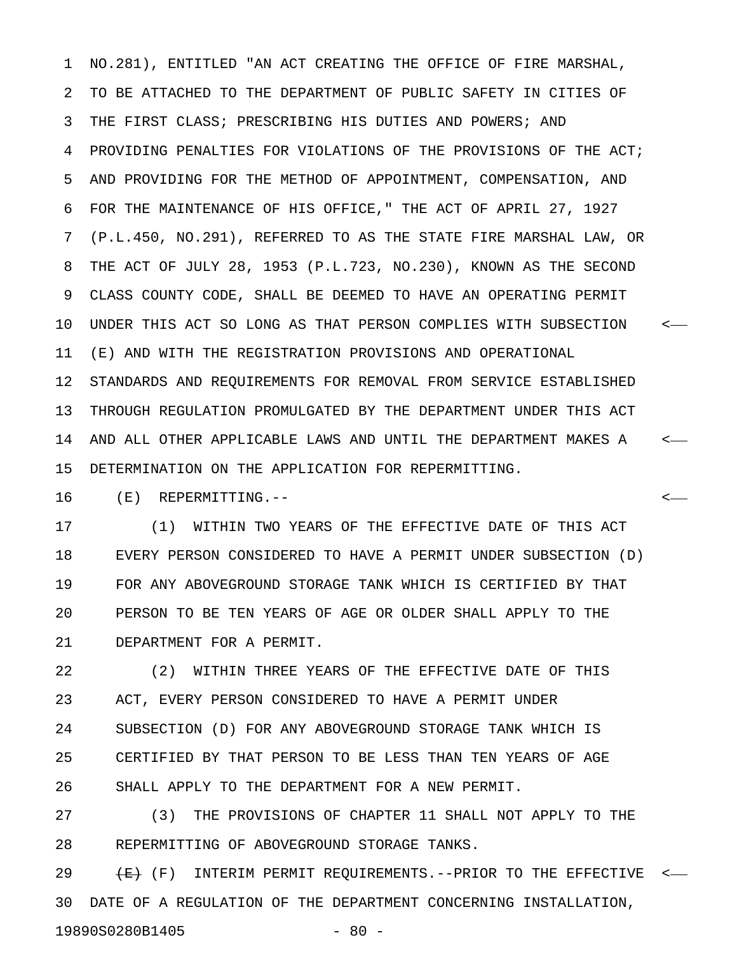1 NO.281), ENTITLED "AN ACT CREATING THE OFFICE OF FIRE MARSHAL, 2 TO BE ATTACHED TO THE DEPARTMENT OF PUBLIC SAFETY IN CITIES OF 3 THE FIRST CLASS; PRESCRIBING HIS DUTIES AND POWERS; AND 4 PROVIDING PENALTIES FOR VIOLATIONS OF THE PROVISIONS OF THE ACT; 5 AND PROVIDING FOR THE METHOD OF APPOINTMENT, COMPENSATION, AND 6 FOR THE MAINTENANCE OF HIS OFFICE," THE ACT OF APRIL 27, 1927 7 (P.L.450, NO.291), REFERRED TO AS THE STATE FIRE MARSHAL LAW, OR 8 THE ACT OF JULY 28, 1953 (P.L.723, NO.230), KNOWN AS THE SECOND 9 CLASS COUNTY CODE, SHALL BE DEEMED TO HAVE AN OPERATING PERMIT 10 UNDER THIS ACT SO LONG AS THAT PERSON COMPLIES WITH SUBSECTION < 11 (E) AND WITH THE REGISTRATION PROVISIONS AND OPERATIONAL 12 STANDARDS AND REQUIREMENTS FOR REMOVAL FROM SERVICE ESTABLISHED 13 THROUGH REGULATION PROMULGATED BY THE DEPARTMENT UNDER THIS ACT 14 AND ALL OTHER APPLICABLE LAWS AND UNTIL THE DEPARTMENT MAKES A < 15 DETERMINATION ON THE APPLICATION FOR REPERMITTING.

16 (E) REPERMITTING.-- <

17 (1) WITHIN TWO YEARS OF THE EFFECTIVE DATE OF THIS ACT 18 EVERY PERSON CONSIDERED TO HAVE A PERMIT UNDER SUBSECTION (D) 19 FOR ANY ABOVEGROUND STORAGE TANK WHICH IS CERTIFIED BY THAT 20 PERSON TO BE TEN YEARS OF AGE OR OLDER SHALL APPLY TO THE 21 DEPARTMENT FOR A PERMIT.

22 (2) WITHIN THREE YEARS OF THE EFFECTIVE DATE OF THIS 23 ACT, EVERY PERSON CONSIDERED TO HAVE A PERMIT UNDER 24 SUBSECTION (D) FOR ANY ABOVEGROUND STORAGE TANK WHICH IS 25 CERTIFIED BY THAT PERSON TO BE LESS THAN TEN YEARS OF AGE 26 SHALL APPLY TO THE DEPARTMENT FOR A NEW PERMIT.

27 (3) THE PROVISIONS OF CHAPTER 11 SHALL NOT APPLY TO THE 28 REPERMITTING OF ABOVEGROUND STORAGE TANKS.

29  $\overline{E}$  (F) INTERIM PERMIT REQUIREMENTS.--PRIOR TO THE EFFECTIVE <-30 DATE OF A REGULATION OF THE DEPARTMENT CONCERNING INSTALLATION, 19890S0280B1405 - 80 -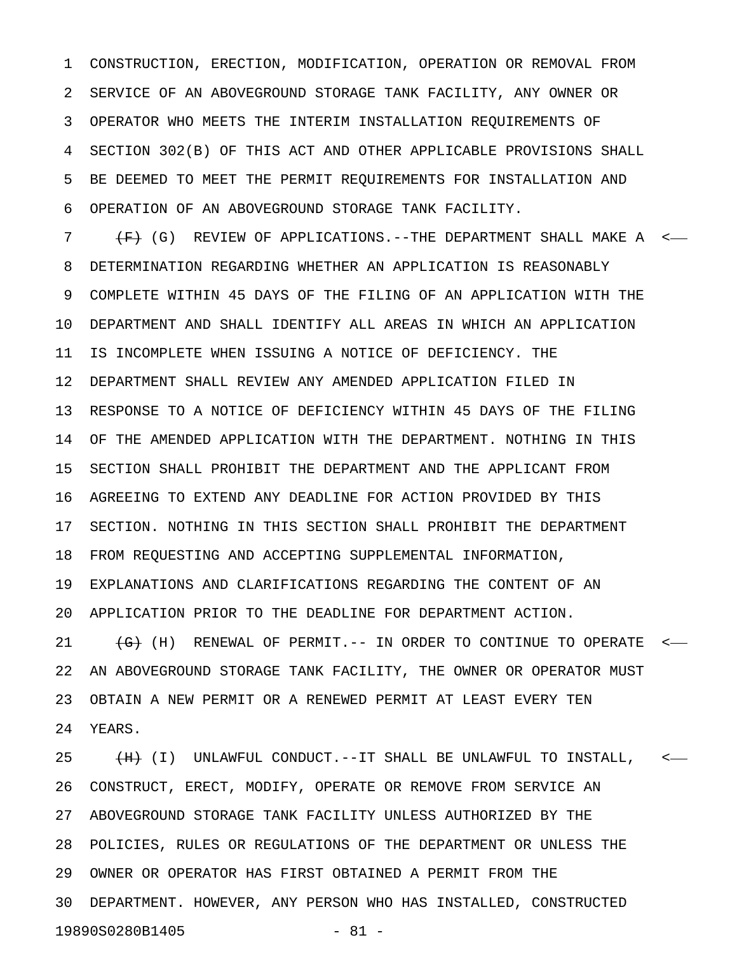1 CONSTRUCTION, ERECTION, MODIFICATION, OPERATION OR REMOVAL FROM 2 SERVICE OF AN ABOVEGROUND STORAGE TANK FACILITY, ANY OWNER OR 3 OPERATOR WHO MEETS THE INTERIM INSTALLATION REQUIREMENTS OF 4 SECTION 302(B) OF THIS ACT AND OTHER APPLICABLE PROVISIONS SHALL 5 BE DEEMED TO MEET THE PERMIT REQUIREMENTS FOR INSTALLATION AND 6 OPERATION OF AN ABOVEGROUND STORAGE TANK FACILITY.

7  $\overline{F}$  (G) REVIEW OF APPLICATIONS.--THE DEPARTMENT SHALL MAKE A  $\overline{F}$ 8 DETERMINATION REGARDING WHETHER AN APPLICATION IS REASONABLY 9 COMPLETE WITHIN 45 DAYS OF THE FILING OF AN APPLICATION WITH THE 10 DEPARTMENT AND SHALL IDENTIFY ALL AREAS IN WHICH AN APPLICATION 11 IS INCOMPLETE WHEN ISSUING A NOTICE OF DEFICIENCY. THE 12 DEPARTMENT SHALL REVIEW ANY AMENDED APPLICATION FILED IN 13 RESPONSE TO A NOTICE OF DEFICIENCY WITHIN 45 DAYS OF THE FILING 14 OF THE AMENDED APPLICATION WITH THE DEPARTMENT. NOTHING IN THIS 15 SECTION SHALL PROHIBIT THE DEPARTMENT AND THE APPLICANT FROM 16 AGREEING TO EXTEND ANY DEADLINE FOR ACTION PROVIDED BY THIS 17 SECTION. NOTHING IN THIS SECTION SHALL PROHIBIT THE DEPARTMENT 18 FROM REQUESTING AND ACCEPTING SUPPLEMENTAL INFORMATION, 19 EXPLANATIONS AND CLARIFICATIONS REGARDING THE CONTENT OF AN 20 APPLICATION PRIOR TO THE DEADLINE FOR DEPARTMENT ACTION. 21 (G) (H) RENEWAL OF PERMIT.-- IN ORDER TO CONTINUE TO OPERATE <-22 AN ABOVEGROUND STORAGE TANK FACILITY, THE OWNER OR OPERATOR MUST 23 OBTAIN A NEW PERMIT OR A RENEWED PERMIT AT LEAST EVERY TEN

24 YEARS.

25  $(H)$  (I) UNLAWFUL CONDUCT.--IT SHALL BE UNLAWFUL TO INSTALL,  $\leftarrow$ 26 CONSTRUCT, ERECT, MODIFY, OPERATE OR REMOVE FROM SERVICE AN 27 ABOVEGROUND STORAGE TANK FACILITY UNLESS AUTHORIZED BY THE 28 POLICIES, RULES OR REGULATIONS OF THE DEPARTMENT OR UNLESS THE 29 OWNER OR OPERATOR HAS FIRST OBTAINED A PERMIT FROM THE 30 DEPARTMENT. HOWEVER, ANY PERSON WHO HAS INSTALLED, CONSTRUCTED 19890S0280B1405 - 81 -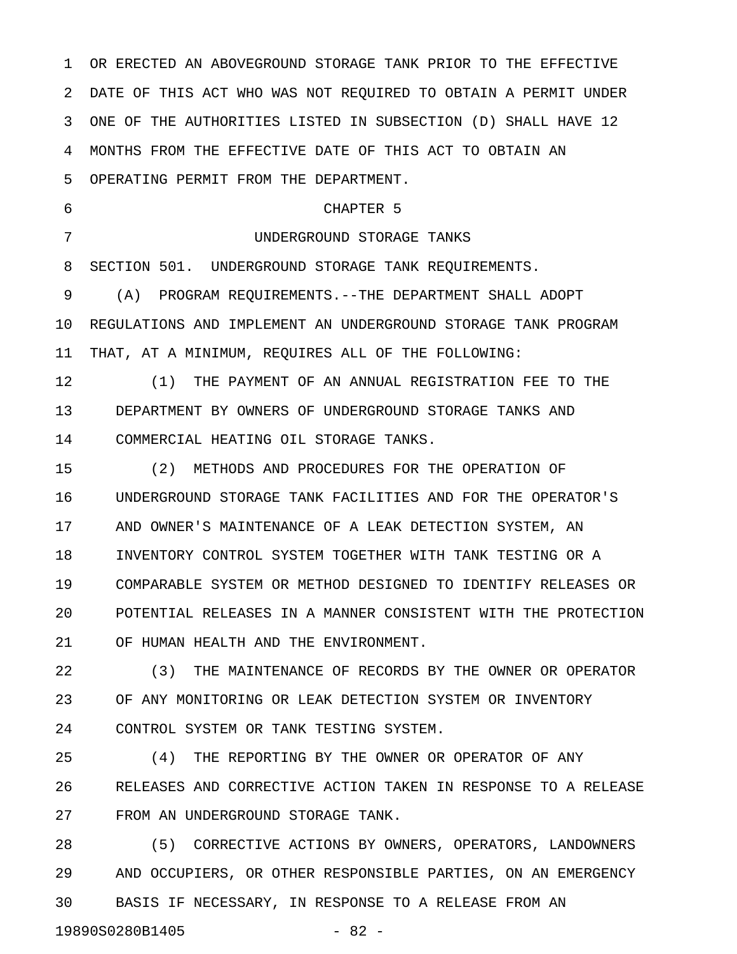1 OR ERECTED AN ABOVEGROUND STORAGE TANK PRIOR TO THE EFFECTIVE 2 DATE OF THIS ACT WHO WAS NOT REQUIRED TO OBTAIN A PERMIT UNDER 3 ONE OF THE AUTHORITIES LISTED IN SUBSECTION (D) SHALL HAVE 12 4 MONTHS FROM THE EFFECTIVE DATE OF THIS ACT TO OBTAIN AN 5 OPERATING PERMIT FROM THE DEPARTMENT. 6 CHAPTER 5 7 UNDERGROUND STORAGE TANKS 8 SECTION 501. UNDERGROUND STORAGE TANK REQUIREMENTS. 9 (A) PROGRAM REQUIREMENTS.--THE DEPARTMENT SHALL ADOPT 10 REGULATIONS AND IMPLEMENT AN UNDERGROUND STORAGE TANK PROGRAM 11 THAT, AT A MINIMUM, REQUIRES ALL OF THE FOLLOWING: 12 (1) THE PAYMENT OF AN ANNUAL REGISTRATION FEE TO THE 13 DEPARTMENT BY OWNERS OF UNDERGROUND STORAGE TANKS AND 14 COMMERCIAL HEATING OIL STORAGE TANKS. 15 (2) METHODS AND PROCEDURES FOR THE OPERATION OF 16 UNDERGROUND STORAGE TANK FACILITIES AND FOR THE OPERATOR'S 17 AND OWNER'S MAINTENANCE OF A LEAK DETECTION SYSTEM, AN 18 INVENTORY CONTROL SYSTEM TOGETHER WITH TANK TESTING OR A 19 COMPARABLE SYSTEM OR METHOD DESIGNED TO IDENTIFY RELEASES OR 20 POTENTIAL RELEASES IN A MANNER CONSISTENT WITH THE PROTECTION 21 OF HUMAN HEALTH AND THE ENVIRONMENT. 22 (3) THE MAINTENANCE OF RECORDS BY THE OWNER OR OPERATOR 23 OF ANY MONITORING OR LEAK DETECTION SYSTEM OR INVENTORY 24 CONTROL SYSTEM OR TANK TESTING SYSTEM. 25 (4) THE REPORTING BY THE OWNER OR OPERATOR OF ANY

26 RELEASES AND CORRECTIVE ACTION TAKEN IN RESPONSE TO A RELEASE 27 FROM AN UNDERGROUND STORAGE TANK.

28 (5) CORRECTIVE ACTIONS BY OWNERS, OPERATORS, LANDOWNERS 29 AND OCCUPIERS, OR OTHER RESPONSIBLE PARTIES, ON AN EMERGENCY 30 BASIS IF NECESSARY, IN RESPONSE TO A RELEASE FROM AN 19890S0280B1405 - 82 -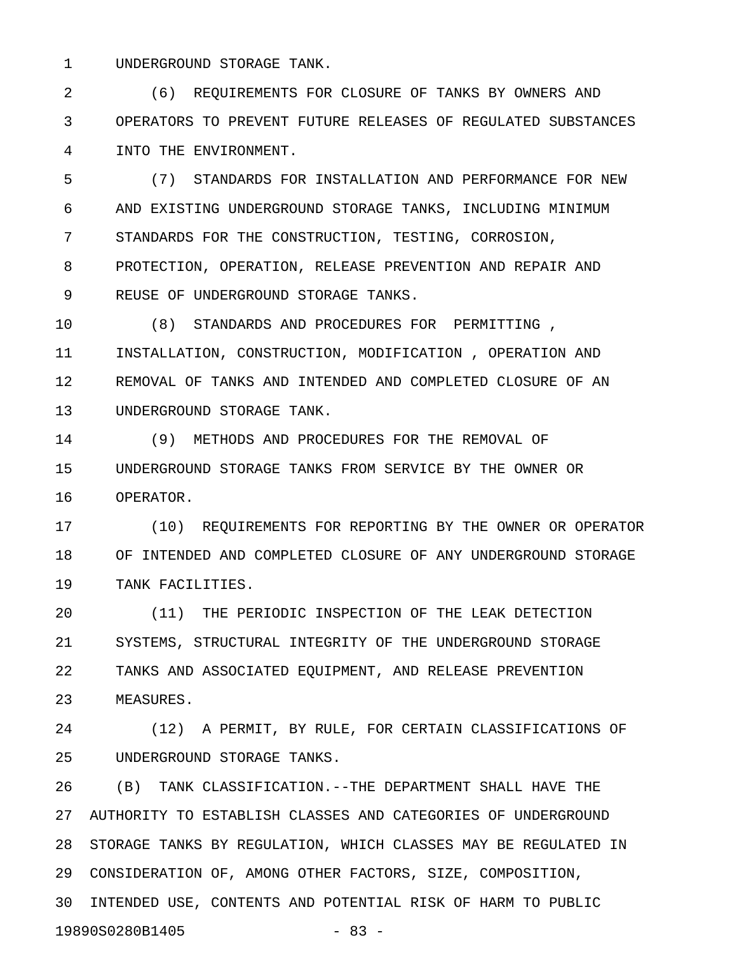1 UNDERGROUND STORAGE TANK.

2 (6) REQUIREMENTS FOR CLOSURE OF TANKS BY OWNERS AND 3 OPERATORS TO PREVENT FUTURE RELEASES OF REGULATED SUBSTANCES 4 INTO THE ENVIRONMENT.

5 (7) STANDARDS FOR INSTALLATION AND PERFORMANCE FOR NEW 6 AND EXISTING UNDERGROUND STORAGE TANKS, INCLUDING MINIMUM 7 STANDARDS FOR THE CONSTRUCTION, TESTING, CORROSION, 8 PROTECTION, OPERATION, RELEASE PREVENTION AND REPAIR AND 9 REUSE OF UNDERGROUND STORAGE TANKS.

10 (8) STANDARDS AND PROCEDURES FOR PERMITTING , 11 INSTALLATION, CONSTRUCTION, MODIFICATION , OPERATION AND 12 REMOVAL OF TANKS AND INTENDED AND COMPLETED CLOSURE OF AN 13 UNDERGROUND STORAGE TANK.

14 (9) METHODS AND PROCEDURES FOR THE REMOVAL OF 15 UNDERGROUND STORAGE TANKS FROM SERVICE BY THE OWNER OR 16 OPERATOR.

17 (10) REQUIREMENTS FOR REPORTING BY THE OWNER OR OPERATOR 18 OF INTENDED AND COMPLETED CLOSURE OF ANY UNDERGROUND STORAGE 19 TANK FACILITIES.

20 (11) THE PERIODIC INSPECTION OF THE LEAK DETECTION 21 SYSTEMS, STRUCTURAL INTEGRITY OF THE UNDERGROUND STORAGE 22 TANKS AND ASSOCIATED EQUIPMENT, AND RELEASE PREVENTION 23 MEASURES.

24 (12) A PERMIT, BY RULE, FOR CERTAIN CLASSIFICATIONS OF 25 UNDERGROUND STORAGE TANKS.

26 (B) TANK CLASSIFICATION.--THE DEPARTMENT SHALL HAVE THE 27 AUTHORITY TO ESTABLISH CLASSES AND CATEGORIES OF UNDERGROUND 28 STORAGE TANKS BY REGULATION, WHICH CLASSES MAY BE REGULATED IN 29 CONSIDERATION OF, AMONG OTHER FACTORS, SIZE, COMPOSITION, 30 INTENDED USE, CONTENTS AND POTENTIAL RISK OF HARM TO PUBLIC 19890S0280B1405 - 83 -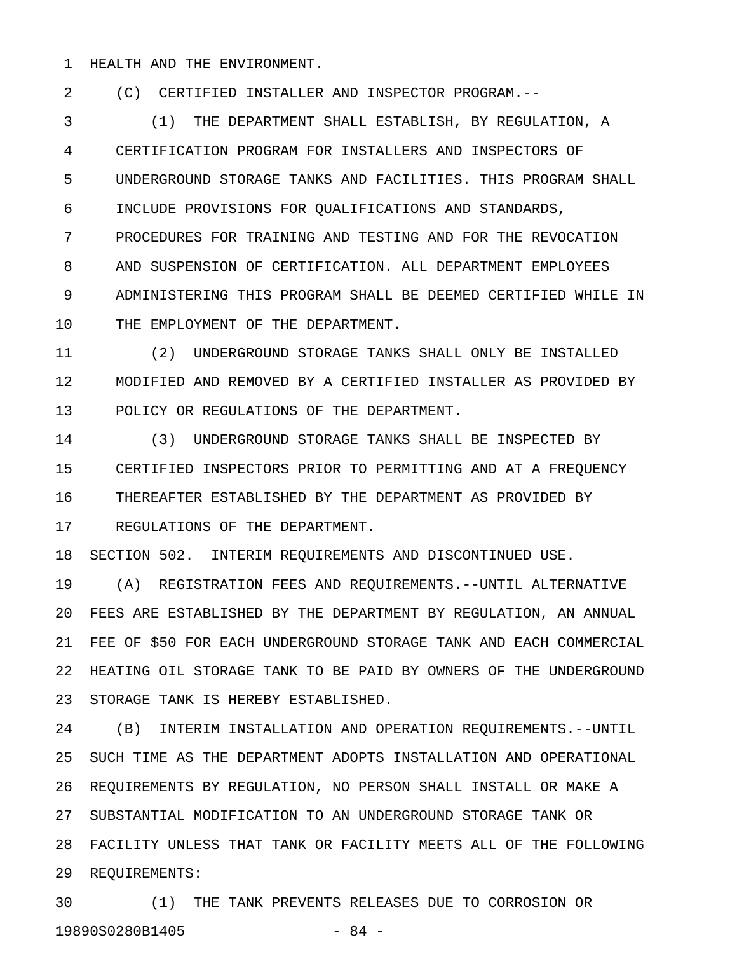1 HEALTH AND THE ENVIRONMENT.

2 (C) CERTIFIED INSTALLER AND INSPECTOR PROGRAM.--

3 (1) THE DEPARTMENT SHALL ESTABLISH, BY REGULATION, A 4 CERTIFICATION PROGRAM FOR INSTALLERS AND INSPECTORS OF 5 UNDERGROUND STORAGE TANKS AND FACILITIES. THIS PROGRAM SHALL 6 INCLUDE PROVISIONS FOR QUALIFICATIONS AND STANDARDS, 7 PROCEDURES FOR TRAINING AND TESTING AND FOR THE REVOCATION 8 AND SUSPENSION OF CERTIFICATION. ALL DEPARTMENT EMPLOYEES 9 ADMINISTERING THIS PROGRAM SHALL BE DEEMED CERTIFIED WHILE IN 10 THE EMPLOYMENT OF THE DEPARTMENT.

11 (2) UNDERGROUND STORAGE TANKS SHALL ONLY BE INSTALLED 12 MODIFIED AND REMOVED BY A CERTIFIED INSTALLER AS PROVIDED BY 13 POLICY OR REGULATIONS OF THE DEPARTMENT.

14 (3) UNDERGROUND STORAGE TANKS SHALL BE INSPECTED BY 15 CERTIFIED INSPECTORS PRIOR TO PERMITTING AND AT A FREQUENCY 16 THEREAFTER ESTABLISHED BY THE DEPARTMENT AS PROVIDED BY 17 REGULATIONS OF THE DEPARTMENT.

18 SECTION 502. INTERIM REQUIREMENTS AND DISCONTINUED USE.

19 (A) REGISTRATION FEES AND REQUIREMENTS.--UNTIL ALTERNATIVE 20 FEES ARE ESTABLISHED BY THE DEPARTMENT BY REGULATION, AN ANNUAL 21 FEE OF \$50 FOR EACH UNDERGROUND STORAGE TANK AND EACH COMMERCIAL 22 HEATING OIL STORAGE TANK TO BE PAID BY OWNERS OF THE UNDERGROUND 23 STORAGE TANK IS HEREBY ESTABLISHED.

24 (B) INTERIM INSTALLATION AND OPERATION REQUIREMENTS.--UNTIL 25 SUCH TIME AS THE DEPARTMENT ADOPTS INSTALLATION AND OPERATIONAL 26 REQUIREMENTS BY REGULATION, NO PERSON SHALL INSTALL OR MAKE A 27 SUBSTANTIAL MODIFICATION TO AN UNDERGROUND STORAGE TANK OR 28 FACILITY UNLESS THAT TANK OR FACILITY MEETS ALL OF THE FOLLOWING 29 REQUIREMENTS:

30 (1) THE TANK PREVENTS RELEASES DUE TO CORROSION OR 19890S0280B1405 - 84 -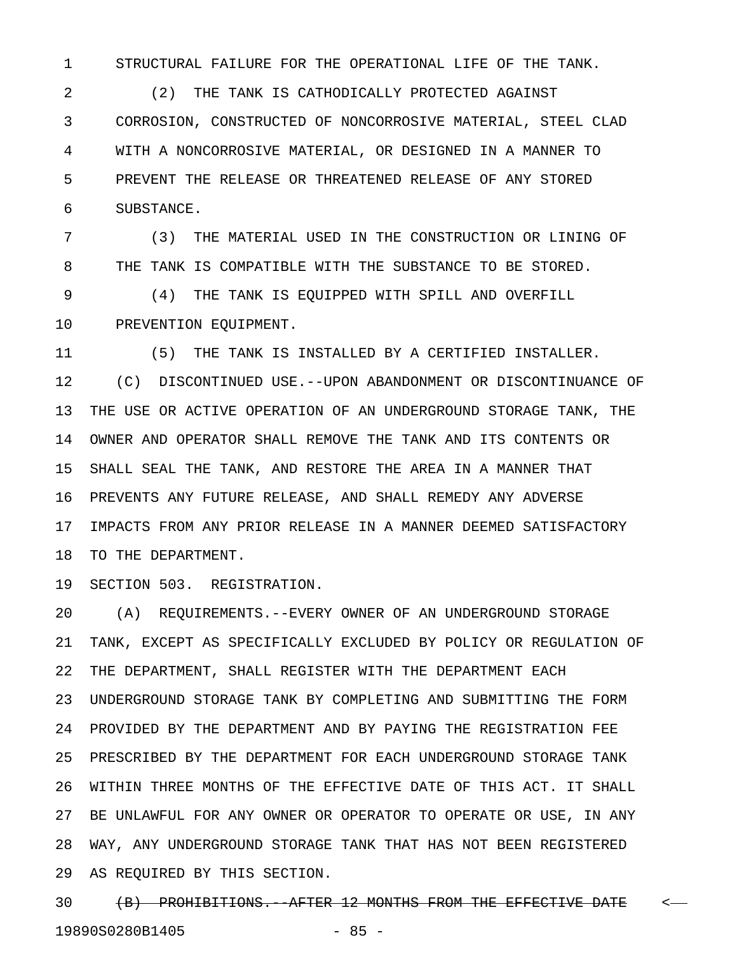1 STRUCTURAL FAILURE FOR THE OPERATIONAL LIFE OF THE TANK.

2 (2) THE TANK IS CATHODICALLY PROTECTED AGAINST 3 CORROSION, CONSTRUCTED OF NONCORROSIVE MATERIAL, STEEL CLAD 4 WITH A NONCORROSIVE MATERIAL, OR DESIGNED IN A MANNER TO 5 PREVENT THE RELEASE OR THREATENED RELEASE OF ANY STORED 6 SUBSTANCE.

7 (3) THE MATERIAL USED IN THE CONSTRUCTION OR LINING OF 8 THE TANK IS COMPATIBLE WITH THE SUBSTANCE TO BE STORED.

9 (4) THE TANK IS EQUIPPED WITH SPILL AND OVERFILL 10 PREVENTION EQUIPMENT.

11 (5) THE TANK IS INSTALLED BY A CERTIFIED INSTALLER. 12 (C) DISCONTINUED USE.--UPON ABANDONMENT OR DISCONTINUANCE OF 13 THE USE OR ACTIVE OPERATION OF AN UNDERGROUND STORAGE TANK, THE 14 OWNER AND OPERATOR SHALL REMOVE THE TANK AND ITS CONTENTS OR 15 SHALL SEAL THE TANK, AND RESTORE THE AREA IN A MANNER THAT 16 PREVENTS ANY FUTURE RELEASE, AND SHALL REMEDY ANY ADVERSE 17 IMPACTS FROM ANY PRIOR RELEASE IN A MANNER DEEMED SATISFACTORY 18 TO THE DEPARTMENT.

19 SECTION 503. REGISTRATION.

20 (A) REQUIREMENTS.--EVERY OWNER OF AN UNDERGROUND STORAGE 21 TANK, EXCEPT AS SPECIFICALLY EXCLUDED BY POLICY OR REGULATION OF 22 THE DEPARTMENT, SHALL REGISTER WITH THE DEPARTMENT EACH 23 UNDERGROUND STORAGE TANK BY COMPLETING AND SUBMITTING THE FORM 24 PROVIDED BY THE DEPARTMENT AND BY PAYING THE REGISTRATION FEE 25 PRESCRIBED BY THE DEPARTMENT FOR EACH UNDERGROUND STORAGE TANK 26 WITHIN THREE MONTHS OF THE EFFECTIVE DATE OF THIS ACT. IT SHALL 27 BE UNLAWFUL FOR ANY OWNER OR OPERATOR TO OPERATE OR USE, IN ANY 28 WAY, ANY UNDERGROUND STORAGE TANK THAT HAS NOT BEEN REGISTERED 29 AS REQUIRED BY THIS SECTION.

30 (B) PROHIBITIONS. AFTER 12 MONTHS FROM THE EFFECTIVE DATE <-19890S0280B1405 - 85 -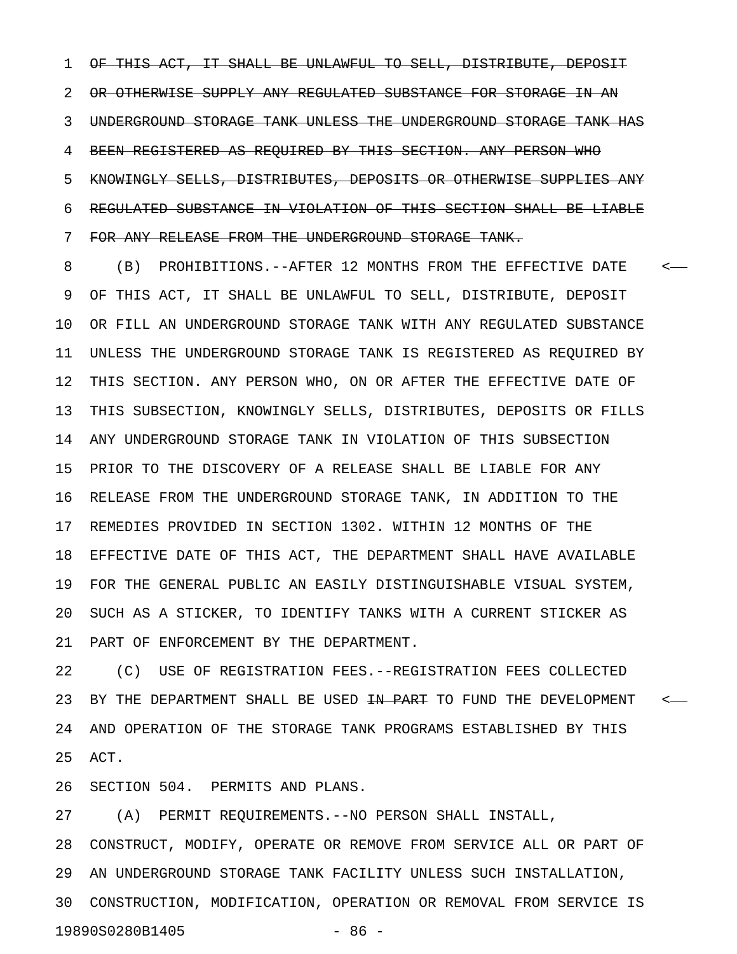1 OF THIS ACT, IT SHALL BE UNLAWFUL TO SELL, DISTRIBUTE, DEPOSIT 2 OR OTHERWISE SUPPLY ANY REGULATED SUBSTANCE FOR STORAGE IN AN 3 UNDERGROUND STORAGE TANK UNLESS THE UNDERGROUND STORAGE TANK HAS 4 BEEN REGISTERED AS REQUIRED BY THIS SECTION. ANY PERSON WHO 5 KNOWINGLY SELLS, DISTRIBUTES, DEPOSITS OR OTHERWISE SUPPLIES ANY 6 REGULATED SUBSTANCE IN VIOLATION OF THIS SECTION SHALL BE LIABLE 7 FOR ANY RELEASE FROM THE UNDERGROUND STORAGE TANK.

8 (B) PROHIBITIONS.--AFTER 12 MONTHS FROM THE EFFECTIVE DATE < 9 OF THIS ACT, IT SHALL BE UNLAWFUL TO SELL, DISTRIBUTE, DEPOSIT 10 OR FILL AN UNDERGROUND STORAGE TANK WITH ANY REGULATED SUBSTANCE 11 UNLESS THE UNDERGROUND STORAGE TANK IS REGISTERED AS REQUIRED BY 12 THIS SECTION. ANY PERSON WHO, ON OR AFTER THE EFFECTIVE DATE OF 13 THIS SUBSECTION, KNOWINGLY SELLS, DISTRIBUTES, DEPOSITS OR FILLS 14 ANY UNDERGROUND STORAGE TANK IN VIOLATION OF THIS SUBSECTION 15 PRIOR TO THE DISCOVERY OF A RELEASE SHALL BE LIABLE FOR ANY 16 RELEASE FROM THE UNDERGROUND STORAGE TANK, IN ADDITION TO THE 17 REMEDIES PROVIDED IN SECTION 1302. WITHIN 12 MONTHS OF THE 18 EFFECTIVE DATE OF THIS ACT, THE DEPARTMENT SHALL HAVE AVAILABLE 19 FOR THE GENERAL PUBLIC AN EASILY DISTINGUISHABLE VISUAL SYSTEM, 20 SUCH AS A STICKER, TO IDENTIFY TANKS WITH A CURRENT STICKER AS 21 PART OF ENFORCEMENT BY THE DEPARTMENT.

22 (C) USE OF REGISTRATION FEES.--REGISTRATION FEES COLLECTED 23 BY THE DEPARTMENT SHALL BE USED <del>IN PART</del> TO FUND THE DEVELOPMENT <-24 AND OPERATION OF THE STORAGE TANK PROGRAMS ESTABLISHED BY THIS 25 ACT.

26 SECTION 504. PERMITS AND PLANS.

27 (A) PERMIT REQUIREMENTS.--NO PERSON SHALL INSTALL, 28 CONSTRUCT, MODIFY, OPERATE OR REMOVE FROM SERVICE ALL OR PART OF 29 AN UNDERGROUND STORAGE TANK FACILITY UNLESS SUCH INSTALLATION, 30 CONSTRUCTION, MODIFICATION, OPERATION OR REMOVAL FROM SERVICE IS 19890S0280B1405 - 86 -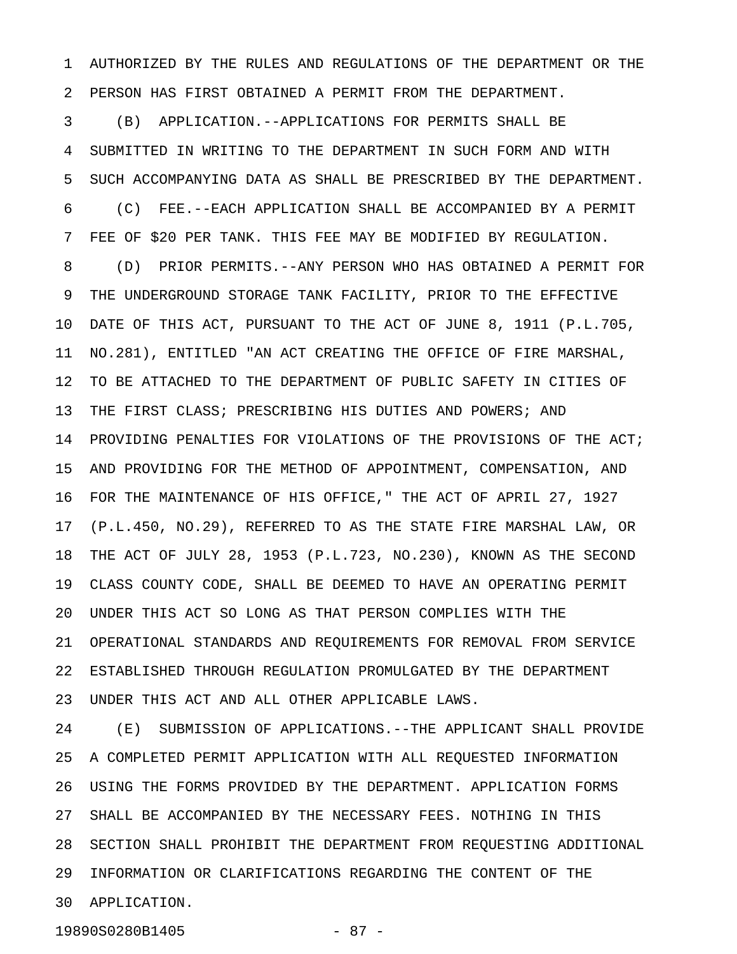1 AUTHORIZED BY THE RULES AND REGULATIONS OF THE DEPARTMENT OR THE 2 PERSON HAS FIRST OBTAINED A PERMIT FROM THE DEPARTMENT.

3 (B) APPLICATION.--APPLICATIONS FOR PERMITS SHALL BE 4 SUBMITTED IN WRITING TO THE DEPARTMENT IN SUCH FORM AND WITH 5 SUCH ACCOMPANYING DATA AS SHALL BE PRESCRIBED BY THE DEPARTMENT. 6 (C) FEE.--EACH APPLICATION SHALL BE ACCOMPANIED BY A PERMIT 7 FEE OF \$20 PER TANK. THIS FEE MAY BE MODIFIED BY REGULATION. 8 (D) PRIOR PERMITS.--ANY PERSON WHO HAS OBTAINED A PERMIT FOR 9 THE UNDERGROUND STORAGE TANK FACILITY, PRIOR TO THE EFFECTIVE 10 DATE OF THIS ACT, PURSUANT TO THE ACT OF JUNE 8, 1911 (P.L.705, 11 NO.281), ENTITLED "AN ACT CREATING THE OFFICE OF FIRE MARSHAL, 12 TO BE ATTACHED TO THE DEPARTMENT OF PUBLIC SAFETY IN CITIES OF 13 THE FIRST CLASS; PRESCRIBING HIS DUTIES AND POWERS; AND 14 PROVIDING PENALTIES FOR VIOLATIONS OF THE PROVISIONS OF THE ACT; 15 AND PROVIDING FOR THE METHOD OF APPOINTMENT, COMPENSATION, AND 16 FOR THE MAINTENANCE OF HIS OFFICE," THE ACT OF APRIL 27, 1927 17 (P.L.450, NO.29), REFERRED TO AS THE STATE FIRE MARSHAL LAW, OR 18 THE ACT OF JULY 28, 1953 (P.L.723, NO.230), KNOWN AS THE SECOND 19 CLASS COUNTY CODE, SHALL BE DEEMED TO HAVE AN OPERATING PERMIT 20 UNDER THIS ACT SO LONG AS THAT PERSON COMPLIES WITH THE 21 OPERATIONAL STANDARDS AND REQUIREMENTS FOR REMOVAL FROM SERVICE 22 ESTABLISHED THROUGH REGULATION PROMULGATED BY THE DEPARTMENT 23 UNDER THIS ACT AND ALL OTHER APPLICABLE LAWS.

24 (E) SUBMISSION OF APPLICATIONS.--THE APPLICANT SHALL PROVIDE 25 A COMPLETED PERMIT APPLICATION WITH ALL REQUESTED INFORMATION 26 USING THE FORMS PROVIDED BY THE DEPARTMENT. APPLICATION FORMS 27 SHALL BE ACCOMPANIED BY THE NECESSARY FEES. NOTHING IN THIS 28 SECTION SHALL PROHIBIT THE DEPARTMENT FROM REQUESTING ADDITIONAL 29 INFORMATION OR CLARIFICATIONS REGARDING THE CONTENT OF THE 30 APPLICATION.

19890S0280B1405 - 87 -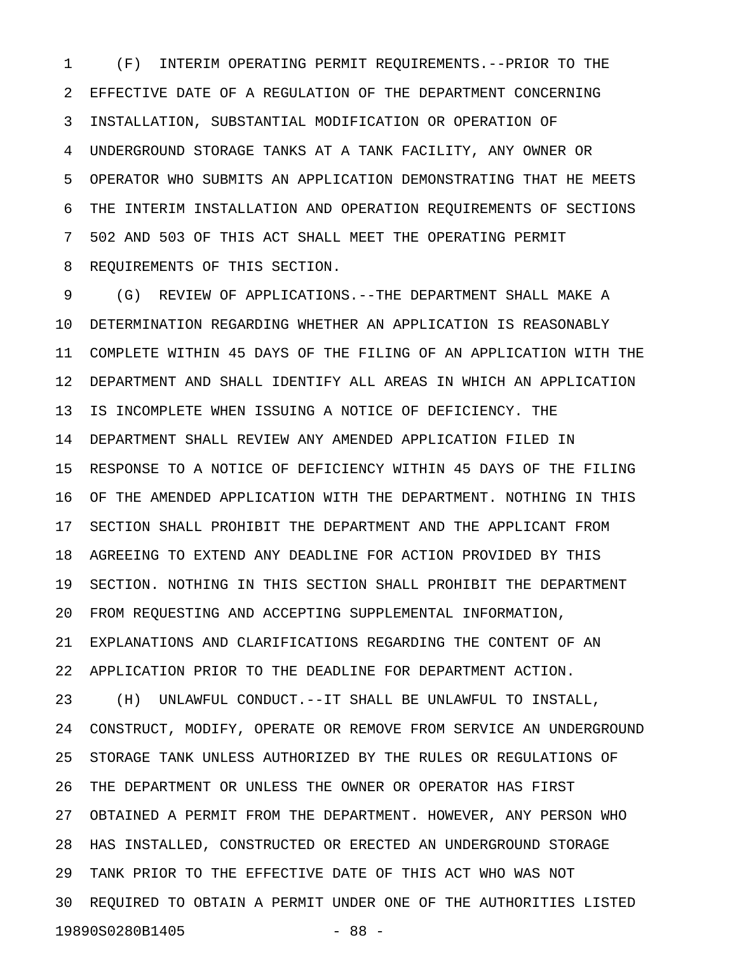1 (F) INTERIM OPERATING PERMIT REQUIREMENTS.--PRIOR TO THE 2 EFFECTIVE DATE OF A REGULATION OF THE DEPARTMENT CONCERNING 3 INSTALLATION, SUBSTANTIAL MODIFICATION OR OPERATION OF 4 UNDERGROUND STORAGE TANKS AT A TANK FACILITY, ANY OWNER OR 5 OPERATOR WHO SUBMITS AN APPLICATION DEMONSTRATING THAT HE MEETS 6 THE INTERIM INSTALLATION AND OPERATION REQUIREMENTS OF SECTIONS 7 502 AND 503 OF THIS ACT SHALL MEET THE OPERATING PERMIT 8 REQUIREMENTS OF THIS SECTION.

9 (G) REVIEW OF APPLICATIONS.--THE DEPARTMENT SHALL MAKE A 10 DETERMINATION REGARDING WHETHER AN APPLICATION IS REASONABLY 11 COMPLETE WITHIN 45 DAYS OF THE FILING OF AN APPLICATION WITH THE 12 DEPARTMENT AND SHALL IDENTIFY ALL AREAS IN WHICH AN APPLICATION 13 IS INCOMPLETE WHEN ISSUING A NOTICE OF DEFICIENCY. THE 14 DEPARTMENT SHALL REVIEW ANY AMENDED APPLICATION FILED IN 15 RESPONSE TO A NOTICE OF DEFICIENCY WITHIN 45 DAYS OF THE FILING 16 OF THE AMENDED APPLICATION WITH THE DEPARTMENT. NOTHING IN THIS 17 SECTION SHALL PROHIBIT THE DEPARTMENT AND THE APPLICANT FROM 18 AGREEING TO EXTEND ANY DEADLINE FOR ACTION PROVIDED BY THIS 19 SECTION. NOTHING IN THIS SECTION SHALL PROHIBIT THE DEPARTMENT 20 FROM REQUESTING AND ACCEPTING SUPPLEMENTAL INFORMATION, 21 EXPLANATIONS AND CLARIFICATIONS REGARDING THE CONTENT OF AN 22 APPLICATION PRIOR TO THE DEADLINE FOR DEPARTMENT ACTION. 23 (H) UNLAWFUL CONDUCT.--IT SHALL BE UNLAWFUL TO INSTALL, 24 CONSTRUCT, MODIFY, OPERATE OR REMOVE FROM SERVICE AN UNDERGROUND 25 STORAGE TANK UNLESS AUTHORIZED BY THE RULES OR REGULATIONS OF 26 THE DEPARTMENT OR UNLESS THE OWNER OR OPERATOR HAS FIRST 27 OBTAINED A PERMIT FROM THE DEPARTMENT. HOWEVER, ANY PERSON WHO 28 HAS INSTALLED, CONSTRUCTED OR ERECTED AN UNDERGROUND STORAGE 29 TANK PRIOR TO THE EFFECTIVE DATE OF THIS ACT WHO WAS NOT 30 REQUIRED TO OBTAIN A PERMIT UNDER ONE OF THE AUTHORITIES LISTED 19890S0280B1405 - 88 -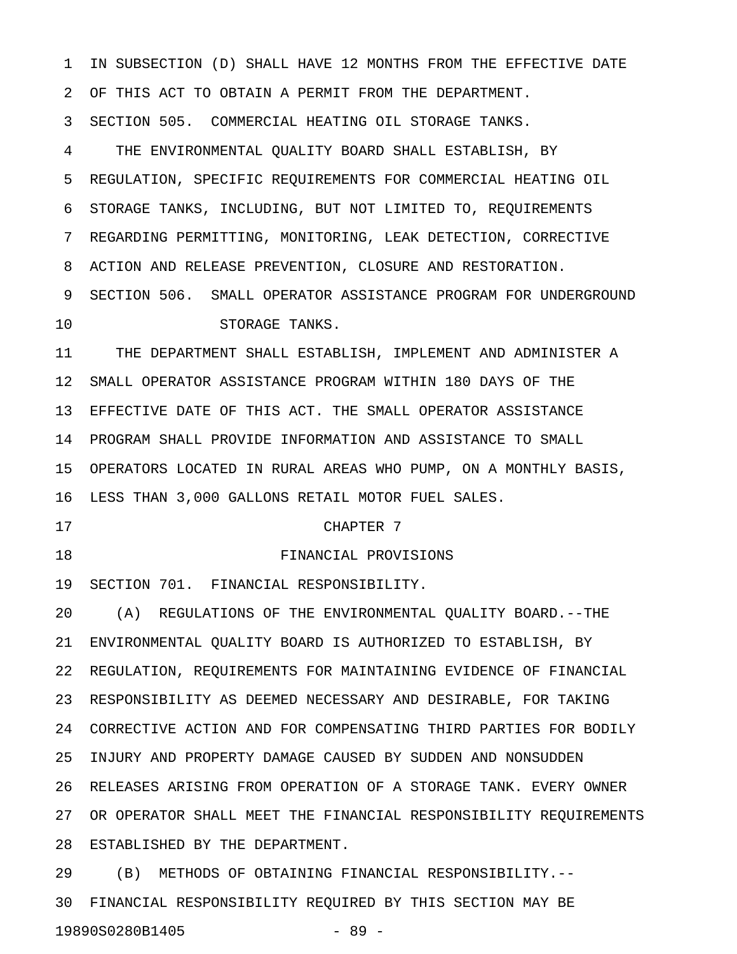1 IN SUBSECTION (D) SHALL HAVE 12 MONTHS FROM THE EFFECTIVE DATE 2 OF THIS ACT TO OBTAIN A PERMIT FROM THE DEPARTMENT. 3 SECTION 505. COMMERCIAL HEATING OIL STORAGE TANKS. 4 THE ENVIRONMENTAL QUALITY BOARD SHALL ESTABLISH, BY 5 REGULATION, SPECIFIC REQUIREMENTS FOR COMMERCIAL HEATING OIL 6 STORAGE TANKS, INCLUDING, BUT NOT LIMITED TO, REQUIREMENTS 7 REGARDING PERMITTING, MONITORING, LEAK DETECTION, CORRECTIVE 8 ACTION AND RELEASE PREVENTION, CLOSURE AND RESTORATION. 9 SECTION 506. SMALL OPERATOR ASSISTANCE PROGRAM FOR UNDERGROUND 10 STORAGE TANKS. 11 THE DEPARTMENT SHALL ESTABLISH, IMPLEMENT AND ADMINISTER A 12 SMALL OPERATOR ASSISTANCE PROGRAM WITHIN 180 DAYS OF THE 13 EFFECTIVE DATE OF THIS ACT. THE SMALL OPERATOR ASSISTANCE 14 PROGRAM SHALL PROVIDE INFORMATION AND ASSISTANCE TO SMALL 15 OPERATORS LOCATED IN RURAL AREAS WHO PUMP, ON A MONTHLY BASIS, 16 LESS THAN 3,000 GALLONS RETAIL MOTOR FUEL SALES. 17 CHAPTER 7 18 FINANCIAL PROVISIONS 19 SECTION 701. FINANCIAL RESPONSIBILITY. 20 (A) REGULATIONS OF THE ENVIRONMENTAL QUALITY BOARD.--THE 21 ENVIRONMENTAL QUALITY BOARD IS AUTHORIZED TO ESTABLISH, BY 22 REGULATION, REQUIREMENTS FOR MAINTAINING EVIDENCE OF FINANCIAL 23 RESPONSIBILITY AS DEEMED NECESSARY AND DESIRABLE, FOR TAKING 24 CORRECTIVE ACTION AND FOR COMPENSATING THIRD PARTIES FOR BODILY 25 INJURY AND PROPERTY DAMAGE CAUSED BY SUDDEN AND NONSUDDEN 26 RELEASES ARISING FROM OPERATION OF A STORAGE TANK. EVERY OWNER 27 OR OPERATOR SHALL MEET THE FINANCIAL RESPONSIBILITY REQUIREMENTS 28 ESTABLISHED BY THE DEPARTMENT. 29 (B) METHODS OF OBTAINING FINANCIAL RESPONSIBILITY.--

30 FINANCIAL RESPONSIBILITY REQUIRED BY THIS SECTION MAY BE 19890S0280B1405 - 89 -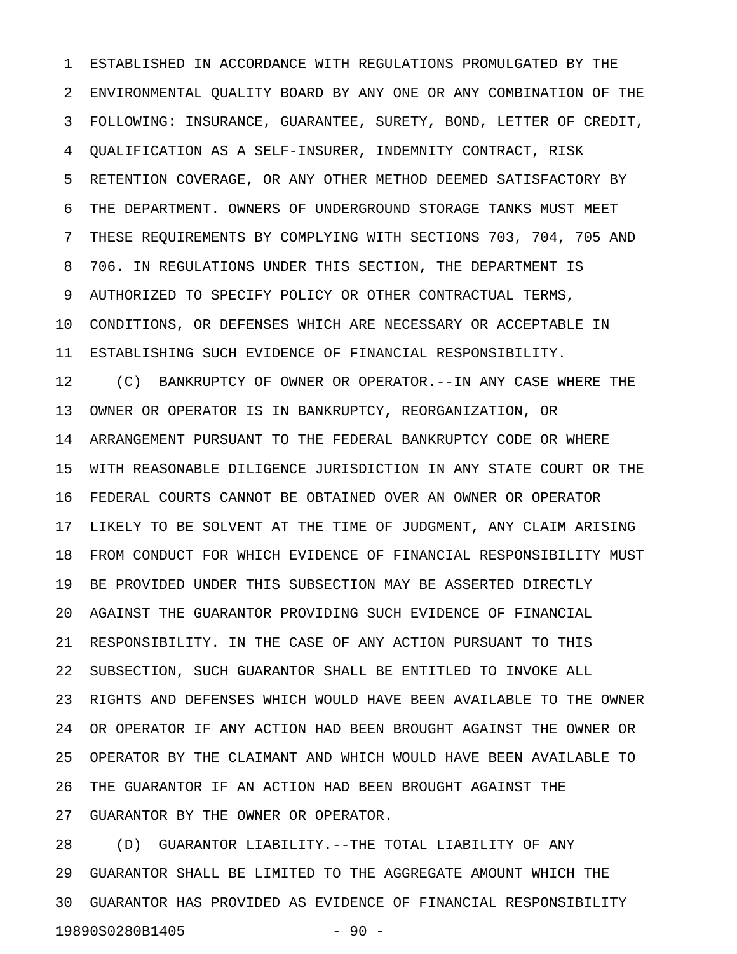1 ESTABLISHED IN ACCORDANCE WITH REGULATIONS PROMULGATED BY THE 2 ENVIRONMENTAL QUALITY BOARD BY ANY ONE OR ANY COMBINATION OF THE 3 FOLLOWING: INSURANCE, GUARANTEE, SURETY, BOND, LETTER OF CREDIT, 4 QUALIFICATION AS A SELF-INSURER, INDEMNITY CONTRACT, RISK 5 RETENTION COVERAGE, OR ANY OTHER METHOD DEEMED SATISFACTORY BY 6 THE DEPARTMENT. OWNERS OF UNDERGROUND STORAGE TANKS MUST MEET 7 THESE REQUIREMENTS BY COMPLYING WITH SECTIONS 703, 704, 705 AND 8 706. IN REGULATIONS UNDER THIS SECTION, THE DEPARTMENT IS 9 AUTHORIZED TO SPECIFY POLICY OR OTHER CONTRACTUAL TERMS, 10 CONDITIONS, OR DEFENSES WHICH ARE NECESSARY OR ACCEPTABLE IN 11 ESTABLISHING SUCH EVIDENCE OF FINANCIAL RESPONSIBILITY. 12 (C) BANKRUPTCY OF OWNER OR OPERATOR.--IN ANY CASE WHERE THE 13 OWNER OR OPERATOR IS IN BANKRUPTCY, REORGANIZATION, OR 14 ARRANGEMENT PURSUANT TO THE FEDERAL BANKRUPTCY CODE OR WHERE 15 WITH REASONABLE DILIGENCE JURISDICTION IN ANY STATE COURT OR THE 16 FEDERAL COURTS CANNOT BE OBTAINED OVER AN OWNER OR OPERATOR 17 LIKELY TO BE SOLVENT AT THE TIME OF JUDGMENT, ANY CLAIM ARISING 18 FROM CONDUCT FOR WHICH EVIDENCE OF FINANCIAL RESPONSIBILITY MUST 19 BE PROVIDED UNDER THIS SUBSECTION MAY BE ASSERTED DIRECTLY 20 AGAINST THE GUARANTOR PROVIDING SUCH EVIDENCE OF FINANCIAL 21 RESPONSIBILITY. IN THE CASE OF ANY ACTION PURSUANT TO THIS 22 SUBSECTION, SUCH GUARANTOR SHALL BE ENTITLED TO INVOKE ALL 23 RIGHTS AND DEFENSES WHICH WOULD HAVE BEEN AVAILABLE TO THE OWNER 24 OR OPERATOR IF ANY ACTION HAD BEEN BROUGHT AGAINST THE OWNER OR 25 OPERATOR BY THE CLAIMANT AND WHICH WOULD HAVE BEEN AVAILABLE TO 26 THE GUARANTOR IF AN ACTION HAD BEEN BROUGHT AGAINST THE 27 GUARANTOR BY THE OWNER OR OPERATOR.

28 (D) GUARANTOR LIABILITY.--THE TOTAL LIABILITY OF ANY 29 GUARANTOR SHALL BE LIMITED TO THE AGGREGATE AMOUNT WHICH THE 30 GUARANTOR HAS PROVIDED AS EVIDENCE OF FINANCIAL RESPONSIBILITY 19890S0280B1405 - 90 -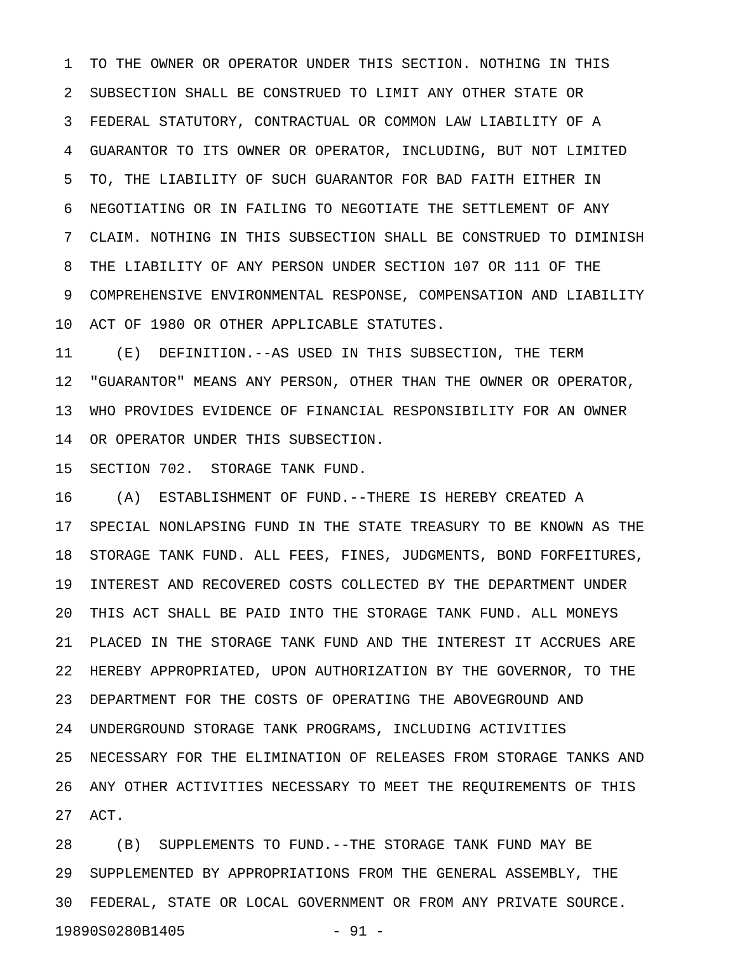1 TO THE OWNER OR OPERATOR UNDER THIS SECTION. NOTHING IN THIS 2 SUBSECTION SHALL BE CONSTRUED TO LIMIT ANY OTHER STATE OR 3 FEDERAL STATUTORY, CONTRACTUAL OR COMMON LAW LIABILITY OF A 4 GUARANTOR TO ITS OWNER OR OPERATOR, INCLUDING, BUT NOT LIMITED 5 TO, THE LIABILITY OF SUCH GUARANTOR FOR BAD FAITH EITHER IN 6 NEGOTIATING OR IN FAILING TO NEGOTIATE THE SETTLEMENT OF ANY 7 CLAIM. NOTHING IN THIS SUBSECTION SHALL BE CONSTRUED TO DIMINISH 8 THE LIABILITY OF ANY PERSON UNDER SECTION 107 OR 111 OF THE 9 COMPREHENSIVE ENVIRONMENTAL RESPONSE, COMPENSATION AND LIABILITY 10 ACT OF 1980 OR OTHER APPLICABLE STATUTES.

11 (E) DEFINITION.--AS USED IN THIS SUBSECTION, THE TERM 12 "GUARANTOR" MEANS ANY PERSON, OTHER THAN THE OWNER OR OPERATOR, 13 WHO PROVIDES EVIDENCE OF FINANCIAL RESPONSIBILITY FOR AN OWNER 14 OR OPERATOR UNDER THIS SUBSECTION.

15 SECTION 702. STORAGE TANK FUND.

16 (A) ESTABLISHMENT OF FUND.--THERE IS HEREBY CREATED A 17 SPECIAL NONLAPSING FUND IN THE STATE TREASURY TO BE KNOWN AS THE 18 STORAGE TANK FUND. ALL FEES, FINES, JUDGMENTS, BOND FORFEITURES, 19 INTEREST AND RECOVERED COSTS COLLECTED BY THE DEPARTMENT UNDER 20 THIS ACT SHALL BE PAID INTO THE STORAGE TANK FUND. ALL MONEYS 21 PLACED IN THE STORAGE TANK FUND AND THE INTEREST IT ACCRUES ARE 22 HEREBY APPROPRIATED, UPON AUTHORIZATION BY THE GOVERNOR, TO THE 23 DEPARTMENT FOR THE COSTS OF OPERATING THE ABOVEGROUND AND 24 UNDERGROUND STORAGE TANK PROGRAMS, INCLUDING ACTIVITIES 25 NECESSARY FOR THE ELIMINATION OF RELEASES FROM STORAGE TANKS AND 26 ANY OTHER ACTIVITIES NECESSARY TO MEET THE REQUIREMENTS OF THIS 27 ACT.

28 (B) SUPPLEMENTS TO FUND.--THE STORAGE TANK FUND MAY BE 29 SUPPLEMENTED BY APPROPRIATIONS FROM THE GENERAL ASSEMBLY, THE 30 FEDERAL, STATE OR LOCAL GOVERNMENT OR FROM ANY PRIVATE SOURCE. 19890S0280B1405 - 91 -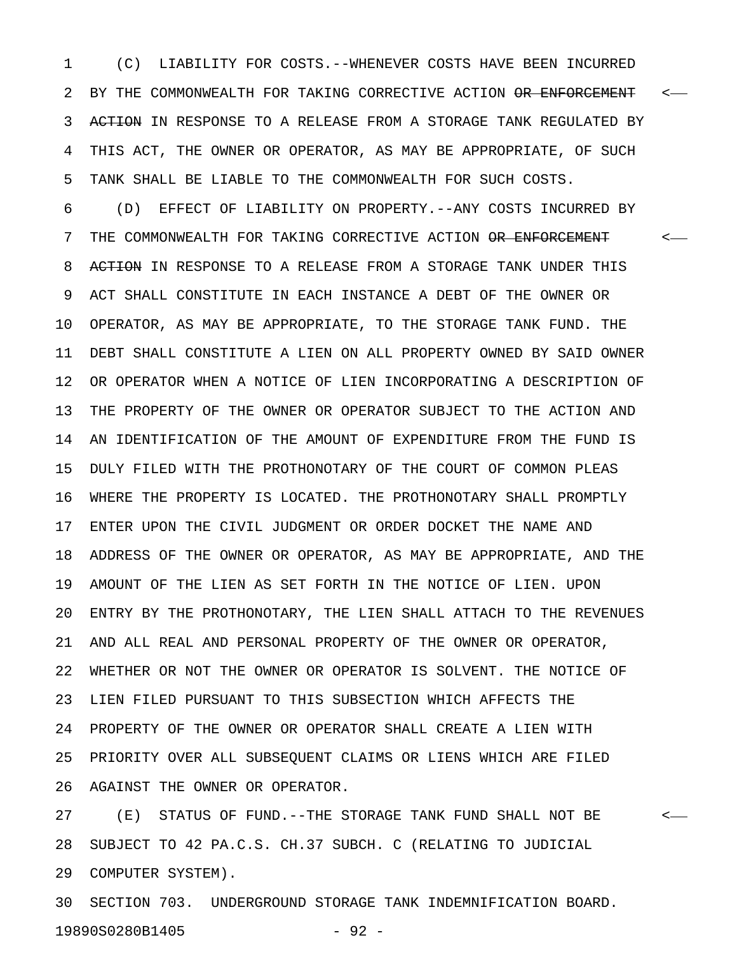1 (C) LIABILITY FOR COSTS.--WHENEVER COSTS HAVE BEEN INCURRED 2 BY THE COMMONWEALTH FOR TAKING CORRECTIVE ACTION OR ENFORCEMENT  $\sim$ -3 ACTION IN RESPONSE TO A RELEASE FROM A STORAGE TANK REGULATED BY 4 THIS ACT, THE OWNER OR OPERATOR, AS MAY BE APPROPRIATE, OF SUCH 5 TANK SHALL BE LIABLE TO THE COMMONWEALTH FOR SUCH COSTS.

6 (D) EFFECT OF LIABILITY ON PROPERTY.--ANY COSTS INCURRED BY 7 THE COMMONWEALTH FOR TAKING CORRECTIVE ACTION <del>OR ENFORCEMENT</del> <-8 ACTION IN RESPONSE TO A RELEASE FROM A STORAGE TANK UNDER THIS 9 ACT SHALL CONSTITUTE IN EACH INSTANCE A DEBT OF THE OWNER OR 10 OPERATOR, AS MAY BE APPROPRIATE, TO THE STORAGE TANK FUND. THE 11 DEBT SHALL CONSTITUTE A LIEN ON ALL PROPERTY OWNED BY SAID OWNER 12 OR OPERATOR WHEN A NOTICE OF LIEN INCORPORATING A DESCRIPTION OF 13 THE PROPERTY OF THE OWNER OR OPERATOR SUBJECT TO THE ACTION AND 14 AN IDENTIFICATION OF THE AMOUNT OF EXPENDITURE FROM THE FUND IS 15 DULY FILED WITH THE PROTHONOTARY OF THE COURT OF COMMON PLEAS 16 WHERE THE PROPERTY IS LOCATED. THE PROTHONOTARY SHALL PROMPTLY 17 ENTER UPON THE CIVIL JUDGMENT OR ORDER DOCKET THE NAME AND 18 ADDRESS OF THE OWNER OR OPERATOR, AS MAY BE APPROPRIATE, AND THE 19 AMOUNT OF THE LIEN AS SET FORTH IN THE NOTICE OF LIEN. UPON 20 ENTRY BY THE PROTHONOTARY, THE LIEN SHALL ATTACH TO THE REVENUES 21 AND ALL REAL AND PERSONAL PROPERTY OF THE OWNER OR OPERATOR, 22 WHETHER OR NOT THE OWNER OR OPERATOR IS SOLVENT. THE NOTICE OF 23 LIEN FILED PURSUANT TO THIS SUBSECTION WHICH AFFECTS THE 24 PROPERTY OF THE OWNER OR OPERATOR SHALL CREATE A LIEN WITH 25 PRIORITY OVER ALL SUBSEQUENT CLAIMS OR LIENS WHICH ARE FILED 26 AGAINST THE OWNER OR OPERATOR.

27 (E) STATUS OF FUND.--THE STORAGE TANK FUND SHALL NOT BE < 28 SUBJECT TO 42 PA.C.S. CH.37 SUBCH. C (RELATING TO JUDICIAL 29 COMPUTER SYSTEM).

30 SECTION 703. UNDERGROUND STORAGE TANK INDEMNIFICATION BOARD. 19890S0280B1405 - 92 -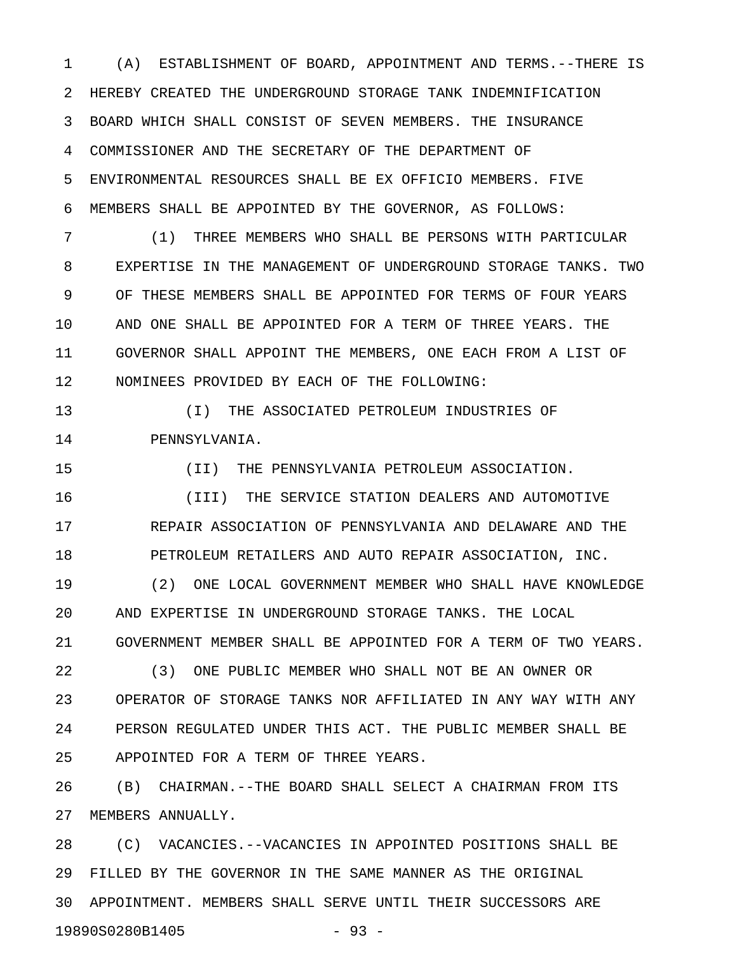1 (A) ESTABLISHMENT OF BOARD, APPOINTMENT AND TERMS.--THERE IS 2 HEREBY CREATED THE UNDERGROUND STORAGE TANK INDEMNIFICATION 3 BOARD WHICH SHALL CONSIST OF SEVEN MEMBERS. THE INSURANCE 4 COMMISSIONER AND THE SECRETARY OF THE DEPARTMENT OF 5 ENVIRONMENTAL RESOURCES SHALL BE EX OFFICIO MEMBERS. FIVE 6 MEMBERS SHALL BE APPOINTED BY THE GOVERNOR, AS FOLLOWS:

7 (1) THREE MEMBERS WHO SHALL BE PERSONS WITH PARTICULAR 8 EXPERTISE IN THE MANAGEMENT OF UNDERGROUND STORAGE TANKS. TWO 9 OF THESE MEMBERS SHALL BE APPOINTED FOR TERMS OF FOUR YEARS 10 AND ONE SHALL BE APPOINTED FOR A TERM OF THREE YEARS. THE 11 GOVERNOR SHALL APPOINT THE MEMBERS, ONE EACH FROM A LIST OF 12 NOMINEES PROVIDED BY EACH OF THE FOLLOWING:

13 (I) THE ASSOCIATED PETROLEUM INDUSTRIES OF 14 PENNSYLVANIA.

15 (II) THE PENNSYLVANIA PETROLEUM ASSOCIATION.

16 (III) THE SERVICE STATION DEALERS AND AUTOMOTIVE 17 REPAIR ASSOCIATION OF PENNSYLVANIA AND DELAWARE AND THE 18 PETROLEUM RETAILERS AND AUTO REPAIR ASSOCIATION, INC.

19 (2) ONE LOCAL GOVERNMENT MEMBER WHO SHALL HAVE KNOWLEDGE 20 AND EXPERTISE IN UNDERGROUND STORAGE TANKS. THE LOCAL 21 GOVERNMENT MEMBER SHALL BE APPOINTED FOR A TERM OF TWO YEARS.

22 (3) ONE PUBLIC MEMBER WHO SHALL NOT BE AN OWNER OR 23 OPERATOR OF STORAGE TANKS NOR AFFILIATED IN ANY WAY WITH ANY 24 PERSON REGULATED UNDER THIS ACT. THE PUBLIC MEMBER SHALL BE 25 APPOINTED FOR A TERM OF THREE YEARS.

26 (B) CHAIRMAN.--THE BOARD SHALL SELECT A CHAIRMAN FROM ITS 27 MEMBERS ANNUALLY.

28 (C) VACANCIES.--VACANCIES IN APPOINTED POSITIONS SHALL BE 29 FILLED BY THE GOVERNOR IN THE SAME MANNER AS THE ORIGINAL 30 APPOINTMENT. MEMBERS SHALL SERVE UNTIL THEIR SUCCESSORS ARE 19890S0280B1405 - 93 -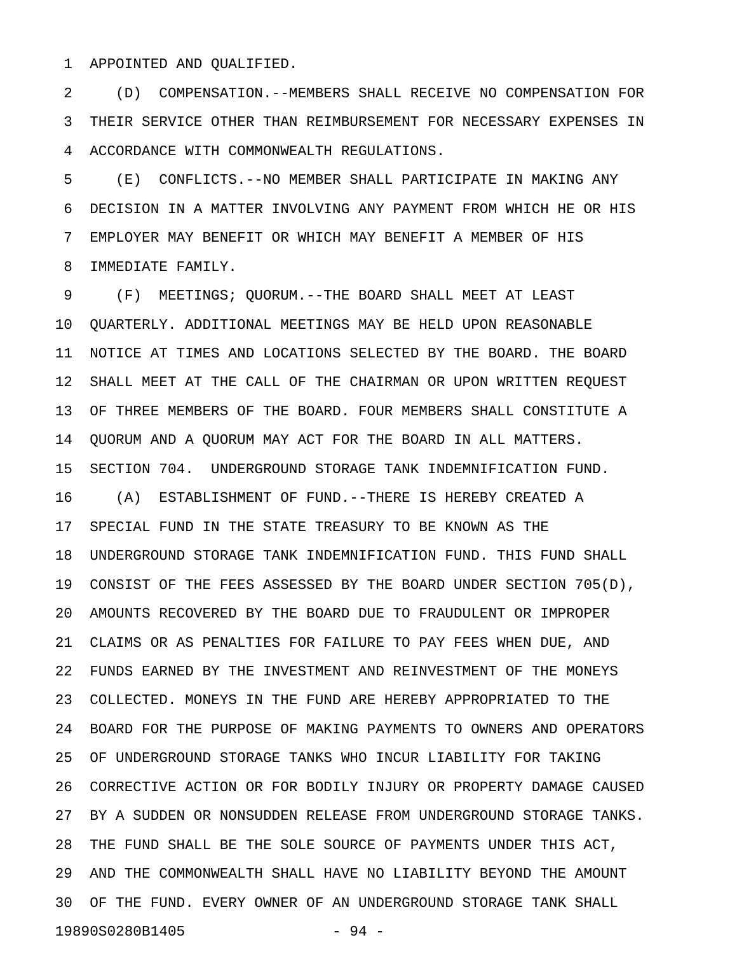1 APPOINTED AND QUALIFIED.

2 (D) COMPENSATION.--MEMBERS SHALL RECEIVE NO COMPENSATION FOR 3 THEIR SERVICE OTHER THAN REIMBURSEMENT FOR NECESSARY EXPENSES IN 4 ACCORDANCE WITH COMMONWEALTH REGULATIONS.

5 (E) CONFLICTS.--NO MEMBER SHALL PARTICIPATE IN MAKING ANY 6 DECISION IN A MATTER INVOLVING ANY PAYMENT FROM WHICH HE OR HIS 7 EMPLOYER MAY BENEFIT OR WHICH MAY BENEFIT A MEMBER OF HIS 8 IMMEDIATE FAMILY.

9 (F) MEETINGS; QUORUM.--THE BOARD SHALL MEET AT LEAST 10 QUARTERLY. ADDITIONAL MEETINGS MAY BE HELD UPON REASONABLE 11 NOTICE AT TIMES AND LOCATIONS SELECTED BY THE BOARD. THE BOARD 12 SHALL MEET AT THE CALL OF THE CHAIRMAN OR UPON WRITTEN REQUEST 13 OF THREE MEMBERS OF THE BOARD. FOUR MEMBERS SHALL CONSTITUTE A 14 QUORUM AND A QUORUM MAY ACT FOR THE BOARD IN ALL MATTERS. 15 SECTION 704. UNDERGROUND STORAGE TANK INDEMNIFICATION FUND. 16 (A) ESTABLISHMENT OF FUND.--THERE IS HEREBY CREATED A 17 SPECIAL FUND IN THE STATE TREASURY TO BE KNOWN AS THE 18 UNDERGROUND STORAGE TANK INDEMNIFICATION FUND. THIS FUND SHALL 19 CONSIST OF THE FEES ASSESSED BY THE BOARD UNDER SECTION 705(D), 20 AMOUNTS RECOVERED BY THE BOARD DUE TO FRAUDULENT OR IMPROPER 21 CLAIMS OR AS PENALTIES FOR FAILURE TO PAY FEES WHEN DUE, AND 22 FUNDS EARNED BY THE INVESTMENT AND REINVESTMENT OF THE MONEYS 23 COLLECTED. MONEYS IN THE FUND ARE HEREBY APPROPRIATED TO THE 24 BOARD FOR THE PURPOSE OF MAKING PAYMENTS TO OWNERS AND OPERATORS 25 OF UNDERGROUND STORAGE TANKS WHO INCUR LIABILITY FOR TAKING 26 CORRECTIVE ACTION OR FOR BODILY INJURY OR PROPERTY DAMAGE CAUSED 27 BY A SUDDEN OR NONSUDDEN RELEASE FROM UNDERGROUND STORAGE TANKS. 28 THE FUND SHALL BE THE SOLE SOURCE OF PAYMENTS UNDER THIS ACT, 29 AND THE COMMONWEALTH SHALL HAVE NO LIABILITY BEYOND THE AMOUNT 30 OF THE FUND. EVERY OWNER OF AN UNDERGROUND STORAGE TANK SHALL 19890S0280B1405 - 94 -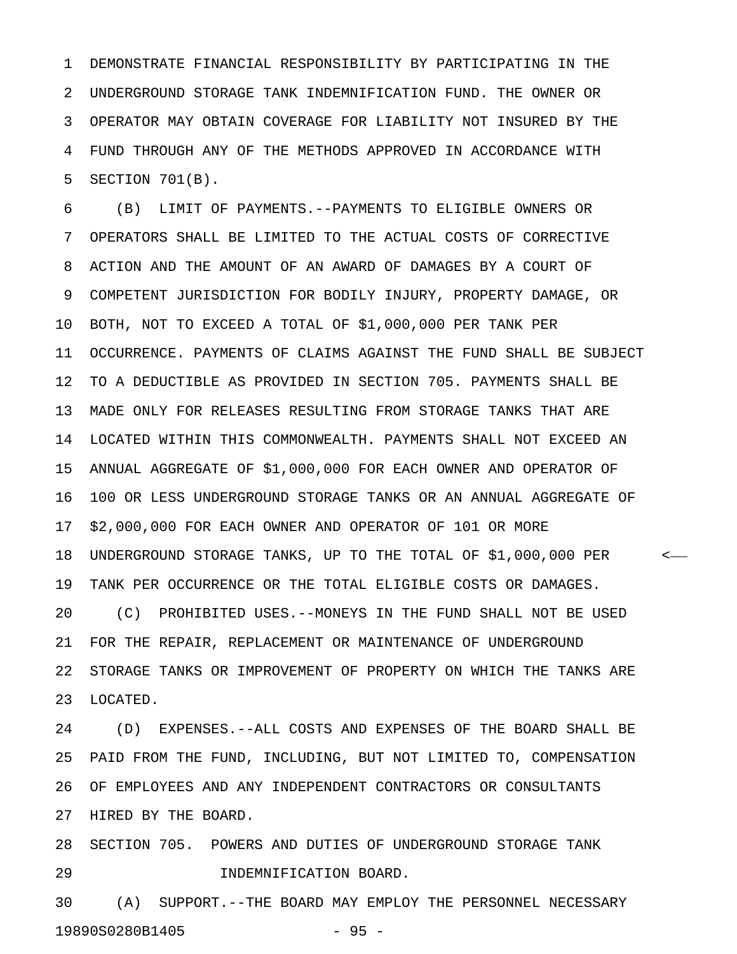1 DEMONSTRATE FINANCIAL RESPONSIBILITY BY PARTICIPATING IN THE 2 UNDERGROUND STORAGE TANK INDEMNIFICATION FUND. THE OWNER OR 3 OPERATOR MAY OBTAIN COVERAGE FOR LIABILITY NOT INSURED BY THE 4 FUND THROUGH ANY OF THE METHODS APPROVED IN ACCORDANCE WITH 5 SECTION 701(B).

6 (B) LIMIT OF PAYMENTS.--PAYMENTS TO ELIGIBLE OWNERS OR 7 OPERATORS SHALL BE LIMITED TO THE ACTUAL COSTS OF CORRECTIVE 8 ACTION AND THE AMOUNT OF AN AWARD OF DAMAGES BY A COURT OF 9 COMPETENT JURISDICTION FOR BODILY INJURY, PROPERTY DAMAGE, OR 10 BOTH, NOT TO EXCEED A TOTAL OF \$1,000,000 PER TANK PER 11 OCCURRENCE. PAYMENTS OF CLAIMS AGAINST THE FUND SHALL BE SUBJECT 12 TO A DEDUCTIBLE AS PROVIDED IN SECTION 705. PAYMENTS SHALL BE 13 MADE ONLY FOR RELEASES RESULTING FROM STORAGE TANKS THAT ARE 14 LOCATED WITHIN THIS COMMONWEALTH. PAYMENTS SHALL NOT EXCEED AN 15 ANNUAL AGGREGATE OF \$1,000,000 FOR EACH OWNER AND OPERATOR OF 16 100 OR LESS UNDERGROUND STORAGE TANKS OR AN ANNUAL AGGREGATE OF 17 \$2,000,000 FOR EACH OWNER AND OPERATOR OF 101 OR MORE 18 UNDERGROUND STORAGE TANKS, UP TO THE TOTAL OF \$1,000,000 PER < 19 TANK PER OCCURRENCE OR THE TOTAL ELIGIBLE COSTS OR DAMAGES. 20 (C) PROHIBITED USES.--MONEYS IN THE FUND SHALL NOT BE USED 21 FOR THE REPAIR, REPLACEMENT OR MAINTENANCE OF UNDERGROUND 22 STORAGE TANKS OR IMPROVEMENT OF PROPERTY ON WHICH THE TANKS ARE 23 LOCATED.

24 (D) EXPENSES.--ALL COSTS AND EXPENSES OF THE BOARD SHALL BE 25 PAID FROM THE FUND, INCLUDING, BUT NOT LIMITED TO, COMPENSATION 26 OF EMPLOYEES AND ANY INDEPENDENT CONTRACTORS OR CONSULTANTS 27 HIRED BY THE BOARD.

28 SECTION 705. POWERS AND DUTIES OF UNDERGROUND STORAGE TANK 29 INDEMNIFICATION BOARD.

30 (A) SUPPORT.--THE BOARD MAY EMPLOY THE PERSONNEL NECESSARY 19890S0280B1405 - 95 -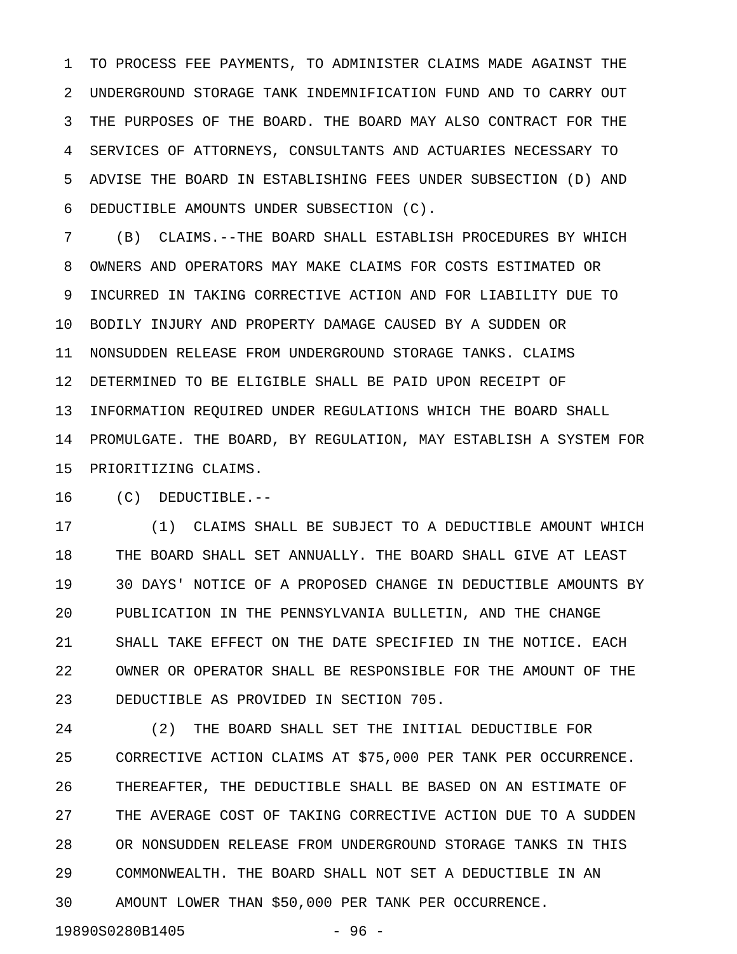1 TO PROCESS FEE PAYMENTS, TO ADMINISTER CLAIMS MADE AGAINST THE 2 UNDERGROUND STORAGE TANK INDEMNIFICATION FUND AND TO CARRY OUT 3 THE PURPOSES OF THE BOARD. THE BOARD MAY ALSO CONTRACT FOR THE 4 SERVICES OF ATTORNEYS, CONSULTANTS AND ACTUARIES NECESSARY TO 5 ADVISE THE BOARD IN ESTABLISHING FEES UNDER SUBSECTION (D) AND 6 DEDUCTIBLE AMOUNTS UNDER SUBSECTION (C).

7 (B) CLAIMS.--THE BOARD SHALL ESTABLISH PROCEDURES BY WHICH 8 OWNERS AND OPERATORS MAY MAKE CLAIMS FOR COSTS ESTIMATED OR 9 INCURRED IN TAKING CORRECTIVE ACTION AND FOR LIABILITY DUE TO 10 BODILY INJURY AND PROPERTY DAMAGE CAUSED BY A SUDDEN OR 11 NONSUDDEN RELEASE FROM UNDERGROUND STORAGE TANKS. CLAIMS 12 DETERMINED TO BE ELIGIBLE SHALL BE PAID UPON RECEIPT OF 13 INFORMATION REQUIRED UNDER REGULATIONS WHICH THE BOARD SHALL 14 PROMULGATE. THE BOARD, BY REGULATION, MAY ESTABLISH A SYSTEM FOR 15 PRIORITIZING CLAIMS.

16 (C) DEDUCTIBLE.--

17 (1) CLAIMS SHALL BE SUBJECT TO A DEDUCTIBLE AMOUNT WHICH 18 THE BOARD SHALL SET ANNUALLY. THE BOARD SHALL GIVE AT LEAST 19 30 DAYS' NOTICE OF A PROPOSED CHANGE IN DEDUCTIBLE AMOUNTS BY 20 PUBLICATION IN THE PENNSYLVANIA BULLETIN, AND THE CHANGE 21 SHALL TAKE EFFECT ON THE DATE SPECIFIED IN THE NOTICE. EACH 22 OWNER OR OPERATOR SHALL BE RESPONSIBLE FOR THE AMOUNT OF THE 23 DEDUCTIBLE AS PROVIDED IN SECTION 705.

24 (2) THE BOARD SHALL SET THE INITIAL DEDUCTIBLE FOR 25 CORRECTIVE ACTION CLAIMS AT \$75,000 PER TANK PER OCCURRENCE. 26 THEREAFTER, THE DEDUCTIBLE SHALL BE BASED ON AN ESTIMATE OF 27 THE AVERAGE COST OF TAKING CORRECTIVE ACTION DUE TO A SUDDEN 28 OR NONSUDDEN RELEASE FROM UNDERGROUND STORAGE TANKS IN THIS 29 COMMONWEALTH. THE BOARD SHALL NOT SET A DEDUCTIBLE IN AN 30 AMOUNT LOWER THAN \$50,000 PER TANK PER OCCURRENCE.

19890S0280B1405 - 96 -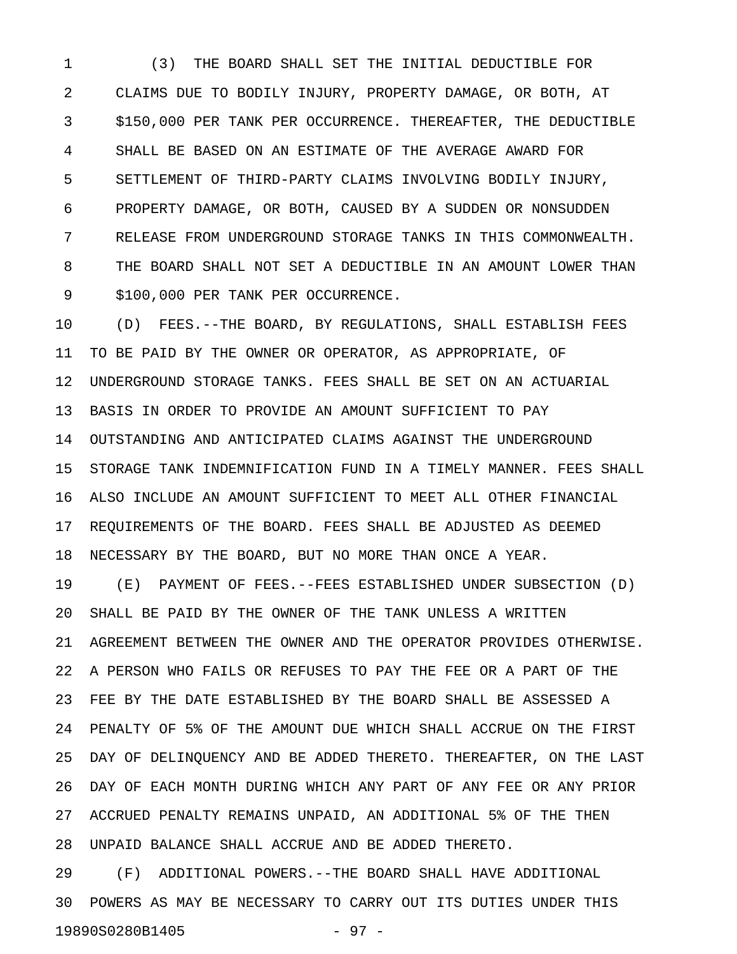1 (3) THE BOARD SHALL SET THE INITIAL DEDUCTIBLE FOR 2 CLAIMS DUE TO BODILY INJURY, PROPERTY DAMAGE, OR BOTH, AT 3 \$150,000 PER TANK PER OCCURRENCE. THEREAFTER, THE DEDUCTIBLE 4 SHALL BE BASED ON AN ESTIMATE OF THE AVERAGE AWARD FOR 5 SETTLEMENT OF THIRD-PARTY CLAIMS INVOLVING BODILY INJURY, 6 PROPERTY DAMAGE, OR BOTH, CAUSED BY A SUDDEN OR NONSUDDEN 7 RELEASE FROM UNDERGROUND STORAGE TANKS IN THIS COMMONWEALTH. 8 THE BOARD SHALL NOT SET A DEDUCTIBLE IN AN AMOUNT LOWER THAN 9 \$100,000 PER TANK PER OCCURRENCE.

10 (D) FEES.--THE BOARD, BY REGULATIONS, SHALL ESTABLISH FEES 11 TO BE PAID BY THE OWNER OR OPERATOR, AS APPROPRIATE, OF 12 UNDERGROUND STORAGE TANKS. FEES SHALL BE SET ON AN ACTUARIAL 13 BASIS IN ORDER TO PROVIDE AN AMOUNT SUFFICIENT TO PAY 14 OUTSTANDING AND ANTICIPATED CLAIMS AGAINST THE UNDERGROUND 15 STORAGE TANK INDEMNIFICATION FUND IN A TIMELY MANNER. FEES SHALL 16 ALSO INCLUDE AN AMOUNT SUFFICIENT TO MEET ALL OTHER FINANCIAL 17 REQUIREMENTS OF THE BOARD. FEES SHALL BE ADJUSTED AS DEEMED 18 NECESSARY BY THE BOARD, BUT NO MORE THAN ONCE A YEAR.

19 (E) PAYMENT OF FEES.--FEES ESTABLISHED UNDER SUBSECTION (D) 20 SHALL BE PAID BY THE OWNER OF THE TANK UNLESS A WRITTEN 21 AGREEMENT BETWEEN THE OWNER AND THE OPERATOR PROVIDES OTHERWISE. 22 A PERSON WHO FAILS OR REFUSES TO PAY THE FEE OR A PART OF THE 23 FEE BY THE DATE ESTABLISHED BY THE BOARD SHALL BE ASSESSED A 24 PENALTY OF 5% OF THE AMOUNT DUE WHICH SHALL ACCRUE ON THE FIRST 25 DAY OF DELINQUENCY AND BE ADDED THERETO. THEREAFTER, ON THE LAST 26 DAY OF EACH MONTH DURING WHICH ANY PART OF ANY FEE OR ANY PRIOR 27 ACCRUED PENALTY REMAINS UNPAID, AN ADDITIONAL 5% OF THE THEN 28 UNPAID BALANCE SHALL ACCRUE AND BE ADDED THERETO.

29 (F) ADDITIONAL POWERS.--THE BOARD SHALL HAVE ADDITIONAL 30 POWERS AS MAY BE NECESSARY TO CARRY OUT ITS DUTIES UNDER THIS 19890S0280B1405 - 97 -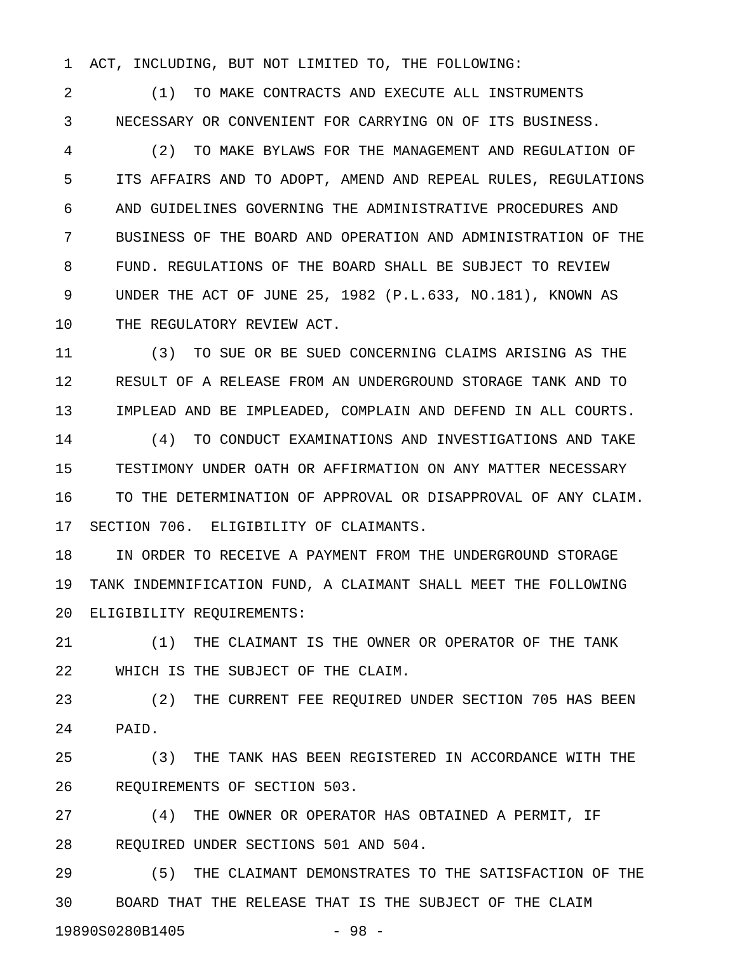1 ACT, INCLUDING, BUT NOT LIMITED TO, THE FOLLOWING:

2 (1) TO MAKE CONTRACTS AND EXECUTE ALL INSTRUMENTS 3 NECESSARY OR CONVENIENT FOR CARRYING ON OF ITS BUSINESS.

4 (2) TO MAKE BYLAWS FOR THE MANAGEMENT AND REGULATION OF 5 ITS AFFAIRS AND TO ADOPT, AMEND AND REPEAL RULES, REGULATIONS 6 AND GUIDELINES GOVERNING THE ADMINISTRATIVE PROCEDURES AND 7 BUSINESS OF THE BOARD AND OPERATION AND ADMINISTRATION OF THE 8 FUND. REGULATIONS OF THE BOARD SHALL BE SUBJECT TO REVIEW 9 UNDER THE ACT OF JUNE 25, 1982 (P.L.633, NO.181), KNOWN AS 10 THE REGULATORY REVIEW ACT.

11 (3) TO SUE OR BE SUED CONCERNING CLAIMS ARISING AS THE 12 RESULT OF A RELEASE FROM AN UNDERGROUND STORAGE TANK AND TO 13 IMPLEAD AND BE IMPLEADED, COMPLAIN AND DEFEND IN ALL COURTS.

14 (4) TO CONDUCT EXAMINATIONS AND INVESTIGATIONS AND TAKE 15 TESTIMONY UNDER OATH OR AFFIRMATION ON ANY MATTER NECESSARY 16 TO THE DETERMINATION OF APPROVAL OR DISAPPROVAL OF ANY CLAIM. 17 SECTION 706. ELIGIBILITY OF CLAIMANTS.

18 IN ORDER TO RECEIVE A PAYMENT FROM THE UNDERGROUND STORAGE 19 TANK INDEMNIFICATION FUND, A CLAIMANT SHALL MEET THE FOLLOWING 20 ELIGIBILITY REQUIREMENTS:

21 (1) THE CLAIMANT IS THE OWNER OR OPERATOR OF THE TANK 22 WHICH IS THE SUBJECT OF THE CLAIM.

23 (2) THE CURRENT FEE REQUIRED UNDER SECTION 705 HAS BEEN 24 PAID.

25 (3) THE TANK HAS BEEN REGISTERED IN ACCORDANCE WITH THE 26 REQUIREMENTS OF SECTION 503.

27 (4) THE OWNER OR OPERATOR HAS OBTAINED A PERMIT, IF 28 REQUIRED UNDER SECTIONS 501 AND 504.

29 (5) THE CLAIMANT DEMONSTRATES TO THE SATISFACTION OF THE 30 BOARD THAT THE RELEASE THAT IS THE SUBJECT OF THE CLAIM 19890S0280B1405 - 98 -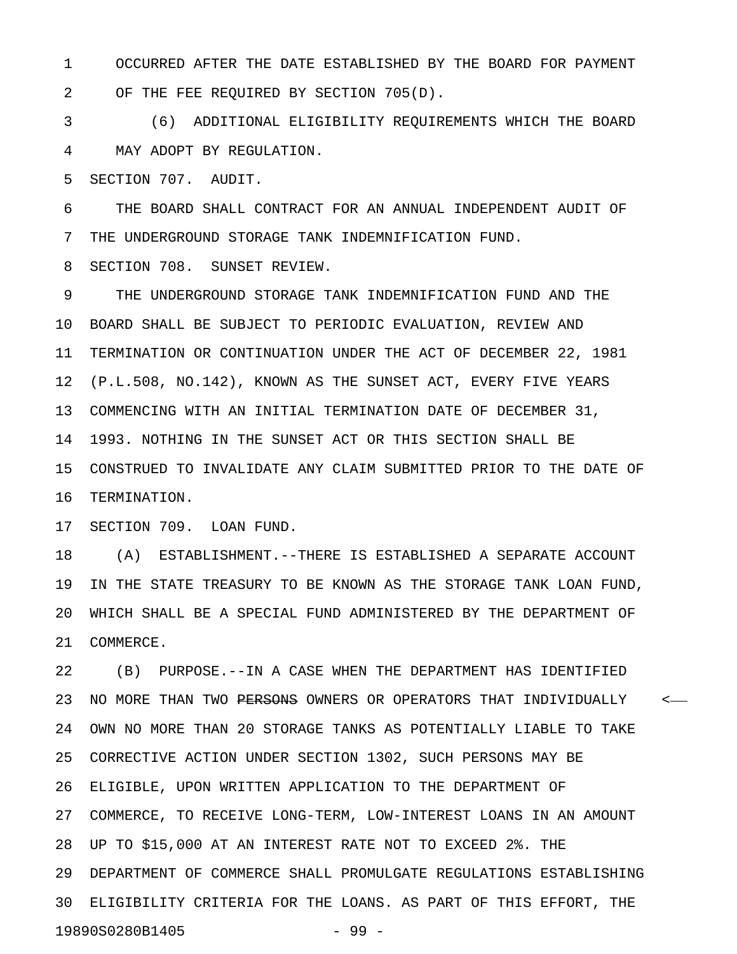1 OCCURRED AFTER THE DATE ESTABLISHED BY THE BOARD FOR PAYMENT 2 OF THE FEE REQUIRED BY SECTION 705(D).

3 (6) ADDITIONAL ELIGIBILITY REQUIREMENTS WHICH THE BOARD 4 MAY ADOPT BY REGULATION.

5 SECTION 707. AUDIT.

6 THE BOARD SHALL CONTRACT FOR AN ANNUAL INDEPENDENT AUDIT OF 7 THE UNDERGROUND STORAGE TANK INDEMNIFICATION FUND.

8 SECTION 708. SUNSET REVIEW.

9 THE UNDERGROUND STORAGE TANK INDEMNIFICATION FUND AND THE 10 BOARD SHALL BE SUBJECT TO PERIODIC EVALUATION, REVIEW AND 11 TERMINATION OR CONTINUATION UNDER THE ACT OF DECEMBER 22, 1981 12 (P.L.508, NO.142), KNOWN AS THE SUNSET ACT, EVERY FIVE YEARS 13 COMMENCING WITH AN INITIAL TERMINATION DATE OF DECEMBER 31, 14 1993. NOTHING IN THE SUNSET ACT OR THIS SECTION SHALL BE 15 CONSTRUED TO INVALIDATE ANY CLAIM SUBMITTED PRIOR TO THE DATE OF 16 TERMINATION.

17 SECTION 709. LOAN FUND.

18 (A) ESTABLISHMENT.--THERE IS ESTABLISHED A SEPARATE ACCOUNT 19 IN THE STATE TREASURY TO BE KNOWN AS THE STORAGE TANK LOAN FUND, 20 WHICH SHALL BE A SPECIAL FUND ADMINISTERED BY THE DEPARTMENT OF 21 COMMERCE.

22 (B) PURPOSE.--IN A CASE WHEN THE DEPARTMENT HAS IDENTIFIED 23 NO MORE THAN TWO PERSONS OWNERS OR OPERATORS THAT INDIVIDUALLY <-24 OWN NO MORE THAN 20 STORAGE TANKS AS POTENTIALLY LIABLE TO TAKE 25 CORRECTIVE ACTION UNDER SECTION 1302, SUCH PERSONS MAY BE 26 ELIGIBLE, UPON WRITTEN APPLICATION TO THE DEPARTMENT OF 27 COMMERCE, TO RECEIVE LONG-TERM, LOW-INTEREST LOANS IN AN AMOUNT 28 UP TO \$15,000 AT AN INTEREST RATE NOT TO EXCEED 2%. THE 29 DEPARTMENT OF COMMERCE SHALL PROMULGATE REGULATIONS ESTABLISHING 30 ELIGIBILITY CRITERIA FOR THE LOANS. AS PART OF THIS EFFORT, THE 19890S0280B1405 - 99 -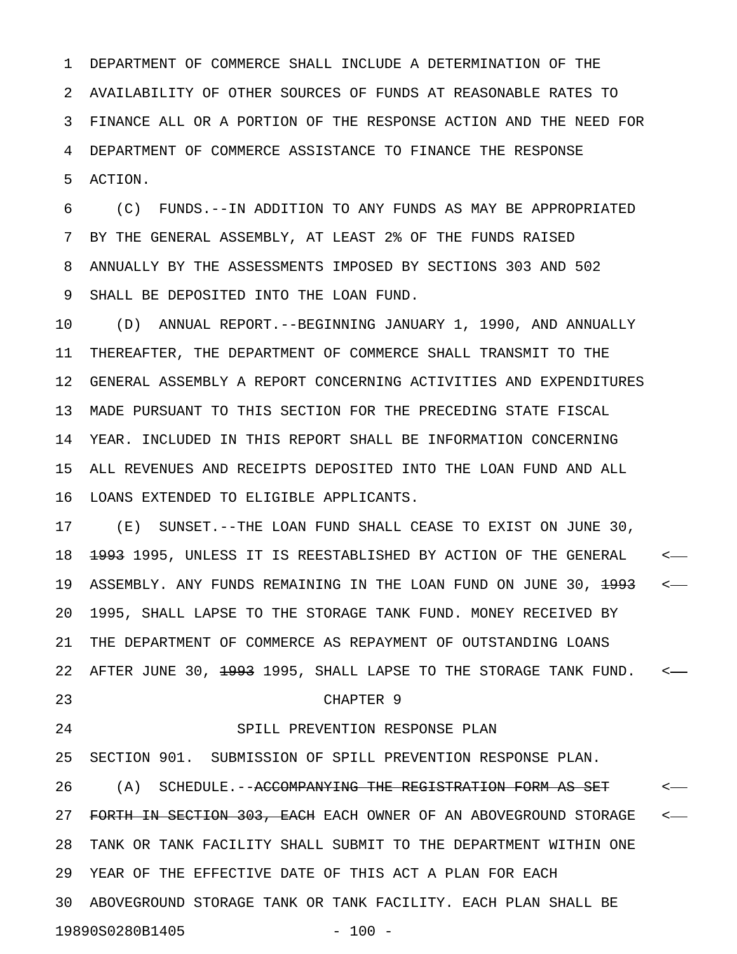1 DEPARTMENT OF COMMERCE SHALL INCLUDE A DETERMINATION OF THE 2 AVAILABILITY OF OTHER SOURCES OF FUNDS AT REASONABLE RATES TO 3 FINANCE ALL OR A PORTION OF THE RESPONSE ACTION AND THE NEED FOR 4 DEPARTMENT OF COMMERCE ASSISTANCE TO FINANCE THE RESPONSE 5 ACTION.

6 (C) FUNDS.--IN ADDITION TO ANY FUNDS AS MAY BE APPROPRIATED 7 BY THE GENERAL ASSEMBLY, AT LEAST 2% OF THE FUNDS RAISED 8 ANNUALLY BY THE ASSESSMENTS IMPOSED BY SECTIONS 303 AND 502 9 SHALL BE DEPOSITED INTO THE LOAN FUND.

10 (D) ANNUAL REPORT.--BEGINNING JANUARY 1, 1990, AND ANNUALLY 11 THEREAFTER, THE DEPARTMENT OF COMMERCE SHALL TRANSMIT TO THE 12 GENERAL ASSEMBLY A REPORT CONCERNING ACTIVITIES AND EXPENDITURES 13 MADE PURSUANT TO THIS SECTION FOR THE PRECEDING STATE FISCAL 14 YEAR. INCLUDED IN THIS REPORT SHALL BE INFORMATION CONCERNING 15 ALL REVENUES AND RECEIPTS DEPOSITED INTO THE LOAN FUND AND ALL 16 LOANS EXTENDED TO ELIGIBLE APPLICANTS.

17 (E) SUNSET.--THE LOAN FUND SHALL CEASE TO EXIST ON JUNE 30, 18 <del>1993</del> 1995, UNLESS IT IS REESTABLISHED BY ACTION OF THE GENERAL <-19 ASSEMBLY. ANY FUNDS REMAINING IN THE LOAN FUND ON JUNE 30, <del>1993</del> <-20 1995, SHALL LAPSE TO THE STORAGE TANK FUND. MONEY RECEIVED BY 21 THE DEPARTMENT OF COMMERCE AS REPAYMENT OF OUTSTANDING LOANS 22 AFTER JUNE 30, <del>1993</del> 1995, SHALL LAPSE TO THE STORAGE TANK FUND. <-23 CHAPTER 9 24 SPILL PREVENTION RESPONSE PLAN

25 SECTION 901. SUBMISSION OF SPILL PREVENTION RESPONSE PLAN. 26 (A) SCHEDULE.--<del>ACCOMPANYING THE REGISTRATION FORM AS SET</del> <-27 FORTH IN SECTION 303, EACH EACH OWNER OF AN ABOVEGROUND STORAGE <-28 TANK OR TANK FACILITY SHALL SUBMIT TO THE DEPARTMENT WITHIN ONE 29 YEAR OF THE EFFECTIVE DATE OF THIS ACT A PLAN FOR EACH 30 ABOVEGROUND STORAGE TANK OR TANK FACILITY. EACH PLAN SHALL BE 19890S0280B1405 - 100 -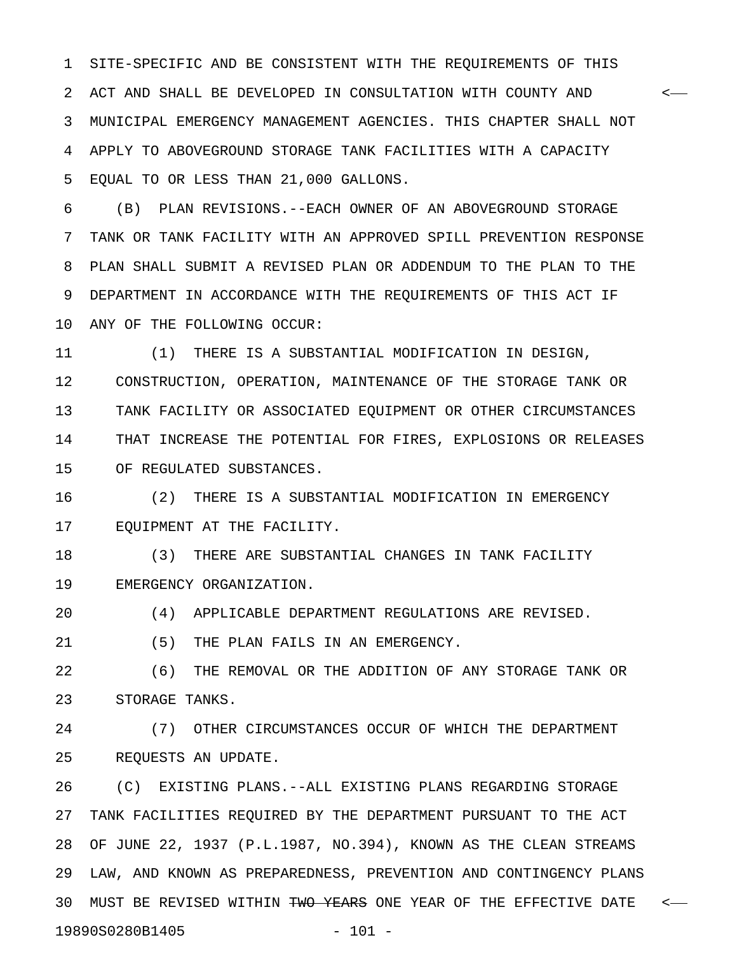1 SITE-SPECIFIC AND BE CONSISTENT WITH THE REQUIREMENTS OF THIS 2 ACT AND SHALL BE DEVELOPED IN CONSULTATION WITH COUNTY AND < 3 MUNICIPAL EMERGENCY MANAGEMENT AGENCIES. THIS CHAPTER SHALL NOT 4 APPLY TO ABOVEGROUND STORAGE TANK FACILITIES WITH A CAPACITY 5 EQUAL TO OR LESS THAN 21,000 GALLONS.

6 (B) PLAN REVISIONS.--EACH OWNER OF AN ABOVEGROUND STORAGE 7 TANK OR TANK FACILITY WITH AN APPROVED SPILL PREVENTION RESPONSE 8 PLAN SHALL SUBMIT A REVISED PLAN OR ADDENDUM TO THE PLAN TO THE 9 DEPARTMENT IN ACCORDANCE WITH THE REQUIREMENTS OF THIS ACT IF 10 ANY OF THE FOLLOWING OCCUR:

11 (1) THERE IS A SUBSTANTIAL MODIFICATION IN DESIGN, 12 CONSTRUCTION, OPERATION, MAINTENANCE OF THE STORAGE TANK OR 13 TANK FACILITY OR ASSOCIATED EQUIPMENT OR OTHER CIRCUMSTANCES 14 THAT INCREASE THE POTENTIAL FOR FIRES, EXPLOSIONS OR RELEASES 15 OF REGULATED SUBSTANCES.

16 (2) THERE IS A SUBSTANTIAL MODIFICATION IN EMERGENCY 17 EQUIPMENT AT THE FACILITY.

18 (3) THERE ARE SUBSTANTIAL CHANGES IN TANK FACILITY 19 EMERGENCY ORGANIZATION.

20 (4) APPLICABLE DEPARTMENT REGULATIONS ARE REVISED.

21 (5) THE PLAN FAILS IN AN EMERGENCY.

22 (6) THE REMOVAL OR THE ADDITION OF ANY STORAGE TANK OR 23 STORAGE TANKS.

24 (7) OTHER CIRCUMSTANCES OCCUR OF WHICH THE DEPARTMENT 25 REQUESTS AN UPDATE.

26 (C) EXISTING PLANS.--ALL EXISTING PLANS REGARDING STORAGE 27 TANK FACILITIES REQUIRED BY THE DEPARTMENT PURSUANT TO THE ACT 28 OF JUNE 22, 1937 (P.L.1987, NO.394), KNOWN AS THE CLEAN STREAMS 29 LAW, AND KNOWN AS PREPAREDNESS, PREVENTION AND CONTINGENCY PLANS 30 MUST BE REVISED WITHIN <del>TWO YEARS</del> ONE YEAR OF THE EFFECTIVE DATE <-19890S0280B1405 - 101 -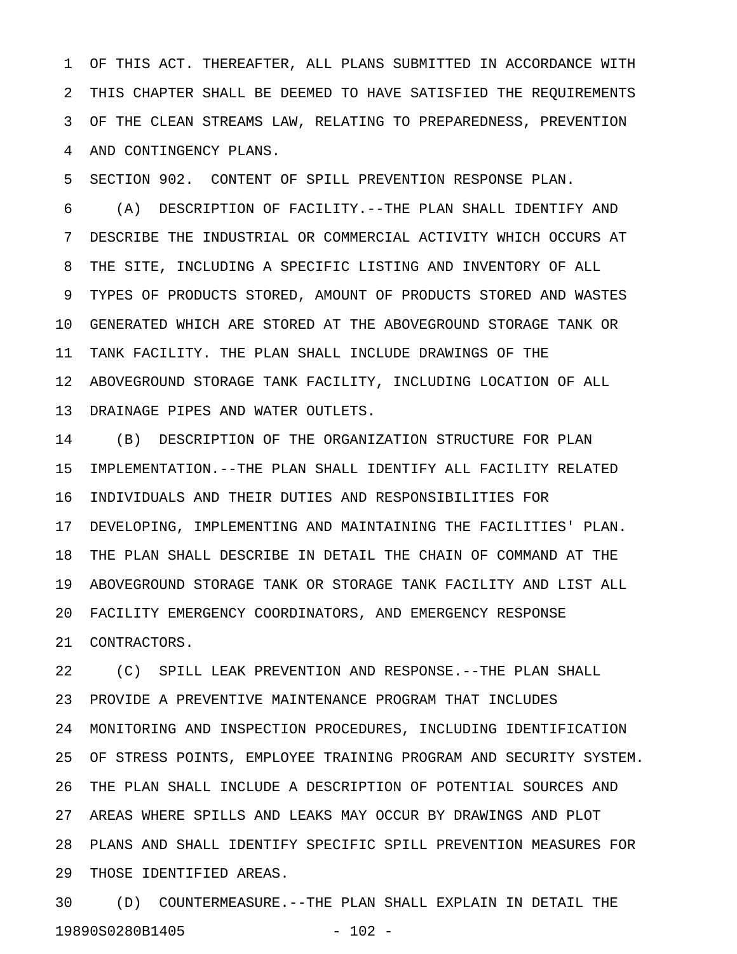1 OF THIS ACT. THEREAFTER, ALL PLANS SUBMITTED IN ACCORDANCE WITH 2 THIS CHAPTER SHALL BE DEEMED TO HAVE SATISFIED THE REQUIREMENTS 3 OF THE CLEAN STREAMS LAW, RELATING TO PREPAREDNESS, PREVENTION 4 AND CONTINGENCY PLANS.

5 SECTION 902. CONTENT OF SPILL PREVENTION RESPONSE PLAN.

6 (A) DESCRIPTION OF FACILITY.--THE PLAN SHALL IDENTIFY AND 7 DESCRIBE THE INDUSTRIAL OR COMMERCIAL ACTIVITY WHICH OCCURS AT 8 THE SITE, INCLUDING A SPECIFIC LISTING AND INVENTORY OF ALL 9 TYPES OF PRODUCTS STORED, AMOUNT OF PRODUCTS STORED AND WASTES 10 GENERATED WHICH ARE STORED AT THE ABOVEGROUND STORAGE TANK OR 11 TANK FACILITY. THE PLAN SHALL INCLUDE DRAWINGS OF THE 12 ABOVEGROUND STORAGE TANK FACILITY, INCLUDING LOCATION OF ALL 13 DRAINAGE PIPES AND WATER OUTLETS.

14 (B) DESCRIPTION OF THE ORGANIZATION STRUCTURE FOR PLAN 15 IMPLEMENTATION.--THE PLAN SHALL IDENTIFY ALL FACILITY RELATED 16 INDIVIDUALS AND THEIR DUTIES AND RESPONSIBILITIES FOR 17 DEVELOPING, IMPLEMENTING AND MAINTAINING THE FACILITIES' PLAN. 18 THE PLAN SHALL DESCRIBE IN DETAIL THE CHAIN OF COMMAND AT THE 19 ABOVEGROUND STORAGE TANK OR STORAGE TANK FACILITY AND LIST ALL 20 FACILITY EMERGENCY COORDINATORS, AND EMERGENCY RESPONSE 21 CONTRACTORS.

22 (C) SPILL LEAK PREVENTION AND RESPONSE.--THE PLAN SHALL 23 PROVIDE A PREVENTIVE MAINTENANCE PROGRAM THAT INCLUDES 24 MONITORING AND INSPECTION PROCEDURES, INCLUDING IDENTIFICATION 25 OF STRESS POINTS, EMPLOYEE TRAINING PROGRAM AND SECURITY SYSTEM. 26 THE PLAN SHALL INCLUDE A DESCRIPTION OF POTENTIAL SOURCES AND 27 AREAS WHERE SPILLS AND LEAKS MAY OCCUR BY DRAWINGS AND PLOT 28 PLANS AND SHALL IDENTIFY SPECIFIC SPILL PREVENTION MEASURES FOR 29 THOSE IDENTIFIED AREAS.

30 (D) COUNTERMEASURE.--THE PLAN SHALL EXPLAIN IN DETAIL THE 19890S0280B1405 - 102 -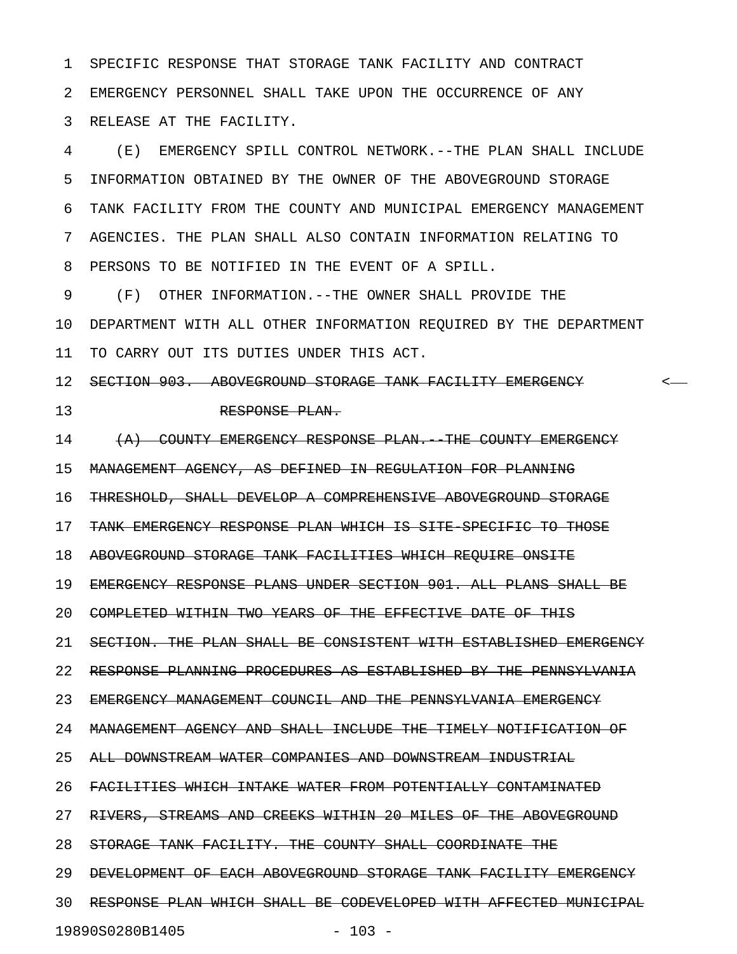1 SPECIFIC RESPONSE THAT STORAGE TANK FACILITY AND CONTRACT 2 EMERGENCY PERSONNEL SHALL TAKE UPON THE OCCURRENCE OF ANY 3 RELEASE AT THE FACILITY.

4 (E) EMERGENCY SPILL CONTROL NETWORK.--THE PLAN SHALL INCLUDE 5 INFORMATION OBTAINED BY THE OWNER OF THE ABOVEGROUND STORAGE 6 TANK FACILITY FROM THE COUNTY AND MUNICIPAL EMERGENCY MANAGEMENT 7 AGENCIES. THE PLAN SHALL ALSO CONTAIN INFORMATION RELATING TO 8 PERSONS TO BE NOTIFIED IN THE EVENT OF A SPILL.

9 (F) OTHER INFORMATION.--THE OWNER SHALL PROVIDE THE 10 DEPARTMENT WITH ALL OTHER INFORMATION REQUIRED BY THE DEPARTMENT 11 TO CARRY OUT ITS DUTIES UNDER THIS ACT.

12 SECTION 903. ABOVEGROUND STORAGE TANK FACILITY EMERGENCY <

13 RESPONSE PLAN.

14 (A) COUNTY EMERGENCY RESPONSE PLAN. THE COUNTY EMERGENCY 15 MANAGEMENT AGENCY, AS DEFINED IN REGULATION FOR PLANNING 16 THRESHOLD, SHALL DEVELOP A COMPREHENSIVE ABOVEGROUND STORAGE 17 TANK EMERGENCY RESPONSE PLAN WHICH IS SITE-SPECIFIC TO THOSE 18 ABOVEGROUND STORAGE TANK FACILITIES WHICH REQUIRE ONSITE 19 EMERGENCY RESPONSE PLANS UNDER SECTION 901. ALL PLANS SHALL BE 20 COMPLETED WITHIN TWO YEARS OF THE EFFECTIVE DATE OF THIS 21 SECTION. THE PLAN SHALL BE CONSISTENT WITH ESTABLISHED EMERGENCY 22 RESPONSE PLANNING PROCEDURES AS ESTABLISHED BY THE PENNSYLVANIA 23 EMERGENCY MANAGEMENT COUNCIL AND THE PENNSYLVANIA EMERGENCY 24 MANAGEMENT AGENCY AND SHALL INCLUDE THE TIMELY NOTIFICATION OF 25 ALL DOWNSTREAM WATER COMPANIES AND DOWNSTREAM INDUSTRIAL 26 FACILITIES WHICH INTAKE WATER FROM POTENTIALLY CONTAMINATED 27 RIVERS, STREAMS AND CREEKS WITHIN 20 MILES OF THE ABOVEGROUND 28 STORAGE TANK FACILITY. THE COUNTY SHALL COORDINATE THE 29 DEVELOPMENT OF EACH ABOVEGROUND STORAGE TANK FACILITY EMERGENCY 30 RESPONSE PLAN WHICH SHALL BE CODEVELOPED WITH AFFECTED MUNICIPAL

19890S0280B1405 - 103 -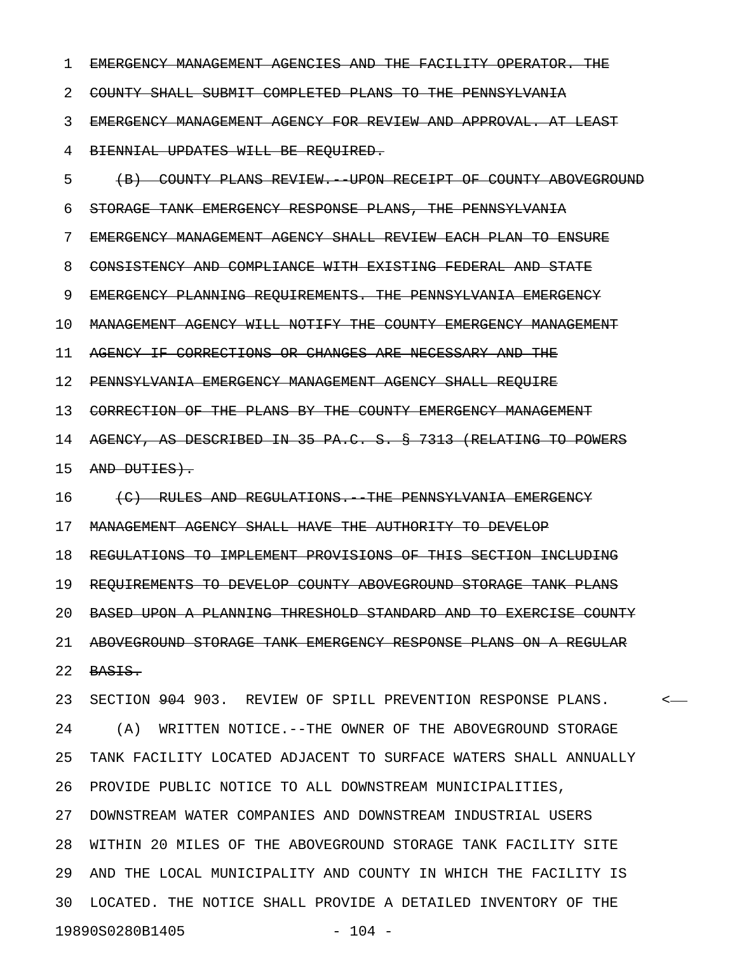1 EMERGENCY MANAGEMENT AGENCIES AND THE FACILITY OPERATOR. THE 2 COUNTY SHALL SUBMIT COMPLETED PLANS TO THE PENNSYLVANIA 3 EMERGENCY MANAGEMENT AGENCY FOR REVIEW AND APPROVAL. AT LEAST 4 BIENNIAL UPDATES WILL BE REQUIRED. 5 (B) COUNTY PLANS REVIEW.--UPON RECEIPT OF COUNTY ABOVEGROUND 6 STORAGE TANK EMERGENCY RESPONSE PLANS, THE PENNSYLVANIA 7 EMERGENCY MANAGEMENT AGENCY SHALL REVIEW EACH PLAN TO ENSURE 8 CONSISTENCY AND COMPLIANCE WITH EXISTING FEDERAL AND STATE 9 EMERGENCY PLANNING REQUIREMENTS. THE PENNSYLVANIA EMERGENCY 10 MANAGEMENT AGENCY WILL NOTIFY THE COUNTY EMERGENCY MANAGEMENT 11 AGENCY IF CORRECTIONS OR CHANGES ARE NECESSARY AND THE 12 PENNSYLVANIA EMERGENCY MANAGEMENT AGENCY SHALL REQUIRE 13 CORRECTION OF THE PLANS BY THE COUNTY EMERGENCY MANAGEMENT 14 AGENCY, AS DESCRIBED IN 35 PA.C. S. § 7313 (RELATING TO POWERS 15 AND DUTIES). 16 (C) RULES AND REGULATIONS. THE PENNSYLVANIA EMERGENCY 17 MANAGEMENT AGENCY SHALL HAVE THE AUTHORITY TO DEVELOP 18 REGULATIONS TO IMPLEMENT PROVISIONS OF THIS SECTION INCLUDING 19 REQUIREMENTS TO DEVELOP COUNTY ABOVEGROUND STORAGE TANK PLANS 20 BASED UPON A PLANNING THRESHOLD STANDARD AND TO EXERCISE COUNTY 21 ABOVEGROUND STORAGE TANK EMERGENCY RESPONSE PLANS ON A REGULAR 22 BASIS. 23 SECTION 904 903. REVIEW OF SPILL PREVENTION RESPONSE PLANS. < 24 (A) WRITTEN NOTICE.--THE OWNER OF THE ABOVEGROUND STORAGE 25 TANK FACILITY LOCATED ADJACENT TO SURFACE WATERS SHALL ANNUALLY 26 PROVIDE PUBLIC NOTICE TO ALL DOWNSTREAM MUNICIPALITIES, 27 DOWNSTREAM WATER COMPANIES AND DOWNSTREAM INDUSTRIAL USERS 28 WITHIN 20 MILES OF THE ABOVEGROUND STORAGE TANK FACILITY SITE 29 AND THE LOCAL MUNICIPALITY AND COUNTY IN WHICH THE FACILITY IS 30 LOCATED. THE NOTICE SHALL PROVIDE A DETAILED INVENTORY OF THE 19890S0280B1405 - 104 -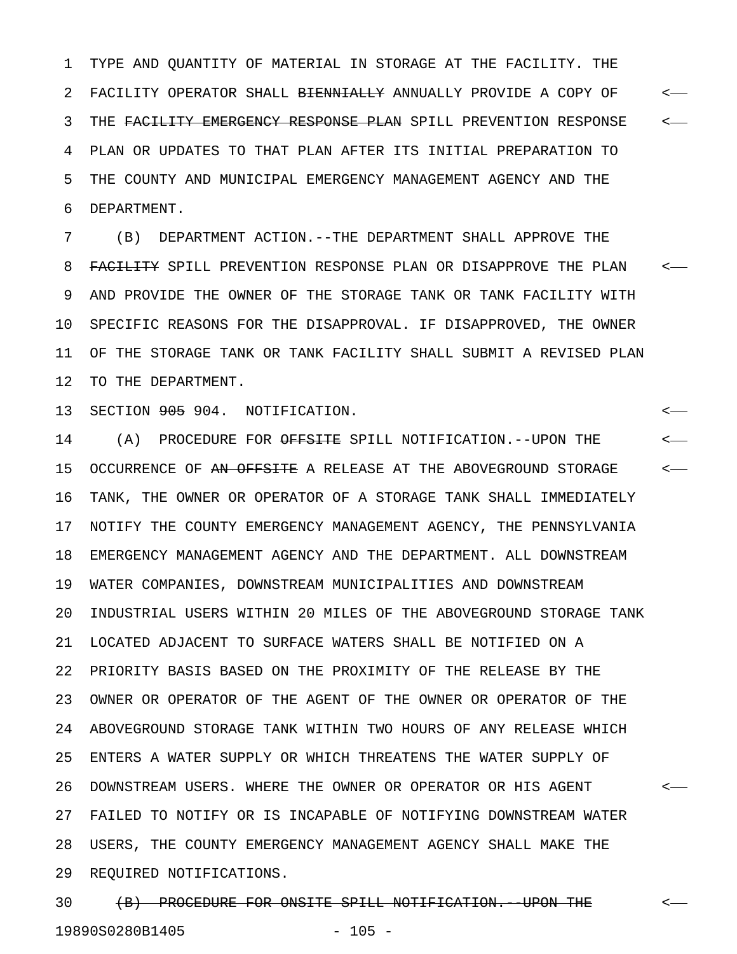1 TYPE AND QUANTITY OF MATERIAL IN STORAGE AT THE FACILITY. THE 2 FACILITY OPERATOR SHALL <del>BIENNIALLY</del> ANNUALLY PROVIDE A COPY OF  $\leftarrow$ 3 THE FACILITY EMERGENCY RESPONSE PLAN SPILL PREVENTION RESPONSE  $\sim$ 4 PLAN OR UPDATES TO THAT PLAN AFTER ITS INITIAL PREPARATION TO 5 THE COUNTY AND MUNICIPAL EMERGENCY MANAGEMENT AGENCY AND THE 6 DEPARTMENT.

7 (B) DEPARTMENT ACTION.--THE DEPARTMENT SHALL APPROVE THE 8 FACILITY SPILL PREVENTION RESPONSE PLAN OR DISAPPROVE THE PLAN <-9 AND PROVIDE THE OWNER OF THE STORAGE TANK OR TANK FACILITY WITH 10 SPECIFIC REASONS FOR THE DISAPPROVAL. IF DISAPPROVED, THE OWNER 11 OF THE STORAGE TANK OR TANK FACILITY SHALL SUBMIT A REVISED PLAN 12 TO THE DEPARTMENT.

13 SECTION 905 904. NOTIFICATION. <

14 (A) PROCEDURE FOR <del>OFFSITE</del> SPILL NOTIFICATION.--UPON THE  $\leftarrow$ 15 OCCURRENCE OF AN OFFSITE A RELEASE AT THE ABOVEGROUND STORAGE  $\sim$ 16 TANK, THE OWNER OR OPERATOR OF A STORAGE TANK SHALL IMMEDIATELY 17 NOTIFY THE COUNTY EMERGENCY MANAGEMENT AGENCY, THE PENNSYLVANIA 18 EMERGENCY MANAGEMENT AGENCY AND THE DEPARTMENT. ALL DOWNSTREAM 19 WATER COMPANIES, DOWNSTREAM MUNICIPALITIES AND DOWNSTREAM 20 INDUSTRIAL USERS WITHIN 20 MILES OF THE ABOVEGROUND STORAGE TANK 21 LOCATED ADJACENT TO SURFACE WATERS SHALL BE NOTIFIED ON A 22 PRIORITY BASIS BASED ON THE PROXIMITY OF THE RELEASE BY THE 23 OWNER OR OPERATOR OF THE AGENT OF THE OWNER OR OPERATOR OF THE 24 ABOVEGROUND STORAGE TANK WITHIN TWO HOURS OF ANY RELEASE WHICH 25 ENTERS A WATER SUPPLY OR WHICH THREATENS THE WATER SUPPLY OF 26 DOWNSTREAM USERS. WHERE THE OWNER OR OPERATOR OR HIS AGENT < 27 FAILED TO NOTIFY OR IS INCAPABLE OF NOTIFYING DOWNSTREAM WATER 28 USERS, THE COUNTY EMERGENCY MANAGEMENT AGENCY SHALL MAKE THE 29 REQUIRED NOTIFICATIONS.

30 (B) PROCEDURE FOR ONSITE SPILL NOTIFICATION. UPON THE  $\sim$ 19890S0280B1405 - 105 -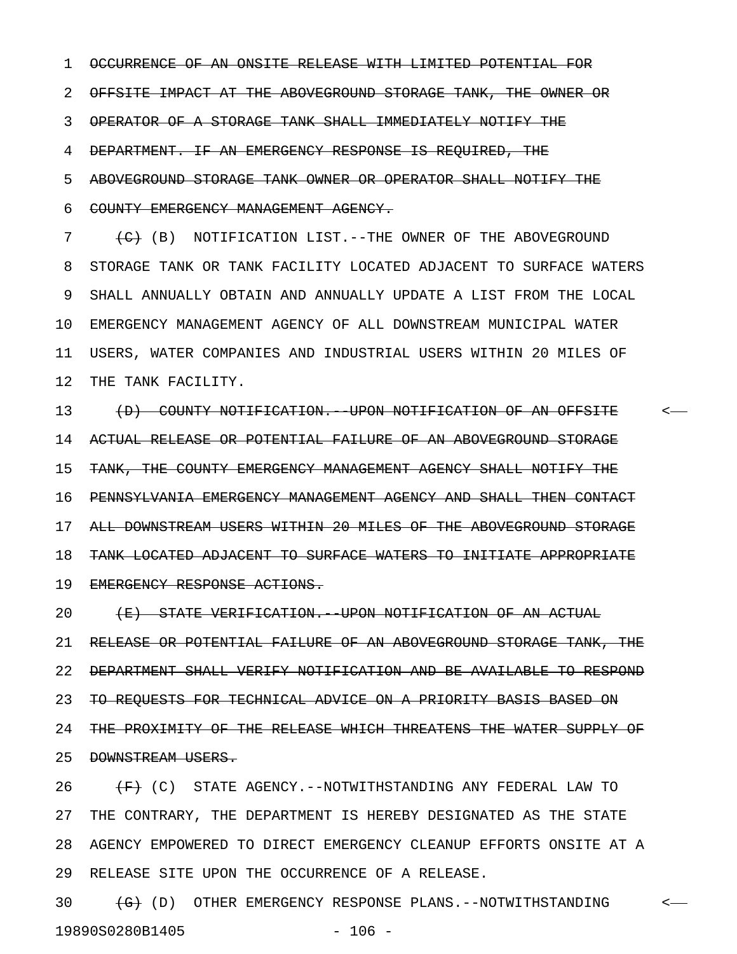1 OCCURRENCE OF AN ONSITE RELEASE WITH LIMITED POTENTIAL FOR

2 OFFSITE IMPACT AT THE ABOVEGROUND STORAGE TANK, THE OWNER OR

3 OPERATOR OF A STORAGE TANK SHALL IMMEDIATELY NOTIFY THE

4 DEPARTMENT. IF AN EMERGENCY RESPONSE IS REQUIRED, THE

5 ABOVEGROUND STORAGE TANK OWNER OR OPERATOR SHALL NOTIFY THE

6 COUNTY EMERGENCY MANAGEMENT AGENCY.

7 (C) (B) NOTIFICATION LIST.--THE OWNER OF THE ABOVEGROUND 8 STORAGE TANK OR TANK FACILITY LOCATED ADJACENT TO SURFACE WATERS 9 SHALL ANNUALLY OBTAIN AND ANNUALLY UPDATE A LIST FROM THE LOCAL 10 EMERGENCY MANAGEMENT AGENCY OF ALL DOWNSTREAM MUNICIPAL WATER 11 USERS, WATER COMPANIES AND INDUSTRIAL USERS WITHIN 20 MILES OF 12 THE TANK FACILITY.

13 (D) COUNTY NOTIFICATION. UPON NOTIFICATION OF AN OFFSITE <-14 ACTUAL RELEASE OR POTENTIAL FAILURE OF AN ABOVEGROUND STORAGE 15 TANK, THE COUNTY EMERGENCY MANAGEMENT AGENCY SHALL NOTIFY THE 16 PENNSYLVANIA EMERGENCY MANAGEMENT AGENCY AND SHALL THEN CONTACT 17 ALL DOWNSTREAM USERS WITHIN 20 MILES OF THE ABOVEGROUND STORAGE 18 TANK LOCATED ADJACENT TO SURFACE WATERS TO INITIATE APPROPRIATE 19 EMERGENCY RESPONSE ACTIONS.

20 (E) STATE VERIFICATION. UPON NOTIFICATION OF AN ACTUAL 21 RELEASE OR POTENTIAL FAILURE OF AN ABOVEGROUND STORAGE TANK, THE 22 DEPARTMENT SHALL VERIFY NOTIFICATION AND BE AVAILABLE TO RESPOND 23 TO REQUESTS FOR TECHNICAL ADVICE ON A PRIORITY BASIS BASED ON 24 THE PROXIMITY OF THE RELEASE WHICH THREATENS THE WATER SUPPLY OF 25 DOWNSTREAM USERS.

26  $\leftarrow$  (C) STATE AGENCY.--NOTWITHSTANDING ANY FEDERAL LAW TO 27 THE CONTRARY, THE DEPARTMENT IS HEREBY DESIGNATED AS THE STATE 28 AGENCY EMPOWERED TO DIRECT EMERGENCY CLEANUP EFFORTS ONSITE AT A 29 RELEASE SITE UPON THE OCCURRENCE OF A RELEASE.

30 (G) OTHER EMERGENCY RESPONSE PLANS.--NOTWITHSTANDING <-19890S0280B1405 - 106 -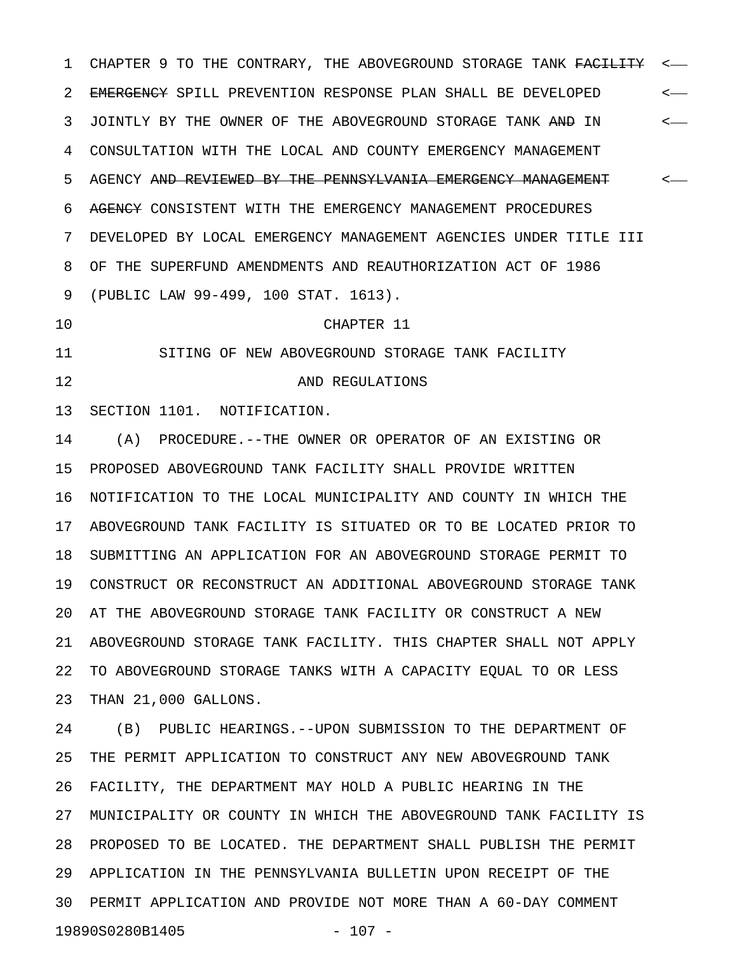1 CHAPTER 9 TO THE CONTRARY, THE ABOVEGROUND STORAGE TANK FACILITY <-2 EMERGENCY SPILL PREVENTION RESPONSE PLAN SHALL BE DEVELOPED < 3 JOINTLY BY THE OWNER OF THE ABOVEGROUND STORAGE TANK AND IN  $\leftarrow$ 4 CONSULTATION WITH THE LOCAL AND COUNTY EMERGENCY MANAGEMENT 5 AGENCY <del>AND REVIEWED BY THE PENNSYLVANIA EMERGENCY MANAGEMENT</del> <-6 AGENCY CONSISTENT WITH THE EMERGENCY MANAGEMENT PROCEDURES 7 DEVELOPED BY LOCAL EMERGENCY MANAGEMENT AGENCIES UNDER TITLE III 8 OF THE SUPERFUND AMENDMENTS AND REAUTHORIZATION ACT OF 1986 9 (PUBLIC LAW 99-499, 100 STAT. 1613).

10 CHAPTER 11

11 SITING OF NEW ABOVEGROUND STORAGE TANK FACILITY

12 AND REGULATIONS

13 SECTION 1101. NOTIFICATION.

14 (A) PROCEDURE.--THE OWNER OR OPERATOR OF AN EXISTING OR 15 PROPOSED ABOVEGROUND TANK FACILITY SHALL PROVIDE WRITTEN 16 NOTIFICATION TO THE LOCAL MUNICIPALITY AND COUNTY IN WHICH THE 17 ABOVEGROUND TANK FACILITY IS SITUATED OR TO BE LOCATED PRIOR TO 18 SUBMITTING AN APPLICATION FOR AN ABOVEGROUND STORAGE PERMIT TO 19 CONSTRUCT OR RECONSTRUCT AN ADDITIONAL ABOVEGROUND STORAGE TANK 20 AT THE ABOVEGROUND STORAGE TANK FACILITY OR CONSTRUCT A NEW 21 ABOVEGROUND STORAGE TANK FACILITY. THIS CHAPTER SHALL NOT APPLY 22 TO ABOVEGROUND STORAGE TANKS WITH A CAPACITY EQUAL TO OR LESS 23 THAN 21,000 GALLONS.

24 (B) PUBLIC HEARINGS.--UPON SUBMISSION TO THE DEPARTMENT OF 25 THE PERMIT APPLICATION TO CONSTRUCT ANY NEW ABOVEGROUND TANK 26 FACILITY, THE DEPARTMENT MAY HOLD A PUBLIC HEARING IN THE 27 MUNICIPALITY OR COUNTY IN WHICH THE ABOVEGROUND TANK FACILITY IS 28 PROPOSED TO BE LOCATED. THE DEPARTMENT SHALL PUBLISH THE PERMIT 29 APPLICATION IN THE PENNSYLVANIA BULLETIN UPON RECEIPT OF THE 30 PERMIT APPLICATION AND PROVIDE NOT MORE THAN A 60-DAY COMMENT 19890S0280B1405 - 107 -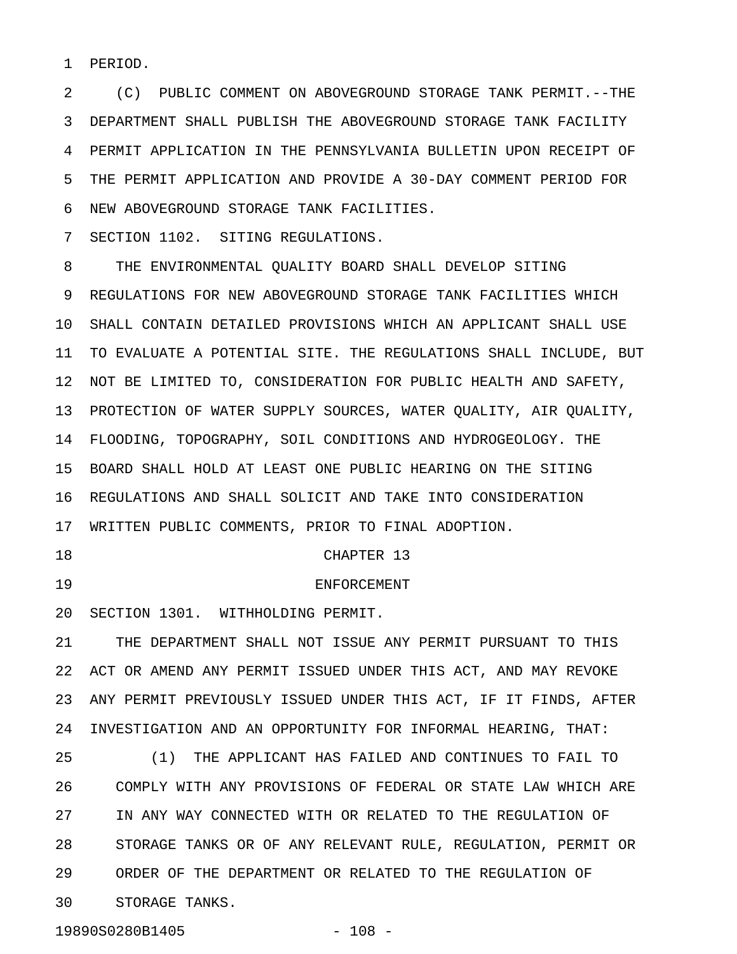1 PERIOD.

2 (C) PUBLIC COMMENT ON ABOVEGROUND STORAGE TANK PERMIT.--THE 3 DEPARTMENT SHALL PUBLISH THE ABOVEGROUND STORAGE TANK FACILITY 4 PERMIT APPLICATION IN THE PENNSYLVANIA BULLETIN UPON RECEIPT OF 5 THE PERMIT APPLICATION AND PROVIDE A 30-DAY COMMENT PERIOD FOR 6 NEW ABOVEGROUND STORAGE TANK FACILITIES.

7 SECTION 1102. SITING REGULATIONS.

8 THE ENVIRONMENTAL QUALITY BOARD SHALL DEVELOP SITING 9 REGULATIONS FOR NEW ABOVEGROUND STORAGE TANK FACILITIES WHICH 10 SHALL CONTAIN DETAILED PROVISIONS WHICH AN APPLICANT SHALL USE 11 TO EVALUATE A POTENTIAL SITE. THE REGULATIONS SHALL INCLUDE, BUT 12 NOT BE LIMITED TO, CONSIDERATION FOR PUBLIC HEALTH AND SAFETY, 13 PROTECTION OF WATER SUPPLY SOURCES, WATER QUALITY, AIR QUALITY, 14 FLOODING, TOPOGRAPHY, SOIL CONDITIONS AND HYDROGEOLOGY. THE 15 BOARD SHALL HOLD AT LEAST ONE PUBLIC HEARING ON THE SITING 16 REGULATIONS AND SHALL SOLICIT AND TAKE INTO CONSIDERATION 17 WRITTEN PUBLIC COMMENTS, PRIOR TO FINAL ADOPTION.

18 CHAPTER 13

19 ENFORCEMENT

20 SECTION 1301. WITHHOLDING PERMIT.

21 THE DEPARTMENT SHALL NOT ISSUE ANY PERMIT PURSUANT TO THIS 22 ACT OR AMEND ANY PERMIT ISSUED UNDER THIS ACT, AND MAY REVOKE 23 ANY PERMIT PREVIOUSLY ISSUED UNDER THIS ACT, IF IT FINDS, AFTER 24 INVESTIGATION AND AN OPPORTUNITY FOR INFORMAL HEARING, THAT:

25 (1) THE APPLICANT HAS FAILED AND CONTINUES TO FAIL TO 26 COMPLY WITH ANY PROVISIONS OF FEDERAL OR STATE LAW WHICH ARE 27 IN ANY WAY CONNECTED WITH OR RELATED TO THE REGULATION OF 28 STORAGE TANKS OR OF ANY RELEVANT RULE, REGULATION, PERMIT OR 29 ORDER OF THE DEPARTMENT OR RELATED TO THE REGULATION OF 30 STORAGE TANKS.

19890S0280B1405 - 108 -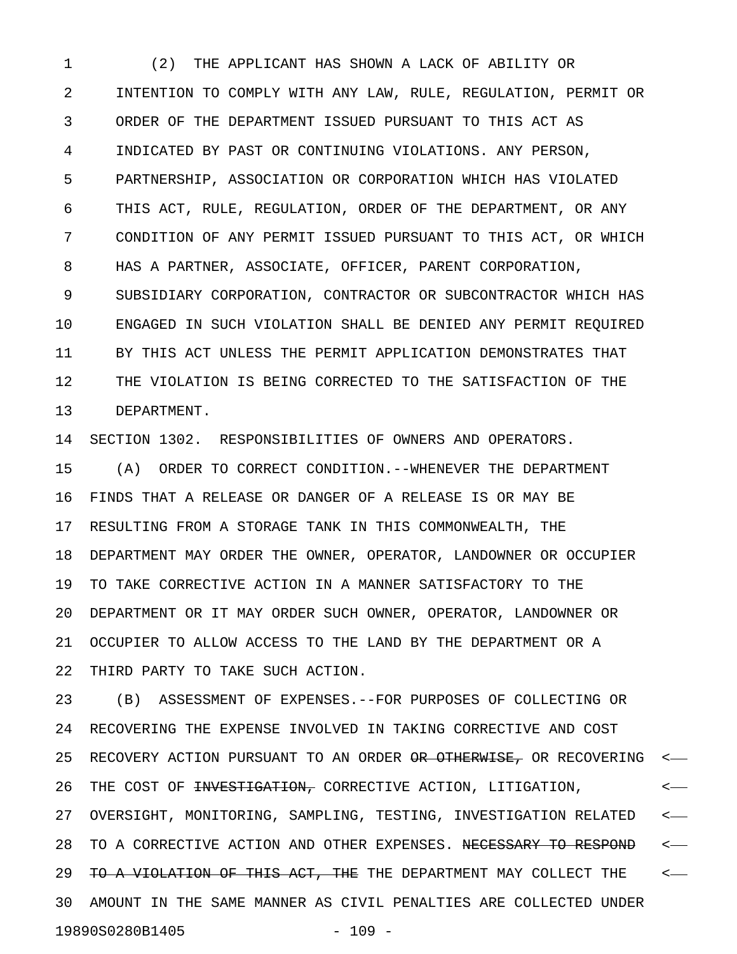1 (2) THE APPLICANT HAS SHOWN A LACK OF ABILITY OR 2 INTENTION TO COMPLY WITH ANY LAW, RULE, REGULATION, PERMIT OR 3 ORDER OF THE DEPARTMENT ISSUED PURSUANT TO THIS ACT AS 4 INDICATED BY PAST OR CONTINUING VIOLATIONS. ANY PERSON, 5 PARTNERSHIP, ASSOCIATION OR CORPORATION WHICH HAS VIOLATED 6 THIS ACT, RULE, REGULATION, ORDER OF THE DEPARTMENT, OR ANY 7 CONDITION OF ANY PERMIT ISSUED PURSUANT TO THIS ACT, OR WHICH 8 HAS A PARTNER, ASSOCIATE, OFFICER, PARENT CORPORATION, 9 SUBSIDIARY CORPORATION, CONTRACTOR OR SUBCONTRACTOR WHICH HAS 10 ENGAGED IN SUCH VIOLATION SHALL BE DENIED ANY PERMIT REQUIRED 11 BY THIS ACT UNLESS THE PERMIT APPLICATION DEMONSTRATES THAT 12 THE VIOLATION IS BEING CORRECTED TO THE SATISFACTION OF THE 13 DEPARTMENT.

14 SECTION 1302. RESPONSIBILITIES OF OWNERS AND OPERATORS.

15 (A) ORDER TO CORRECT CONDITION.--WHENEVER THE DEPARTMENT 16 FINDS THAT A RELEASE OR DANGER OF A RELEASE IS OR MAY BE 17 RESULTING FROM A STORAGE TANK IN THIS COMMONWEALTH, THE 18 DEPARTMENT MAY ORDER THE OWNER, OPERATOR, LANDOWNER OR OCCUPIER 19 TO TAKE CORRECTIVE ACTION IN A MANNER SATISFACTORY TO THE 20 DEPARTMENT OR IT MAY ORDER SUCH OWNER, OPERATOR, LANDOWNER OR 21 OCCUPIER TO ALLOW ACCESS TO THE LAND BY THE DEPARTMENT OR A 22 THIRD PARTY TO TAKE SUCH ACTION.

23 (B) ASSESSMENT OF EXPENSES.--FOR PURPOSES OF COLLECTING OR 24 RECOVERING THE EXPENSE INVOLVED IN TAKING CORRECTIVE AND COST 25 RECOVERY ACTION PURSUANT TO AN ORDER <del>OR OTHERWISE,</del> OR RECOVERING <-26 THE COST OF <del>INVESTIGATION,</del> CORRECTIVE ACTION, LITIGATION,  $\leftarrow$ 27 OVERSIGHT, MONITORING, SAMPLING, TESTING, INVESTIGATION RELATED < 28 TO A CORRECTIVE ACTION AND OTHER EXPENSES. NECESSARY TO RESPOND <-29 TO A VIOLATION OF THIS ACT, THE THE DEPARTMENT MAY COLLECT THE  $\sim$ 30 AMOUNT IN THE SAME MANNER AS CIVIL PENALTIES ARE COLLECTED UNDER 19890S0280B1405 - 109 -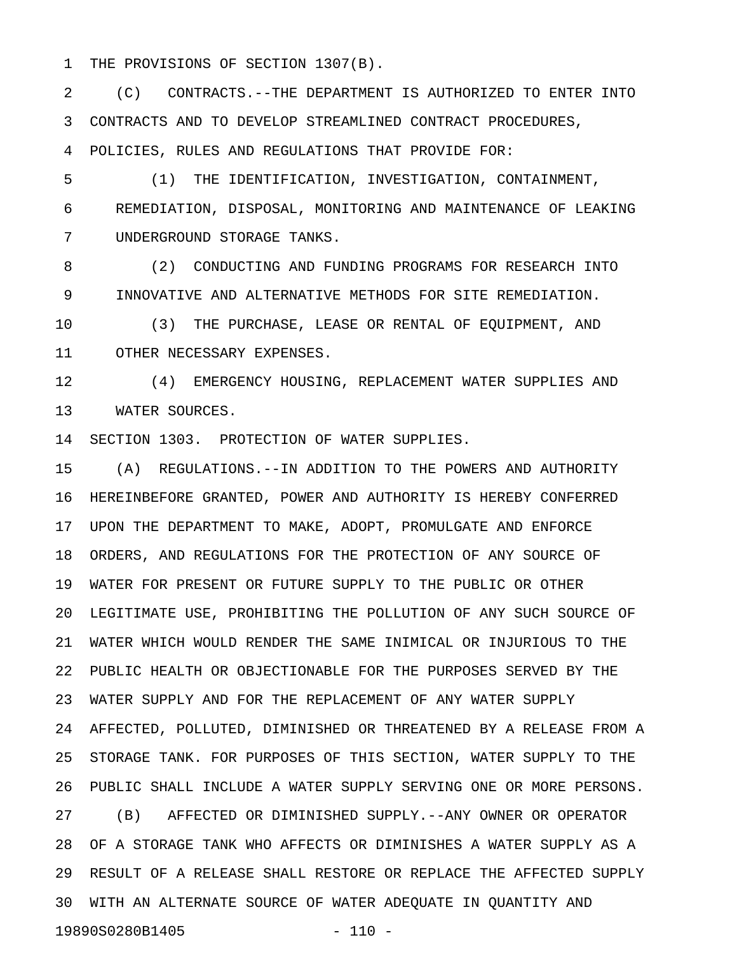1 THE PROVISIONS OF SECTION 1307(B).

2 (C) CONTRACTS.--THE DEPARTMENT IS AUTHORIZED TO ENTER INTO 3 CONTRACTS AND TO DEVELOP STREAMLINED CONTRACT PROCEDURES, 4 POLICIES, RULES AND REGULATIONS THAT PROVIDE FOR:

5 (1) THE IDENTIFICATION, INVESTIGATION, CONTAINMENT, 6 REMEDIATION, DISPOSAL, MONITORING AND MAINTENANCE OF LEAKING 7 UNDERGROUND STORAGE TANKS.

8 (2) CONDUCTING AND FUNDING PROGRAMS FOR RESEARCH INTO 9 INNOVATIVE AND ALTERNATIVE METHODS FOR SITE REMEDIATION.

10 (3) THE PURCHASE, LEASE OR RENTAL OF EQUIPMENT, AND 11 OTHER NECESSARY EXPENSES.

12 (4) EMERGENCY HOUSING, REPLACEMENT WATER SUPPLIES AND 13 WATER SOURCES.

14 SECTION 1303. PROTECTION OF WATER SUPPLIES.

15 (A) REGULATIONS.--IN ADDITION TO THE POWERS AND AUTHORITY 16 HEREINBEFORE GRANTED, POWER AND AUTHORITY IS HEREBY CONFERRED 17 UPON THE DEPARTMENT TO MAKE, ADOPT, PROMULGATE AND ENFORCE 18 ORDERS, AND REGULATIONS FOR THE PROTECTION OF ANY SOURCE OF 19 WATER FOR PRESENT OR FUTURE SUPPLY TO THE PUBLIC OR OTHER 20 LEGITIMATE USE, PROHIBITING THE POLLUTION OF ANY SUCH SOURCE OF 21 WATER WHICH WOULD RENDER THE SAME INIMICAL OR INJURIOUS TO THE 22 PUBLIC HEALTH OR OBJECTIONABLE FOR THE PURPOSES SERVED BY THE 23 WATER SUPPLY AND FOR THE REPLACEMENT OF ANY WATER SUPPLY 24 AFFECTED, POLLUTED, DIMINISHED OR THREATENED BY A RELEASE FROM A 25 STORAGE TANK. FOR PURPOSES OF THIS SECTION, WATER SUPPLY TO THE 26 PUBLIC SHALL INCLUDE A WATER SUPPLY SERVING ONE OR MORE PERSONS. 27 (B) AFFECTED OR DIMINISHED SUPPLY.--ANY OWNER OR OPERATOR 28 OF A STORAGE TANK WHO AFFECTS OR DIMINISHES A WATER SUPPLY AS A 29 RESULT OF A RELEASE SHALL RESTORE OR REPLACE THE AFFECTED SUPPLY 30 WITH AN ALTERNATE SOURCE OF WATER ADEQUATE IN QUANTITY AND 19890S0280B1405 - 110 -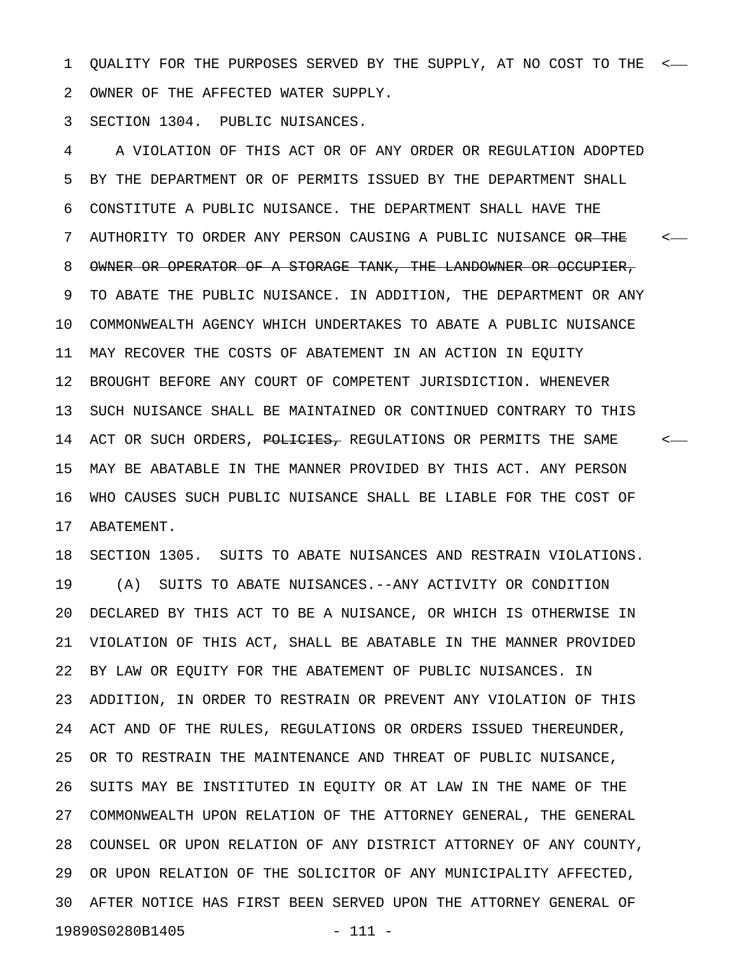1 QUALITY FOR THE PURPOSES SERVED BY THE SUPPLY, AT NO COST TO THE < 2 OWNER OF THE AFFECTED WATER SUPPLY.

3 SECTION 1304. PUBLIC NUISANCES.

4 A VIOLATION OF THIS ACT OR OF ANY ORDER OR REGULATION ADOPTED 5 BY THE DEPARTMENT OR OF PERMITS ISSUED BY THE DEPARTMENT SHALL 6 CONSTITUTE A PUBLIC NUISANCE. THE DEPARTMENT SHALL HAVE THE 7 AUTHORITY TO ORDER ANY PERSON CAUSING A PUBLIC NUISANCE <del>OR THE</del> <-8 OWNER OR OPERATOR OF A STORAGE TANK, THE LANDOWNER OR OCCUPIER, 9 TO ABATE THE PUBLIC NUISANCE. IN ADDITION, THE DEPARTMENT OR ANY 10 COMMONWEALTH AGENCY WHICH UNDERTAKES TO ABATE A PUBLIC NUISANCE 11 MAY RECOVER THE COSTS OF ABATEMENT IN AN ACTION IN EQUITY 12 BROUGHT BEFORE ANY COURT OF COMPETENT JURISDICTION. WHENEVER 13 SUCH NUISANCE SHALL BE MAINTAINED OR CONTINUED CONTRARY TO THIS 14 ACT OR SUCH ORDERS, POLICIES, REGULATIONS OR PERMITS THE SAME  $\sim$ 15 MAY BE ABATABLE IN THE MANNER PROVIDED BY THIS ACT. ANY PERSON 16 WHO CAUSES SUCH PUBLIC NUISANCE SHALL BE LIABLE FOR THE COST OF 17 ABATEMENT.

18 SECTION 1305. SUITS TO ABATE NUISANCES AND RESTRAIN VIOLATIONS. 19 (A) SUITS TO ABATE NUISANCES.--ANY ACTIVITY OR CONDITION 20 DECLARED BY THIS ACT TO BE A NUISANCE, OR WHICH IS OTHERWISE IN 21 VIOLATION OF THIS ACT, SHALL BE ABATABLE IN THE MANNER PROVIDED 22 BY LAW OR EQUITY FOR THE ABATEMENT OF PUBLIC NUISANCES. IN 23 ADDITION, IN ORDER TO RESTRAIN OR PREVENT ANY VIOLATION OF THIS 24 ACT AND OF THE RULES, REGULATIONS OR ORDERS ISSUED THEREUNDER, 25 OR TO RESTRAIN THE MAINTENANCE AND THREAT OF PUBLIC NUISANCE, 26 SUITS MAY BE INSTITUTED IN EQUITY OR AT LAW IN THE NAME OF THE 27 COMMONWEALTH UPON RELATION OF THE ATTORNEY GENERAL, THE GENERAL 28 COUNSEL OR UPON RELATION OF ANY DISTRICT ATTORNEY OF ANY COUNTY, 29 OR UPON RELATION OF THE SOLICITOR OF ANY MUNICIPALITY AFFECTED, 30 AFTER NOTICE HAS FIRST BEEN SERVED UPON THE ATTORNEY GENERAL OF 19890S0280B1405 - 111 -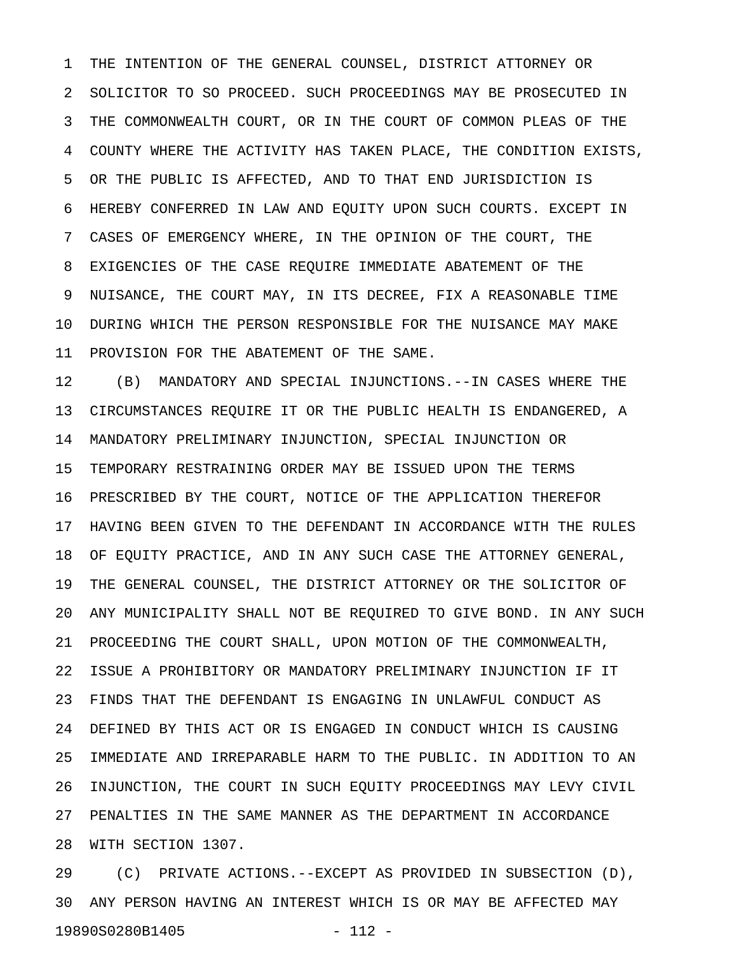1 THE INTENTION OF THE GENERAL COUNSEL, DISTRICT ATTORNEY OR 2 SOLICITOR TO SO PROCEED. SUCH PROCEEDINGS MAY BE PROSECUTED IN 3 THE COMMONWEALTH COURT, OR IN THE COURT OF COMMON PLEAS OF THE 4 COUNTY WHERE THE ACTIVITY HAS TAKEN PLACE, THE CONDITION EXISTS, 5 OR THE PUBLIC IS AFFECTED, AND TO THAT END JURISDICTION IS 6 HEREBY CONFERRED IN LAW AND EQUITY UPON SUCH COURTS. EXCEPT IN 7 CASES OF EMERGENCY WHERE, IN THE OPINION OF THE COURT, THE 8 EXIGENCIES OF THE CASE REQUIRE IMMEDIATE ABATEMENT OF THE 9 NUISANCE, THE COURT MAY, IN ITS DECREE, FIX A REASONABLE TIME 10 DURING WHICH THE PERSON RESPONSIBLE FOR THE NUISANCE MAY MAKE 11 PROVISION FOR THE ABATEMENT OF THE SAME.

12 (B) MANDATORY AND SPECIAL INJUNCTIONS.--IN CASES WHERE THE 13 CIRCUMSTANCES REQUIRE IT OR THE PUBLIC HEALTH IS ENDANGERED, A 14 MANDATORY PRELIMINARY INJUNCTION, SPECIAL INJUNCTION OR 15 TEMPORARY RESTRAINING ORDER MAY BE ISSUED UPON THE TERMS 16 PRESCRIBED BY THE COURT, NOTICE OF THE APPLICATION THEREFOR 17 HAVING BEEN GIVEN TO THE DEFENDANT IN ACCORDANCE WITH THE RULES 18 OF EQUITY PRACTICE, AND IN ANY SUCH CASE THE ATTORNEY GENERAL, 19 THE GENERAL COUNSEL, THE DISTRICT ATTORNEY OR THE SOLICITOR OF 20 ANY MUNICIPALITY SHALL NOT BE REQUIRED TO GIVE BOND. IN ANY SUCH 21 PROCEEDING THE COURT SHALL, UPON MOTION OF THE COMMONWEALTH, 22 ISSUE A PROHIBITORY OR MANDATORY PRELIMINARY INJUNCTION IF IT 23 FINDS THAT THE DEFENDANT IS ENGAGING IN UNLAWFUL CONDUCT AS 24 DEFINED BY THIS ACT OR IS ENGAGED IN CONDUCT WHICH IS CAUSING 25 IMMEDIATE AND IRREPARABLE HARM TO THE PUBLIC. IN ADDITION TO AN 26 INJUNCTION, THE COURT IN SUCH EQUITY PROCEEDINGS MAY LEVY CIVIL 27 PENALTIES IN THE SAME MANNER AS THE DEPARTMENT IN ACCORDANCE 28 WITH SECTION 1307.

29 (C) PRIVATE ACTIONS.--EXCEPT AS PROVIDED IN SUBSECTION (D), 30 ANY PERSON HAVING AN INTEREST WHICH IS OR MAY BE AFFECTED MAY 19890S0280B1405 - 112 -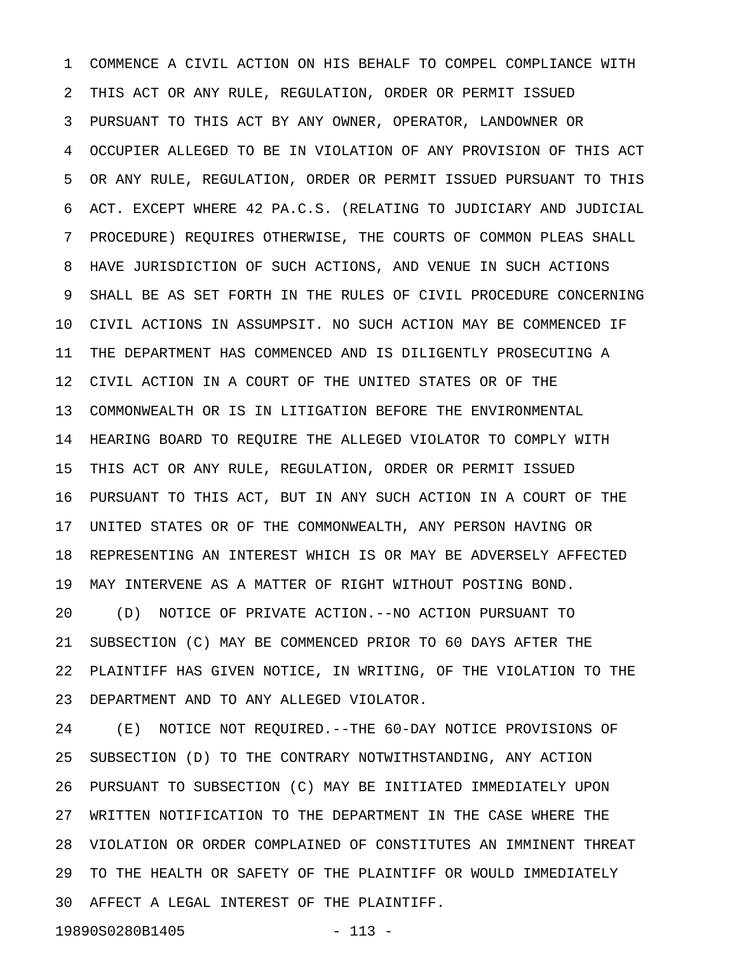1 COMMENCE A CIVIL ACTION ON HIS BEHALF TO COMPEL COMPLIANCE WITH 2 THIS ACT OR ANY RULE, REGULATION, ORDER OR PERMIT ISSUED 3 PURSUANT TO THIS ACT BY ANY OWNER, OPERATOR, LANDOWNER OR 4 OCCUPIER ALLEGED TO BE IN VIOLATION OF ANY PROVISION OF THIS ACT 5 OR ANY RULE, REGULATION, ORDER OR PERMIT ISSUED PURSUANT TO THIS 6 ACT. EXCEPT WHERE 42 PA.C.S. (RELATING TO JUDICIARY AND JUDICIAL 7 PROCEDURE) REQUIRES OTHERWISE, THE COURTS OF COMMON PLEAS SHALL 8 HAVE JURISDICTION OF SUCH ACTIONS, AND VENUE IN SUCH ACTIONS 9 SHALL BE AS SET FORTH IN THE RULES OF CIVIL PROCEDURE CONCERNING 10 CIVIL ACTIONS IN ASSUMPSIT. NO SUCH ACTION MAY BE COMMENCED IF 11 THE DEPARTMENT HAS COMMENCED AND IS DILIGENTLY PROSECUTING A 12 CIVIL ACTION IN A COURT OF THE UNITED STATES OR OF THE 13 COMMONWEALTH OR IS IN LITIGATION BEFORE THE ENVIRONMENTAL 14 HEARING BOARD TO REQUIRE THE ALLEGED VIOLATOR TO COMPLY WITH 15 THIS ACT OR ANY RULE, REGULATION, ORDER OR PERMIT ISSUED 16 PURSUANT TO THIS ACT, BUT IN ANY SUCH ACTION IN A COURT OF THE 17 UNITED STATES OR OF THE COMMONWEALTH, ANY PERSON HAVING OR 18 REPRESENTING AN INTEREST WHICH IS OR MAY BE ADVERSELY AFFECTED 19 MAY INTERVENE AS A MATTER OF RIGHT WITHOUT POSTING BOND. 20 (D) NOTICE OF PRIVATE ACTION.--NO ACTION PURSUANT TO 21 SUBSECTION (C) MAY BE COMMENCED PRIOR TO 60 DAYS AFTER THE 22 PLAINTIFF HAS GIVEN NOTICE, IN WRITING, OF THE VIOLATION TO THE 23 DEPARTMENT AND TO ANY ALLEGED VIOLATOR.

24 (E) NOTICE NOT REQUIRED.--THE 60-DAY NOTICE PROVISIONS OF 25 SUBSECTION (D) TO THE CONTRARY NOTWITHSTANDING, ANY ACTION 26 PURSUANT TO SUBSECTION (C) MAY BE INITIATED IMMEDIATELY UPON 27 WRITTEN NOTIFICATION TO THE DEPARTMENT IN THE CASE WHERE THE 28 VIOLATION OR ORDER COMPLAINED OF CONSTITUTES AN IMMINENT THREAT 29 TO THE HEALTH OR SAFETY OF THE PLAINTIFF OR WOULD IMMEDIATELY 30 AFFECT A LEGAL INTEREST OF THE PLAINTIFF.

19890S0280B1405 - 113 -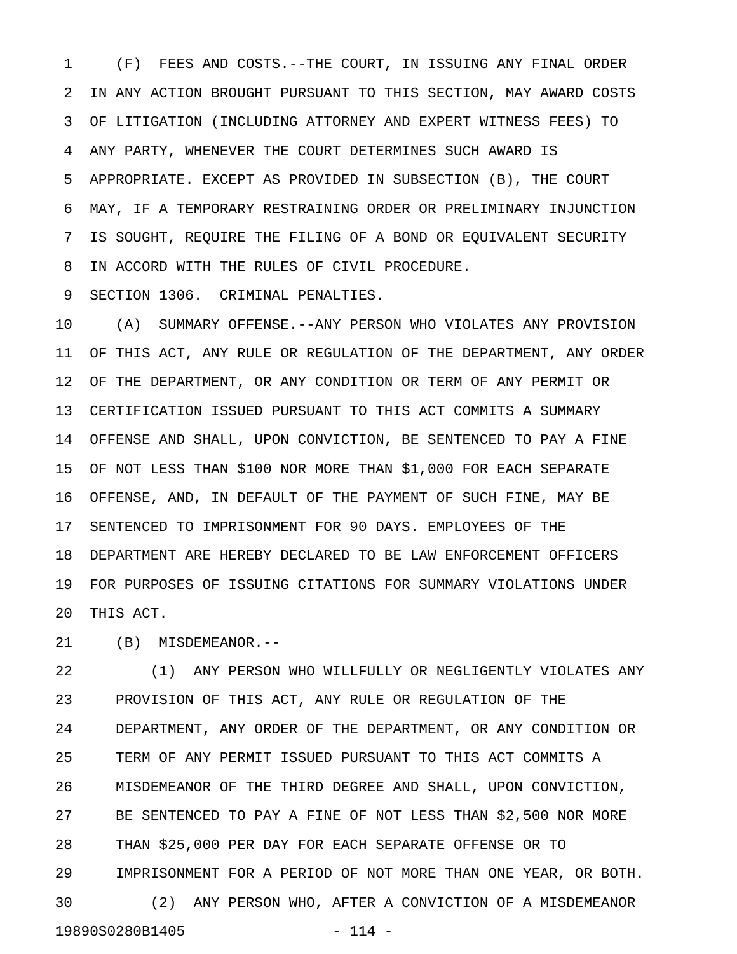1 (F) FEES AND COSTS.--THE COURT, IN ISSUING ANY FINAL ORDER 2 IN ANY ACTION BROUGHT PURSUANT TO THIS SECTION, MAY AWARD COSTS 3 OF LITIGATION (INCLUDING ATTORNEY AND EXPERT WITNESS FEES) TO 4 ANY PARTY, WHENEVER THE COURT DETERMINES SUCH AWARD IS 5 APPROPRIATE. EXCEPT AS PROVIDED IN SUBSECTION (B), THE COURT 6 MAY, IF A TEMPORARY RESTRAINING ORDER OR PRELIMINARY INJUNCTION 7 IS SOUGHT, REQUIRE THE FILING OF A BOND OR EQUIVALENT SECURITY 8 IN ACCORD WITH THE RULES OF CIVIL PROCEDURE.

9 SECTION 1306. CRIMINAL PENALTIES.

10 (A) SUMMARY OFFENSE.--ANY PERSON WHO VIOLATES ANY PROVISION 11 OF THIS ACT, ANY RULE OR REGULATION OF THE DEPARTMENT, ANY ORDER 12 OF THE DEPARTMENT, OR ANY CONDITION OR TERM OF ANY PERMIT OR 13 CERTIFICATION ISSUED PURSUANT TO THIS ACT COMMITS A SUMMARY 14 OFFENSE AND SHALL, UPON CONVICTION, BE SENTENCED TO PAY A FINE 15 OF NOT LESS THAN \$100 NOR MORE THAN \$1,000 FOR EACH SEPARATE 16 OFFENSE, AND, IN DEFAULT OF THE PAYMENT OF SUCH FINE, MAY BE 17 SENTENCED TO IMPRISONMENT FOR 90 DAYS. EMPLOYEES OF THE 18 DEPARTMENT ARE HEREBY DECLARED TO BE LAW ENFORCEMENT OFFICERS 19 FOR PURPOSES OF ISSUING CITATIONS FOR SUMMARY VIOLATIONS UNDER 20 THIS ACT.

21 (B) MISDEMEANOR.--

22 (1) ANY PERSON WHO WILLFULLY OR NEGLIGENTLY VIOLATES ANY 23 PROVISION OF THIS ACT, ANY RULE OR REGULATION OF THE 24 DEPARTMENT, ANY ORDER OF THE DEPARTMENT, OR ANY CONDITION OR 25 TERM OF ANY PERMIT ISSUED PURSUANT TO THIS ACT COMMITS A 26 MISDEMEANOR OF THE THIRD DEGREE AND SHALL, UPON CONVICTION, 27 BE SENTENCED TO PAY A FINE OF NOT LESS THAN \$2,500 NOR MORE 28 THAN \$25,000 PER DAY FOR EACH SEPARATE OFFENSE OR TO 29 IMPRISONMENT FOR A PERIOD OF NOT MORE THAN ONE YEAR, OR BOTH. 30 (2) ANY PERSON WHO, AFTER A CONVICTION OF A MISDEMEANOR 19890S0280B1405 - 114 -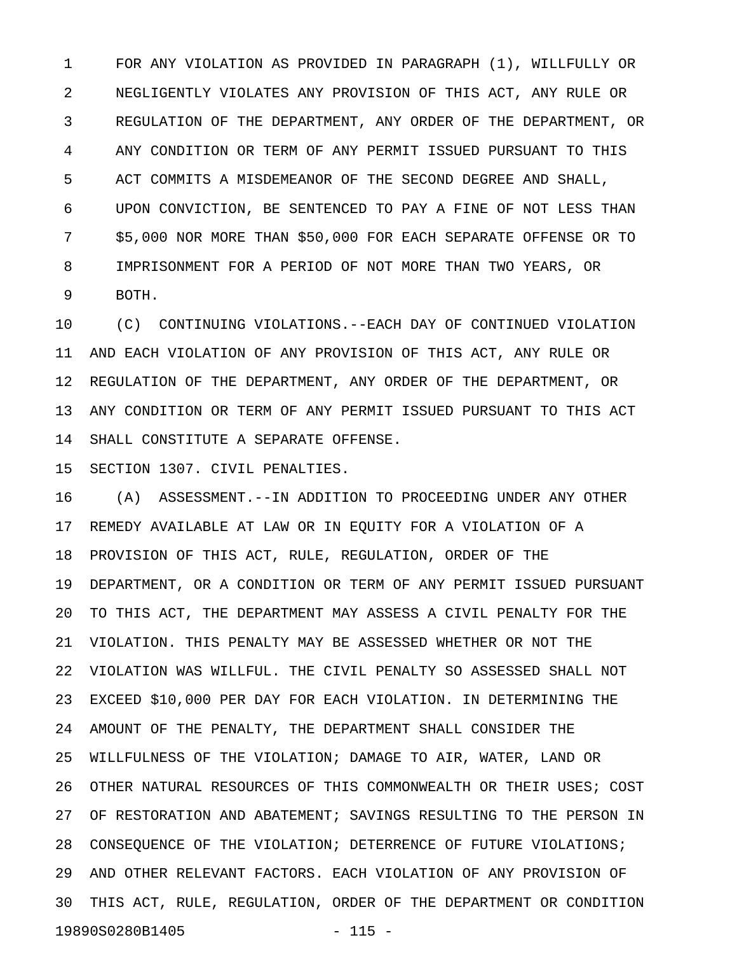1 FOR ANY VIOLATION AS PROVIDED IN PARAGRAPH (1), WILLFULLY OR 2 NEGLIGENTLY VIOLATES ANY PROVISION OF THIS ACT, ANY RULE OR 3 REGULATION OF THE DEPARTMENT, ANY ORDER OF THE DEPARTMENT, OR 4 ANY CONDITION OR TERM OF ANY PERMIT ISSUED PURSUANT TO THIS 5 ACT COMMITS A MISDEMEANOR OF THE SECOND DEGREE AND SHALL, 6 UPON CONVICTION, BE SENTENCED TO PAY A FINE OF NOT LESS THAN 7 \$5,000 NOR MORE THAN \$50,000 FOR EACH SEPARATE OFFENSE OR TO 8 IMPRISONMENT FOR A PERIOD OF NOT MORE THAN TWO YEARS, OR 9 BOTH.

10 (C) CONTINUING VIOLATIONS.--EACH DAY OF CONTINUED VIOLATION 11 AND EACH VIOLATION OF ANY PROVISION OF THIS ACT, ANY RULE OR 12 REGULATION OF THE DEPARTMENT, ANY ORDER OF THE DEPARTMENT, OR 13 ANY CONDITION OR TERM OF ANY PERMIT ISSUED PURSUANT TO THIS ACT 14 SHALL CONSTITUTE A SEPARATE OFFENSE.

15 SECTION 1307. CIVIL PENALTIES.

16 (A) ASSESSMENT.--IN ADDITION TO PROCEEDING UNDER ANY OTHER 17 REMEDY AVAILABLE AT LAW OR IN EQUITY FOR A VIOLATION OF A 18 PROVISION OF THIS ACT, RULE, REGULATION, ORDER OF THE 19 DEPARTMENT, OR A CONDITION OR TERM OF ANY PERMIT ISSUED PURSUANT 20 TO THIS ACT, THE DEPARTMENT MAY ASSESS A CIVIL PENALTY FOR THE 21 VIOLATION. THIS PENALTY MAY BE ASSESSED WHETHER OR NOT THE 22 VIOLATION WAS WILLFUL. THE CIVIL PENALTY SO ASSESSED SHALL NOT 23 EXCEED \$10,000 PER DAY FOR EACH VIOLATION. IN DETERMINING THE 24 AMOUNT OF THE PENALTY, THE DEPARTMENT SHALL CONSIDER THE 25 WILLFULNESS OF THE VIOLATION; DAMAGE TO AIR, WATER, LAND OR 26 OTHER NATURAL RESOURCES OF THIS COMMONWEALTH OR THEIR USES; COST 27 OF RESTORATION AND ABATEMENT; SAVINGS RESULTING TO THE PERSON IN 28 CONSEQUENCE OF THE VIOLATION; DETERRENCE OF FUTURE VIOLATIONS; 29 AND OTHER RELEVANT FACTORS. EACH VIOLATION OF ANY PROVISION OF 30 THIS ACT, RULE, REGULATION, ORDER OF THE DEPARTMENT OR CONDITION 19890S0280B1405 - 115 -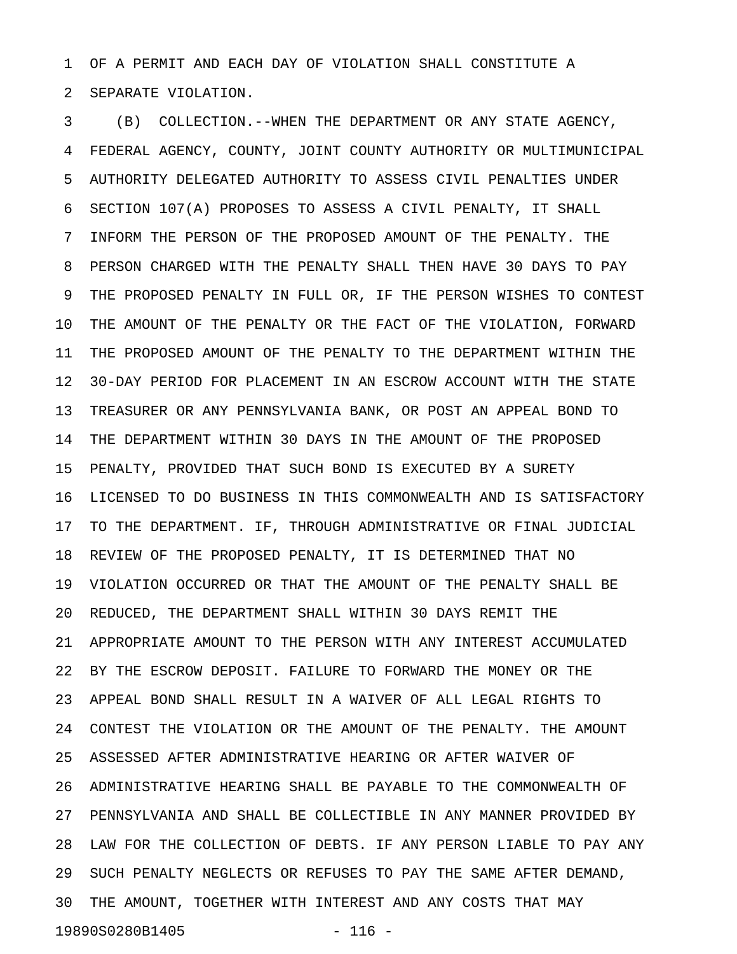1 OF A PERMIT AND EACH DAY OF VIOLATION SHALL CONSTITUTE A 2 SEPARATE VIOLATION.

3 (B) COLLECTION.--WHEN THE DEPARTMENT OR ANY STATE AGENCY, 4 FEDERAL AGENCY, COUNTY, JOINT COUNTY AUTHORITY OR MULTIMUNICIPAL 5 AUTHORITY DELEGATED AUTHORITY TO ASSESS CIVIL PENALTIES UNDER 6 SECTION 107(A) PROPOSES TO ASSESS A CIVIL PENALTY, IT SHALL 7 INFORM THE PERSON OF THE PROPOSED AMOUNT OF THE PENALTY. THE 8 PERSON CHARGED WITH THE PENALTY SHALL THEN HAVE 30 DAYS TO PAY 9 THE PROPOSED PENALTY IN FULL OR, IF THE PERSON WISHES TO CONTEST 10 THE AMOUNT OF THE PENALTY OR THE FACT OF THE VIOLATION, FORWARD 11 THE PROPOSED AMOUNT OF THE PENALTY TO THE DEPARTMENT WITHIN THE 12 30-DAY PERIOD FOR PLACEMENT IN AN ESCROW ACCOUNT WITH THE STATE 13 TREASURER OR ANY PENNSYLVANIA BANK, OR POST AN APPEAL BOND TO 14 THE DEPARTMENT WITHIN 30 DAYS IN THE AMOUNT OF THE PROPOSED 15 PENALTY, PROVIDED THAT SUCH BOND IS EXECUTED BY A SURETY 16 LICENSED TO DO BUSINESS IN THIS COMMONWEALTH AND IS SATISFACTORY 17 TO THE DEPARTMENT. IF, THROUGH ADMINISTRATIVE OR FINAL JUDICIAL 18 REVIEW OF THE PROPOSED PENALTY, IT IS DETERMINED THAT NO 19 VIOLATION OCCURRED OR THAT THE AMOUNT OF THE PENALTY SHALL BE 20 REDUCED, THE DEPARTMENT SHALL WITHIN 30 DAYS REMIT THE 21 APPROPRIATE AMOUNT TO THE PERSON WITH ANY INTEREST ACCUMULATED 22 BY THE ESCROW DEPOSIT. FAILURE TO FORWARD THE MONEY OR THE 23 APPEAL BOND SHALL RESULT IN A WAIVER OF ALL LEGAL RIGHTS TO 24 CONTEST THE VIOLATION OR THE AMOUNT OF THE PENALTY. THE AMOUNT 25 ASSESSED AFTER ADMINISTRATIVE HEARING OR AFTER WAIVER OF 26 ADMINISTRATIVE HEARING SHALL BE PAYABLE TO THE COMMONWEALTH OF 27 PENNSYLVANIA AND SHALL BE COLLECTIBLE IN ANY MANNER PROVIDED BY 28 LAW FOR THE COLLECTION OF DEBTS. IF ANY PERSON LIABLE TO PAY ANY 29 SUCH PENALTY NEGLECTS OR REFUSES TO PAY THE SAME AFTER DEMAND, 30 THE AMOUNT, TOGETHER WITH INTEREST AND ANY COSTS THAT MAY 19890S0280B1405 - 116 -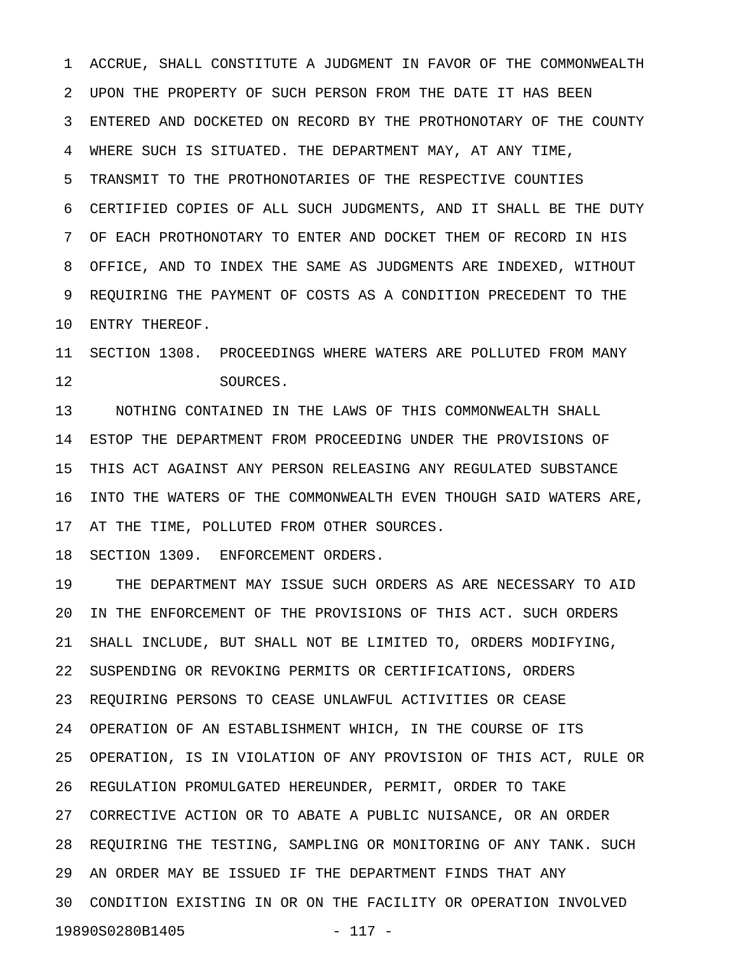1 ACCRUE, SHALL CONSTITUTE A JUDGMENT IN FAVOR OF THE COMMONWEALTH 2 UPON THE PROPERTY OF SUCH PERSON FROM THE DATE IT HAS BEEN 3 ENTERED AND DOCKETED ON RECORD BY THE PROTHONOTARY OF THE COUNTY 4 WHERE SUCH IS SITUATED. THE DEPARTMENT MAY, AT ANY TIME, 5 TRANSMIT TO THE PROTHONOTARIES OF THE RESPECTIVE COUNTIES 6 CERTIFIED COPIES OF ALL SUCH JUDGMENTS, AND IT SHALL BE THE DUTY 7 OF EACH PROTHONOTARY TO ENTER AND DOCKET THEM OF RECORD IN HIS 8 OFFICE, AND TO INDEX THE SAME AS JUDGMENTS ARE INDEXED, WITHOUT 9 REQUIRING THE PAYMENT OF COSTS AS A CONDITION PRECEDENT TO THE 10 ENTRY THEREOF.

11 SECTION 1308. PROCEEDINGS WHERE WATERS ARE POLLUTED FROM MANY 12 SOURCES.

13 NOTHING CONTAINED IN THE LAWS OF THIS COMMONWEALTH SHALL 14 ESTOP THE DEPARTMENT FROM PROCEEDING UNDER THE PROVISIONS OF 15 THIS ACT AGAINST ANY PERSON RELEASING ANY REGULATED SUBSTANCE 16 INTO THE WATERS OF THE COMMONWEALTH EVEN THOUGH SAID WATERS ARE, 17 AT THE TIME, POLLUTED FROM OTHER SOURCES.

18 SECTION 1309. ENFORCEMENT ORDERS.

19 THE DEPARTMENT MAY ISSUE SUCH ORDERS AS ARE NECESSARY TO AID 20 IN THE ENFORCEMENT OF THE PROVISIONS OF THIS ACT. SUCH ORDERS 21 SHALL INCLUDE, BUT SHALL NOT BE LIMITED TO, ORDERS MODIFYING, 22 SUSPENDING OR REVOKING PERMITS OR CERTIFICATIONS, ORDERS 23 REQUIRING PERSONS TO CEASE UNLAWFUL ACTIVITIES OR CEASE 24 OPERATION OF AN ESTABLISHMENT WHICH, IN THE COURSE OF ITS 25 OPERATION, IS IN VIOLATION OF ANY PROVISION OF THIS ACT, RULE OR 26 REGULATION PROMULGATED HEREUNDER, PERMIT, ORDER TO TAKE 27 CORRECTIVE ACTION OR TO ABATE A PUBLIC NUISANCE, OR AN ORDER 28 REQUIRING THE TESTING, SAMPLING OR MONITORING OF ANY TANK. SUCH 29 AN ORDER MAY BE ISSUED IF THE DEPARTMENT FINDS THAT ANY 30 CONDITION EXISTING IN OR ON THE FACILITY OR OPERATION INVOLVED 19890S0280B1405 - 117 -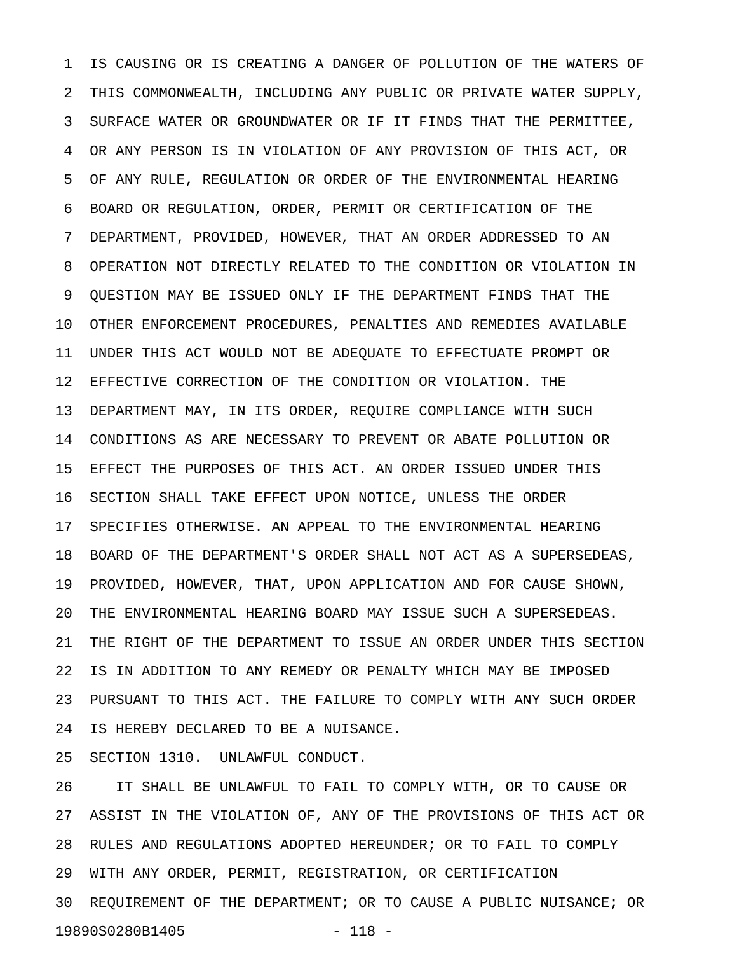1 IS CAUSING OR IS CREATING A DANGER OF POLLUTION OF THE WATERS OF 2 THIS COMMONWEALTH, INCLUDING ANY PUBLIC OR PRIVATE WATER SUPPLY, 3 SURFACE WATER OR GROUNDWATER OR IF IT FINDS THAT THE PERMITTEE, 4 OR ANY PERSON IS IN VIOLATION OF ANY PROVISION OF THIS ACT, OR 5 OF ANY RULE, REGULATION OR ORDER OF THE ENVIRONMENTAL HEARING 6 BOARD OR REGULATION, ORDER, PERMIT OR CERTIFICATION OF THE 7 DEPARTMENT, PROVIDED, HOWEVER, THAT AN ORDER ADDRESSED TO AN 8 OPERATION NOT DIRECTLY RELATED TO THE CONDITION OR VIOLATION IN 9 QUESTION MAY BE ISSUED ONLY IF THE DEPARTMENT FINDS THAT THE 10 OTHER ENFORCEMENT PROCEDURES, PENALTIES AND REMEDIES AVAILABLE 11 UNDER THIS ACT WOULD NOT BE ADEQUATE TO EFFECTUATE PROMPT OR 12 EFFECTIVE CORRECTION OF THE CONDITION OR VIOLATION. THE 13 DEPARTMENT MAY, IN ITS ORDER, REQUIRE COMPLIANCE WITH SUCH 14 CONDITIONS AS ARE NECESSARY TO PREVENT OR ABATE POLLUTION OR 15 EFFECT THE PURPOSES OF THIS ACT. AN ORDER ISSUED UNDER THIS 16 SECTION SHALL TAKE EFFECT UPON NOTICE, UNLESS THE ORDER 17 SPECIFIES OTHERWISE. AN APPEAL TO THE ENVIRONMENTAL HEARING 18 BOARD OF THE DEPARTMENT'S ORDER SHALL NOT ACT AS A SUPERSEDEAS, 19 PROVIDED, HOWEVER, THAT, UPON APPLICATION AND FOR CAUSE SHOWN, 20 THE ENVIRONMENTAL HEARING BOARD MAY ISSUE SUCH A SUPERSEDEAS. 21 THE RIGHT OF THE DEPARTMENT TO ISSUE AN ORDER UNDER THIS SECTION 22 IS IN ADDITION TO ANY REMEDY OR PENALTY WHICH MAY BE IMPOSED 23 PURSUANT TO THIS ACT. THE FAILURE TO COMPLY WITH ANY SUCH ORDER 24 IS HEREBY DECLARED TO BE A NUISANCE.

25 SECTION 1310. UNLAWFUL CONDUCT.

26 IT SHALL BE UNLAWFUL TO FAIL TO COMPLY WITH, OR TO CAUSE OR 27 ASSIST IN THE VIOLATION OF, ANY OF THE PROVISIONS OF THIS ACT OR 28 RULES AND REGULATIONS ADOPTED HEREUNDER; OR TO FAIL TO COMPLY 29 WITH ANY ORDER, PERMIT, REGISTRATION, OR CERTIFICATION 30 REQUIREMENT OF THE DEPARTMENT; OR TO CAUSE A PUBLIC NUISANCE; OR 19890S0280B1405 - 118 -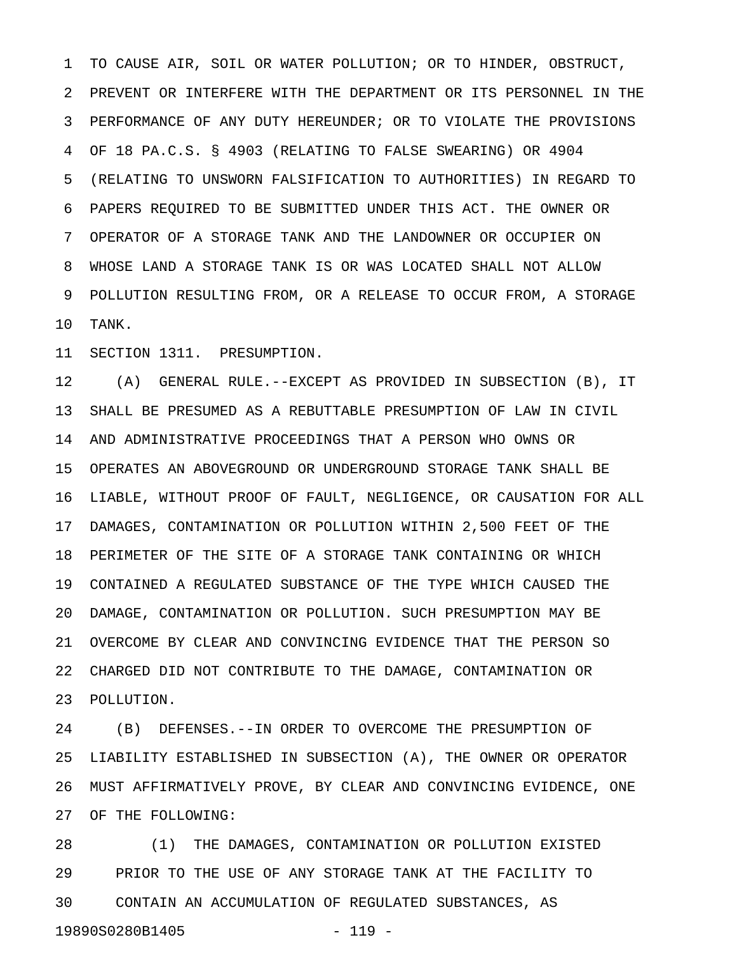1 TO CAUSE AIR, SOIL OR WATER POLLUTION; OR TO HINDER, OBSTRUCT, 2 PREVENT OR INTERFERE WITH THE DEPARTMENT OR ITS PERSONNEL IN THE 3 PERFORMANCE OF ANY DUTY HEREUNDER; OR TO VIOLATE THE PROVISIONS 4 OF 18 PA.C.S. § 4903 (RELATING TO FALSE SWEARING) OR 4904 5 (RELATING TO UNSWORN FALSIFICATION TO AUTHORITIES) IN REGARD TO 6 PAPERS REQUIRED TO BE SUBMITTED UNDER THIS ACT. THE OWNER OR 7 OPERATOR OF A STORAGE TANK AND THE LANDOWNER OR OCCUPIER ON 8 WHOSE LAND A STORAGE TANK IS OR WAS LOCATED SHALL NOT ALLOW 9 POLLUTION RESULTING FROM, OR A RELEASE TO OCCUR FROM, A STORAGE 10 TANK.

11 SECTION 1311. PRESUMPTION.

12 (A) GENERAL RULE.--EXCEPT AS PROVIDED IN SUBSECTION (B), IT 13 SHALL BE PRESUMED AS A REBUTTABLE PRESUMPTION OF LAW IN CIVIL 14 AND ADMINISTRATIVE PROCEEDINGS THAT A PERSON WHO OWNS OR 15 OPERATES AN ABOVEGROUND OR UNDERGROUND STORAGE TANK SHALL BE 16 LIABLE, WITHOUT PROOF OF FAULT, NEGLIGENCE, OR CAUSATION FOR ALL 17 DAMAGES, CONTAMINATION OR POLLUTION WITHIN 2,500 FEET OF THE 18 PERIMETER OF THE SITE OF A STORAGE TANK CONTAINING OR WHICH 19 CONTAINED A REGULATED SUBSTANCE OF THE TYPE WHICH CAUSED THE 20 DAMAGE, CONTAMINATION OR POLLUTION. SUCH PRESUMPTION MAY BE 21 OVERCOME BY CLEAR AND CONVINCING EVIDENCE THAT THE PERSON SO 22 CHARGED DID NOT CONTRIBUTE TO THE DAMAGE, CONTAMINATION OR 23 POLLUTION.

24 (B) DEFENSES.--IN ORDER TO OVERCOME THE PRESUMPTION OF 25 LIABILITY ESTABLISHED IN SUBSECTION (A), THE OWNER OR OPERATOR 26 MUST AFFIRMATIVELY PROVE, BY CLEAR AND CONVINCING EVIDENCE, ONE 27 OF THE FOLLOWING:

28 (1) THE DAMAGES, CONTAMINATION OR POLLUTION EXISTED 29 PRIOR TO THE USE OF ANY STORAGE TANK AT THE FACILITY TO 30 CONTAIN AN ACCUMULATION OF REGULATED SUBSTANCES, AS 19890S0280B1405 - 119 -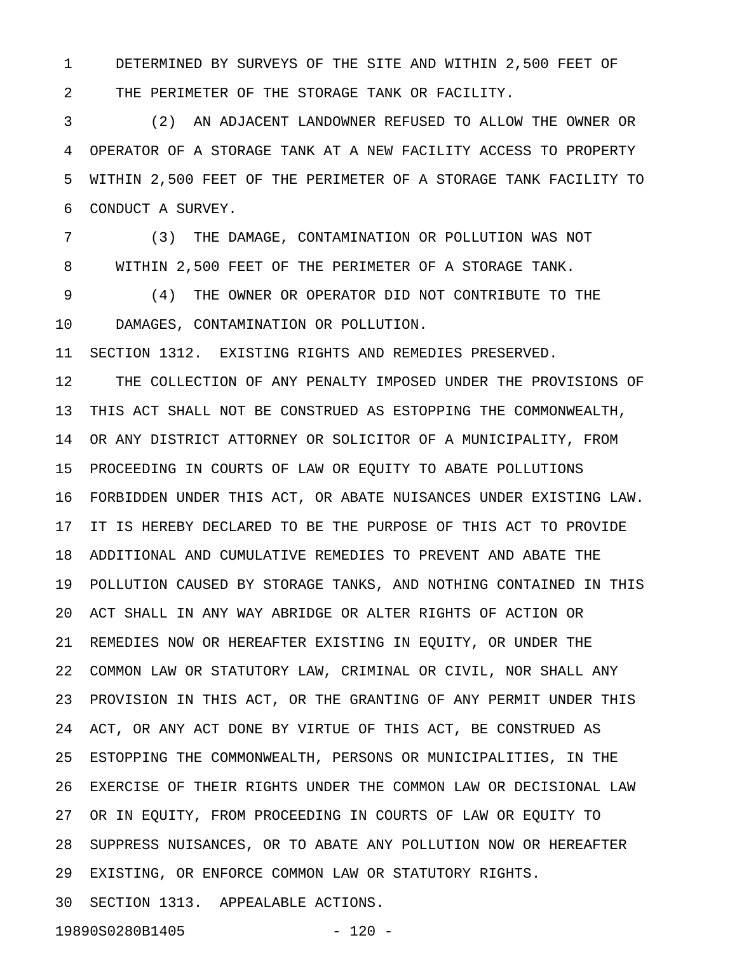1 DETERMINED BY SURVEYS OF THE SITE AND WITHIN 2,500 FEET OF 2 THE PERIMETER OF THE STORAGE TANK OR FACILITY.

3 (2) AN ADJACENT LANDOWNER REFUSED TO ALLOW THE OWNER OR 4 OPERATOR OF A STORAGE TANK AT A NEW FACILITY ACCESS TO PROPERTY 5 WITHIN 2,500 FEET OF THE PERIMETER OF A STORAGE TANK FACILITY TO 6 CONDUCT A SURVEY.

7 (3) THE DAMAGE, CONTAMINATION OR POLLUTION WAS NOT 8 WITHIN 2,500 FEET OF THE PERIMETER OF A STORAGE TANK.

9 (4) THE OWNER OR OPERATOR DID NOT CONTRIBUTE TO THE 10 DAMAGES, CONTAMINATION OR POLLUTION.

11 SECTION 1312. EXISTING RIGHTS AND REMEDIES PRESERVED.

12 THE COLLECTION OF ANY PENALTY IMPOSED UNDER THE PROVISIONS OF 13 THIS ACT SHALL NOT BE CONSTRUED AS ESTOPPING THE COMMONWEALTH, 14 OR ANY DISTRICT ATTORNEY OR SOLICITOR OF A MUNICIPALITY, FROM 15 PROCEEDING IN COURTS OF LAW OR EQUITY TO ABATE POLLUTIONS 16 FORBIDDEN UNDER THIS ACT, OR ABATE NUISANCES UNDER EXISTING LAW. 17 IT IS HEREBY DECLARED TO BE THE PURPOSE OF THIS ACT TO PROVIDE 18 ADDITIONAL AND CUMULATIVE REMEDIES TO PREVENT AND ABATE THE 19 POLLUTION CAUSED BY STORAGE TANKS, AND NOTHING CONTAINED IN THIS 20 ACT SHALL IN ANY WAY ABRIDGE OR ALTER RIGHTS OF ACTION OR 21 REMEDIES NOW OR HEREAFTER EXISTING IN EQUITY, OR UNDER THE 22 COMMON LAW OR STATUTORY LAW, CRIMINAL OR CIVIL, NOR SHALL ANY 23 PROVISION IN THIS ACT, OR THE GRANTING OF ANY PERMIT UNDER THIS 24 ACT, OR ANY ACT DONE BY VIRTUE OF THIS ACT, BE CONSTRUED AS 25 ESTOPPING THE COMMONWEALTH, PERSONS OR MUNICIPALITIES, IN THE 26 EXERCISE OF THEIR RIGHTS UNDER THE COMMON LAW OR DECISIONAL LAW 27 OR IN EQUITY, FROM PROCEEDING IN COURTS OF LAW OR EQUITY TO 28 SUPPRESS NUISANCES, OR TO ABATE ANY POLLUTION NOW OR HEREAFTER 29 EXISTING, OR ENFORCE COMMON LAW OR STATUTORY RIGHTS. 30 SECTION 1313. APPEALABLE ACTIONS.

19890S0280B1405 - 120 -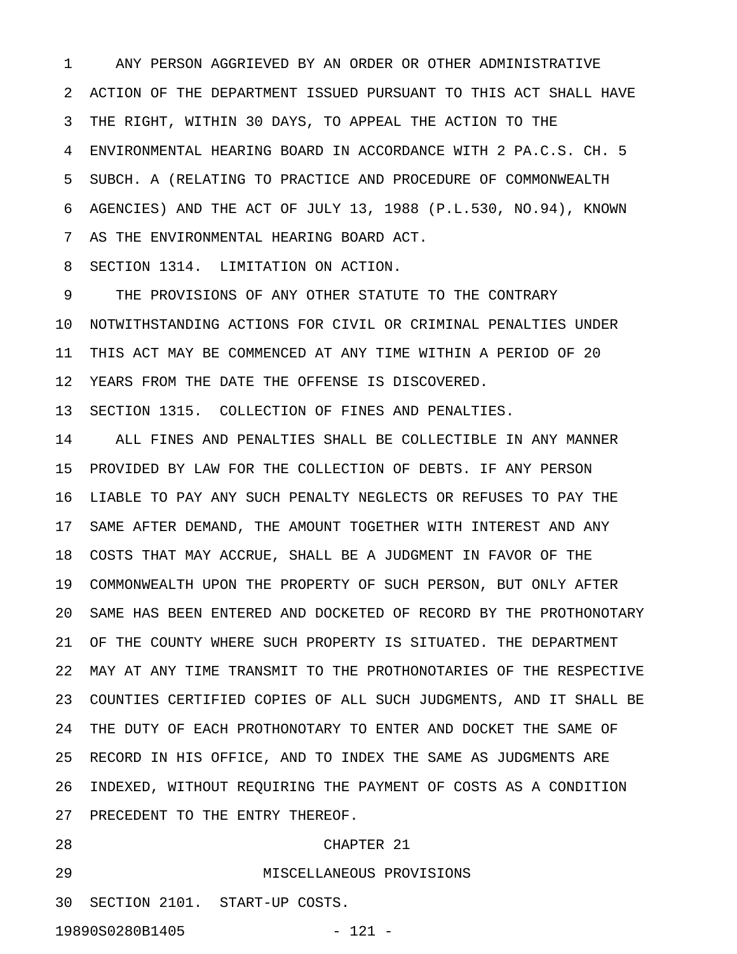1 ANY PERSON AGGRIEVED BY AN ORDER OR OTHER ADMINISTRATIVE 2 ACTION OF THE DEPARTMENT ISSUED PURSUANT TO THIS ACT SHALL HAVE 3 THE RIGHT, WITHIN 30 DAYS, TO APPEAL THE ACTION TO THE 4 ENVIRONMENTAL HEARING BOARD IN ACCORDANCE WITH 2 PA.C.S. CH. 5 5 SUBCH. A (RELATING TO PRACTICE AND PROCEDURE OF COMMONWEALTH 6 AGENCIES) AND THE ACT OF JULY 13, 1988 (P.L.530, NO.94), KNOWN 7 AS THE ENVIRONMENTAL HEARING BOARD ACT.

8 SECTION 1314. LIMITATION ON ACTION.

9 THE PROVISIONS OF ANY OTHER STATUTE TO THE CONTRARY 10 NOTWITHSTANDING ACTIONS FOR CIVIL OR CRIMINAL PENALTIES UNDER 11 THIS ACT MAY BE COMMENCED AT ANY TIME WITHIN A PERIOD OF 20 12 YEARS FROM THE DATE THE OFFENSE IS DISCOVERED.

13 SECTION 1315. COLLECTION OF FINES AND PENALTIES.

14 ALL FINES AND PENALTIES SHALL BE COLLECTIBLE IN ANY MANNER 15 PROVIDED BY LAW FOR THE COLLECTION OF DEBTS. IF ANY PERSON 16 LIABLE TO PAY ANY SUCH PENALTY NEGLECTS OR REFUSES TO PAY THE 17 SAME AFTER DEMAND, THE AMOUNT TOGETHER WITH INTEREST AND ANY 18 COSTS THAT MAY ACCRUE, SHALL BE A JUDGMENT IN FAVOR OF THE 19 COMMONWEALTH UPON THE PROPERTY OF SUCH PERSON, BUT ONLY AFTER 20 SAME HAS BEEN ENTERED AND DOCKETED OF RECORD BY THE PROTHONOTARY 21 OF THE COUNTY WHERE SUCH PROPERTY IS SITUATED. THE DEPARTMENT 22 MAY AT ANY TIME TRANSMIT TO THE PROTHONOTARIES OF THE RESPECTIVE 23 COUNTIES CERTIFIED COPIES OF ALL SUCH JUDGMENTS, AND IT SHALL BE 24 THE DUTY OF EACH PROTHONOTARY TO ENTER AND DOCKET THE SAME OF 25 RECORD IN HIS OFFICE, AND TO INDEX THE SAME AS JUDGMENTS ARE 26 INDEXED, WITHOUT REQUIRING THE PAYMENT OF COSTS AS A CONDITION 27 PRECEDENT TO THE ENTRY THEREOF.

## 28 CHAPTER 21

29 MISCELLANEOUS PROVISIONS

30 SECTION 2101. START-UP COSTS.

19890S0280B1405 - 121 -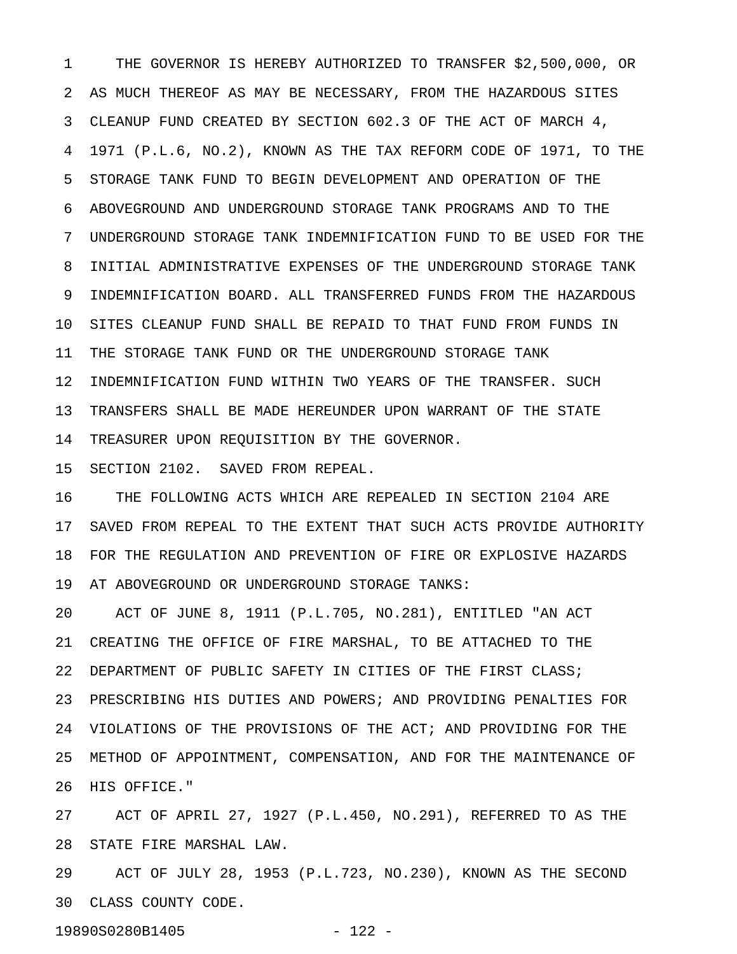1 THE GOVERNOR IS HEREBY AUTHORIZED TO TRANSFER \$2,500,000, OR 2 AS MUCH THEREOF AS MAY BE NECESSARY, FROM THE HAZARDOUS SITES 3 CLEANUP FUND CREATED BY SECTION 602.3 OF THE ACT OF MARCH 4, 4 1971 (P.L.6, NO.2), KNOWN AS THE TAX REFORM CODE OF 1971, TO THE 5 STORAGE TANK FUND TO BEGIN DEVELOPMENT AND OPERATION OF THE 6 ABOVEGROUND AND UNDERGROUND STORAGE TANK PROGRAMS AND TO THE 7 UNDERGROUND STORAGE TANK INDEMNIFICATION FUND TO BE USED FOR THE 8 INITIAL ADMINISTRATIVE EXPENSES OF THE UNDERGROUND STORAGE TANK 9 INDEMNIFICATION BOARD. ALL TRANSFERRED FUNDS FROM THE HAZARDOUS 10 SITES CLEANUP FUND SHALL BE REPAID TO THAT FUND FROM FUNDS IN 11 THE STORAGE TANK FUND OR THE UNDERGROUND STORAGE TANK 12 INDEMNIFICATION FUND WITHIN TWO YEARS OF THE TRANSFER. SUCH 13 TRANSFERS SHALL BE MADE HEREUNDER UPON WARRANT OF THE STATE 14 TREASURER UPON REQUISITION BY THE GOVERNOR.

15 SECTION 2102. SAVED FROM REPEAL.

16 THE FOLLOWING ACTS WHICH ARE REPEALED IN SECTION 2104 ARE 17 SAVED FROM REPEAL TO THE EXTENT THAT SUCH ACTS PROVIDE AUTHORITY 18 FOR THE REGULATION AND PREVENTION OF FIRE OR EXPLOSIVE HAZARDS 19 AT ABOVEGROUND OR UNDERGROUND STORAGE TANKS:

20 ACT OF JUNE 8, 1911 (P.L.705, NO.281), ENTITLED "AN ACT 21 CREATING THE OFFICE OF FIRE MARSHAL, TO BE ATTACHED TO THE 22 DEPARTMENT OF PUBLIC SAFETY IN CITIES OF THE FIRST CLASS; 23 PRESCRIBING HIS DUTIES AND POWERS; AND PROVIDING PENALTIES FOR 24 VIOLATIONS OF THE PROVISIONS OF THE ACT; AND PROVIDING FOR THE 25 METHOD OF APPOINTMENT, COMPENSATION, AND FOR THE MAINTENANCE OF 26 HIS OFFICE."

27 ACT OF APRIL 27, 1927 (P.L.450, NO.291), REFERRED TO AS THE 28 STATE FIRE MARSHAL LAW.

29 ACT OF JULY 28, 1953 (P.L.723, NO.230), KNOWN AS THE SECOND 30 CLASS COUNTY CODE.

19890S0280B1405 - 122 -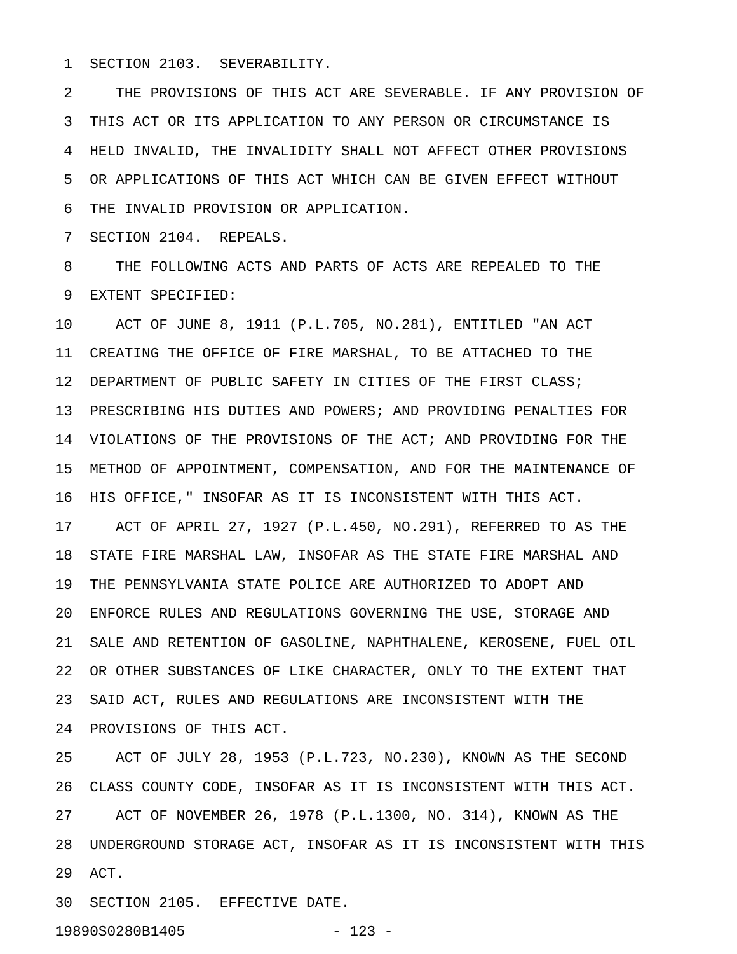1 SECTION 2103. SEVERABILITY.

2 THE PROVISIONS OF THIS ACT ARE SEVERABLE. IF ANY PROVISION OF 3 THIS ACT OR ITS APPLICATION TO ANY PERSON OR CIRCUMSTANCE IS 4 HELD INVALID, THE INVALIDITY SHALL NOT AFFECT OTHER PROVISIONS 5 OR APPLICATIONS OF THIS ACT WHICH CAN BE GIVEN EFFECT WITHOUT 6 THE INVALID PROVISION OR APPLICATION.

7 SECTION 2104. REPEALS.

8 THE FOLLOWING ACTS AND PARTS OF ACTS ARE REPEALED TO THE 9 EXTENT SPECIFIED:

10 ACT OF JUNE 8, 1911 (P.L.705, NO.281), ENTITLED "AN ACT 11 CREATING THE OFFICE OF FIRE MARSHAL, TO BE ATTACHED TO THE 12 DEPARTMENT OF PUBLIC SAFETY IN CITIES OF THE FIRST CLASS; 13 PRESCRIBING HIS DUTIES AND POWERS; AND PROVIDING PENALTIES FOR 14 VIOLATIONS OF THE PROVISIONS OF THE ACT; AND PROVIDING FOR THE 15 METHOD OF APPOINTMENT, COMPENSATION, AND FOR THE MAINTENANCE OF 16 HIS OFFICE," INSOFAR AS IT IS INCONSISTENT WITH THIS ACT. 17 ACT OF APRIL 27, 1927 (P.L.450, NO.291), REFERRED TO AS THE 18 STATE FIRE MARSHAL LAW, INSOFAR AS THE STATE FIRE MARSHAL AND 19 THE PENNSYLVANIA STATE POLICE ARE AUTHORIZED TO ADOPT AND 20 ENFORCE RULES AND REGULATIONS GOVERNING THE USE, STORAGE AND 21 SALE AND RETENTION OF GASOLINE, NAPHTHALENE, KEROSENE, FUEL OIL 22 OR OTHER SUBSTANCES OF LIKE CHARACTER, ONLY TO THE EXTENT THAT 23 SAID ACT, RULES AND REGULATIONS ARE INCONSISTENT WITH THE 24 PROVISIONS OF THIS ACT.

25 ACT OF JULY 28, 1953 (P.L.723, NO.230), KNOWN AS THE SECOND 26 CLASS COUNTY CODE, INSOFAR AS IT IS INCONSISTENT WITH THIS ACT. 27 ACT OF NOVEMBER 26, 1978 (P.L.1300, NO. 314), KNOWN AS THE 28 UNDERGROUND STORAGE ACT, INSOFAR AS IT IS INCONSISTENT WITH THIS 29 ACT.

30 SECTION 2105. EFFECTIVE DATE.

19890S0280B1405 - 123 -